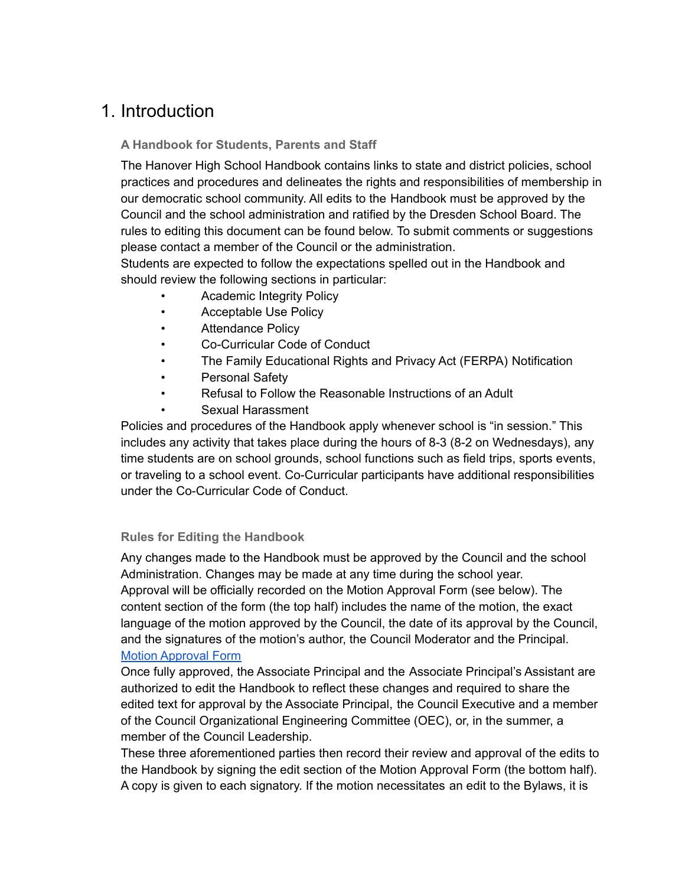# 1. Introduction

## **A Handbook for Students, Parents and Staff**

The Hanover High School Handbook contains links to state and district policies, school practices and procedures and delineates the rights and responsibilities of membership in our democratic school community. All edits to the Handbook must be approved by the Council and the school administration and ratified by the Dresden School Board. The rules to editing this document can be found below. To submit comments or suggestions please contact a member of the Council or the administration.

Students are expected to follow the expectations spelled out in the Handbook and should review the following sections in particular:

- Academic Integrity Policy
- Acceptable Use Policy
- Attendance Policy
- Co-Curricular Code of Conduct
- The Family Educational Rights and Privacy Act (FERPA) Notification
- Personal Safety
- Refusal to Follow the Reasonable Instructions of an Adult
- Sexual Harassment

Policies and procedures of the Handbook apply whenever school is "in session." This includes any activity that takes place during the hours of 8-3 (8-2 on Wednesdays), any time students are on school grounds, school functions such as field trips, sports events, or traveling to a school event. Co-Curricular participants have additional responsibilities under the Co-Curricular Code of Conduct.

## **Rules for Editing the Handbook**

Any changes made to the Handbook must be approved by the Council and the school Administration. Changes may be made at any time during the school year. Approval will be officially recorded on the Motion Approval Form (see below). The content section of the form (the top half) includes the name of the motion, the exact language of the motion approved by the Council, the date of its approval by the Council, and the signatures of the motion's author, the Council Moderator and the Principal. Motion [Approval](https://docs.google.com/document/d/1qZ0nea0gbLyXL_pXd846369vSu6ZY4984BXWq6N7W-s/edit) Form

Once fully approved, the Associate Principal and the Associate Principal's Assistant are authorized to edit the Handbook to reflect these changes and required to share the edited text for approval by the Associate Principal, the Council Executive and a member of the Council Organizational Engineering Committee (OEC), or, in the summer, a member of the Council Leadership.

These three aforementioned parties then record their review and approval of the edits to the Handbook by signing the edit section of the Motion Approval Form (the bottom half). A copy is given to each signatory. If the motion necessitates an edit to the Bylaws, it is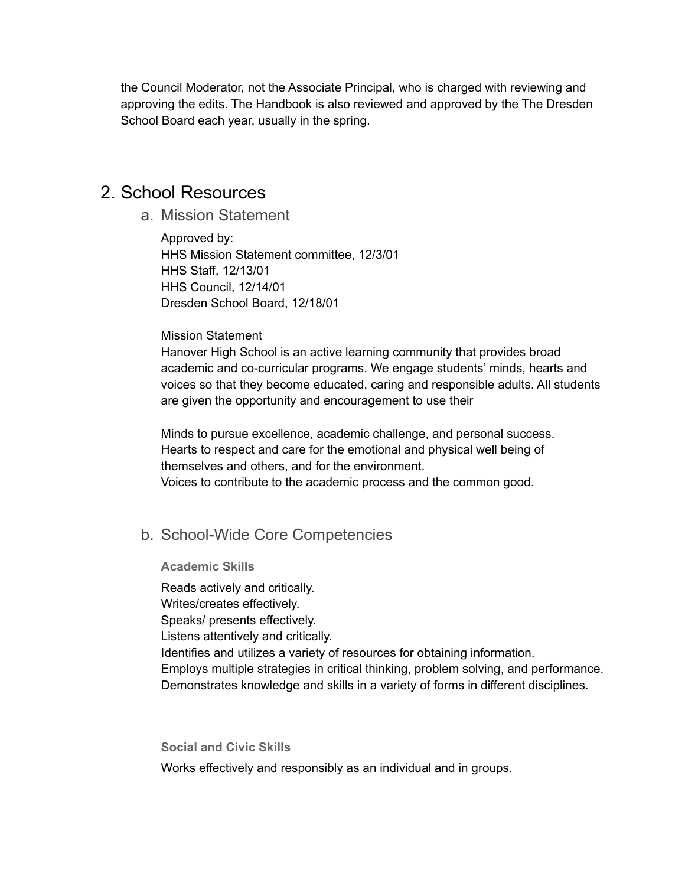the Council Moderator, not the Associate Principal, who is charged with reviewing and approving the edits. The Handbook is also reviewed and approved by the The Dresden School Board each year, usually in the spring.

# 2. School Resources

a. Mission Statement

Approved by: HHS Mission Statement committee, 12/3/01 HHS Staff, 12/13/01 HHS Council, 12/14/01 Dresden School Board, 12/18/01

#### Mission Statement

Hanover High School is an active learning community that provides broad academic and co-curricular programs. We engage students' minds, hearts and voices so that they become educated, caring and responsible adults. All students are given the opportunity and encouragement to use their

Minds to pursue excellence, academic challenge, and personal success. Hearts to respect and care for the emotional and physical well being of themselves and others, and for the environment. Voices to contribute to the academic process and the common good.

# b. School-Wide Core Competencies

**Academic Skills**

Reads actively and critically. Writes/creates effectively. Speaks/ presents effectively. Listens attentively and critically. Identifies and utilizes a variety of resources for obtaining information. Employs multiple strategies in critical thinking, problem solving, and performance. Demonstrates knowledge and skills in a variety of forms in different disciplines.

**Social and Civic Skills** Works effectively and responsibly as an individual and in groups.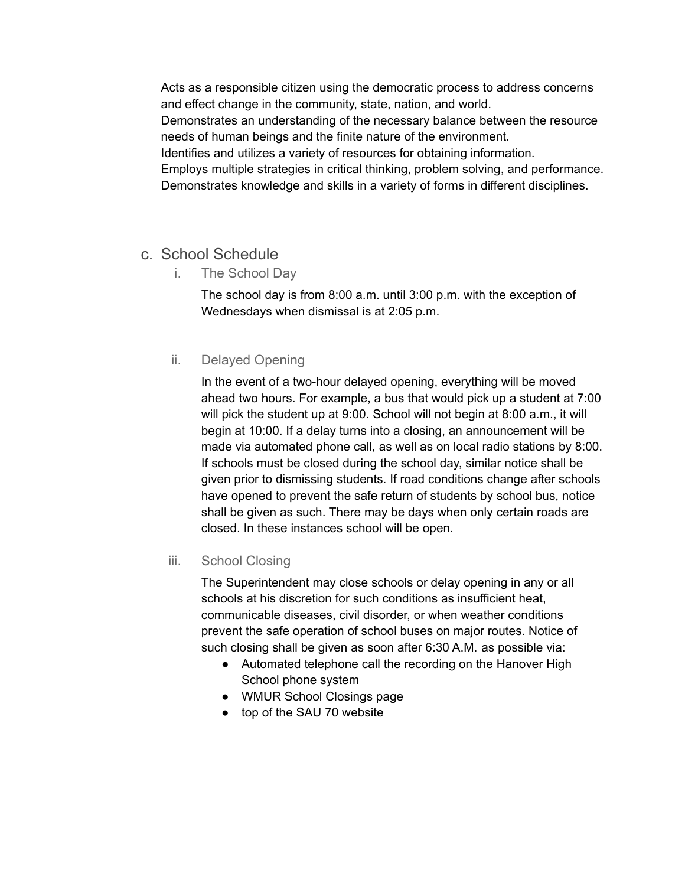Acts as a responsible citizen using the democratic process to address concerns and effect change in the community, state, nation, and world.

Demonstrates an understanding of the necessary balance between the resource needs of human beings and the finite nature of the environment.

Identifies and utilizes a variety of resources for obtaining information.

Employs multiple strategies in critical thinking, problem solving, and performance. Demonstrates knowledge and skills in a variety of forms in different disciplines.

# c. School Schedule

i. The School Day

The school day is from 8:00 a.m. until 3:00 p.m. with the exception of Wednesdays when dismissal is at 2:05 p.m.

## ii. Delayed Opening

In the event of a two-hour delayed opening, everything will be moved ahead two hours. For example, a bus that would pick up a student at 7:00 will pick the student up at 9:00. School will not begin at 8:00 a.m., it will begin at 10:00. If a delay turns into a closing, an announcement will be made via automated phone call, as well as on local radio stations by 8:00. If schools must be closed during the school day, similar notice shall be given prior to dismissing students. If road conditions change after schools have opened to prevent the safe return of students by school bus, notice shall be given as such. There may be days when only certain roads are closed. In these instances school will be open.

## iii. School Closing

The Superintendent may close schools or delay opening in any or all schools at his discretion for such conditions as insufficient heat, communicable diseases, civil disorder, or when weather conditions prevent the safe operation of school buses on major routes. Notice of such closing shall be given as soon after 6:30 A.M. as possible via:

- Automated telephone call the recording on the Hanover High School phone system
- WMUR School Closings page
- top of the SAU 70 website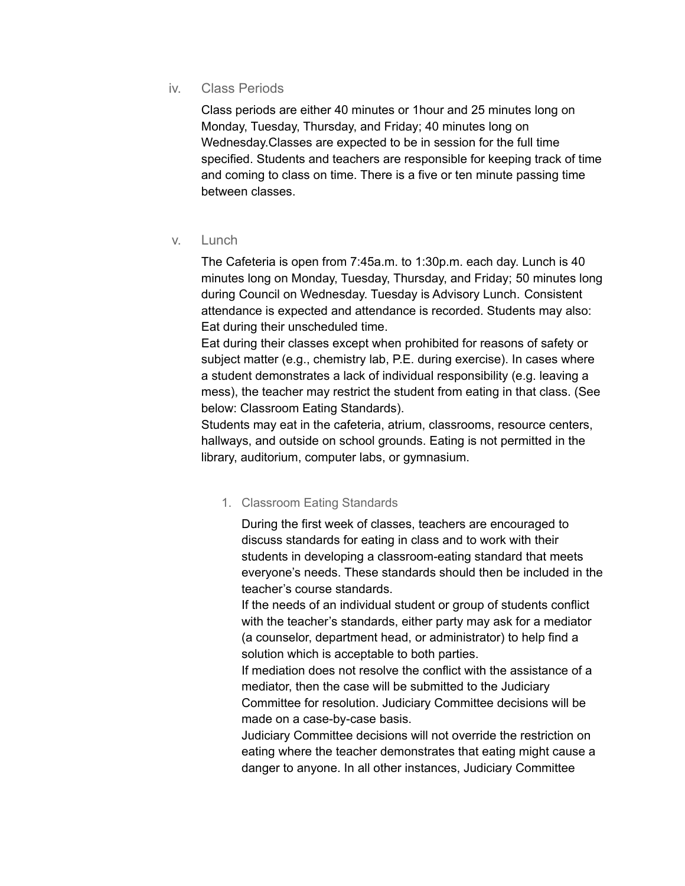## iv. Class Periods

Class periods are either 40 minutes or 1hour and 25 minutes long on Monday, Tuesday, Thursday, and Friday; 40 minutes long on Wednesday.Classes are expected to be in session for the full time specified. Students and teachers are responsible for keeping track of time and coming to class on time. There is a five or ten minute passing time between classes.

### v. Lunch

The Cafeteria is open from 7:45a.m. to 1:30p.m. each day. Lunch is 40 minutes long on Monday, Tuesday, Thursday, and Friday; 50 minutes long during Council on Wednesday. Tuesday is Advisory Lunch. Consistent attendance is expected and attendance is recorded. Students may also: Eat during their unscheduled time.

Eat during their classes except when prohibited for reasons of safety or subject matter (e.g., chemistry lab, P.E. during exercise). In cases where a student demonstrates a lack of individual responsibility (e.g. leaving a mess), the teacher may restrict the student from eating in that class. (See below: Classroom Eating Standards).

Students may eat in the cafeteria, atrium, classrooms, resource centers, hallways, and outside on school grounds. Eating is not permitted in the library, auditorium, computer labs, or gymnasium.

## 1. Classroom Eating Standards

During the first week of classes, teachers are encouraged to discuss standards for eating in class and to work with their students in developing a classroom-eating standard that meets everyone's needs. These standards should then be included in the teacher's course standards.

If the needs of an individual student or group of students conflict with the teacher's standards, either party may ask for a mediator (a counselor, department head, or administrator) to help find a solution which is acceptable to both parties.

If mediation does not resolve the conflict with the assistance of a mediator, then the case will be submitted to the Judiciary Committee for resolution. Judiciary Committee decisions will be made on a case-by-case basis.

Judiciary Committee decisions will not override the restriction on eating where the teacher demonstrates that eating might cause a danger to anyone. In all other instances, Judiciary Committee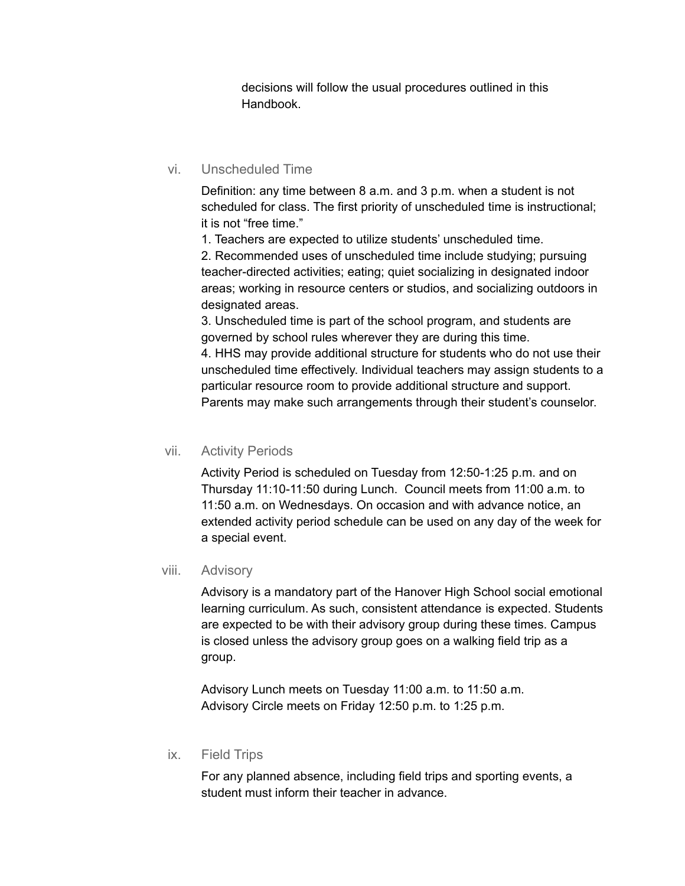decisions will follow the usual procedures outlined in this Handbook.

## vi. Unscheduled Time

Definition: any time between 8 a.m. and 3 p.m. when a student is not scheduled for class. The first priority of unscheduled time is instructional; it is not "free time."

1. Teachers are expected to utilize students' unscheduled time.

2. Recommended uses of unscheduled time include studying; pursuing teacher-directed activities; eating; quiet socializing in designated indoor areas; working in resource centers or studios, and socializing outdoors in designated areas.

3. Unscheduled time is part of the school program, and students are governed by school rules wherever they are during this time. 4. HHS may provide additional structure for students who do not use their unscheduled time effectively. Individual teachers may assign students to a particular resource room to provide additional structure and support. Parents may make such arrangements through their student's counselor.

### vii. Activity Periods

Activity Period is scheduled on Tuesday from 12:50-1:25 p.m. and on Thursday 11:10-11:50 during Lunch. Council meets from 11:00 a.m. to 11:50 a.m. on Wednesdays. On occasion and with advance notice, an extended activity period schedule can be used on any day of the week for a special event.

### viii. Advisory

Advisory is a mandatory part of the Hanover High School social emotional learning curriculum. As such, consistent attendance is expected. Students are expected to be with their advisory group during these times. Campus is closed unless the advisory group goes on a walking field trip as a group.

Advisory Lunch meets on Tuesday 11:00 a.m. to 11:50 a.m. Advisory Circle meets on Friday 12:50 p.m. to 1:25 p.m.

### ix. Field Trips

For any planned absence, including field trips and sporting events, a student must inform their teacher in advance.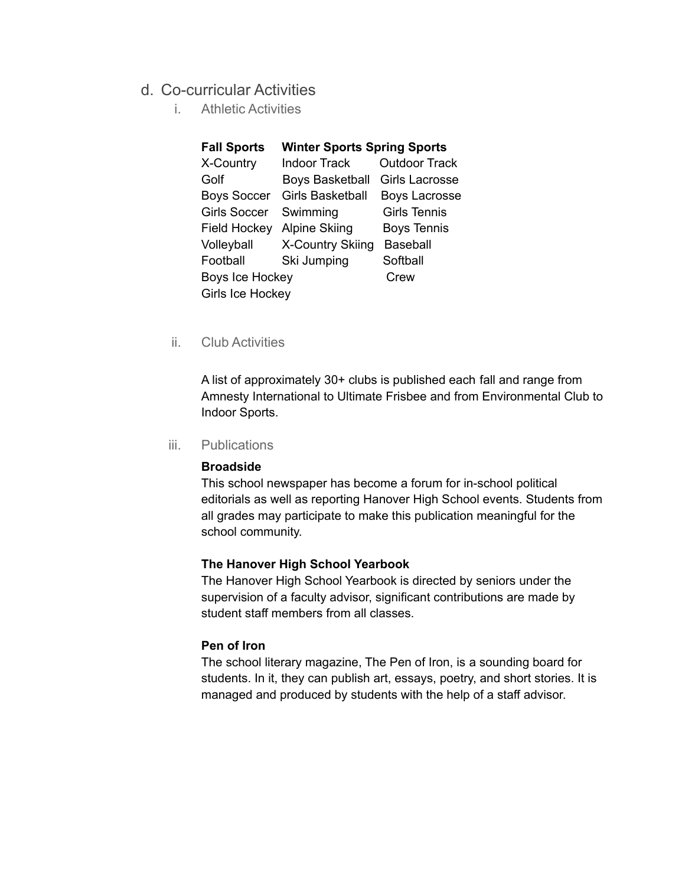## d. Co-curricular Activities

i. Athletic Activities

| <b>Fall Sports</b>     | <b>Winter Sports Spring Sports</b> |                      |
|------------------------|------------------------------------|----------------------|
| X-Country              | <b>Indoor Track</b>                | <b>Outdoor Track</b> |
| Golf                   | <b>Boys Basketball</b>             | Girls Lacrosse       |
| <b>Boys Soccer</b>     | <b>Girls Basketball</b>            | <b>Boys Lacrosse</b> |
| <b>Girls Soccer</b>    | Swimming                           | <b>Girls Tennis</b>  |
| <b>Field Hockey</b>    | <b>Alpine Skiing</b>               | <b>Boys Tennis</b>   |
| Volleyball             | <b>X-Country Skiing</b>            | <b>Baseball</b>      |
| Football               | Ski Jumping                        | Softball             |
| <b>Boys Ice Hockey</b> |                                    | Crew                 |
| Girls Ice Hockey       |                                    |                      |

ii. Club Activities

A list of approximately 30+ clubs is published each fall and range from Amnesty International to Ultimate Frisbee and from Environmental Club to Indoor Sports.

iii. Publications

#### **Broadside**

This school newspaper has become a forum for in-school political editorials as well as reporting Hanover High School events. Students from all grades may participate to make this publication meaningful for the school community.

#### **The Hanover High School Yearbook**

The Hanover High School Yearbook is directed by seniors under the supervision of a faculty advisor, significant contributions are made by student staff members from all classes.

#### **Pen of Iron**

The school literary magazine, The Pen of Iron, is a sounding board for students. In it, they can publish art, essays, poetry, and short stories. It is managed and produced by students with the help of a staff advisor.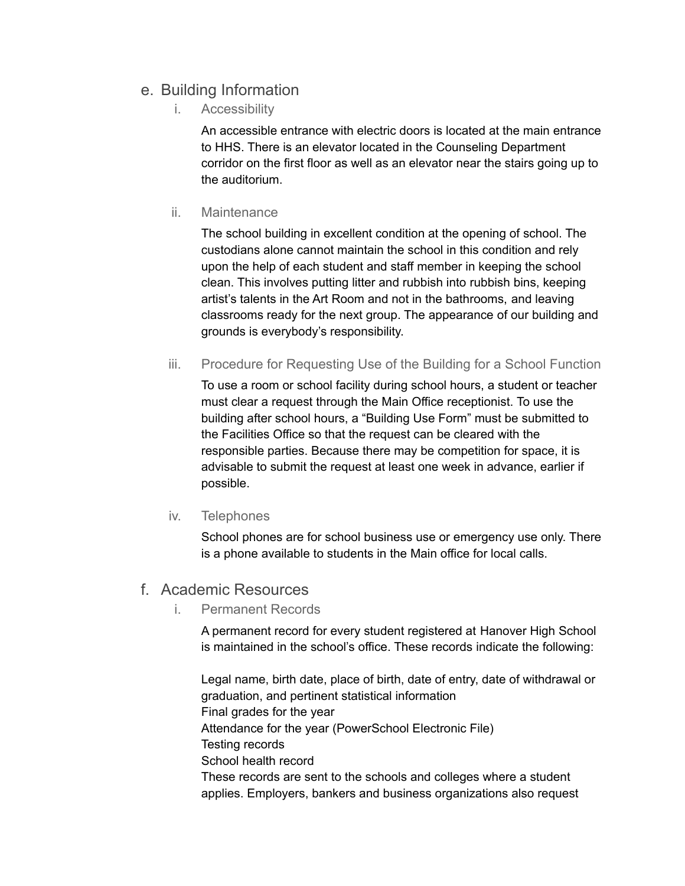# e. Building Information

i. Accessibility

An accessible entrance with electric doors is located at the main entrance to HHS. There is an elevator located in the Counseling Department corridor on the first floor as well as an elevator near the stairs going up to the auditorium.

ii. Maintenance

The school building in excellent condition at the opening of school. The custodians alone cannot maintain the school in this condition and rely upon the help of each student and staff member in keeping the school clean. This involves putting litter and rubbish into rubbish bins, keeping artist's talents in the Art Room and not in the bathrooms, and leaving classrooms ready for the next group. The appearance of our building and grounds is everybody's responsibility.

iii. Procedure for Requesting Use of the Building for a School Function

To use a room or school facility during school hours, a student or teacher must clear a request through the Main Office receptionist. To use the building after school hours, a "Building Use Form" must be submitted to the Facilities Office so that the request can be cleared with the responsible parties. Because there may be competition for space, it is advisable to submit the request at least one week in advance, earlier if possible.

iv. Telephones

School phones are for school business use or emergency use only. There is a phone available to students in the Main office for local calls.

## f. Academic Resources

i. Permanent Records

A permanent record for every student registered at Hanover High School is maintained in the school's office. These records indicate the following:

Legal name, birth date, place of birth, date of entry, date of withdrawal or graduation, and pertinent statistical information Final grades for the year Attendance for the year (PowerSchool Electronic File) Testing records School health record These records are sent to the schools and colleges where a student applies. Employers, bankers and business organizations also request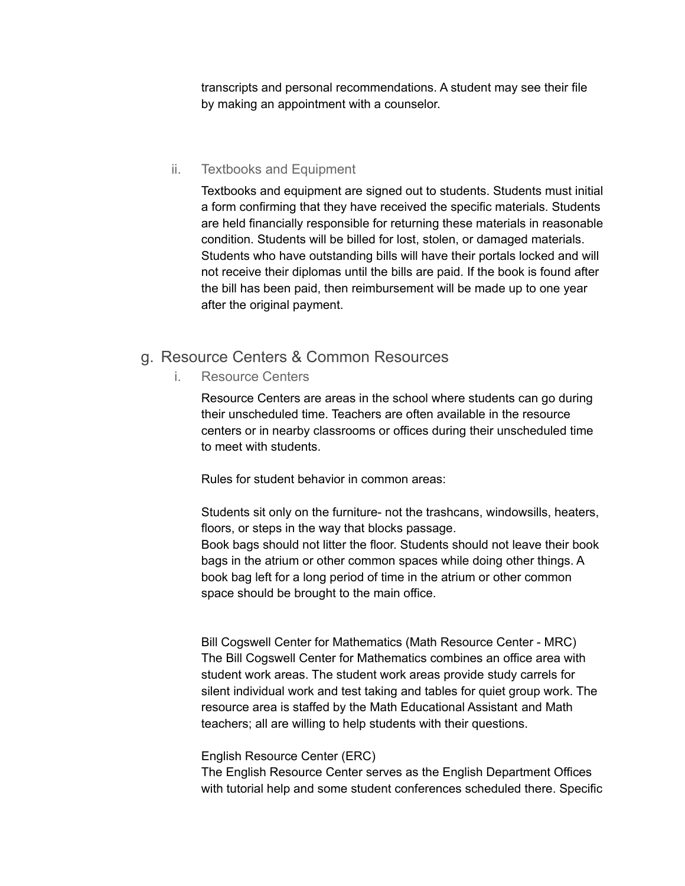transcripts and personal recommendations. A student may see their file by making an appointment with a counselor.

## ii. Textbooks and Equipment

Textbooks and equipment are signed out to students. Students must initial a form confirming that they have received the specific materials. Students are held financially responsible for returning these materials in reasonable condition. Students will be billed for lost, stolen, or damaged materials. Students who have outstanding bills will have their portals locked and will not receive their diplomas until the bills are paid. If the book is found after the bill has been paid, then reimbursement will be made up to one year after the original payment.

## g. Resource Centers & Common Resources

i. Resource Centers

Resource Centers are areas in the school where students can go during their unscheduled time. Teachers are often available in the resource centers or in nearby classrooms or offices during their unscheduled time to meet with students.

Rules for student behavior in common areas:

Students sit only on the furniture- not the trashcans, windowsills, heaters, floors, or steps in the way that blocks passage. Book bags should not litter the floor. Students should not leave their book bags in the atrium or other common spaces while doing other things. A book bag left for a long period of time in the atrium or other common space should be brought to the main office.

Bill Cogswell Center for Mathematics (Math Resource Center - MRC) The Bill Cogswell Center for Mathematics combines an office area with student work areas. The student work areas provide study carrels for silent individual work and test taking and tables for quiet group work. The resource area is staffed by the Math Educational Assistant and Math teachers; all are willing to help students with their questions.

### English Resource Center (ERC)

The English Resource Center serves as the English Department Offices with tutorial help and some student conferences scheduled there. Specific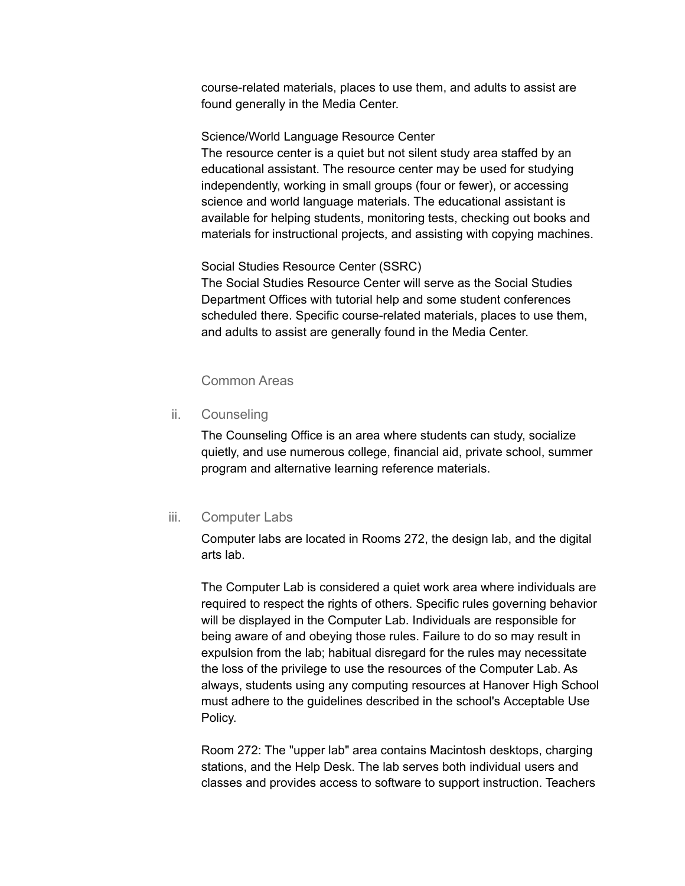course-related materials, places to use them, and adults to assist are found generally in the Media Center.

#### Science/World Language Resource Center

The resource center is a quiet but not silent study area staffed by an educational assistant. The resource center may be used for studying independently, working in small groups (four or fewer), or accessing science and world language materials. The educational assistant is available for helping students, monitoring tests, checking out books and materials for instructional projects, and assisting with copying machines.

### Social Studies Resource Center (SSRC)

The Social Studies Resource Center will serve as the Social Studies Department Offices with tutorial help and some student conferences scheduled there. Specific course-related materials, places to use them, and adults to assist are generally found in the Media Center.

### Common Areas

ii. Counseling

The Counseling Office is an area where students can study, socialize quietly, and use numerous college, financial aid, private school, summer program and alternative learning reference materials.

### iii. Computer Labs

Computer labs are located in Rooms 272, the design lab, and the digital arts lab.

The Computer Lab is considered a quiet work area where individuals are required to respect the rights of others. Specific rules governing behavior will be displayed in the Computer Lab. Individuals are responsible for being aware of and obeying those rules. Failure to do so may result in expulsion from the lab; habitual disregard for the rules may necessitate the loss of the privilege to use the resources of the Computer Lab. As always, students using any computing resources at Hanover High School must adhere to the guidelines described in the school's Acceptable Use Policy.

Room 272: The "upper lab" area contains Macintosh desktops, charging stations, and the Help Desk. The lab serves both individual users and classes and provides access to software to support instruction. Teachers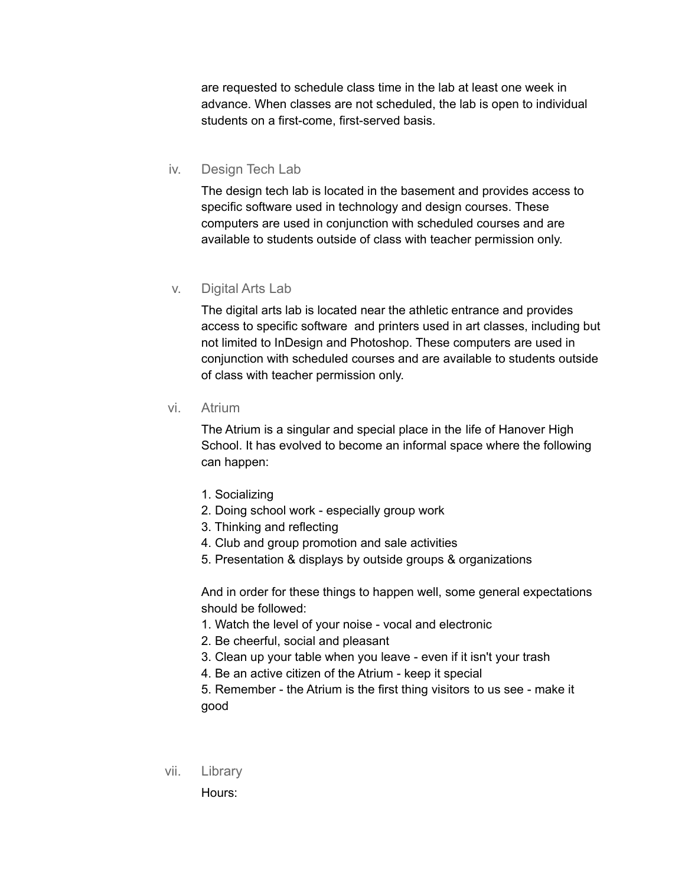are requested to schedule class time in the lab at least one week in advance. When classes are not scheduled, the lab is open to individual students on a first-come, first-served basis.

#### iv. Design Tech Lab

The design tech lab is located in the basement and provides access to specific software used in technology and design courses. These computers are used in conjunction with scheduled courses and are available to students outside of class with teacher permission only.

#### v. Digital Arts Lab

The digital arts lab is located near the athletic entrance and provides access to specific software and printers used in art classes, including but not limited to InDesign and Photoshop. These computers are used in conjunction with scheduled courses and are available to students outside of class with teacher permission only.

#### vi. Atrium

The Atrium is a singular and special place in the life of Hanover High School. It has evolved to become an informal space where the following can happen:

- 1. Socializing
- 2. Doing school work especially group work
- 3. Thinking and reflecting
- 4. Club and group promotion and sale activities
- 5. Presentation & displays by outside groups & organizations

And in order for these things to happen well, some general expectations should be followed:

- 1. Watch the level of your noise vocal and electronic
- 2. Be cheerful, social and pleasant
- 3. Clean up your table when you leave even if it isn't your trash
- 4. Be an active citizen of the Atrium keep it special

5. Remember - the Atrium is the first thing visitors to us see - make it good

vii. Library

Hours: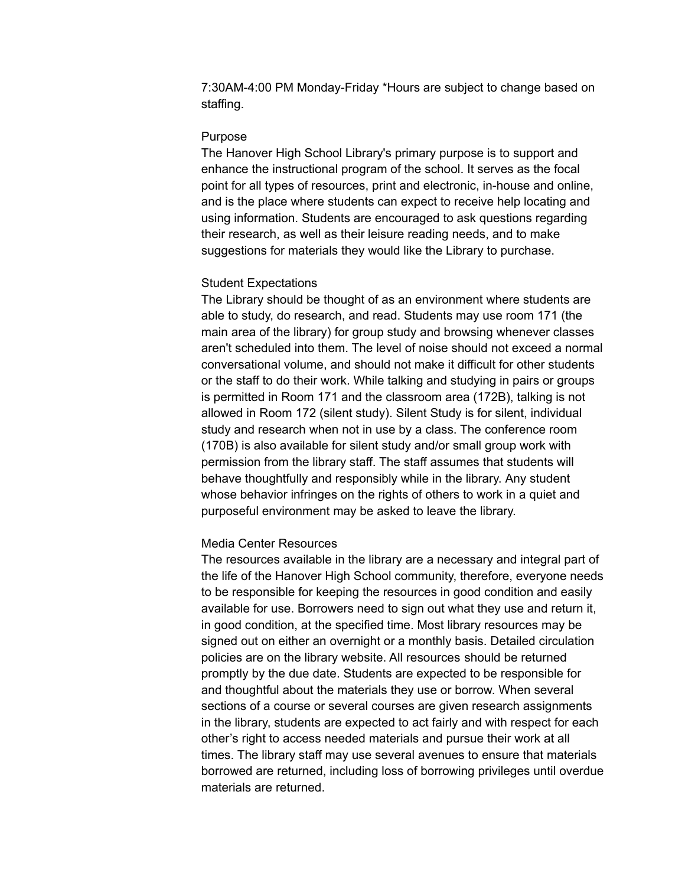7:30AM-4:00 PM Monday-Friday \*Hours are subject to change based on staffing.

#### Purpose

The Hanover High School Library's primary purpose is to support and enhance the instructional program of the school. It serves as the focal point for all types of resources, print and electronic, in-house and online, and is the place where students can expect to receive help locating and using information. Students are encouraged to ask questions regarding their research, as well as their leisure reading needs, and to make suggestions for materials they would like the Library to purchase.

#### Student Expectations

The Library should be thought of as an environment where students are able to study, do research, and read. Students may use room 171 (the main area of the library) for group study and browsing whenever classes aren't scheduled into them. The level of noise should not exceed a normal conversational volume, and should not make it difficult for other students or the staff to do their work. While talking and studying in pairs or groups is permitted in Room 171 and the classroom area (172B), talking is not allowed in Room 172 (silent study). Silent Study is for silent, individual study and research when not in use by a class. The conference room (170B) is also available for silent study and/or small group work with permission from the library staff. The staff assumes that students will behave thoughtfully and responsibly while in the library. Any student whose behavior infringes on the rights of others to work in a quiet and purposeful environment may be asked to leave the library.

#### Media Center Resources

The resources available in the library are a necessary and integral part of the life of the Hanover High School community, therefore, everyone needs to be responsible for keeping the resources in good condition and easily available for use. Borrowers need to sign out what they use and return it, in good condition, at the specified time. Most library resources may be signed out on either an overnight or a monthly basis. Detailed circulation policies are on the library website. All resources should be returned promptly by the due date. Students are expected to be responsible for and thoughtful about the materials they use or borrow. When several sections of a course or several courses are given research assignments in the library, students are expected to act fairly and with respect for each other's right to access needed materials and pursue their work at all times. The library staff may use several avenues to ensure that materials borrowed are returned, including loss of borrowing privileges until overdue materials are returned.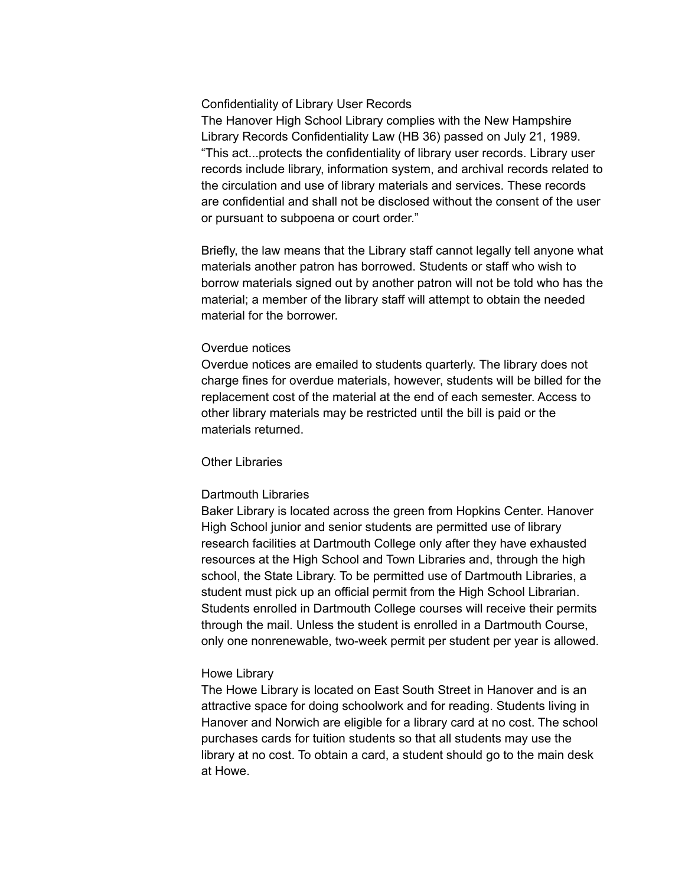#### Confidentiality of Library User Records

The Hanover High School Library complies with the New Hampshire Library Records Confidentiality Law (HB 36) passed on July 21, 1989. "This act...protects the confidentiality of library user records. Library user records include library, information system, and archival records related to the circulation and use of library materials and services. These records are confidential and shall not be disclosed without the consent of the user or pursuant to subpoena or court order."

Briefly, the law means that the Library staff cannot legally tell anyone what materials another patron has borrowed. Students or staff who wish to borrow materials signed out by another patron will not be told who has the material; a member of the library staff will attempt to obtain the needed material for the borrower.

#### Overdue notices

Overdue notices are emailed to students quarterly. The library does not charge fines for overdue materials, however, students will be billed for the replacement cost of the material at the end of each semester. Access to other library materials may be restricted until the bill is paid or the materials returned.

#### Other Libraries

#### Dartmouth Libraries

Baker Library is located across the green from Hopkins Center. Hanover High School junior and senior students are permitted use of library research facilities at Dartmouth College only after they have exhausted resources at the High School and Town Libraries and, through the high school, the State Library. To be permitted use of Dartmouth Libraries, a student must pick up an official permit from the High School Librarian. Students enrolled in Dartmouth College courses will receive their permits through the mail. Unless the student is enrolled in a Dartmouth Course, only one nonrenewable, two-week permit per student per year is allowed.

#### Howe Library

The Howe Library is located on East South Street in Hanover and is an attractive space for doing schoolwork and for reading. Students living in Hanover and Norwich are eligible for a library card at no cost. The school purchases cards for tuition students so that all students may use the library at no cost. To obtain a card, a student should go to the main desk at Howe.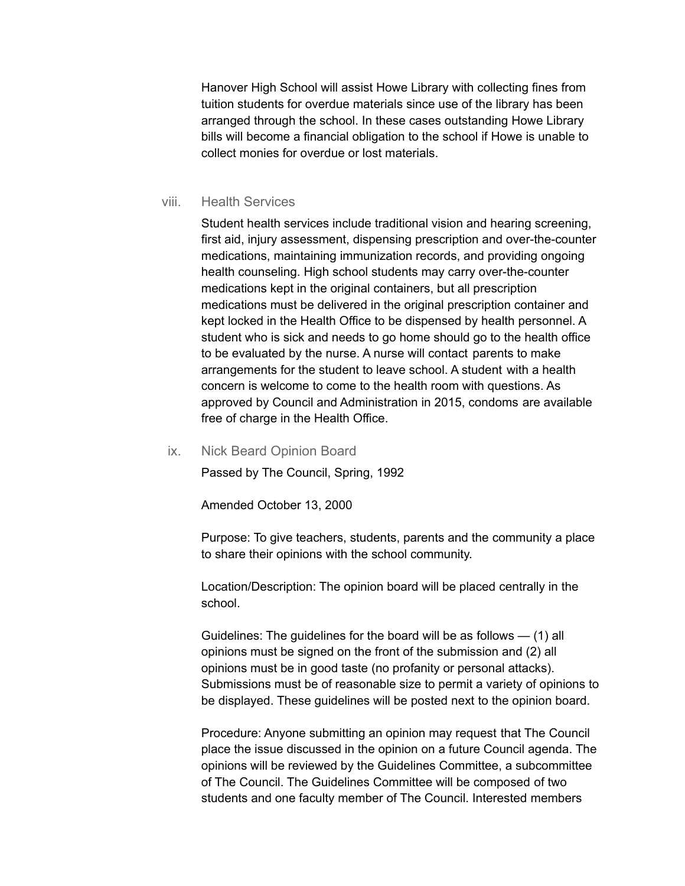Hanover High School will assist Howe Library with collecting fines from tuition students for overdue materials since use of the library has been arranged through the school. In these cases outstanding Howe Library bills will become a financial obligation to the school if Howe is unable to collect monies for overdue or lost materials.

#### viii. Health Services

Student health services include traditional vision and hearing screening, first aid, injury assessment, dispensing prescription and over-the-counter medications, maintaining immunization records, and providing ongoing health counseling. High school students may carry over-the-counter medications kept in the original containers, but all prescription medications must be delivered in the original prescription container and kept locked in the Health Office to be dispensed by health personnel. A student who is sick and needs to go home should go to the health office to be evaluated by the nurse. A nurse will contact parents to make arrangements for the student to leave school. A student with a health concern is welcome to come to the health room with questions. As approved by Council and Administration in 2015, condoms are available free of charge in the Health Office.

#### ix. Nick Beard Opinion Board

Passed by The Council, Spring, 1992

Amended October 13, 2000

Purpose: To give teachers, students, parents and the community a place to share their opinions with the school community.

Location/Description: The opinion board will be placed centrally in the school.

Guidelines: The guidelines for the board will be as follows  $-$  (1) all opinions must be signed on the front of the submission and (2) all opinions must be in good taste (no profanity or personal attacks). Submissions must be of reasonable size to permit a variety of opinions to be displayed. These guidelines will be posted next to the opinion board.

Procedure: Anyone submitting an opinion may request that The Council place the issue discussed in the opinion on a future Council agenda. The opinions will be reviewed by the Guidelines Committee, a subcommittee of The Council. The Guidelines Committee will be composed of two students and one faculty member of The Council. Interested members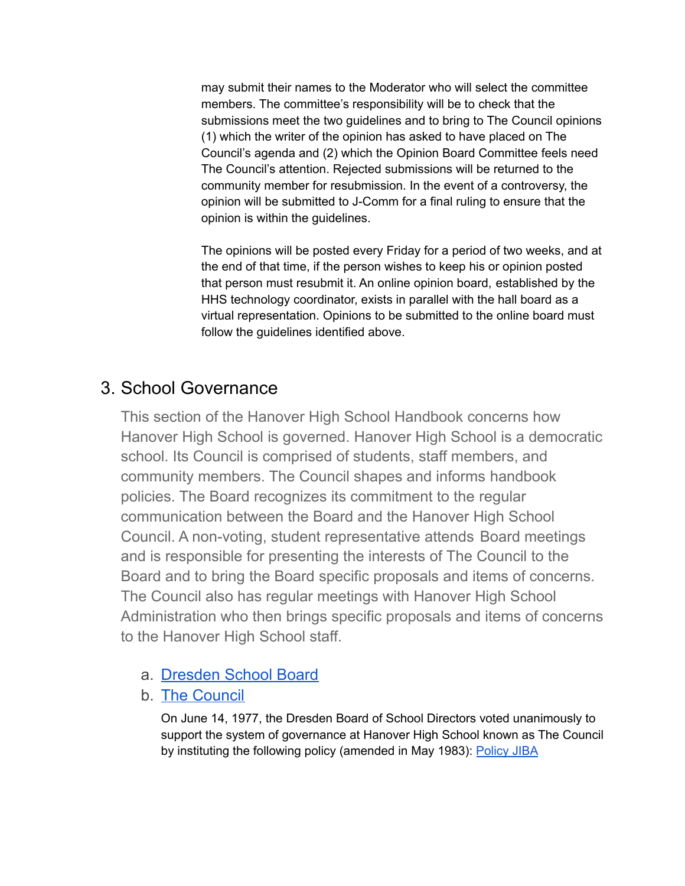may submit their names to the Moderator who will select the committee members. The committee's responsibility will be to check that the submissions meet the two guidelines and to bring to The Council opinions (1) which the writer of the opinion has asked to have placed on The Council's agenda and (2) which the Opinion Board Committee feels need The Council's attention. Rejected submissions will be returned to the community member for resubmission. In the event of a controversy, the opinion will be submitted to J-Comm for a final ruling to ensure that the opinion is within the guidelines.

The opinions will be posted every Friday for a period of two weeks, and at the end of that time, if the person wishes to keep his or opinion posted that person must resubmit it. An online opinion board, established by the HHS technology coordinator, exists in parallel with the hall board as a virtual representation. Opinions to be submitted to the online board must follow the guidelines identified above.

# 3. School Governance

This section of the Hanover High School Handbook concerns how Hanover High School is governed. Hanover High School is a democratic school. Its Council is comprised of students, staff members, and community members. The Council shapes and informs handbook policies. The Board recognizes its commitment to the regular communication between the Board and the Hanover High School Council. A non-voting, student representative attends Board meetings and is responsible for presenting the interests of The Council to the Board and to bring the Board specific proposals and items of concerns. The Council also has regular meetings with Hanover High School Administration who then brings specific proposals and items of concerns to the Hanover High School staff.

- a. [Dresden](https://www.sau70.org/school-boards) School Board
- b. The [Council](https://www.hanoverhigh.org/fs/pages/933)

On June 14, 1977, the Dresden Board of School Directors voted unanimously to support the system of governance at Hanover High School known as The Council by instituting the following policy (amended in May 1983): [Policy](https://www.hanoverhigh.org/fs/pages/1595) JIBA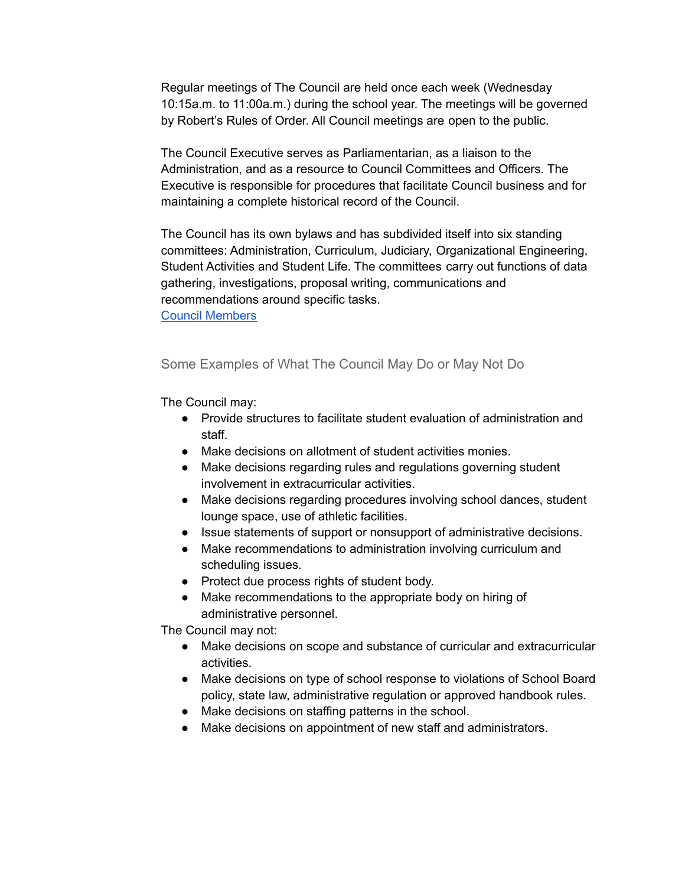Regular meetings of The Council are held once each week (Wednesday 10:15a.m. to 11:00a.m.) during the school year. The meetings will be governed by Robert's Rules of Order. All Council meetings are open to the public.

The Council Executive serves as Parliamentarian, as a liaison to the Administration, and as a resource to Council Committees and Officers. The Executive is responsible for procedures that facilitate Council business and for maintaining a complete historical record of the Council.

The Council has its own bylaws and has subdivided itself into six standing committees: Administration, Curriculum, Judiciary, Organizational Engineering, Student Activities and Student Life. The committees carry out functions of data gathering, investigations, proposal writing, communications and recommendations around specific tasks.

Council [Members](https://sites.google.com/a/hanovernorwichschools.org/hhs-council/members)

## Some Examples of What The Council May Do or May Not Do

The Council may:

- Provide structures to facilitate student evaluation of administration and staff.
- Make decisions on allotment of student activities monies.
- Make decisions regarding rules and regulations governing student involvement in extracurricular activities.
- Make decisions regarding procedures involving school dances, student lounge space, use of athletic facilities.
- Issue statements of support or nonsupport of administrative decisions.
- Make recommendations to administration involving curriculum and scheduling issues.
- Protect due process rights of student body.
- Make recommendations to the appropriate body on hiring of administrative personnel.

The Council may not:

- Make decisions on scope and substance of curricular and extracurricular activities.
- Make decisions on type of school response to violations of School Board policy, state law, administrative regulation or approved handbook rules.
- Make decisions on staffing patterns in the school.
- Make decisions on appointment of new staff and administrators.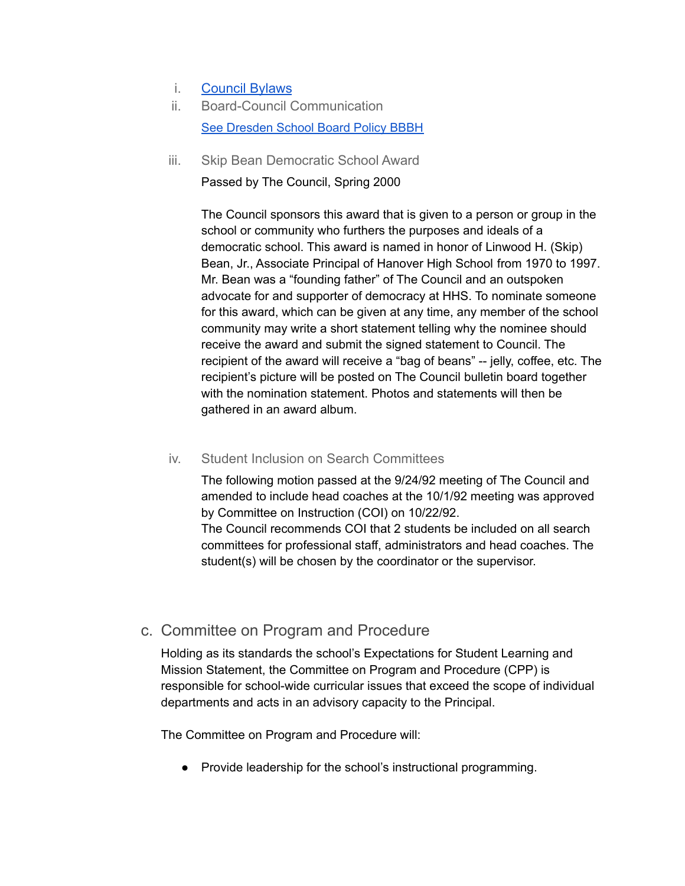- i. [Council Bylaws](https://docs.google.com/document/d/1KuSqQhwEhakd6PeL-xFkBu0-pn35uvtVRjMLoOGP754/preview)
- ii. Board-Council Communication See [Dresden](https://www.hanoverhigh.org/fs/pages/1596) School Board Policy BBBH
- iii. Skip Bean Democratic School Award

Passed by The Council, Spring 2000

The Council sponsors this award that is given to a person or group in the school or community who furthers the purposes and ideals of a democratic school. This award is named in honor of Linwood H. (Skip) Bean, Jr., Associate Principal of Hanover High School from 1970 to 1997. Mr. Bean was a "founding father" of The Council and an outspoken advocate for and supporter of democracy at HHS. To nominate someone for this award, which can be given at any time, any member of the school community may write a short statement telling why the nominee should receive the award and submit the signed statement to Council. The recipient of the award will receive a "bag of beans" -- jelly, coffee, etc. The recipient's picture will be posted on The Council bulletin board together with the nomination statement. Photos and statements will then be gathered in an award album.

### iv. Student Inclusion on Search Committees

The following motion passed at the 9/24/92 meeting of The Council and amended to include head coaches at the 10/1/92 meeting was approved by Committee on Instruction (COI) on 10/22/92.

The Council recommends COI that 2 students be included on all search committees for professional staff, administrators and head coaches. The student(s) will be chosen by the coordinator or the supervisor.

# c. Committee on Program and Procedure

Holding as its standards the school's Expectations for Student Learning and Mission Statement, the Committee on Program and Procedure (CPP) is responsible for school-wide curricular issues that exceed the scope of individual departments and acts in an advisory capacity to the Principal.

The Committee on Program and Procedure will:

● Provide leadership for the school's instructional programming.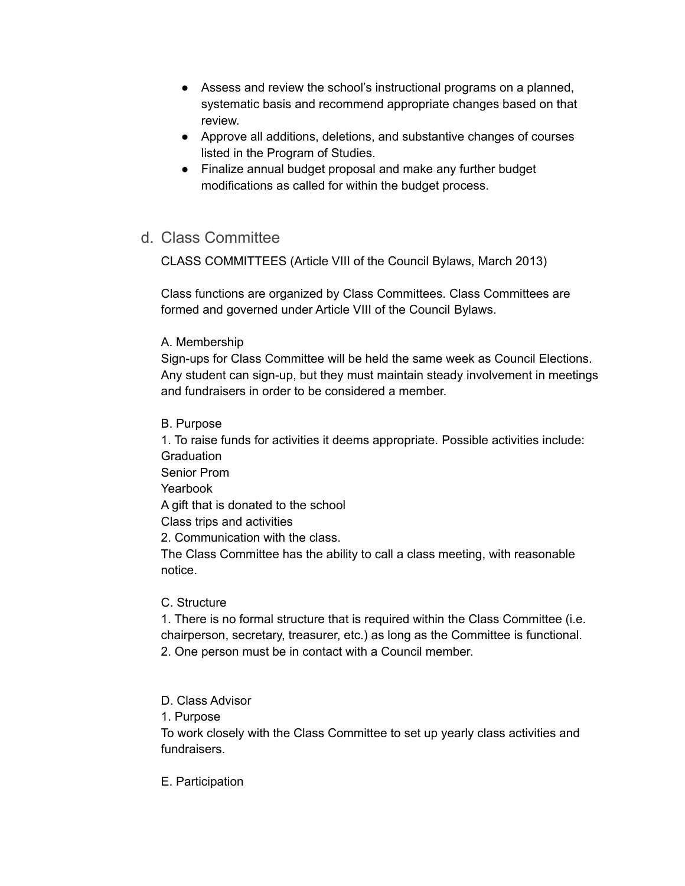- Assess and review the school's instructional programs on a planned, systematic basis and recommend appropriate changes based on that review.
- Approve all additions, deletions, and substantive changes of courses listed in the Program of Studies.
- Finalize annual budget proposal and make any further budget modifications as called for within the budget process.

## d. Class Committee

CLASS COMMITTEES (Article VIII of the Council Bylaws, March 2013)

Class functions are organized by Class Committees. Class Committees are formed and governed under Article VIII of the Council Bylaws.

## A. Membership

Sign-ups for Class Committee will be held the same week as Council Elections. Any student can sign-up, but they must maintain steady involvement in meetings and fundraisers in order to be considered a member.

## B. Purpose

1. To raise funds for activities it deems appropriate. Possible activities include: **Graduation** Senior Prom Yearbook A gift that is donated to the school Class trips and activities 2. Communication with the class. The Class Committee has the ability to call a class meeting, with reasonable notice.

## C. Structure

1. There is no formal structure that is required within the Class Committee (i.e. chairperson, secretary, treasurer, etc.) as long as the Committee is functional. 2. One person must be in contact with a Council member.

## D. Class Advisor

1. Purpose

To work closely with the Class Committee to set up yearly class activities and fundraisers.

E. Participation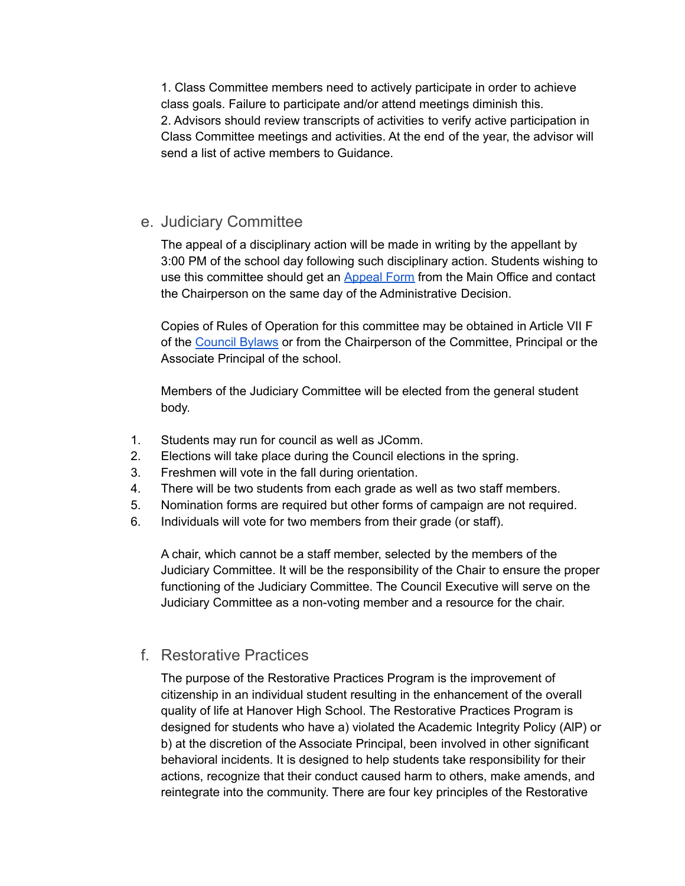1. Class Committee members need to actively participate in order to achieve class goals. Failure to participate and/or attend meetings diminish this. 2. Advisors should review transcripts of activities to verify active participation in Class Committee meetings and activities. At the end of the year, the advisor will send a list of active members to Guidance.

## e. Judiciary Committee

The appeal of a disciplinary action will be made in writing by the appellant by 3:00 PM of the school day following such disciplinary action. Students wishing to use this committee should get an [Appeal](https://docs.google.com/a/hanovernorwichschools.org/document/d/19loM0hm1ECZrijwu0c39vLU5HGyViuEBsgy4B5AjOo4/edit?usp=drive_web) Form from the Main Office and contact the Chairperson on the same day of the Administrative Decision.

Copies of Rules of Operation for this committee may be obtained in Article VII F of the [Council](https://sites.google.com/a/hanovernorwichschools.org/hhs-council/committees/j-comm) Bylaws or from the Chairperson of the Committee, Principal or the Associate Principal of the school.

Members of the Judiciary Committee will be elected from the general student body.

- 1. Students may run for council as well as JComm.
- 2. Elections will take place during the Council elections in the spring.
- 3. Freshmen will vote in the fall during orientation.
- 4. There will be two students from each grade as well as two staff members.
- 5. Nomination forms are required but other forms of campaign are not required.
- 6. Individuals will vote for two members from their grade (or staff).

A chair, which cannot be a staff member, selected by the members of the Judiciary Committee. It will be the responsibility of the Chair to ensure the proper functioning of the Judiciary Committee. The Council Executive will serve on the Judiciary Committee as a non-voting member and a resource for the chair.

## f. Restorative Practices

The purpose of the Restorative Practices Program is the improvement of citizenship in an individual student resulting in the enhancement of the overall quality of life at Hanover High School. The Restorative Practices Program is designed for students who have a) violated the Academic Integrity Policy (AlP) or b) at the discretion of the Associate Principal, been involved in other significant behavioral incidents. It is designed to help students take responsibility for their actions, recognize that their conduct caused harm to others, make amends, and reintegrate into the community. There are four key principles of the Restorative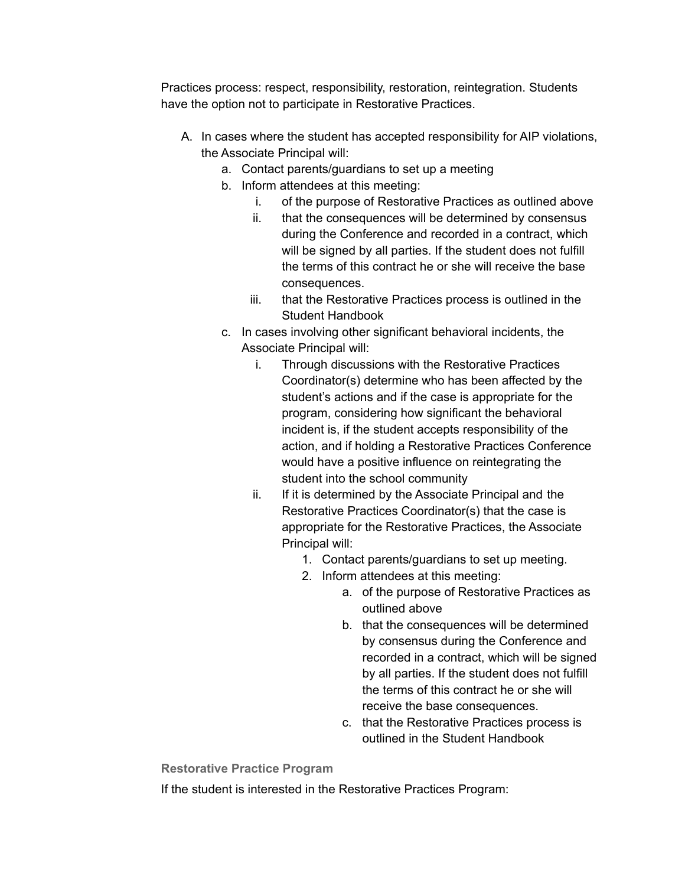Practices process: respect, responsibility, restoration, reintegration. Students have the option not to participate in Restorative Practices.

- A. In cases where the student has accepted responsibility for AIP violations, the Associate Principal will:
	- a. Contact parents/guardians to set up a meeting
	- b. Inform attendees at this meeting:
		- i. of the purpose of Restorative Practices as outlined above
		- ii. that the consequences will be determined by consensus during the Conference and recorded in a contract, which will be signed by all parties. If the student does not fulfill the terms of this contract he or she will receive the base consequences.
		- iii. that the Restorative Practices process is outlined in the Student Handbook
	- c. In cases involving other significant behavioral incidents, the Associate Principal will:
		- i. Through discussions with the Restorative Practices Coordinator(s) determine who has been affected by the student's actions and if the case is appropriate for the program, considering how significant the behavioral incident is, if the student accepts responsibility of the action, and if holding a Restorative Practices Conference would have a positive influence on reintegrating the student into the school community
		- ii. If it is determined by the Associate Principal and the Restorative Practices Coordinator(s) that the case is appropriate for the Restorative Practices, the Associate Principal will:
			- 1. Contact parents/guardians to set up meeting.
			- 2. Inform attendees at this meeting:
				- a. of the purpose of Restorative Practices as outlined above
				- b. that the consequences will be determined by consensus during the Conference and recorded in a contract, which will be signed by all parties. If the student does not fulfill the terms of this contract he or she will receive the base consequences.
				- c. that the Restorative Practices process is outlined in the Student Handbook

**Restorative Practice Program**

If the student is interested in the Restorative Practices Program: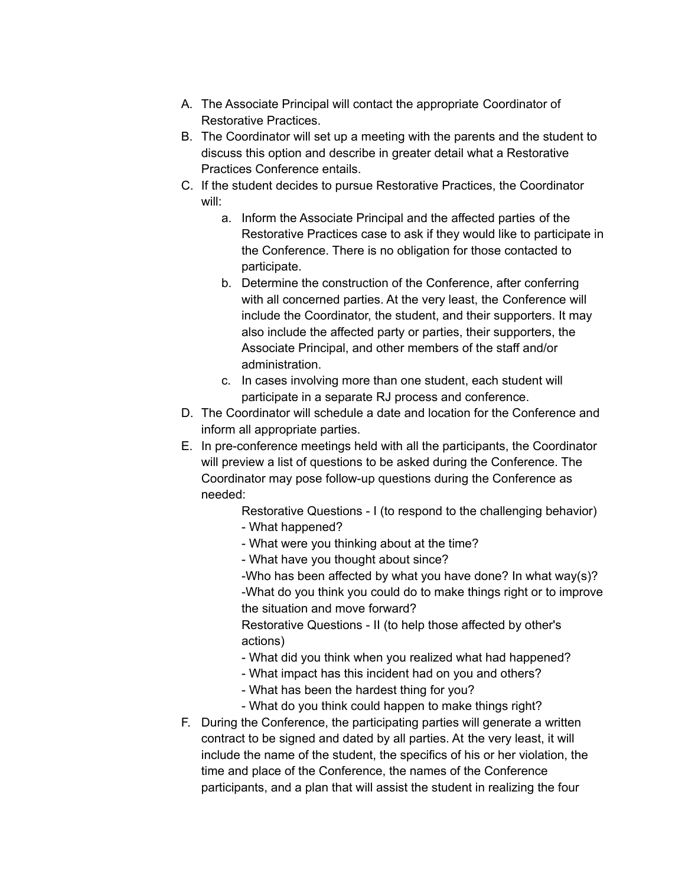- A. The Associate Principal will contact the appropriate Coordinator of Restorative Practices.
- B. The Coordinator will set up a meeting with the parents and the student to discuss this option and describe in greater detail what a Restorative Practices Conference entails.
- C. If the student decides to pursue Restorative Practices, the Coordinator will:
	- a. Inform the Associate Principal and the affected parties of the Restorative Practices case to ask if they would like to participate in the Conference. There is no obligation for those contacted to participate.
	- b. Determine the construction of the Conference, after conferring with all concerned parties. At the very least, the Conference will include the Coordinator, the student, and their supporters. It may also include the affected party or parties, their supporters, the Associate Principal, and other members of the staff and/or administration.
	- c. In cases involving more than one student, each student will participate in a separate RJ process and conference.
- D. The Coordinator will schedule a date and location for the Conference and inform all appropriate parties.
- E. In pre-conference meetings held with all the participants, the Coordinator will preview a list of questions to be asked during the Conference. The Coordinator may pose follow-up questions during the Conference as needed:

Restorative Questions - I (to respond to the challenging behavior) - What happened?

- What were you thinking about at the time?
- What have you thought about since?

-Who has been affected by what you have done? In what way(s)? -What do you think you could do to make things right or to improve the situation and move forward?

Restorative Questions - II (to help those affected by other's actions)

- What did you think when you realized what had happened?
- What impact has this incident had on you and others?
- What has been the hardest thing for you?
- What do you think could happen to make things right?
- F. During the Conference, the participating parties will generate a written contract to be signed and dated by all parties. At the very least, it will include the name of the student, the specifics of his or her violation, the time and place of the Conference, the names of the Conference participants, and a plan that will assist the student in realizing the four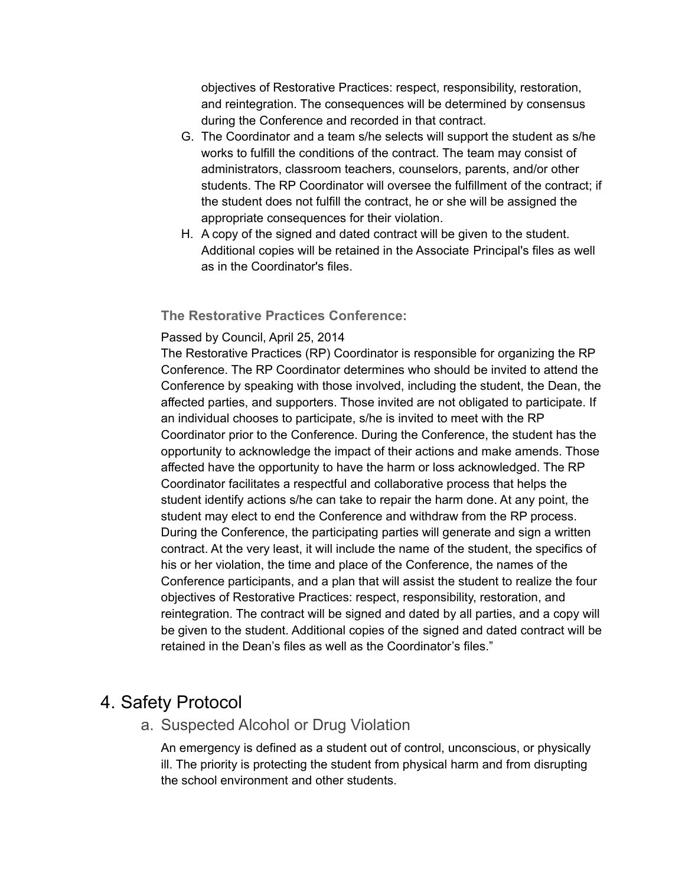objectives of Restorative Practices: respect, responsibility, restoration, and reintegration. The consequences will be determined by consensus during the Conference and recorded in that contract.

- G. The Coordinator and a team s/he selects will support the student as s/he works to fulfill the conditions of the contract. The team may consist of administrators, classroom teachers, counselors, parents, and/or other students. The RP Coordinator will oversee the fulfillment of the contract; if the student does not fulfill the contract, he or she will be assigned the appropriate consequences for their violation.
- H. A copy of the signed and dated contract will be given to the student. Additional copies will be retained in the Associate Principal's files as well as in the Coordinator's files.

## **The Restorative Practices Conference:**

### Passed by Council, April 25, 2014

The Restorative Practices (RP) Coordinator is responsible for organizing the RP Conference. The RP Coordinator determines who should be invited to attend the Conference by speaking with those involved, including the student, the Dean, the affected parties, and supporters. Those invited are not obligated to participate. If an individual chooses to participate, s/he is invited to meet with the RP Coordinator prior to the Conference. During the Conference, the student has the opportunity to acknowledge the impact of their actions and make amends. Those affected have the opportunity to have the harm or loss acknowledged. The RP Coordinator facilitates a respectful and collaborative process that helps the student identify actions s/he can take to repair the harm done. At any point, the student may elect to end the Conference and withdraw from the RP process. During the Conference, the participating parties will generate and sign a written contract. At the very least, it will include the name of the student, the specifics of his or her violation, the time and place of the Conference, the names of the Conference participants, and a plan that will assist the student to realize the four objectives of Restorative Practices: respect, responsibility, restoration, and reintegration. The contract will be signed and dated by all parties, and a copy will be given to the student. Additional copies of the signed and dated contract will be retained in the Dean's files as well as the Coordinator's files."

# 4. Safety Protocol

a. Suspected Alcohol or Drug Violation

An emergency is defined as a student out of control, unconscious, or physically ill. The priority is protecting the student from physical harm and from disrupting the school environment and other students.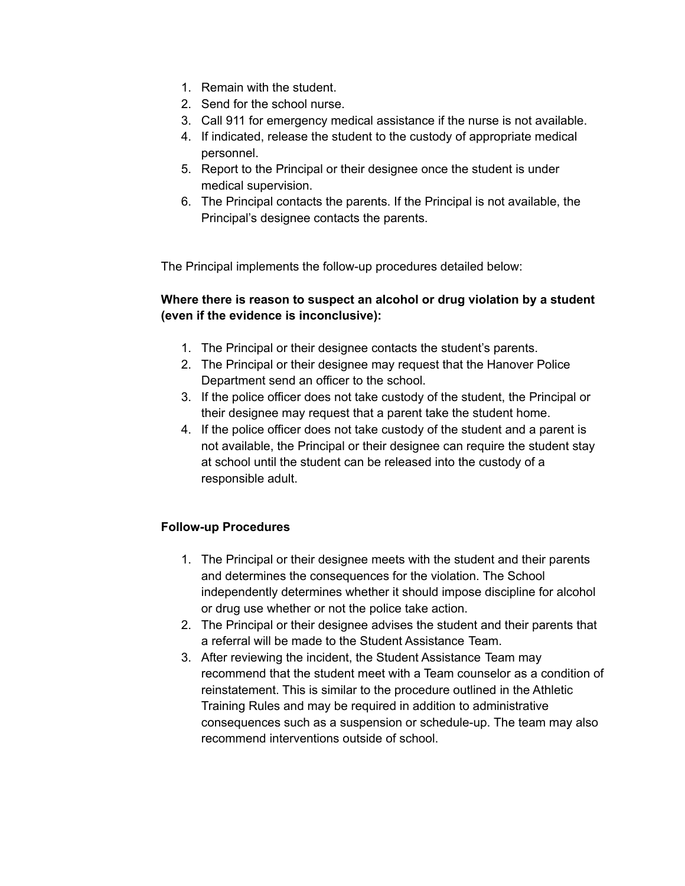- 1. Remain with the student.
- 2. Send for the school nurse.
- 3. Call 911 for emergency medical assistance if the nurse is not available.
- 4. If indicated, release the student to the custody of appropriate medical personnel.
- 5. Report to the Principal or their designee once the student is under medical supervision.
- 6. The Principal contacts the parents. If the Principal is not available, the Principal's designee contacts the parents.

The Principal implements the follow-up procedures detailed below:

## **Where there is reason to suspect an alcohol or drug violation by a student (even if the evidence is inconclusive):**

- 1. The Principal or their designee contacts the student's parents.
- 2. The Principal or their designee may request that the Hanover Police Department send an officer to the school.
- 3. If the police officer does not take custody of the student, the Principal or their designee may request that a parent take the student home.
- 4. If the police officer does not take custody of the student and a parent is not available, the Principal or their designee can require the student stay at school until the student can be released into the custody of a responsible adult.

## **Follow-up Procedures**

- 1. The Principal or their designee meets with the student and their parents and determines the consequences for the violation. The School independently determines whether it should impose discipline for alcohol or drug use whether or not the police take action.
- 2. The Principal or their designee advises the student and their parents that a referral will be made to the Student Assistance Team.
- 3. After reviewing the incident, the Student Assistance Team may recommend that the student meet with a Team counselor as a condition of reinstatement. This is similar to the procedure outlined in the Athletic Training Rules and may be required in addition to administrative consequences such as a suspension or schedule-up. The team may also recommend interventions outside of school.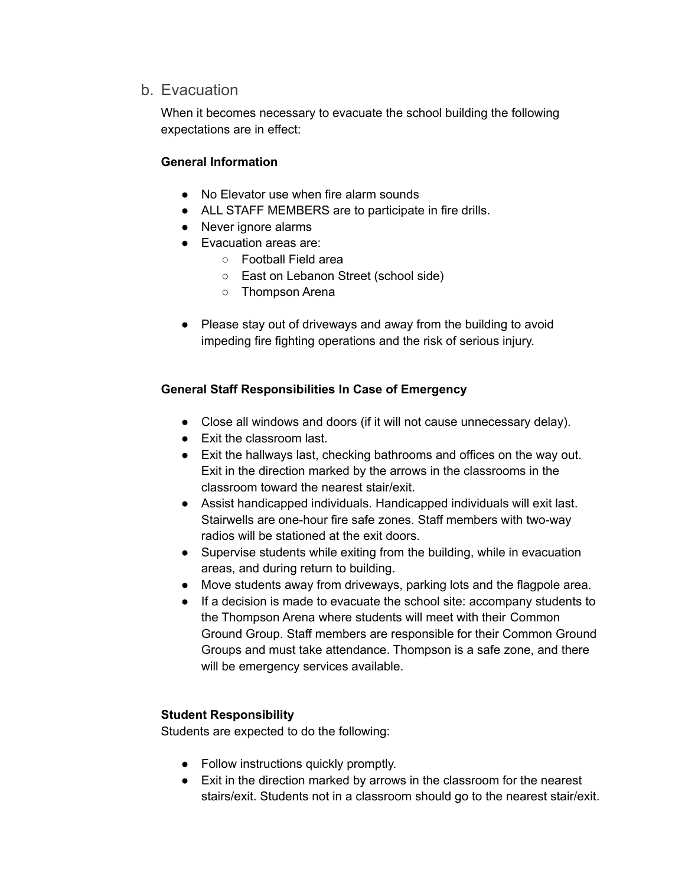## b. Evacuation

When it becomes necessary to evacuate the school building the following expectations are in effect:

## **General Information**

- No Elevator use when fire alarm sounds
- ALL STAFF MEMBERS are to participate in fire drills.
- Never ignore alarms
- Evacuation areas are:
	- Football Field area
	- East on Lebanon Street (school side)
	- Thompson Arena
- Please stay out of driveways and away from the building to avoid impeding fire fighting operations and the risk of serious injury.

## **General Staff Responsibilities In Case of Emergency**

- Close all windows and doors (if it will not cause unnecessary delay).
- Exit the classroom last.
- Exit the hallways last, checking bathrooms and offices on the way out. Exit in the direction marked by the arrows in the classrooms in the classroom toward the nearest stair/exit.
- Assist handicapped individuals. Handicapped individuals will exit last. Stairwells are one-hour fire safe zones. Staff members with two-way radios will be stationed at the exit doors.
- Supervise students while exiting from the building, while in evacuation areas, and during return to building.
- Move students away from driveways, parking lots and the flagpole area.
- If a decision is made to evacuate the school site: accompany students to the Thompson Arena where students will meet with their Common Ground Group. Staff members are responsible for their Common Ground Groups and must take attendance. Thompson is a safe zone, and there will be emergency services available.

## **Student Responsibility**

Students are expected to do the following:

- Follow instructions quickly promptly.
- Exit in the direction marked by arrows in the classroom for the nearest stairs/exit. Students not in a classroom should go to the nearest stair/exit.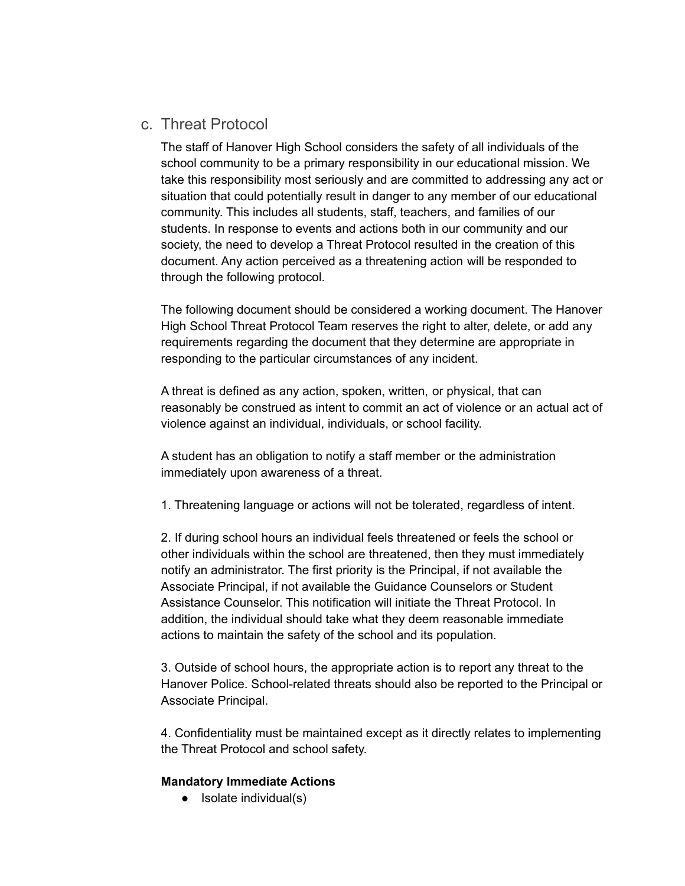# c. Threat Protocol

The staff of Hanover High School considers the safety of all individuals of the school community to be a primary responsibility in our educational mission. We take this responsibility most seriously and are committed to addressing any act or situation that could potentially result in danger to any member of our educational community. This includes all students, staff, teachers, and families of our students. In response to events and actions both in our community and our society, the need to develop a Threat Protocol resulted in the creation of this document. Any action perceived as a threatening action will be responded to through the following protocol.

The following document should be considered a working document. The Hanover High School Threat Protocol Team reserves the right to alter, delete, or add any requirements regarding the document that they determine are appropriate in responding to the particular circumstances of any incident.

A threat is defined as any action, spoken, written, or physical, that can reasonably be construed as intent to commit an act of violence or an actual act of violence against an individual, individuals, or school facility.

A student has an obligation to notify a staff member or the administration immediately upon awareness of a threat.

1. Threatening language or actions will not be tolerated, regardless of intent.

2. If during school hours an individual feels threatened or feels the school or other individuals within the school are threatened, then they must immediately notify an administrator. The first priority is the Principal, if not available the Associate Principal, if not available the Guidance Counselors or Student Assistance Counselor. This notification will initiate the Threat Protocol. In addition, the individual should take what they deem reasonable immediate actions to maintain the safety of the school and its population.

3. Outside of school hours, the appropriate action is to report any threat to the Hanover Police. School-related threats should also be reported to the Principal or Associate Principal.

4. Confidentiality must be maintained except as it directly relates to implementing the Threat Protocol and school safety.

## **Mandatory Immediate Actions**

• Isolate individual(s)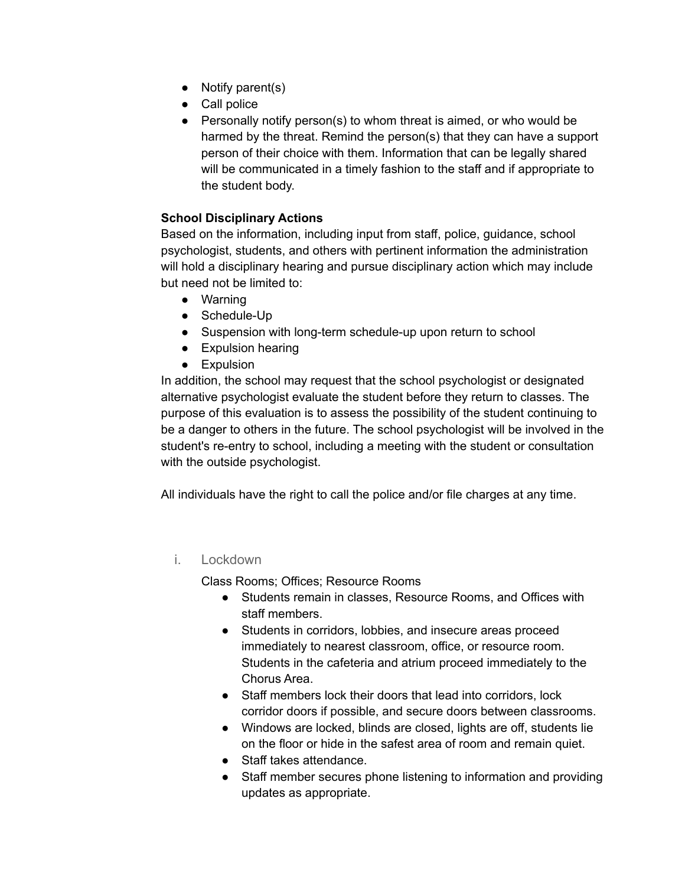- Notify parent(s)
- Call police
- Personally notify person(s) to whom threat is aimed, or who would be harmed by the threat. Remind the person(s) that they can have a support person of their choice with them. Information that can be legally shared will be communicated in a timely fashion to the staff and if appropriate to the student body.

## **School Disciplinary Actions**

Based on the information, including input from staff, police, guidance, school psychologist, students, and others with pertinent information the administration will hold a disciplinary hearing and pursue disciplinary action which may include but need not be limited to:

- Warning
- Schedule-Up
- Suspension with long-term schedule-up upon return to school
- Expulsion hearing
- Expulsion

In addition, the school may request that the school psychologist or designated alternative psychologist evaluate the student before they return to classes. The purpose of this evaluation is to assess the possibility of the student continuing to be a danger to others in the future. The school psychologist will be involved in the student's re-entry to school, including a meeting with the student or consultation with the outside psychologist.

All individuals have the right to call the police and/or file charges at any time.

## i. Lockdown

Class Rooms; Offices; Resource Rooms

- Students remain in classes, Resource Rooms, and Offices with staff members.
- Students in corridors, lobbies, and insecure areas proceed immediately to nearest classroom, office, or resource room. Students in the cafeteria and atrium proceed immediately to the Chorus Area.
- Staff members lock their doors that lead into corridors, lock corridor doors if possible, and secure doors between classrooms.
- Windows are locked, blinds are closed, lights are off, students lie on the floor or hide in the safest area of room and remain quiet.
- Staff takes attendance.
- Staff member secures phone listening to information and providing updates as appropriate.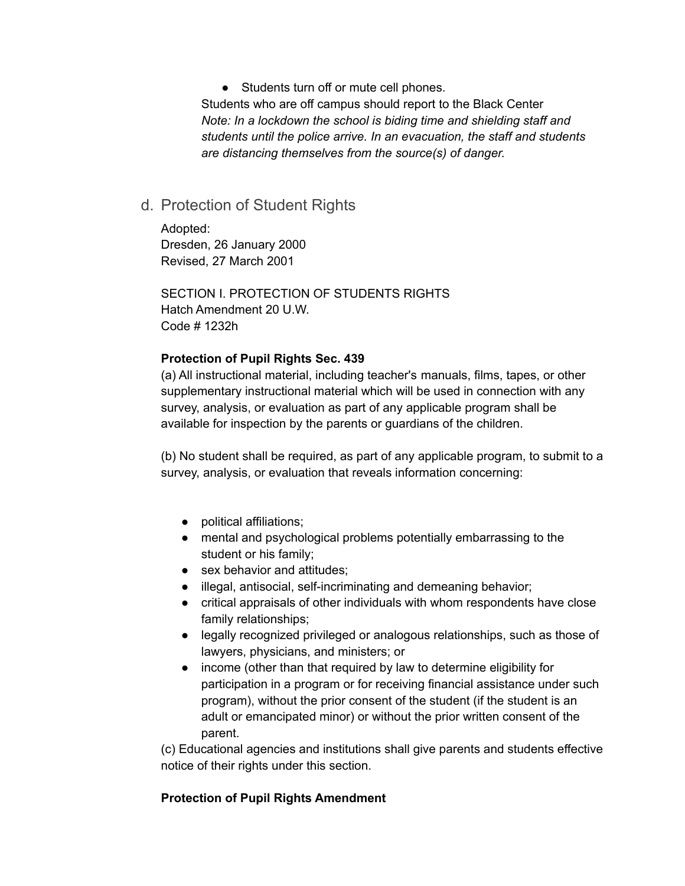● Students turn off or mute cell phones.

Students who are off campus should report to the Black Center *Note: In a lockdown the school is biding time and shielding staff and students until the police arrive. In an evacuation, the staff and students are distancing themselves from the source(s) of danger.*

## d. Protection of Student Rights

Adopted: Dresden, 26 January 2000 Revised, 27 March 2001

SECTION I. PROTECTION OF STUDENTS RIGHTS Hatch Amendment 20 U.W. Code # 1232h

### **Protection of Pupil Rights Sec. 439**

(a) All instructional material, including teacher's manuals, films, tapes, or other supplementary instructional material which will be used in connection with any survey, analysis, or evaluation as part of any applicable program shall be available for inspection by the parents or guardians of the children.

(b) No student shall be required, as part of any applicable program, to submit to a survey, analysis, or evaluation that reveals information concerning:

- political affiliations;
- mental and psychological problems potentially embarrassing to the student or his family;
- sex behavior and attitudes:
- illegal, antisocial, self-incriminating and demeaning behavior;
- critical appraisals of other individuals with whom respondents have close family relationships;
- legally recognized privileged or analogous relationships, such as those of lawyers, physicians, and ministers; or
- income (other than that required by law to determine eligibility for participation in a program or for receiving financial assistance under such program), without the prior consent of the student (if the student is an adult or emancipated minor) or without the prior written consent of the parent.

(c) Educational agencies and institutions shall give parents and students effective notice of their rights under this section.

## **Protection of Pupil Rights Amendment**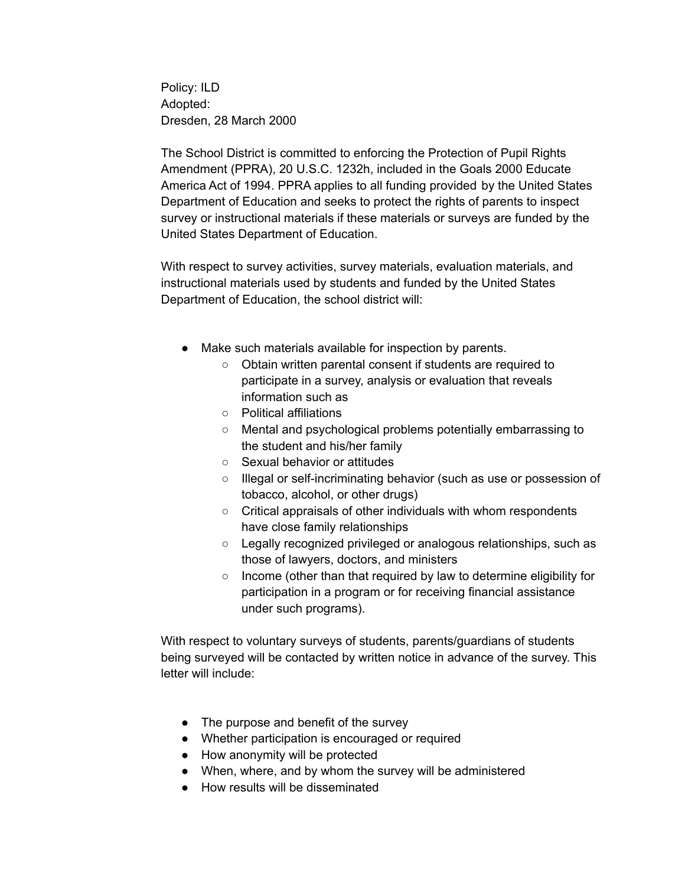Policy: ILD Adopted: Dresden, 28 March 2000

The School District is committed to enforcing the Protection of Pupil Rights Amendment (PPRA), 20 U.S.C. 1232h, included in the Goals 2000 Educate America Act of 1994. PPRA applies to all funding provided by the United States Department of Education and seeks to protect the rights of parents to inspect survey or instructional materials if these materials or surveys are funded by the United States Department of Education.

With respect to survey activities, survey materials, evaluation materials, and instructional materials used by students and funded by the United States Department of Education, the school district will:

- Make such materials available for inspection by parents.
	- Obtain written parental consent if students are required to participate in a survey, analysis or evaluation that reveals information such as
	- Political affiliations
	- Mental and psychological problems potentially embarrassing to the student and his/her family
	- Sexual behavior or attitudes
	- Illegal or self-incriminating behavior (such as use or possession of tobacco, alcohol, or other drugs)
	- Critical appraisals of other individuals with whom respondents have close family relationships
	- Legally recognized privileged or analogous relationships, such as those of lawyers, doctors, and ministers
	- Income (other than that required by law to determine eligibility for participation in a program or for receiving financial assistance under such programs).

With respect to voluntary surveys of students, parents/guardians of students being surveyed will be contacted by written notice in advance of the survey. This letter will include:

- The purpose and benefit of the survey
- Whether participation is encouraged or required
- How anonymity will be protected
- When, where, and by whom the survey will be administered
- How results will be disseminated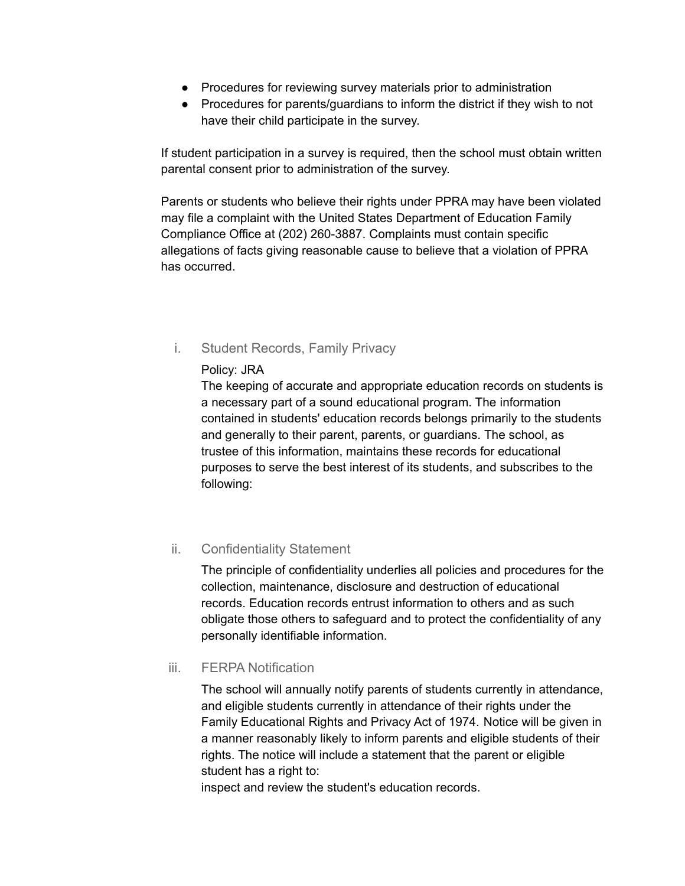- Procedures for reviewing survey materials prior to administration
- Procedures for parents/guardians to inform the district if they wish to not have their child participate in the survey.

If student participation in a survey is required, then the school must obtain written parental consent prior to administration of the survey.

Parents or students who believe their rights under PPRA may have been violated may file a complaint with the United States Department of Education Family Compliance Office at (202) 260-3887. Complaints must contain specific allegations of facts giving reasonable cause to believe that a violation of PPRA has occurred.

- i. Student Records, Family Privacy
	- Policy: JRA

The keeping of accurate and appropriate education records on students is a necessary part of a sound educational program. The information contained in students' education records belongs primarily to the students and generally to their parent, parents, or guardians. The school, as trustee of this information, maintains these records for educational purposes to serve the best interest of its students, and subscribes to the following:

## ii. Confidentiality Statement

The principle of confidentiality underlies all policies and procedures for the collection, maintenance, disclosure and destruction of educational records. Education records entrust information to others and as such obligate those others to safeguard and to protect the confidentiality of any personally identifiable information.

## iii. FERPA Notification

The school will annually notify parents of students currently in attendance, and eligible students currently in attendance of their rights under the Family Educational Rights and Privacy Act of 1974. Notice will be given in a manner reasonably likely to inform parents and eligible students of their rights. The notice will include a statement that the parent or eligible student has a right to:

inspect and review the student's education records.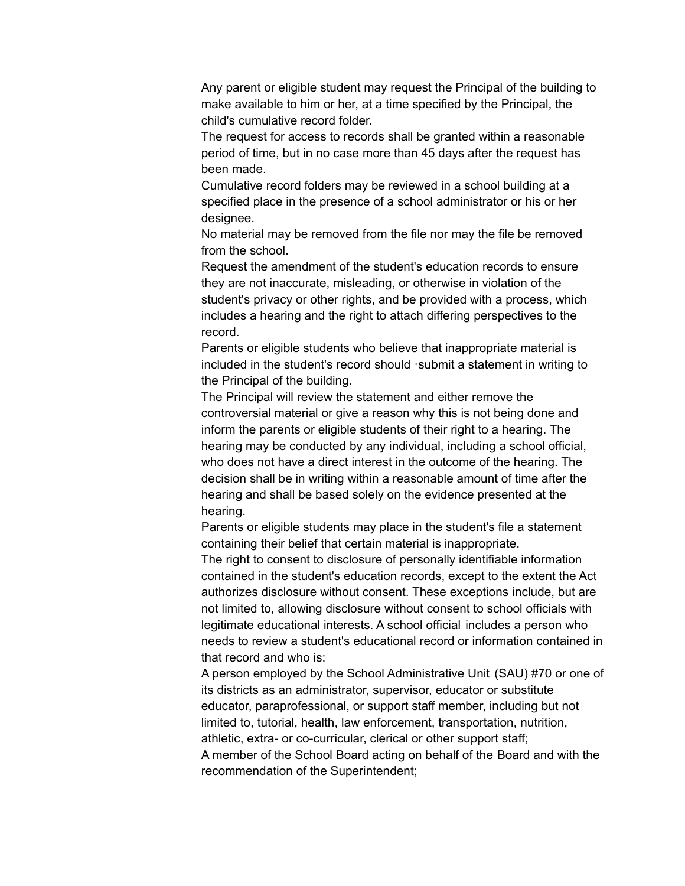Any parent or eligible student may request the Principal of the building to make available to him or her, at a time specified by the Principal, the child's cumulative record folder.

The request for access to records shall be granted within a reasonable period of time, but in no case more than 45 days after the request has been made.

Cumulative record folders may be reviewed in a school building at a specified place in the presence of a school administrator or his or her designee.

No material may be removed from the file nor may the file be removed from the school.

Request the amendment of the student's education records to ensure they are not inaccurate, misleading, or otherwise in violation of the student's privacy or other rights, and be provided with a process, which includes a hearing and the right to attach differing perspectives to the record.

Parents or eligible students who believe that inappropriate material is included in the student's record should ·submit a statement in writing to the Principal of the building.

The Principal will review the statement and either remove the controversial material or give a reason why this is not being done and inform the parents or eligible students of their right to a hearing. The hearing may be conducted by any individual, including a school official, who does not have a direct interest in the outcome of the hearing. The decision shall be in writing within a reasonable amount of time after the hearing and shall be based solely on the evidence presented at the hearing.

Parents or eligible students may place in the student's file a statement containing their belief that certain material is inappropriate.

The right to consent to disclosure of personally identifiable information contained in the student's education records, except to the extent the Act authorizes disclosure without consent. These exceptions include, but are not limited to, allowing disclosure without consent to school officials with legitimate educational interests. A school official includes a person who needs to review a student's educational record or information contained in that record and who is:

A person employed by the School Administrative Unit (SAU) #70 or one of its districts as an administrator, supervisor, educator or substitute educator, paraprofessional, or support staff member, including but not limited to, tutorial, health, law enforcement, transportation, nutrition, athletic, extra- or co-curricular, clerical or other support staff; A member of the School Board acting on behalf of the Board and with the recommendation of the Superintendent;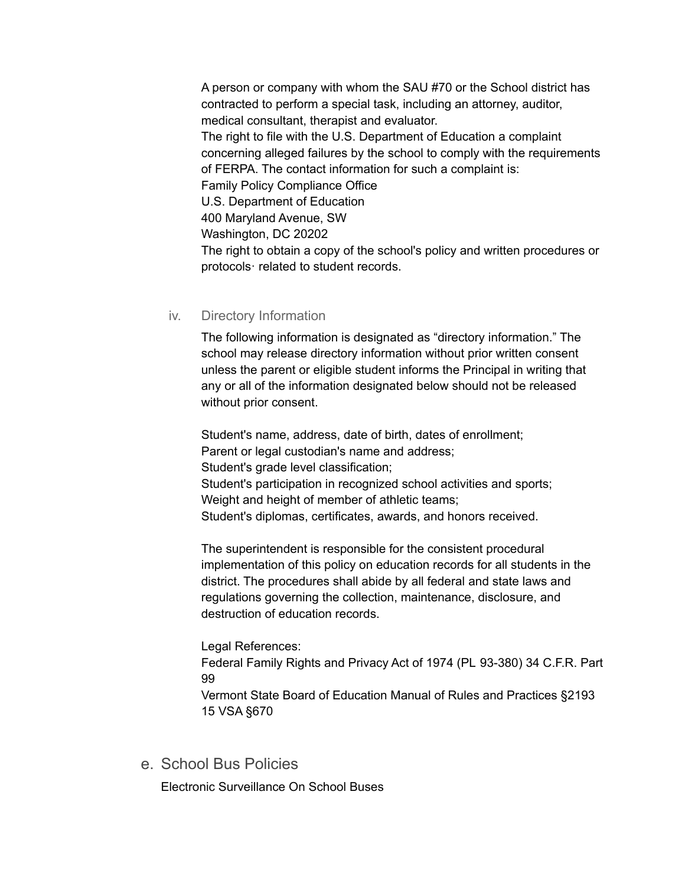A person or company with whom the SAU #70 or the School district has contracted to perform a special task, including an attorney, auditor, medical consultant, therapist and evaluator. The right to file with the U.S. Department of Education a complaint concerning alleged failures by the school to comply with the requirements of FERPA. The contact information for such a complaint is: Family Policy Compliance Office U.S. Department of Education 400 Maryland Avenue, SW Washington, DC 20202 The right to obtain a copy of the school's policy and written procedures or protocols· related to student records.

### iv. Directory Information

The following information is designated as "directory information." The school may release directory information without prior written consent unless the parent or eligible student informs the Principal in writing that any or all of the information designated below should not be released without prior consent.

Student's name, address, date of birth, dates of enrollment; Parent or legal custodian's name and address: Student's grade level classification; Student's participation in recognized school activities and sports; Weight and height of member of athletic teams; Student's diplomas, certificates, awards, and honors received.

The superintendent is responsible for the consistent procedural implementation of this policy on education records for all students in the district. The procedures shall abide by all federal and state laws and regulations governing the collection, maintenance, disclosure, and destruction of education records.

Legal References:

Federal Family Rights and Privacy Act of 1974 (PL 93-380) 34 C.F.R. Part 99

Vermont State Board of Education Manual of Rules and Practices §2193 15 VSA §670

e. School Bus Policies

Electronic Surveillance On School Buses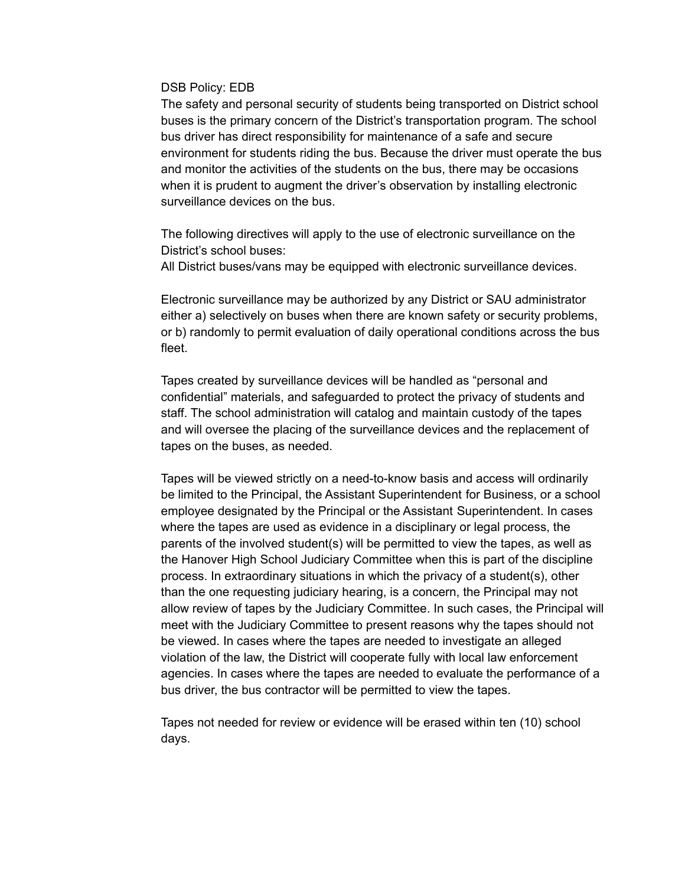#### DSB Policy: EDB

The safety and personal security of students being transported on District school buses is the primary concern of the District's transportation program. The school bus driver has direct responsibility for maintenance of a safe and secure environment for students riding the bus. Because the driver must operate the bus and monitor the activities of the students on the bus, there may be occasions when it is prudent to augment the driver's observation by installing electronic surveillance devices on the bus.

The following directives will apply to the use of electronic surveillance on the District's school buses:

All District buses/vans may be equipped with electronic surveillance devices.

Electronic surveillance may be authorized by any District or SAU administrator either a) selectively on buses when there are known safety or security problems, or b) randomly to permit evaluation of daily operational conditions across the bus fleet.

Tapes created by surveillance devices will be handled as "personal and confidential" materials, and safeguarded to protect the privacy of students and staff. The school administration will catalog and maintain custody of the tapes and will oversee the placing of the surveillance devices and the replacement of tapes on the buses, as needed.

Tapes will be viewed strictly on a need-to-know basis and access will ordinarily be limited to the Principal, the Assistant Superintendent for Business, or a school employee designated by the Principal or the Assistant Superintendent. In cases where the tapes are used as evidence in a disciplinary or legal process, the parents of the involved student(s) will be permitted to view the tapes, as well as the Hanover High School Judiciary Committee when this is part of the discipline process. In extraordinary situations in which the privacy of a student(s), other than the one requesting judiciary hearing, is a concern, the Principal may not allow review of tapes by the Judiciary Committee. In such cases, the Principal will meet with the Judiciary Committee to present reasons why the tapes should not be viewed. In cases where the tapes are needed to investigate an alleged violation of the law, the District will cooperate fully with local law enforcement agencies. In cases where the tapes are needed to evaluate the performance of a bus driver, the bus contractor will be permitted to view the tapes.

Tapes not needed for review or evidence will be erased within ten (10) school days.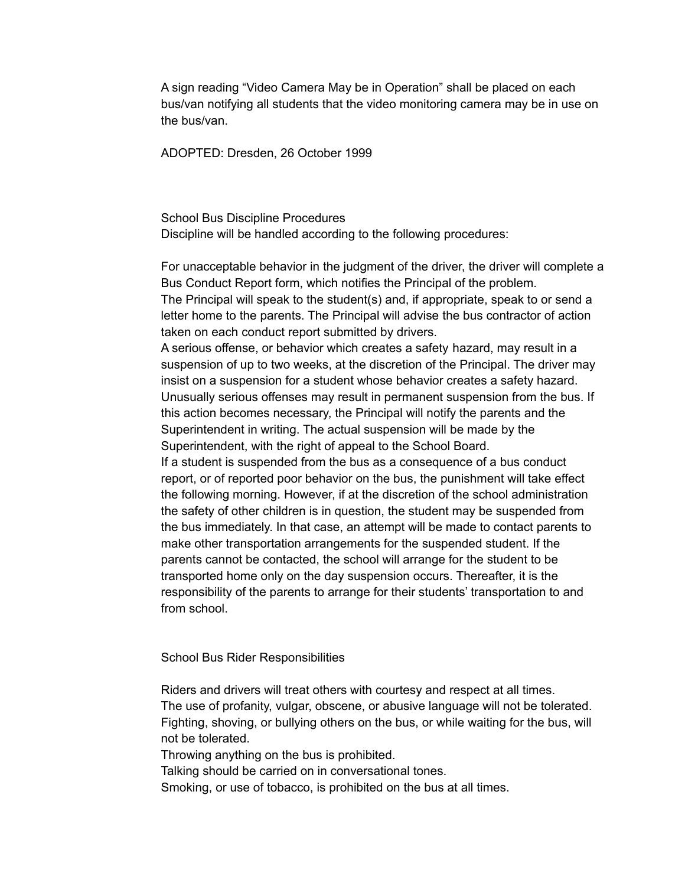A sign reading "Video Camera May be in Operation" shall be placed on each bus/van notifying all students that the video monitoring camera may be in use on the bus/van.

ADOPTED: Dresden, 26 October 1999

School Bus Discipline Procedures Discipline will be handled according to the following procedures:

For unacceptable behavior in the judgment of the driver, the driver will complete a Bus Conduct Report form, which notifies the Principal of the problem. The Principal will speak to the student(s) and, if appropriate, speak to or send a letter home to the parents. The Principal will advise the bus contractor of action taken on each conduct report submitted by drivers.

A serious offense, or behavior which creates a safety hazard, may result in a suspension of up to two weeks, at the discretion of the Principal. The driver may insist on a suspension for a student whose behavior creates a safety hazard. Unusually serious offenses may result in permanent suspension from the bus. If this action becomes necessary, the Principal will notify the parents and the Superintendent in writing. The actual suspension will be made by the Superintendent, with the right of appeal to the School Board.

If a student is suspended from the bus as a consequence of a bus conduct report, or of reported poor behavior on the bus, the punishment will take effect the following morning. However, if at the discretion of the school administration the safety of other children is in question, the student may be suspended from the bus immediately. In that case, an attempt will be made to contact parents to make other transportation arrangements for the suspended student. If the parents cannot be contacted, the school will arrange for the student to be transported home only on the day suspension occurs. Thereafter, it is the responsibility of the parents to arrange for their students' transportation to and from school.

School Bus Rider Responsibilities

Riders and drivers will treat others with courtesy and respect at all times. The use of profanity, vulgar, obscene, or abusive language will not be tolerated. Fighting, shoving, or bullying others on the bus, or while waiting for the bus, will not be tolerated.

Throwing anything on the bus is prohibited.

Talking should be carried on in conversational tones.

Smoking, or use of tobacco, is prohibited on the bus at all times.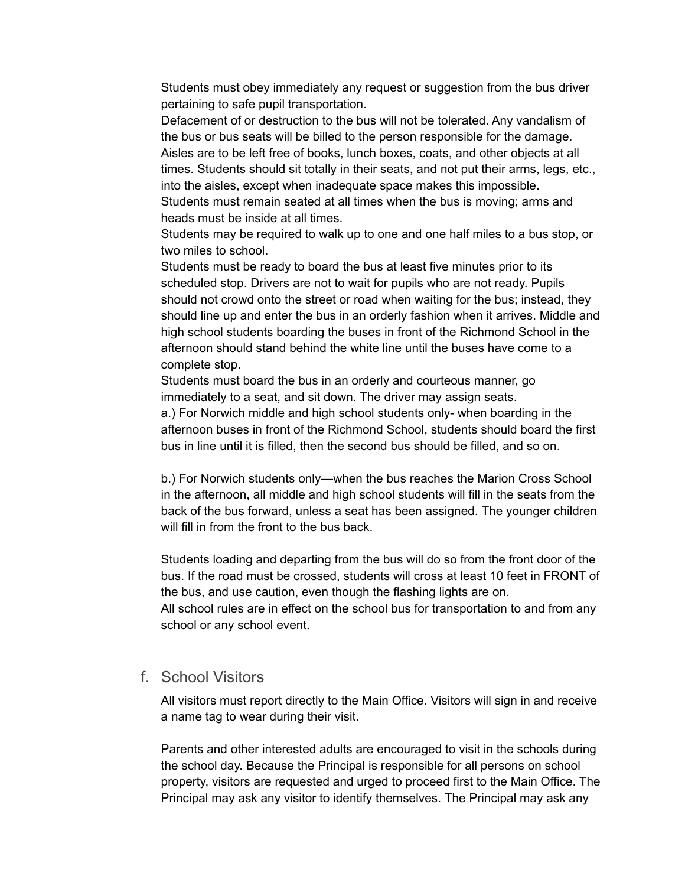Students must obey immediately any request or suggestion from the bus driver pertaining to safe pupil transportation.

Defacement of or destruction to the bus will not be tolerated. Any vandalism of the bus or bus seats will be billed to the person responsible for the damage. Aisles are to be left free of books, lunch boxes, coats, and other objects at all times. Students should sit totally in their seats, and not put their arms, legs, etc., into the aisles, except when inadequate space makes this impossible.

Students must remain seated at all times when the bus is moving; arms and heads must be inside at all times.

Students may be required to walk up to one and one half miles to a bus stop, or two miles to school.

Students must be ready to board the bus at least five minutes prior to its scheduled stop. Drivers are not to wait for pupils who are not ready. Pupils should not crowd onto the street or road when waiting for the bus; instead, they should line up and enter the bus in an orderly fashion when it arrives. Middle and high school students boarding the buses in front of the Richmond School in the afternoon should stand behind the white line until the buses have come to a complete stop.

Students must board the bus in an orderly and courteous manner, go immediately to a seat, and sit down. The driver may assign seats.

a.) For Norwich middle and high school students only- when boarding in the afternoon buses in front of the Richmond School, students should board the first bus in line until it is filled, then the second bus should be filled, and so on.

b.) For Norwich students only—when the bus reaches the Marion Cross School in the afternoon, all middle and high school students will fill in the seats from the back of the bus forward, unless a seat has been assigned. The younger children will fill in from the front to the bus back.

Students loading and departing from the bus will do so from the front door of the bus. If the road must be crossed, students will cross at least 10 feet in FRONT of the bus, and use caution, even though the flashing lights are on.

All school rules are in effect on the school bus for transportation to and from any school or any school event.

## f. School Visitors

All visitors must report directly to the Main Office. Visitors will sign in and receive a name tag to wear during their visit.

Parents and other interested adults are encouraged to visit in the schools during the school day. Because the Principal is responsible for all persons on school property, visitors are requested and urged to proceed first to the Main Office. The Principal may ask any visitor to identify themselves. The Principal may ask any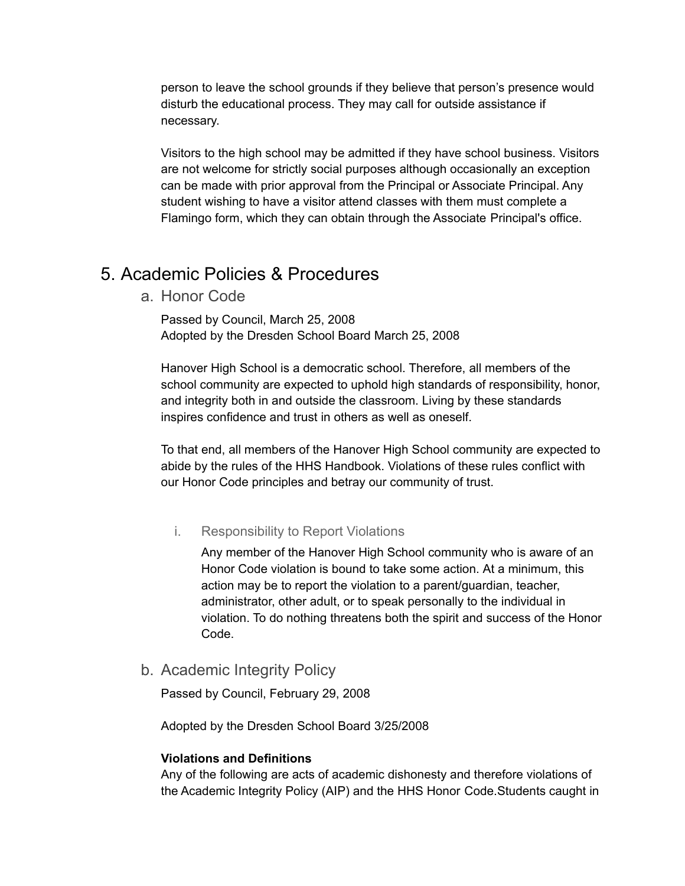person to leave the school grounds if they believe that person's presence would disturb the educational process. They may call for outside assistance if necessary.

Visitors to the high school may be admitted if they have school business. Visitors are not welcome for strictly social purposes although occasionally an exception can be made with prior approval from the Principal or Associate Principal. Any student wishing to have a visitor attend classes with them must complete a Flamingo form, which they can obtain through the Associate Principal's office.

# 5. Academic Policies & Procedures

a. Honor Code

Passed by Council, March 25, 2008 Adopted by the Dresden School Board March 25, 2008

Hanover High School is a democratic school. Therefore, all members of the school community are expected to uphold high standards of responsibility, honor, and integrity both in and outside the classroom. Living by these standards inspires confidence and trust in others as well as oneself.

To that end, all members of the Hanover High School community are expected to abide by the rules of the HHS Handbook. Violations of these rules conflict with our Honor Code principles and betray our community of trust.

### i. Responsibility to Report Violations

Any member of the Hanover High School community who is aware of an Honor Code violation is bound to take some action. At a minimum, this action may be to report the violation to a parent/guardian, teacher, administrator, other adult, or to speak personally to the individual in violation. To do nothing threatens both the spirit and success of the Honor Code.

b. Academic Integrity Policy

Passed by Council, February 29, 2008

Adopted by the Dresden School Board 3/25/2008

#### **Violations and Definitions**

Any of the following are acts of academic dishonesty and therefore violations of the Academic Integrity Policy (AIP) and the HHS Honor Code.Students caught in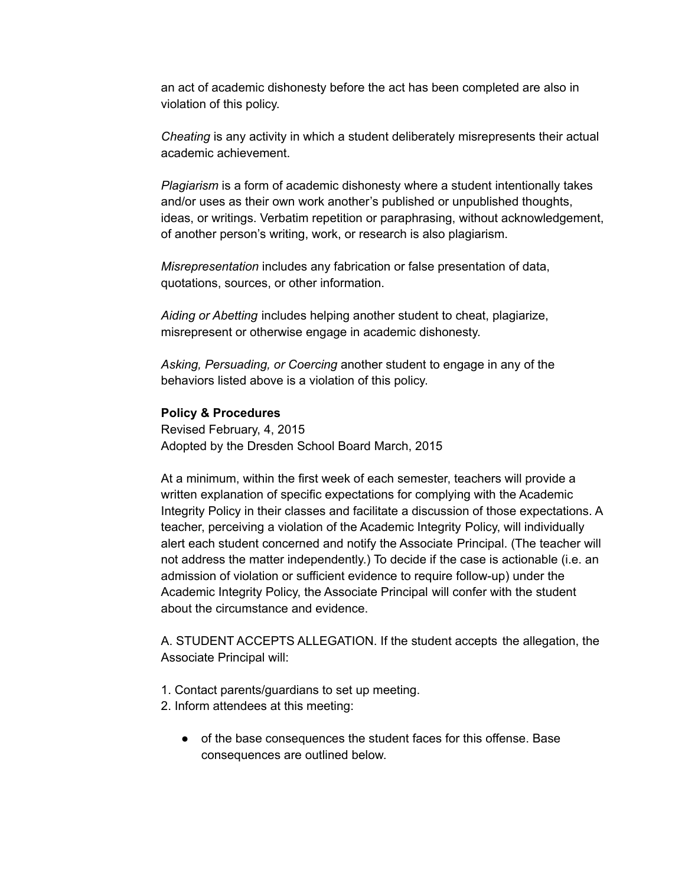an act of academic dishonesty before the act has been completed are also in violation of this policy.

*Cheating* is any activity in which a student deliberately misrepresents their actual academic achievement.

*Plagiarism* is a form of academic dishonesty where a student intentionally takes and/or uses as their own work another's published or unpublished thoughts, ideas, or writings. Verbatim repetition or paraphrasing, without acknowledgement, of another person's writing, work, or research is also plagiarism.

*Misrepresentation* includes any fabrication or false presentation of data, quotations, sources, or other information.

*Aiding or Abetting* includes helping another student to cheat, plagiarize, misrepresent or otherwise engage in academic dishonesty.

*Asking, Persuading, or Coercing* another student to engage in any of the behaviors listed above is a violation of this policy.

#### **Policy & Procedures**

Revised February, 4, 2015 Adopted by the Dresden School Board March, 2015

At a minimum, within the first week of each semester, teachers will provide a written explanation of specific expectations for complying with the Academic Integrity Policy in their classes and facilitate a discussion of those expectations. A teacher, perceiving a violation of the Academic Integrity Policy, will individually alert each student concerned and notify the Associate Principal. (The teacher will not address the matter independently.) To decide if the case is actionable (i.e. an admission of violation or sufficient evidence to require follow-up) under the Academic Integrity Policy, the Associate Principal will confer with the student about the circumstance and evidence.

A. STUDENT ACCEPTS ALLEGATION. If the student accepts the allegation, the Associate Principal will:

- 1. Contact parents/guardians to set up meeting.
- 2. Inform attendees at this meeting:
	- of the base consequences the student faces for this offense. Base consequences are outlined below.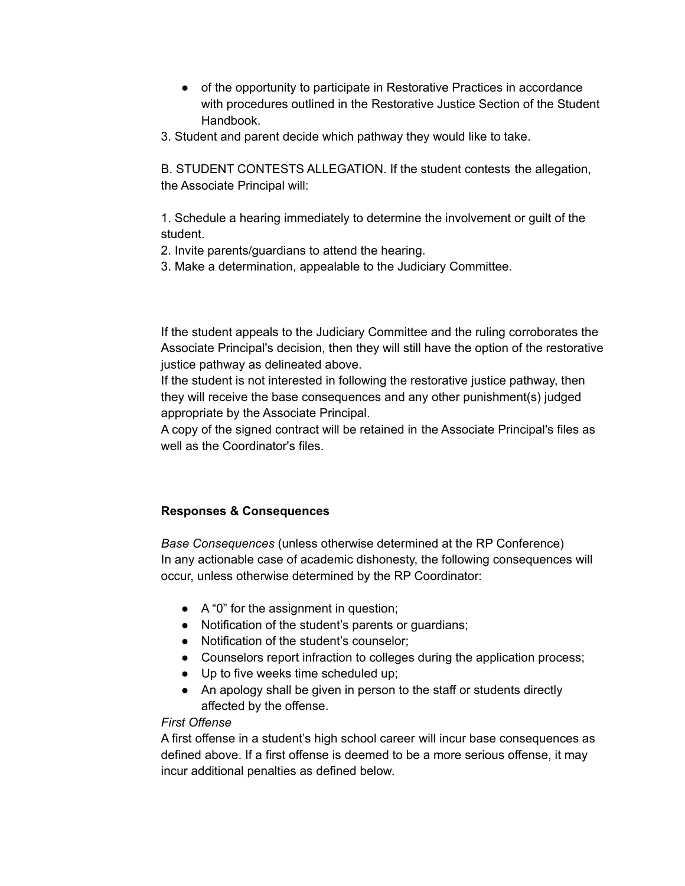- of the opportunity to participate in Restorative Practices in accordance with procedures outlined in the Restorative Justice Section of the Student Handbook.
- 3. Student and parent decide which pathway they would like to take.

B. STUDENT CONTESTS ALLEGATION. If the student contests the allegation, the Associate Principal will:

1. Schedule a hearing immediately to determine the involvement or guilt of the student.

- 2. Invite parents/guardians to attend the hearing.
- 3. Make a determination, appealable to the Judiciary Committee.

If the student appeals to the Judiciary Committee and the ruling corroborates the Associate Principal's decision, then they will still have the option of the restorative justice pathway as delineated above.

If the student is not interested in following the restorative justice pathway, then they will receive the base consequences and any other punishment(s) judged appropriate by the Associate Principal.

A copy of the signed contract will be retained in the Associate Principal's files as well as the Coordinator's files.

## **Responses & Consequences**

*Base Consequences* (unless otherwise determined at the RP Conference) In any actionable case of academic dishonesty, the following consequences will occur, unless otherwise determined by the RP Coordinator:

- A "0" for the assignment in question;
- Notification of the student's parents or guardians;
- Notification of the student's counselor;
- Counselors report infraction to colleges during the application process;
- Up to five weeks time scheduled up;
- An apology shall be given in person to the staff or students directly affected by the offense.

### *First Offense*

A first offense in a student's high school career will incur base consequences as defined above. If a first offense is deemed to be a more serious offense, it may incur additional penalties as defined below.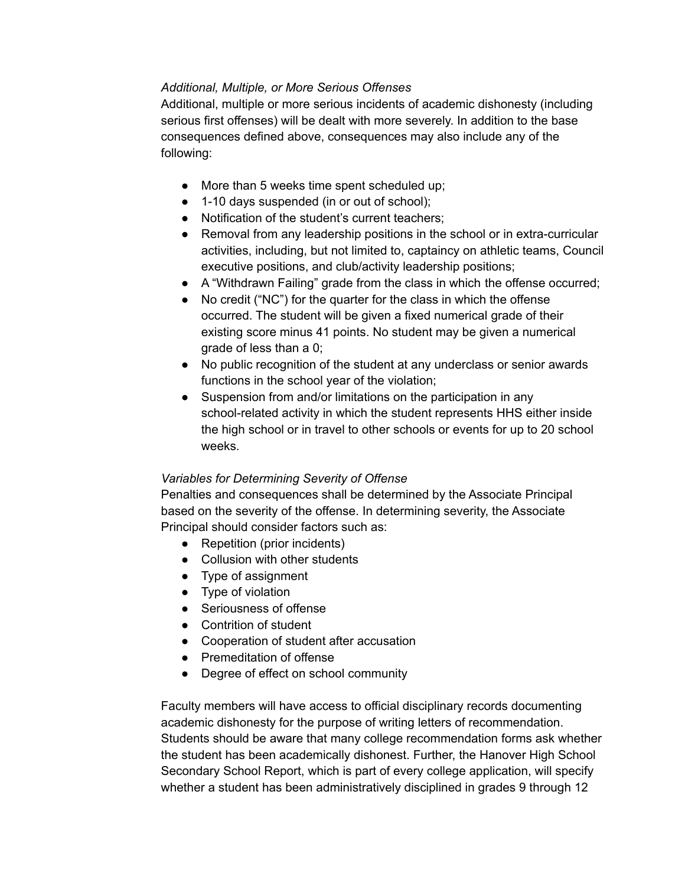## *Additional, Multiple, or More Serious Offenses*

Additional, multiple or more serious incidents of academic dishonesty (including serious first offenses) will be dealt with more severely. In addition to the base consequences defined above, consequences may also include any of the following:

- More than 5 weeks time spent scheduled up;
- 1-10 days suspended (in or out of school);
- Notification of the student's current teachers:
- Removal from any leadership positions in the school or in extra-curricular activities, including, but not limited to, captaincy on athletic teams, Council executive positions, and club/activity leadership positions;
- A "Withdrawn Failing" grade from the class in which the offense occurred;
- No credit ("NC") for the quarter for the class in which the offense occurred. The student will be given a fixed numerical grade of their existing score minus 41 points. No student may be given a numerical grade of less than a 0;
- No public recognition of the student at any underclass or senior awards functions in the school year of the violation;
- Suspension from and/or limitations on the participation in any school-related activity in which the student represents HHS either inside the high school or in travel to other schools or events for up to 20 school weeks.

## *Variables for Determining Severity of Offense*

Penalties and consequences shall be determined by the Associate Principal based on the severity of the offense. In determining severity, the Associate Principal should consider factors such as:

- Repetition (prior incidents)
- Collusion with other students
- Type of assignment
- Type of violation
- Seriousness of offense
- Contrition of student
- Cooperation of student after accusation
- Premeditation of offense
- Degree of effect on school community

Faculty members will have access to official disciplinary records documenting academic dishonesty for the purpose of writing letters of recommendation. Students should be aware that many college recommendation forms ask whether the student has been academically dishonest. Further, the Hanover High School Secondary School Report, which is part of every college application, will specify whether a student has been administratively disciplined in grades 9 through 12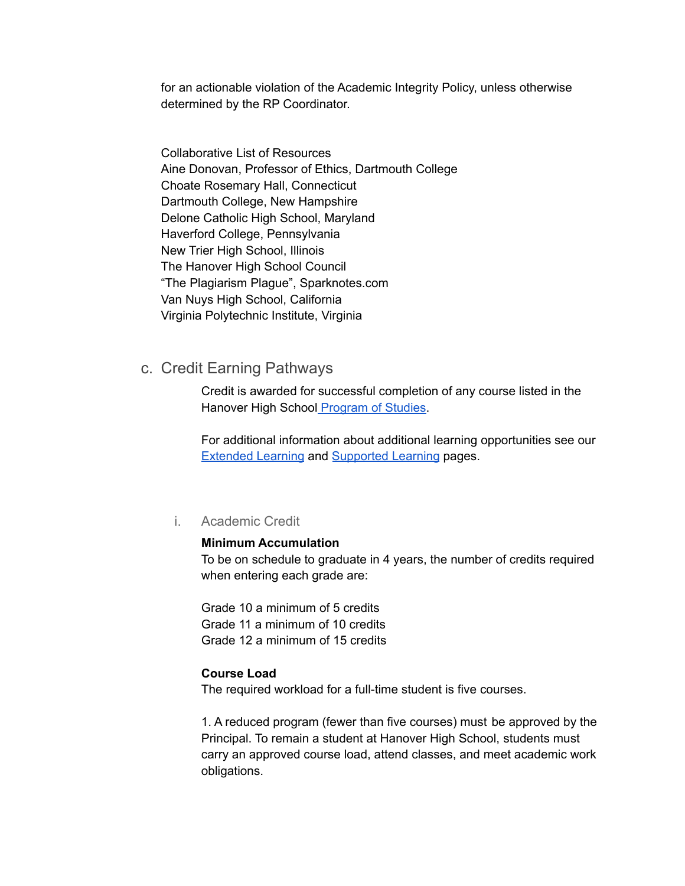for an actionable violation of the Academic Integrity Policy, unless otherwise determined by the RP Coordinator.

Collaborative List of Resources Aine Donovan, Professor of Ethics, Dartmouth College Choate Rosemary Hall, Connecticut Dartmouth College, New Hampshire Delone Catholic High School, Maryland Haverford College, Pennsylvania New Trier High School, Illinois The Hanover High School Council "The Plagiarism Plague", Sparknotes.com Van Nuys High School, California Virginia Polytechnic Institute, Virginia

## c. Credit Earning Pathways

Credit is awarded for successful completion of any course listed in the Hanover High School [Program](https://www.hanoverhigh.org/fs/pages/1324) of Studies.

For additional information about additional learning opportunities see our [Extended](https://hanovernorwichschoolsorg.finalsite.com/fs/pages/646) Learning and [Supported](https://hanovernorwichschoolsorg.finalsite.com/fs/pages/649) Learning pages.

## i. Academic Credit

#### **Minimum Accumulation**

To be on schedule to graduate in 4 years, the number of credits required when entering each grade are:

Grade 10 a minimum of 5 credits Grade 11 a minimum of 10 credits Grade 12 a minimum of 15 credits

#### **Course Load**

The required workload for a full-time student is five courses.

1. A reduced program (fewer than five courses) must be approved by the Principal. To remain a student at Hanover High School, students must carry an approved course load, attend classes, and meet academic work obligations.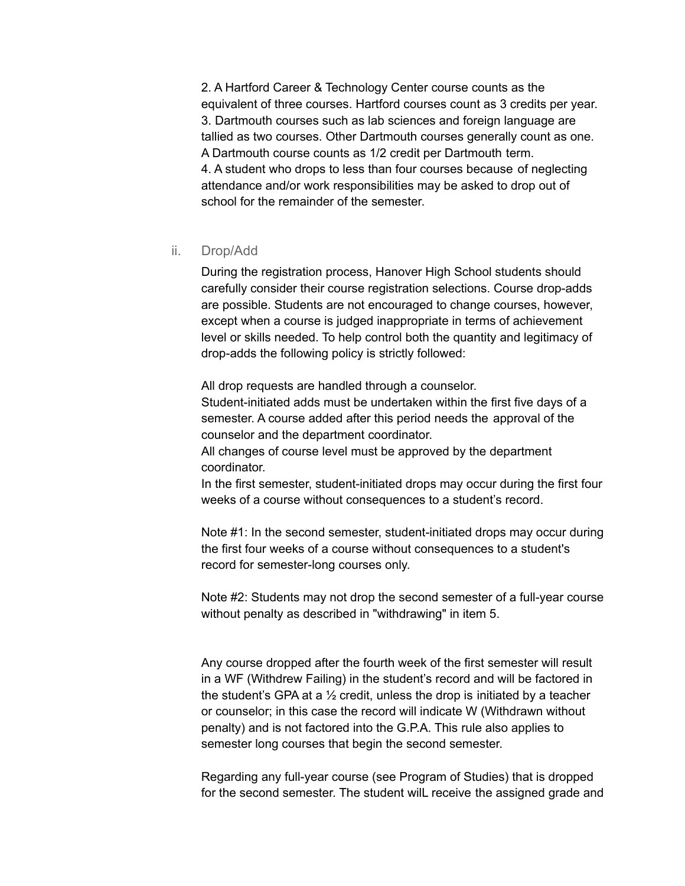2. A Hartford Career & Technology Center course counts as the equivalent of three courses. Hartford courses count as 3 credits per year. 3. Dartmouth courses such as lab sciences and foreign language are tallied as two courses. Other Dartmouth courses generally count as one. A Dartmouth course counts as 1/2 credit per Dartmouth term. 4. A student who drops to less than four courses because of neglecting attendance and/or work responsibilities may be asked to drop out of school for the remainder of the semester.

#### ii. Drop/Add

During the registration process, Hanover High School students should carefully consider their course registration selections. Course drop-adds are possible. Students are not encouraged to change courses, however, except when a course is judged inappropriate in terms of achievement level or skills needed. To help control both the quantity and legitimacy of drop-adds the following policy is strictly followed:

All drop requests are handled through a counselor. Student-initiated adds must be undertaken within the first five days of a semester. A course added after this period needs the approval of the counselor and the department coordinator.

All changes of course level must be approved by the department coordinator.

In the first semester, student-initiated drops may occur during the first four weeks of a course without consequences to a student's record.

Note #1: In the second semester, student-initiated drops may occur during the first four weeks of a course without consequences to a student's record for semester-long courses only.

Note #2: Students may not drop the second semester of a full-year course without penalty as described in "withdrawing" in item 5.

Any course dropped after the fourth week of the first semester will result in a WF (Withdrew Failing) in the student's record and will be factored in the student's GPA at a  $\frac{1}{2}$  credit, unless the drop is initiated by a teacher or counselor; in this case the record will indicate W (Withdrawn without penalty) and is not factored into the G.P.A. This rule also applies to semester long courses that begin the second semester.

Regarding any full-year course (see Program of Studies) that is dropped for the second semester. The student wilL receive the assigned grade and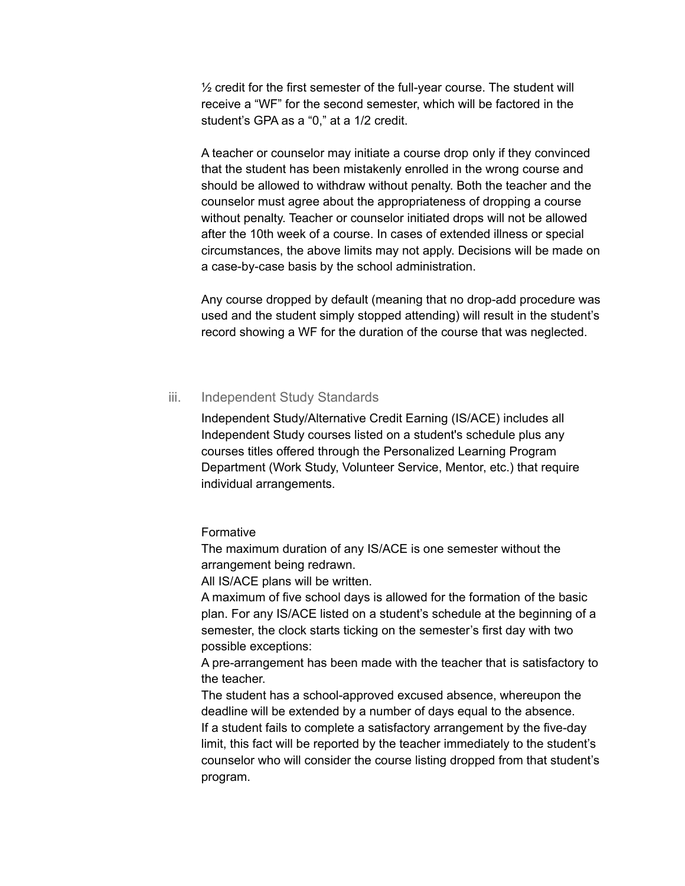$\frac{1}{2}$  credit for the first semester of the full-year course. The student will receive a "WF" for the second semester, which will be factored in the student's GPA as a "0," at a 1/2 credit.

A teacher or counselor may initiate a course drop only if they convinced that the student has been mistakenly enrolled in the wrong course and should be allowed to withdraw without penalty. Both the teacher and the counselor must agree about the appropriateness of dropping a course without penalty. Teacher or counselor initiated drops will not be allowed after the 10th week of a course. In cases of extended illness or special circumstances, the above limits may not apply. Decisions will be made on a case-by-case basis by the school administration.

Any course dropped by default (meaning that no drop-add procedure was used and the student simply stopped attending) will result in the student's record showing a WF for the duration of the course that was neglected.

## iii. Independent Study Standards

Independent Study/Alternative Credit Earning (IS/ACE) includes all Independent Study courses listed on a student's schedule plus any courses titles offered through the Personalized Learning Program Department (Work Study, Volunteer Service, Mentor, etc.) that require individual arrangements.

Formative

The maximum duration of any IS/ACE is one semester without the arrangement being redrawn.

All IS/ACE plans will be written.

A maximum of five school days is allowed for the formation of the basic plan. For any IS/ACE listed on a student's schedule at the beginning of a semester, the clock starts ticking on the semester's first day with two possible exceptions:

A pre-arrangement has been made with the teacher that is satisfactory to the teacher.

The student has a school-approved excused absence, whereupon the deadline will be extended by a number of days equal to the absence. If a student fails to complete a satisfactory arrangement by the five-day limit, this fact will be reported by the teacher immediately to the student's counselor who will consider the course listing dropped from that student's program.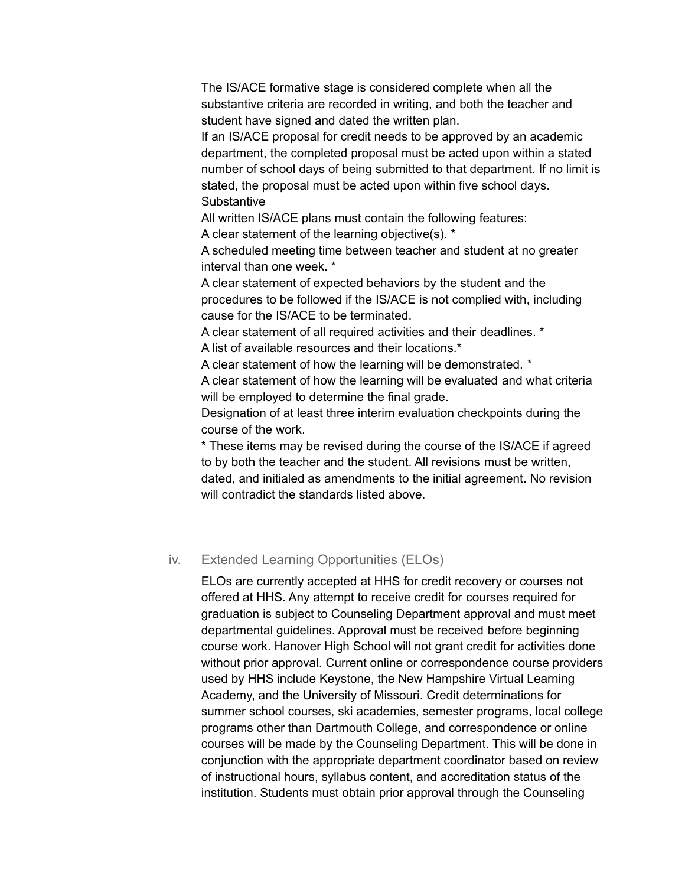The IS/ACE formative stage is considered complete when all the substantive criteria are recorded in writing, and both the teacher and student have signed and dated the written plan.

If an IS/ACE proposal for credit needs to be approved by an academic department, the completed proposal must be acted upon within a stated number of school days of being submitted to that department. If no limit is stated, the proposal must be acted upon within five school days. **Substantive** 

All written IS/ACE plans must contain the following features: A clear statement of the learning objective(s). \*

A scheduled meeting time between teacher and student at no greater interval than one week. \*

A clear statement of expected behaviors by the student and the procedures to be followed if the IS/ACE is not complied with, including cause for the IS/ACE to be terminated.

A clear statement of all required activities and their deadlines. \* A list of available resources and their locations.\*

A clear statement of how the learning will be demonstrated. \*

A clear statement of how the learning will be evaluated and what criteria will be employed to determine the final grade.

Designation of at least three interim evaluation checkpoints during the course of the work.

\* These items may be revised during the course of the IS/ACE if agreed to by both the teacher and the student. All revisions must be written, dated, and initialed as amendments to the initial agreement. No revision will contradict the standards listed above.

## iv. Extended Learning Opportunities (ELOs)

ELOs are currently accepted at HHS for credit recovery or courses not offered at HHS. Any attempt to receive credit for courses required for graduation is subject to Counseling Department approval and must meet departmental guidelines. Approval must be received before beginning course work. Hanover High School will not grant credit for activities done without prior approval. Current online or correspondence course providers used by HHS include Keystone, the New Hampshire Virtual Learning Academy, and the University of Missouri. Credit determinations for summer school courses, ski academies, semester programs, local college programs other than Dartmouth College, and correspondence or online courses will be made by the Counseling Department. This will be done in conjunction with the appropriate department coordinator based on review of instructional hours, syllabus content, and accreditation status of the institution. Students must obtain prior approval through the Counseling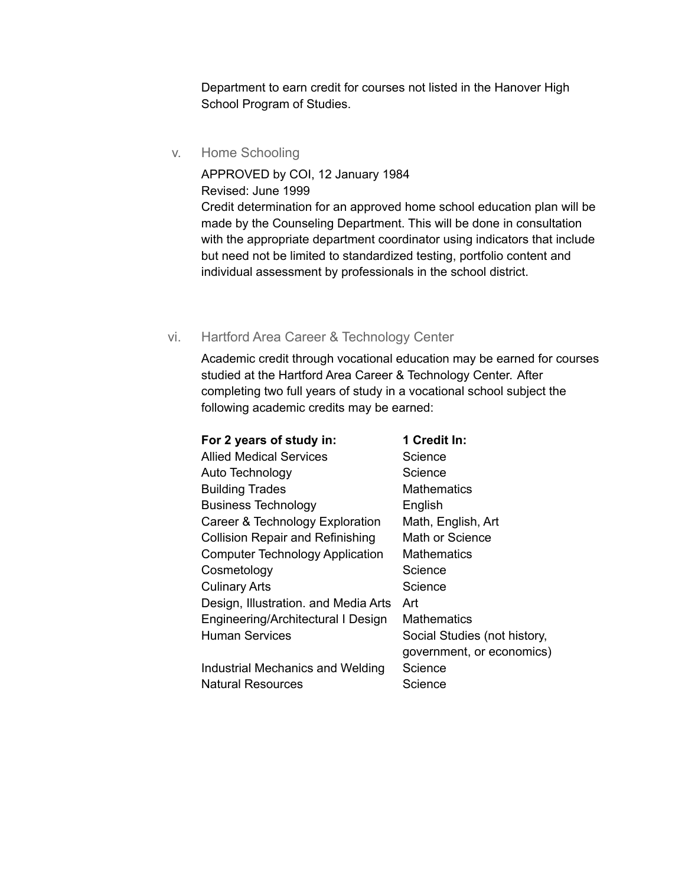Department to earn credit for courses not listed in the Hanover High School Program of Studies.

v. Home Schooling

APPROVED by COI, 12 January 1984 Revised: June 1999 Credit determination for an approved home school education plan will be made by the Counseling Department. This will be done in consultation with the appropriate department coordinator using indicators that include but need not be limited to standardized testing, portfolio content and individual assessment by professionals in the school district.

## vi. Hartford Area Career & Technology Center

Academic credit through vocational education may be earned for courses studied at the Hartford Area Career & Technology Center. After completing two full years of study in a vocational school subject the following academic credits may be earned:

| For 2 years of study in:                | 1 Credit In:                 |
|-----------------------------------------|------------------------------|
| <b>Allied Medical Services</b>          | Science                      |
| Auto Technology                         | Science                      |
| <b>Building Trades</b>                  | Mathematics                  |
| <b>Business Technology</b>              | English                      |
| Career & Technology Exploration         | Math, English, Art           |
| <b>Collision Repair and Refinishing</b> | Math or Science              |
| <b>Computer Technology Application</b>  | <b>Mathematics</b>           |
| Cosmetology                             | Science                      |
| <b>Culinary Arts</b>                    | Science                      |
| Design, Illustration. and Media Arts    | Art                          |
| Engineering/Architectural I Design      | <b>Mathematics</b>           |
| <b>Human Services</b>                   | Social Studies (not history, |
|                                         | government, or economics)    |
| Industrial Mechanics and Welding        | Science                      |
| <b>Natural Resources</b>                | Science                      |
|                                         |                              |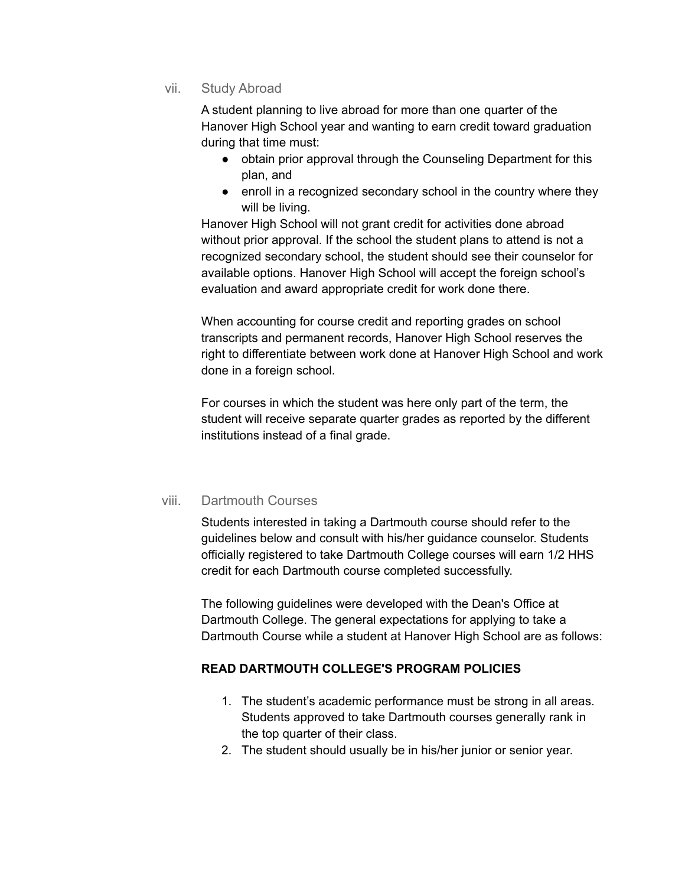vii. Study Abroad

A student planning to live abroad for more than one quarter of the Hanover High School year and wanting to earn credit toward graduation during that time must:

- obtain prior approval through the Counseling Department for this plan, and
- enroll in a recognized secondary school in the country where they will be living.

Hanover High School will not grant credit for activities done abroad without prior approval. If the school the student plans to attend is not a recognized secondary school, the student should see their counselor for available options. Hanover High School will accept the foreign school's evaluation and award appropriate credit for work done there.

When accounting for course credit and reporting grades on school transcripts and permanent records, Hanover High School reserves the right to differentiate between work done at Hanover High School and work done in a foreign school.

For courses in which the student was here only part of the term, the student will receive separate quarter grades as reported by the different institutions instead of a final grade.

## viii. Dartmouth Courses

Students interested in taking a Dartmouth course should refer to the guidelines below and consult with his/her guidance counselor. Students officially registered to take Dartmouth College courses will earn 1/2 HHS credit for each Dartmouth course completed successfully.

The following guidelines were developed with the Dean's Office at Dartmouth College. The general expectations for applying to take a Dartmouth Course while a student at Hanover High School are as follows:

## **READ DARTMOUTH COLLEGE'S PROGRAM POLICIES**

- 1. The student's academic performance must be strong in all areas. Students approved to take Dartmouth courses generally rank in the top quarter of their class.
- 2. The student should usually be in his/her junior or senior year.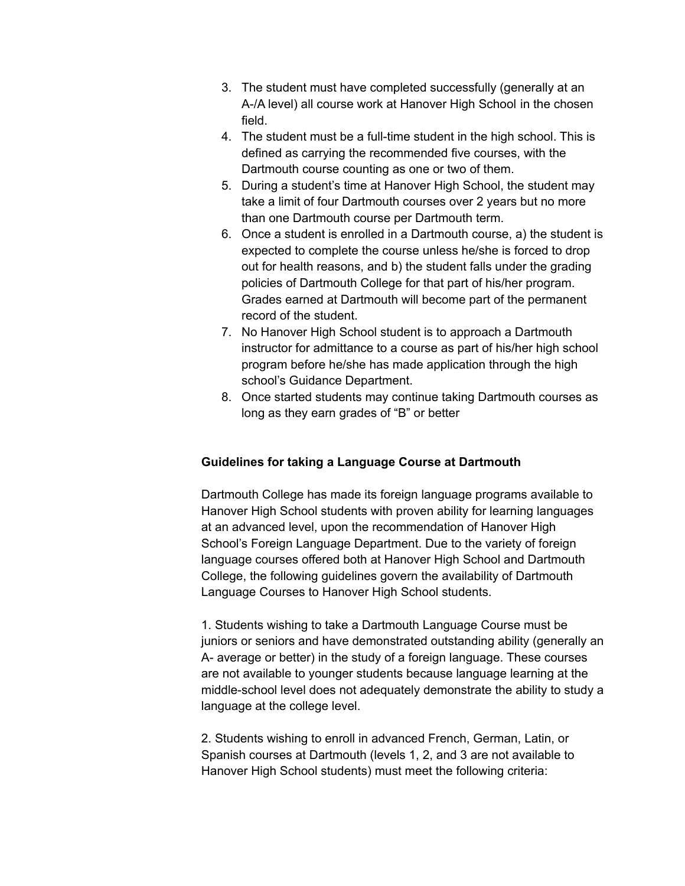- 3. The student must have completed successfully (generally at an A-/A level) all course work at Hanover High School in the chosen field.
- 4. The student must be a full-time student in the high school. This is defined as carrying the recommended five courses, with the Dartmouth course counting as one or two of them.
- 5. During a student's time at Hanover High School, the student may take a limit of four Dartmouth courses over 2 years but no more than one Dartmouth course per Dartmouth term.
- 6. Once a student is enrolled in a Dartmouth course, a) the student is expected to complete the course unless he/she is forced to drop out for health reasons, and b) the student falls under the grading policies of Dartmouth College for that part of his/her program. Grades earned at Dartmouth will become part of the permanent record of the student.
- 7. No Hanover High School student is to approach a Dartmouth instructor for admittance to a course as part of his/her high school program before he/she has made application through the high school's Guidance Department.
- 8. Once started students may continue taking Dartmouth courses as long as they earn grades of "B" or better

## **Guidelines for taking a Language Course at Dartmouth**

Dartmouth College has made its foreign language programs available to Hanover High School students with proven ability for learning languages at an advanced level, upon the recommendation of Hanover High School's Foreign Language Department. Due to the variety of foreign language courses offered both at Hanover High School and Dartmouth College, the following guidelines govern the availability of Dartmouth Language Courses to Hanover High School students.

1. Students wishing to take a Dartmouth Language Course must be juniors or seniors and have demonstrated outstanding ability (generally an A- average or better) in the study of a foreign language. These courses are not available to younger students because language learning at the middle-school level does not adequately demonstrate the ability to study a language at the college level.

2. Students wishing to enroll in advanced French, German, Latin, or Spanish courses at Dartmouth (levels 1, 2, and 3 are not available to Hanover High School students) must meet the following criteria: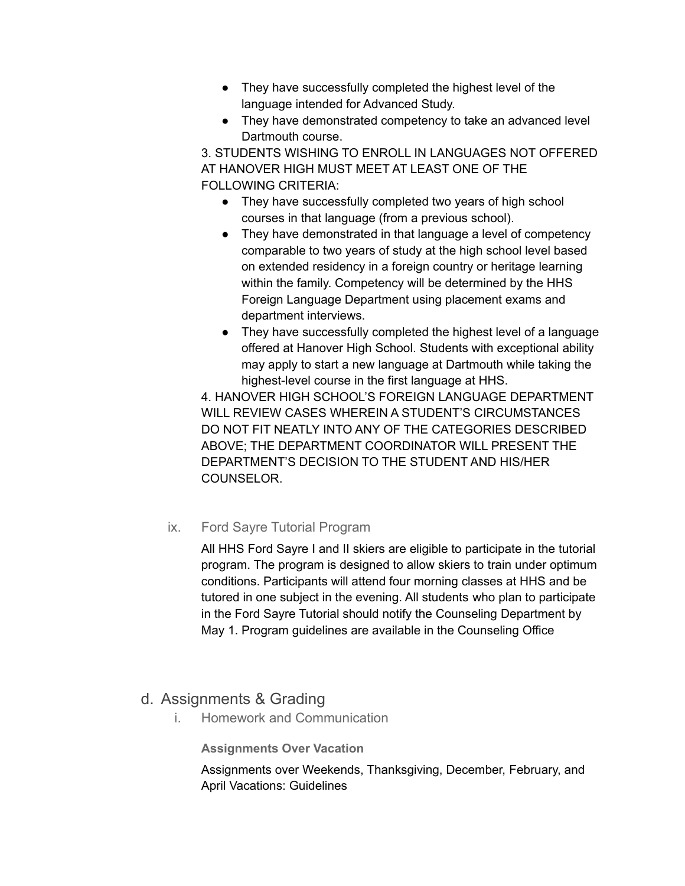- They have successfully completed the highest level of the language intended for Advanced Study.
- They have demonstrated competency to take an advanced level Dartmouth course.

3. STUDENTS WISHING TO ENROLL IN LANGUAGES NOT OFFERED AT HANOVER HIGH MUST MEET AT LEAST ONE OF THE FOLLOWING CRITERIA:

- They have successfully completed two years of high school courses in that language (from a previous school).
- They have demonstrated in that language a level of competency comparable to two years of study at the high school level based on extended residency in a foreign country or heritage learning within the family. Competency will be determined by the HHS Foreign Language Department using placement exams and department interviews.
- They have successfully completed the highest level of a language offered at Hanover High School. Students with exceptional ability may apply to start a new language at Dartmouth while taking the highest-level course in the first language at HHS.

4. HANOVER HIGH SCHOOL'S FOREIGN LANGUAGE DEPARTMENT WILL REVIEW CASES WHEREIN A STUDENT'S CIRCUMSTANCES DO NOT FIT NEATLY INTO ANY OF THE CATEGORIES DESCRIBED ABOVE; THE DEPARTMENT COORDINATOR WILL PRESENT THE DEPARTMENT'S DECISION TO THE STUDENT AND HIS/HER COUNSELOR.

# ix. Ford Sayre Tutorial Program

All HHS Ford Sayre I and II skiers are eligible to participate in the tutorial program. The program is designed to allow skiers to train under optimum conditions. Participants will attend four morning classes at HHS and be tutored in one subject in the evening. All students who plan to participate in the Ford Sayre Tutorial should notify the Counseling Department by May 1. Program guidelines are available in the Counseling Office

# d. Assignments & Grading

i. Homework and Communication

**Assignments Over Vacation**

Assignments over Weekends, Thanksgiving, December, February, and April Vacations: Guidelines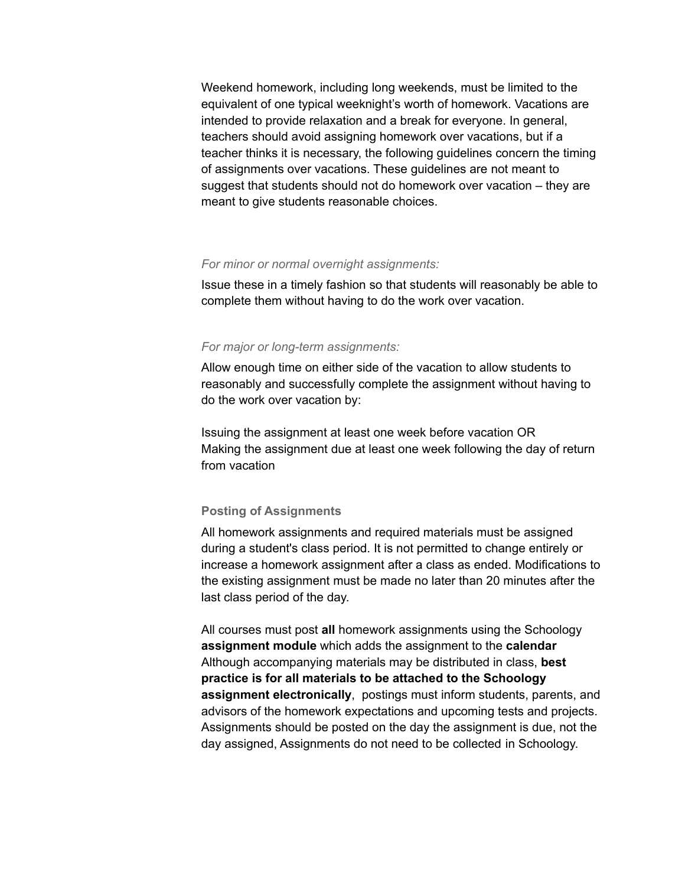Weekend homework, including long weekends, must be limited to the equivalent of one typical weeknight's worth of homework. Vacations are intended to provide relaxation and a break for everyone. In general, teachers should avoid assigning homework over vacations, but if a teacher thinks it is necessary, the following guidelines concern the timing of assignments over vacations. These guidelines are not meant to suggest that students should not do homework over vacation – they are meant to give students reasonable choices.

#### *For minor or normal overnight assignments:*

Issue these in a timely fashion so that students will reasonably be able to complete them without having to do the work over vacation.

#### *For major or long-term assignments:*

Allow enough time on either side of the vacation to allow students to reasonably and successfully complete the assignment without having to do the work over vacation by:

Issuing the assignment at least one week before vacation OR Making the assignment due at least one week following the day of return from vacation

#### **Posting of Assignments**

All homework assignments and required materials must be assigned during a student's class period. It is not permitted to change entirely or increase a homework assignment after a class as ended. Modifications to the existing assignment must be made no later than 20 minutes after the last class period of the day.

All courses must post **all** homework assignments using the Schoology **assignment module** which adds the assignment to the **calendar** Although accompanying materials may be distributed in class, **best practice is for all materials to be attached to the Schoology assignment electronically**, postings must inform students, parents, and advisors of the homework expectations and upcoming tests and projects. Assignments should be posted on the day the assignment is due, not the day assigned, Assignments do not need to be collected in Schoology.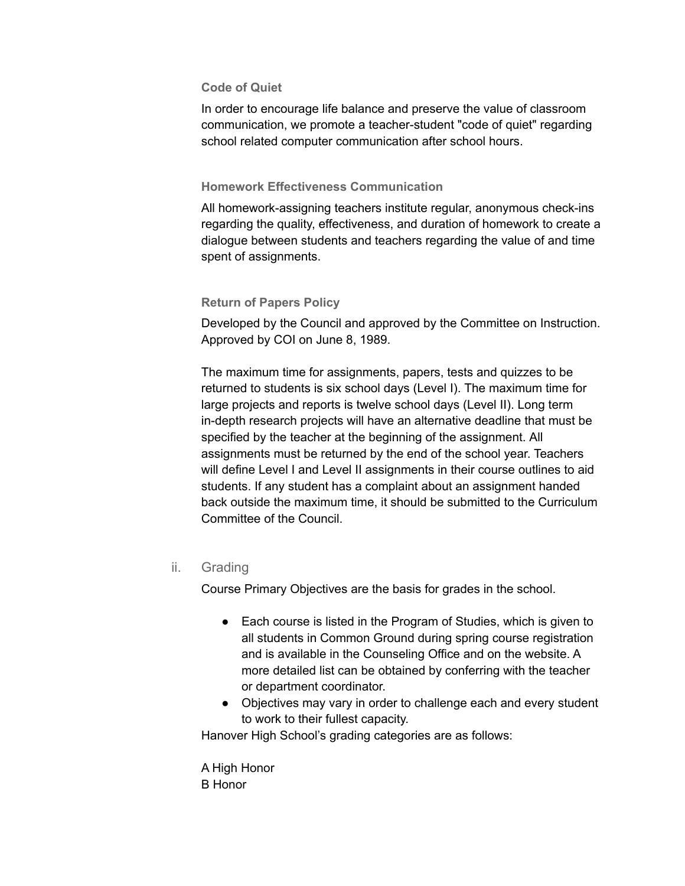## **Code of Quiet**

In order to encourage life balance and preserve the value of classroom communication, we promote a teacher-student "code of quiet" regarding school related computer communication after school hours.

#### **Homework Effectiveness Communication**

All homework-assigning teachers institute regular, anonymous check-ins regarding the quality, effectiveness, and duration of homework to create a dialogue between students and teachers regarding the value of and time spent of assignments.

## **Return of Papers Policy**

Developed by the Council and approved by the Committee on Instruction. Approved by COI on June 8, 1989.

The maximum time for assignments, papers, tests and quizzes to be returned to students is six school days (Level I). The maximum time for large projects and reports is twelve school days (Level II). Long term in-depth research projects will have an alternative deadline that must be specified by the teacher at the beginning of the assignment. All assignments must be returned by the end of the school year. Teachers will define Level I and Level II assignments in their course outlines to aid students. If any student has a complaint about an assignment handed back outside the maximum time, it should be submitted to the Curriculum Committee of the Council.

## ii. Grading

Course Primary Objectives are the basis for grades in the school.

- Each course is listed in the Program of Studies, which is given to all students in Common Ground during spring course registration and is available in the Counseling Office and on the website. A more detailed list can be obtained by conferring with the teacher or department coordinator.
- Objectives may vary in order to challenge each and every student to work to their fullest capacity.

Hanover High School's grading categories are as follows:

A High Honor B Honor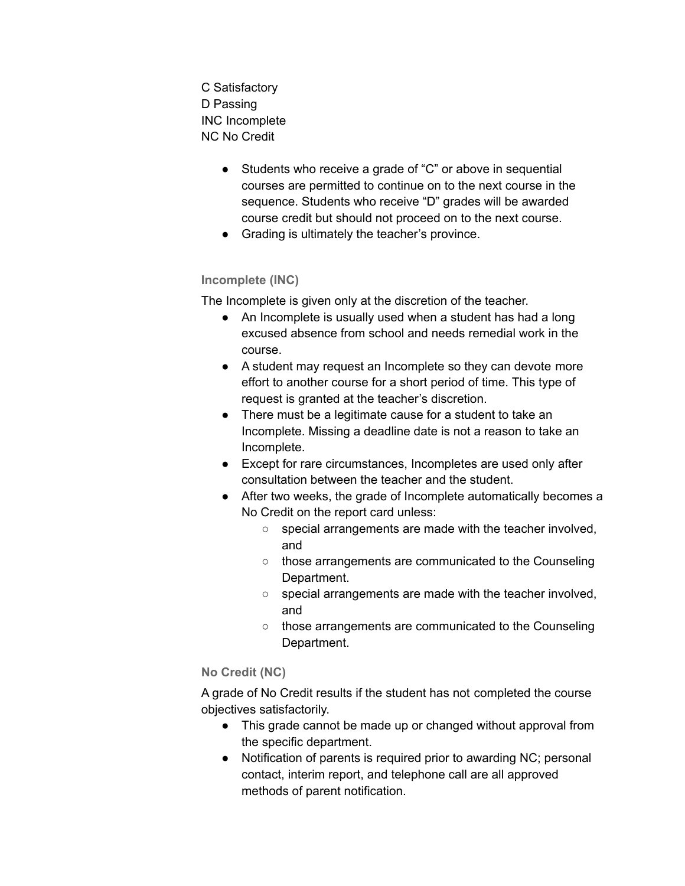C Satisfactory D Passing INC Incomplete NC No Credit

- Students who receive a grade of "C" or above in sequential courses are permitted to continue on to the next course in the sequence. Students who receive "D" grades will be awarded course credit but should not proceed on to the next course.
- Grading is ultimately the teacher's province.

## **Incomplete (INC)**

The Incomplete is given only at the discretion of the teacher.

- An Incomplete is usually used when a student has had a long excused absence from school and needs remedial work in the course.
- A student may request an Incomplete so they can devote more effort to another course for a short period of time. This type of request is granted at the teacher's discretion.
- There must be a legitimate cause for a student to take an Incomplete. Missing a deadline date is not a reason to take an Incomplete.
- Except for rare circumstances, Incompletes are used only after consultation between the teacher and the student.
- After two weeks, the grade of Incomplete automatically becomes a No Credit on the report card unless:
	- special arrangements are made with the teacher involved, and
	- those arrangements are communicated to the Counseling Department.
	- special arrangements are made with the teacher involved, and
	- those arrangements are communicated to the Counseling Department.

## **No Credit (NC)**

A grade of No Credit results if the student has not completed the course objectives satisfactorily.

- This grade cannot be made up or changed without approval from the specific department.
- Notification of parents is required prior to awarding NC; personal contact, interim report, and telephone call are all approved methods of parent notification.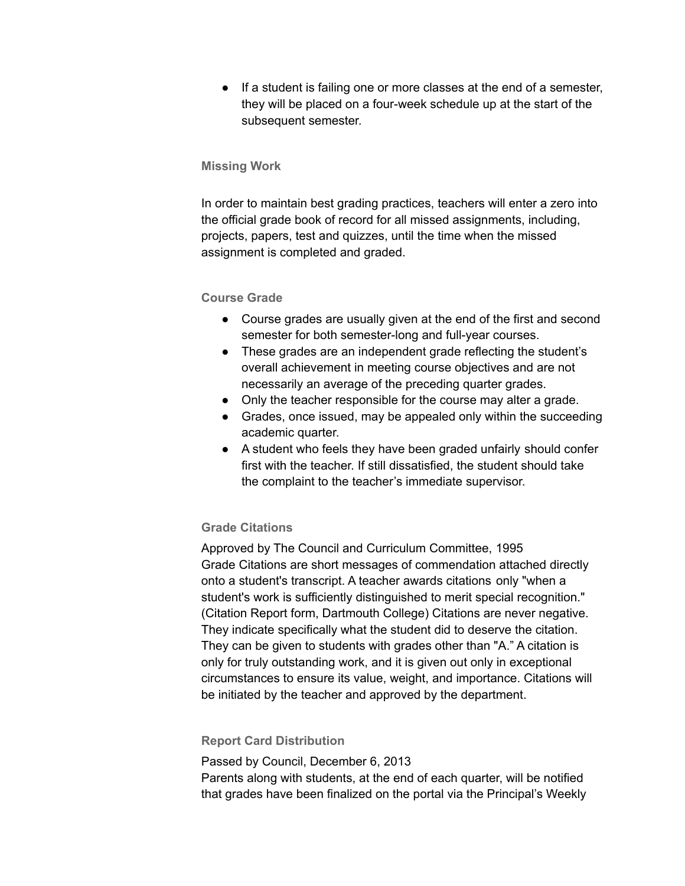● If a student is failing one or more classes at the end of a semester, they will be placed on a four-week schedule up at the start of the subsequent semester.

## **Missing Work**

In order to maintain best grading practices, teachers will enter a zero into the official grade book of record for all missed assignments, including, projects, papers, test and quizzes, until the time when the missed assignment is completed and graded.

## **Course Grade**

- Course grades are usually given at the end of the first and second semester for both semester-long and full-year courses.
- These grades are an independent grade reflecting the student's overall achievement in meeting course objectives and are not necessarily an average of the preceding quarter grades.
- Only the teacher responsible for the course may alter a grade.
- Grades, once issued, may be appealed only within the succeeding academic quarter.
- A student who feels they have been graded unfairly should confer first with the teacher. If still dissatisfied, the student should take the complaint to the teacher's immediate supervisor.

## **Grade Citations**

Approved by The Council and Curriculum Committee, 1995 Grade Citations are short messages of commendation attached directly onto a student's transcript. A teacher awards citations only "when a student's work is sufficiently distinguished to merit special recognition." (Citation Report form, Dartmouth College) Citations are never negative. They indicate specifically what the student did to deserve the citation. They can be given to students with grades other than "A." A citation is only for truly outstanding work, and it is given out only in exceptional circumstances to ensure its value, weight, and importance. Citations will be initiated by the teacher and approved by the department.

## **Report Card Distribution**

Passed by Council, December 6, 2013

Parents along with students, at the end of each quarter, will be notified that grades have been finalized on the portal via the Principal's Weekly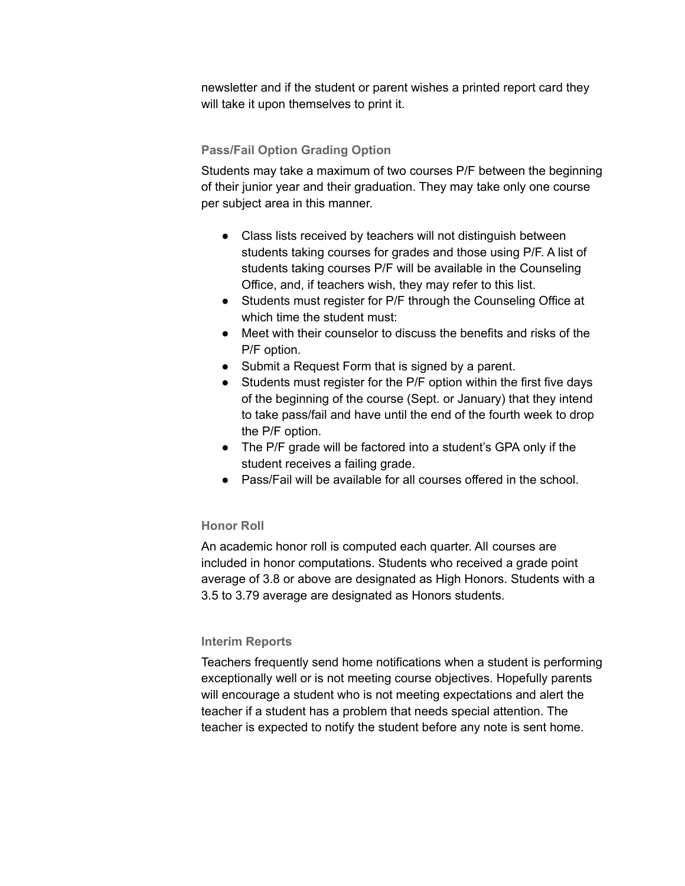newsletter and if the student or parent wishes a printed report card they will take it upon themselves to print it.

## **Pass/Fail Option Grading Option**

Students may take a maximum of two courses P/F between the beginning of their junior year and their graduation. They may take only one course per subject area in this manner.

- Class lists received by teachers will not distinguish between students taking courses for grades and those using P/F. A list of students taking courses P/F will be available in the Counseling Office, and, if teachers wish, they may refer to this list.
- Students must register for P/F through the Counseling Office at which time the student must:
- Meet with their counselor to discuss the benefits and risks of the P/F option.
- Submit a Request Form that is signed by a parent.
- Students must register for the P/F option within the first five days of the beginning of the course (Sept. or January) that they intend to take pass/fail and have until the end of the fourth week to drop the P/F option.
- The P/F grade will be factored into a student's GPA only if the student receives a failing grade.
- Pass/Fail will be available for all courses offered in the school.

## **Honor Roll**

An academic honor roll is computed each quarter. All courses are included in honor computations. Students who received a grade point average of 3.8 or above are designated as High Honors. Students with a 3.5 to 3.79 average are designated as Honors students.

## **Interim Reports**

Teachers frequently send home notifications when a student is performing exceptionally well or is not meeting course objectives. Hopefully parents will encourage a student who is not meeting expectations and alert the teacher if a student has a problem that needs special attention. The teacher is expected to notify the student before any note is sent home.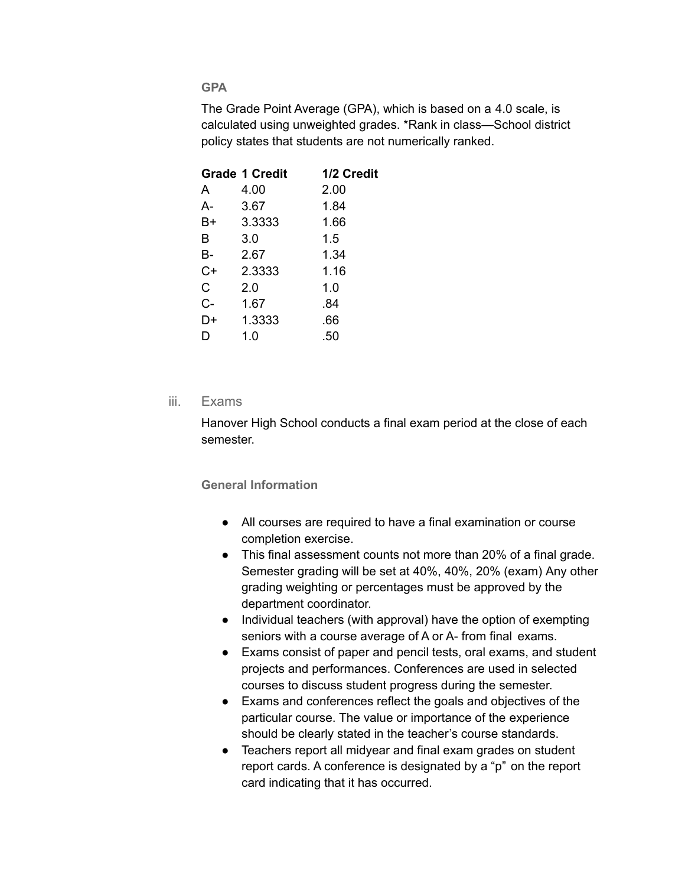## **GPA**

The Grade Point Average (GPA), which is based on a 4.0 scale, is calculated using unweighted grades. \*Rank in class—School district policy states that students are not numerically ranked.

|      | <b>Grade 1 Credit</b> | 1/2 Credit |
|------|-----------------------|------------|
| A    | 4.00                  | 2.00       |
| А-   | 3.67                  | 1.84       |
| B+   | 3.3333                | 1.66       |
| в    | 3.0                   | 1.5        |
| В-   | 2.67                  | 1.34       |
| $C+$ | 2.3333                | 1.16       |
| C    | 2.0                   | 1.0        |
| C-   | 1.67                  | .84        |
| D+   | 1.3333                | .66        |
| I)   | 1.0                   | .50        |
|      |                       |            |

## iii. Exams

Hanover High School conducts a final exam period at the close of each semester.

**General Information**

- All courses are required to have a final examination or course completion exercise.
- This final assessment counts not more than 20% of a final grade. Semester grading will be set at 40%, 40%, 20% (exam) Any other grading weighting or percentages must be approved by the department coordinator.
- Individual teachers (with approval) have the option of exempting seniors with a course average of A or A- from final exams.
- Exams consist of paper and pencil tests, oral exams, and student projects and performances. Conferences are used in selected courses to discuss student progress during the semester.
- Exams and conferences reflect the goals and objectives of the particular course. The value or importance of the experience should be clearly stated in the teacher's course standards.
- Teachers report all midyear and final exam grades on student report cards. A conference is designated by a "p" on the report card indicating that it has occurred.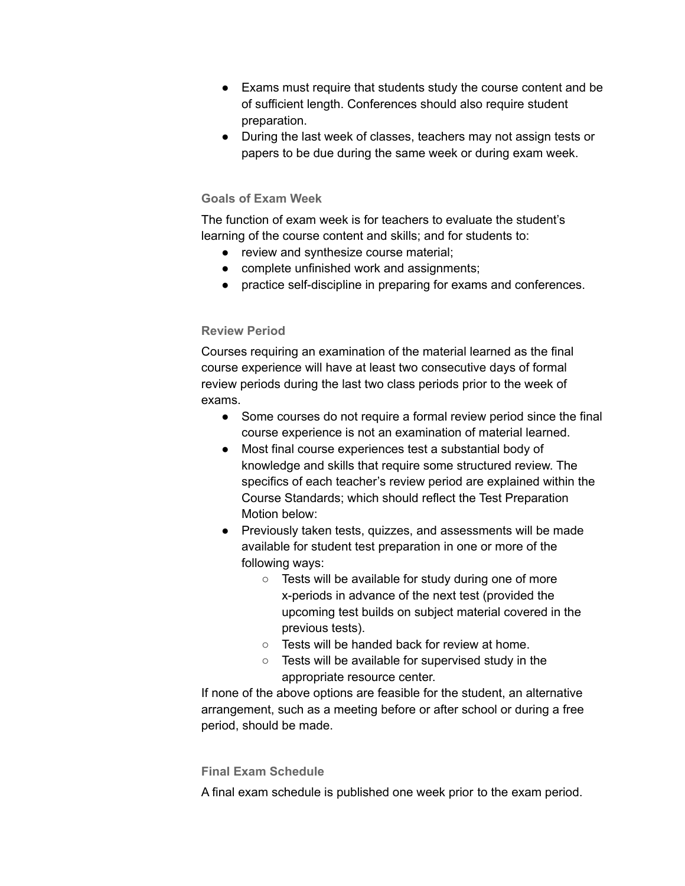- Exams must require that students study the course content and be of sufficient length. Conferences should also require student preparation.
- During the last week of classes, teachers may not assign tests or papers to be due during the same week or during exam week.

## **Goals of Exam Week**

The function of exam week is for teachers to evaluate the student's learning of the course content and skills; and for students to:

- review and synthesize course material;
- complete unfinished work and assignments;
- practice self-discipline in preparing for exams and conferences.

## **Review Period**

Courses requiring an examination of the material learned as the final course experience will have at least two consecutive days of formal review periods during the last two class periods prior to the week of exams.

- Some courses do not require a formal review period since the final course experience is not an examination of material learned.
- Most final course experiences test a substantial body of knowledge and skills that require some structured review. The specifics of each teacher's review period are explained within the Course Standards; which should reflect the Test Preparation Motion below:
- Previously taken tests, quizzes, and assessments will be made available for student test preparation in one or more of the following ways:
	- Tests will be available for study during one of more x-periods in advance of the next test (provided the upcoming test builds on subject material covered in the previous tests).
	- Tests will be handed back for review at home.
	- Tests will be available for supervised study in the appropriate resource center.

If none of the above options are feasible for the student, an alternative arrangement, such as a meeting before or after school or during a free period, should be made.

## **Final Exam Schedule**

A final exam schedule is published one week prior to the exam period.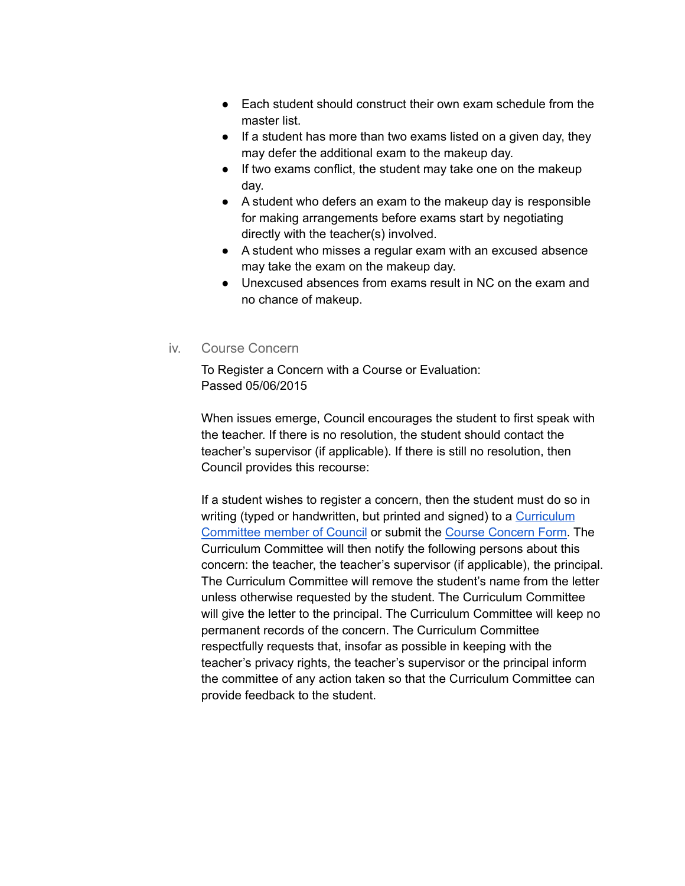- Each student should construct their own exam schedule from the master list.
- If a student has more than two exams listed on a given day, they may defer the additional exam to the makeup day.
- If two exams conflict, the student may take one on the makeup day.
- A student who defers an exam to the makeup day is responsible for making arrangements before exams start by negotiating directly with the teacher(s) involved.
- A student who misses a regular exam with an excused absence may take the exam on the makeup day.
- Unexcused absences from exams result in NC on the exam and no chance of makeup.
- iv. Course Concern

To Register a Concern with a Course or Evaluation: Passed 05/06/2015

When issues emerge, Council encourages the student to first speak with the teacher. If there is no resolution, the student should contact the teacher's supervisor (if applicable). If there is still no resolution, then Council provides this recourse:

If a student wishes to register a concern, then the student must do so in writing (typed or handwritten, but printed and signed) to a [Curriculum](https://sites.google.com/a/hanovernorwichschools.org/hhs-council/committees/curric) [Committee](https://sites.google.com/a/hanovernorwichschools.org/hhs-council/committees/curric) member of Council or submit the Course [Concern](https://goo.gl/forms/IwhFN7ver81Gvp0i2) Form. The Curriculum Committee will then notify the following persons about this concern: the teacher, the teacher's supervisor (if applicable), the principal. The Curriculum Committee will remove the student's name from the letter unless otherwise requested by the student. The Curriculum Committee will give the letter to the principal. The Curriculum Committee will keep no permanent records of the concern. The Curriculum Committee respectfully requests that, insofar as possible in keeping with the teacher's privacy rights, the teacher's supervisor or the principal inform the committee of any action taken so that the Curriculum Committee can provide feedback to the student.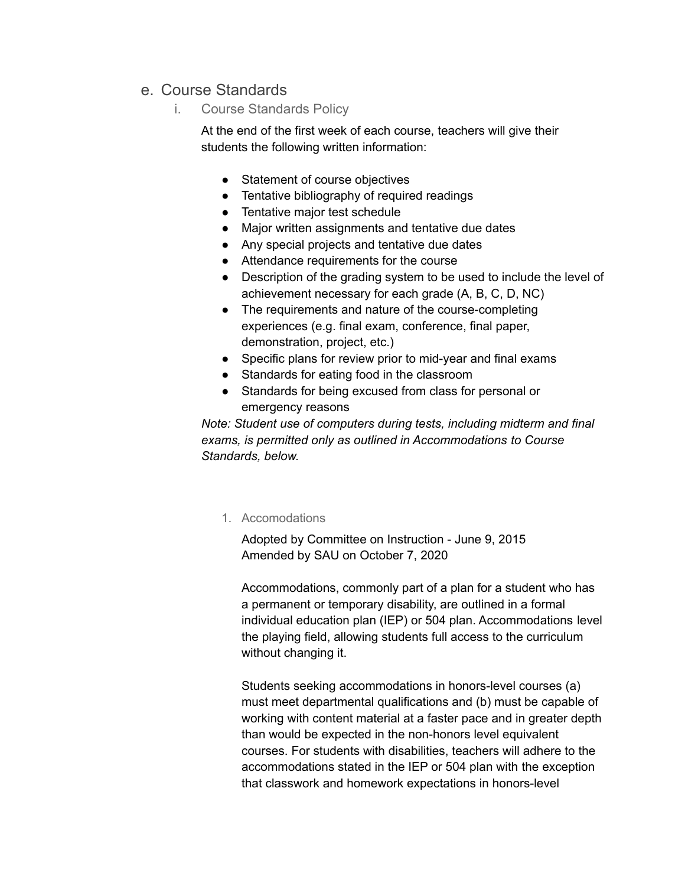# e. Course Standards

i. Course Standards Policy

At the end of the first week of each course, teachers will give their students the following written information:

- Statement of course objectives
- Tentative bibliography of required readings
- Tentative major test schedule
- Major written assignments and tentative due dates
- Any special projects and tentative due dates
- Attendance requirements for the course
- Description of the grading system to be used to include the level of achievement necessary for each grade (A, B, C, D, NC)
- The requirements and nature of the course-completing experiences (e.g. final exam, conference, final paper, demonstration, project, etc.)
- Specific plans for review prior to mid-year and final exams
- Standards for eating food in the classroom
- Standards for being excused from class for personal or emergency reasons

*Note: Student use of computers during tests, including midterm and final exams, is permitted only as outlined in Accommodations to Course Standards, below.*

1. Accomodations

Adopted by Committee on Instruction - June 9, 2015 Amended by SAU on October 7, 2020

Accommodations, commonly part of a plan for a student who has a permanent or temporary disability, are outlined in a formal individual education plan (IEP) or 504 plan. Accommodations level the playing field, allowing students full access to the curriculum without changing it.

Students seeking accommodations in honors-level courses (a) must meet departmental qualifications and (b) must be capable of working with content material at a faster pace and in greater depth than would be expected in the non-honors level equivalent courses. For students with disabilities, teachers will adhere to the accommodations stated in the IEP or 504 plan with the exception that classwork and homework expectations in honors-level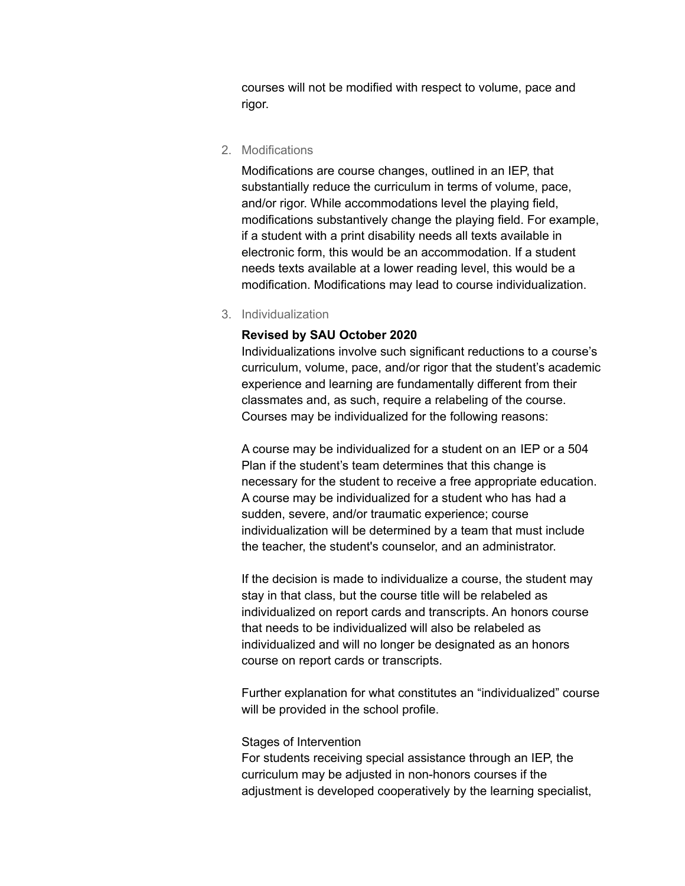courses will not be modified with respect to volume, pace and rigor.

2. Modifications

Modifications are course changes, outlined in an IEP, that substantially reduce the curriculum in terms of volume, pace, and/or rigor. While accommodations level the playing field, modifications substantively change the playing field. For example, if a student with a print disability needs all texts available in electronic form, this would be an accommodation. If a student needs texts available at a lower reading level, this would be a modification. Modifications may lead to course individualization.

3. Individualization

#### **Revised by SAU October 2020**

Individualizations involve such significant reductions to a course's curriculum, volume, pace, and/or rigor that the student's academic experience and learning are fundamentally different from their classmates and, as such, require a relabeling of the course. Courses may be individualized for the following reasons:

A course may be individualized for a student on an IEP or a 504 Plan if the student's team determines that this change is necessary for the student to receive a free appropriate education. A course may be individualized for a student who has had a sudden, severe, and/or traumatic experience; course individualization will be determined by a team that must include the teacher, the student's counselor, and an administrator.

If the decision is made to individualize a course, the student may stay in that class, but the course title will be relabeled as individualized on report cards and transcripts. An honors course that needs to be individualized will also be relabeled as individualized and will no longer be designated as an honors course on report cards or transcripts.

Further explanation for what constitutes an "individualized" course will be provided in the school profile.

#### Stages of Intervention

For students receiving special assistance through an IEP, the curriculum may be adjusted in non-honors courses if the adjustment is developed cooperatively by the learning specialist,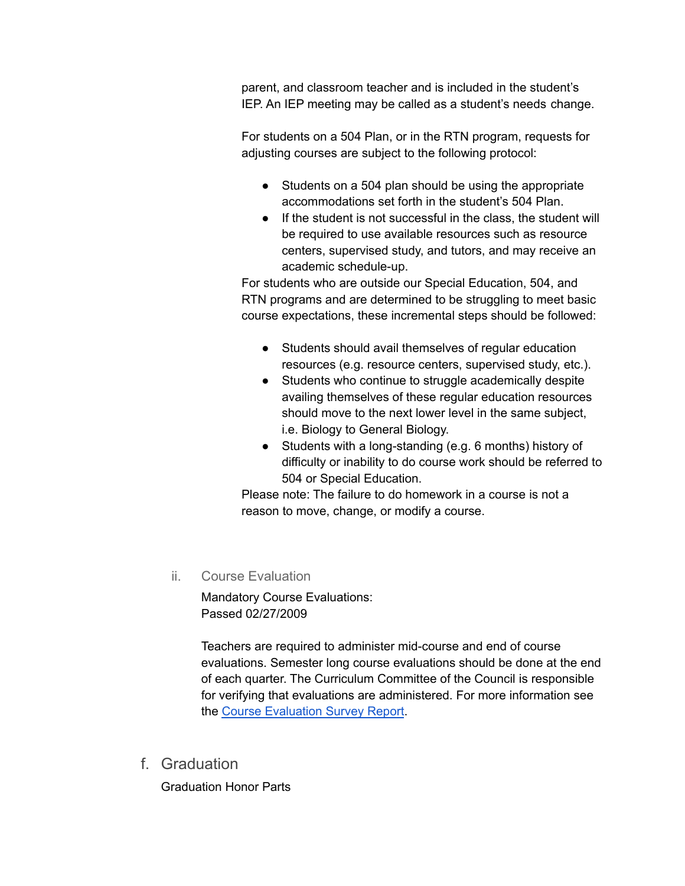parent, and classroom teacher and is included in the student's IEP. An IEP meeting may be called as a student's needs change.

For students on a 504 Plan, or in the RTN program, requests for adjusting courses are subject to the following protocol:

- Students on a 504 plan should be using the appropriate accommodations set forth in the student's 504 Plan.
- If the student is not successful in the class, the student will be required to use available resources such as resource centers, supervised study, and tutors, and may receive an academic schedule-up.

For students who are outside our Special Education, 504, and RTN programs and are determined to be struggling to meet basic course expectations, these incremental steps should be followed:

- Students should avail themselves of regular education resources (e.g. resource centers, supervised study, etc.).
- Students who continue to struggle academically despite availing themselves of these regular education resources should move to the next lower level in the same subject, i.e. Biology to General Biology.
- Students with a long-standing (e.g. 6 months) history of difficulty or inability to do course work should be referred to 504 or Special Education.

Please note: The failure to do homework in a course is not a reason to move, change, or modify a course.

ii. Course Evaluation

Mandatory Course Evaluations: Passed 02/27/2009

Teachers are required to administer mid-course and end of course evaluations. Semester long course evaluations should be done at the end of each quarter. The Curriculum Committee of the Council is responsible for verifying that evaluations are administered. For more information see the Course [Evaluation](https://docs.google.com/a/hanovernorwichschools.org/file/d/0B9qOBeedKm4tZk9JSXY2bW80Z28/edit) Survey Report.

f. Graduation

Graduation Honor Parts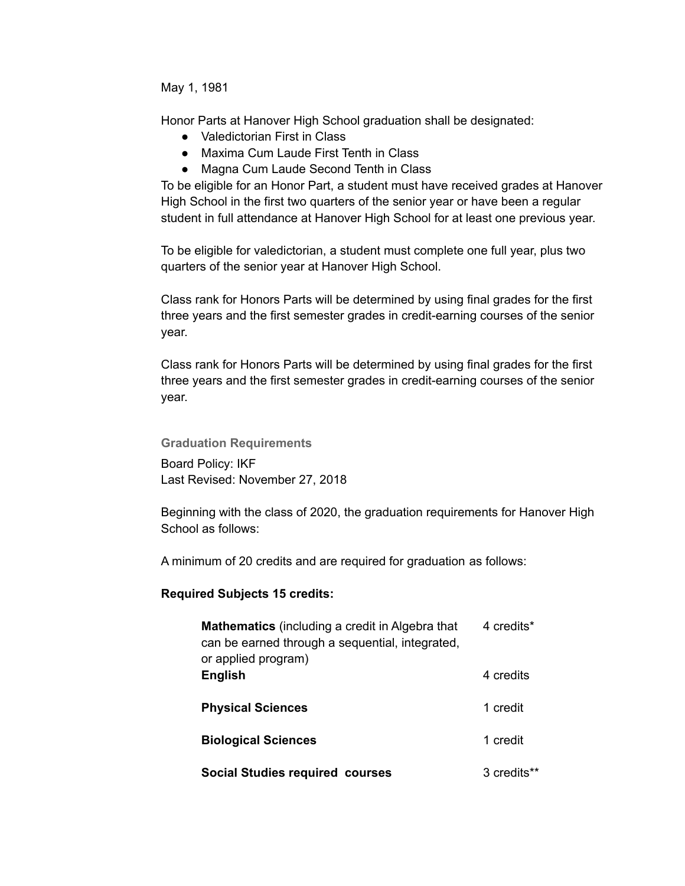May 1, 1981

Honor Parts at Hanover High School graduation shall be designated:

- Valedictorian First in Class
- Maxima Cum Laude First Tenth in Class
- Magna Cum Laude Second Tenth in Class

To be eligible for an Honor Part, a student must have received grades at Hanover High School in the first two quarters of the senior year or have been a regular student in full attendance at Hanover High School for at least one previous year.

To be eligible for valedictorian, a student must complete one full year, plus two quarters of the senior year at Hanover High School.

Class rank for Honors Parts will be determined by using final grades for the first three years and the first semester grades in credit-earning courses of the senior year.

Class rank for Honors Parts will be determined by using final grades for the first three years and the first semester grades in credit-earning courses of the senior year.

**Graduation Requirements**

Board Policy: IKF Last Revised: November 27, 2018

Beginning with the class of 2020, the graduation requirements for Hanover High School as follows:

A minimum of 20 credits and are required for graduation as follows:

## **Required Subjects 15 credits:**

| <b>Mathematics</b> (including a credit in Algebra that<br>can be earned through a sequential, integrated,<br>or applied program) | 4 credits*  |
|----------------------------------------------------------------------------------------------------------------------------------|-------------|
| <b>English</b>                                                                                                                   | 4 credits   |
| <b>Physical Sciences</b>                                                                                                         | 1 credit    |
| <b>Biological Sciences</b>                                                                                                       | 1 credit    |
| <b>Social Studies required courses</b>                                                                                           | 3 credits** |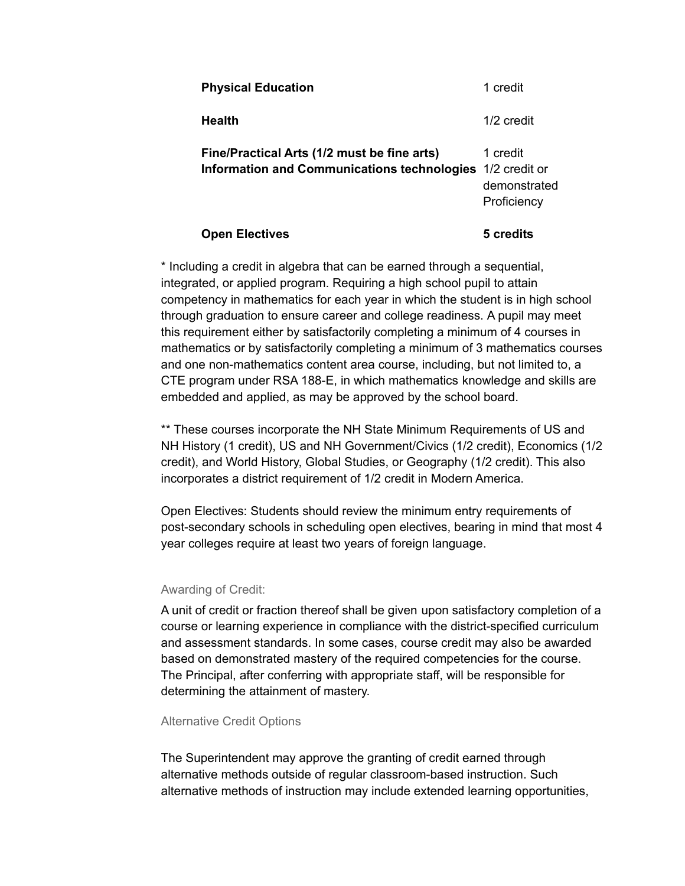| <b>Open Electives</b>                                                                                    | 5 credits                               |
|----------------------------------------------------------------------------------------------------------|-----------------------------------------|
| Fine/Practical Arts (1/2 must be fine arts)<br>Information and Communications technologies 1/2 credit or | 1 credit<br>demonstrated<br>Proficiency |
| <b>Health</b>                                                                                            | 1/2 credit                              |
| <b>Physical Education</b>                                                                                | 1 credit                                |

\* Including a credit in algebra that can be earned through a sequential, integrated, or applied program. Requiring a high school pupil to attain competency in mathematics for each year in which the student is in high school through graduation to ensure career and college readiness. A pupil may meet this requirement either by satisfactorily completing a minimum of 4 courses in mathematics or by satisfactorily completing a minimum of 3 mathematics courses and one non-mathematics content area course, including, but not limited to, a CTE program under RSA 188-E, in which mathematics knowledge and skills are embedded and applied, as may be approved by the school board.

\*\* These courses incorporate the NH State Minimum Requirements of US and NH History (1 credit), US and NH Government/Civics (1/2 credit), Economics (1/2 credit), and World History, Global Studies, or Geography (1/2 credit). This also incorporates a district requirement of 1/2 credit in Modern America.

Open Electives: Students should review the minimum entry requirements of post-secondary schools in scheduling open electives, bearing in mind that most 4 year colleges require at least two years of foreign language.

#### Awarding of Credit:

A unit of credit or fraction thereof shall be given upon satisfactory completion of a course or learning experience in compliance with the district-specified curriculum and assessment standards. In some cases, course credit may also be awarded based on demonstrated mastery of the required competencies for the course. The Principal, after conferring with appropriate staff, will be responsible for determining the attainment of mastery.

#### Alternative Credit Options

The Superintendent may approve the granting of credit earned through alternative methods outside of regular classroom-based instruction. Such alternative methods of instruction may include extended learning opportunities,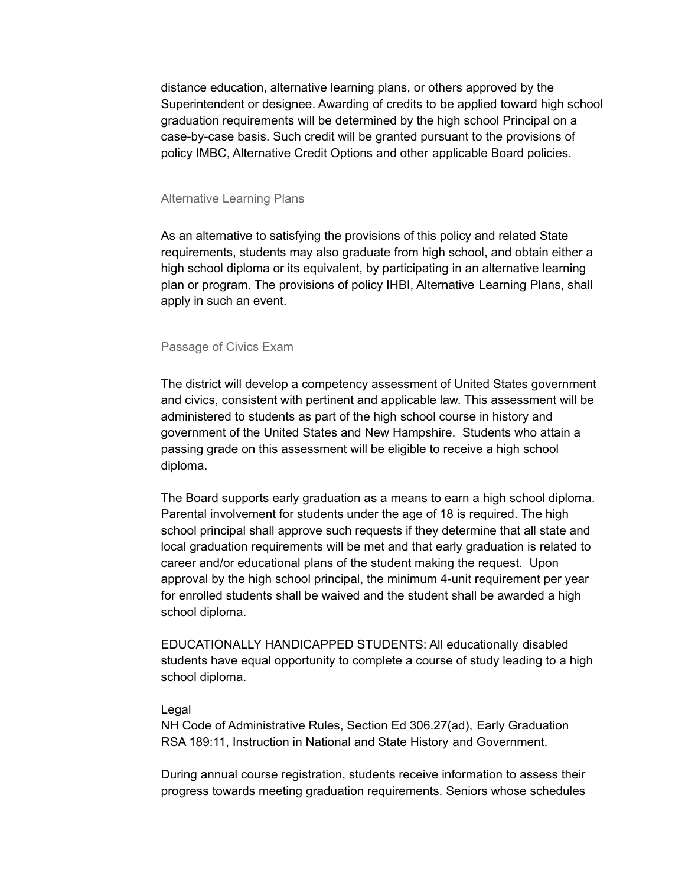distance education, alternative learning plans, or others approved by the Superintendent or designee. Awarding of credits to be applied toward high school graduation requirements will be determined by the high school Principal on a case-by-case basis. Such credit will be granted pursuant to the provisions of policy IMBC, Alternative Credit Options and other applicable Board policies.

#### Alternative Learning Plans

As an alternative to satisfying the provisions of this policy and related State requirements, students may also graduate from high school, and obtain either a high school diploma or its equivalent, by participating in an alternative learning plan or program. The provisions of policy IHBI, Alternative Learning Plans, shall apply in such an event.

#### Passage of Civics Exam

The district will develop a competency assessment of United States government and civics, consistent with pertinent and applicable law. This assessment will be administered to students as part of the high school course in history and government of the United States and New Hampshire. Students who attain a passing grade on this assessment will be eligible to receive a high school diploma.

The Board supports early graduation as a means to earn a high school diploma. Parental involvement for students under the age of 18 is required. The high school principal shall approve such requests if they determine that all state and local graduation requirements will be met and that early graduation is related to career and/or educational plans of the student making the request. Upon approval by the high school principal, the minimum 4-unit requirement per year for enrolled students shall be waived and the student shall be awarded a high school diploma.

EDUCATIONALLY HANDICAPPED STUDENTS: All educationally disabled students have equal opportunity to complete a course of study leading to a high school diploma.

#### Legal

NH Code of Administrative Rules, Section Ed 306.27(ad), Early Graduation RSA 189:11, Instruction in National and State History and Government.

During annual course registration, students receive information to assess their progress towards meeting graduation requirements. Seniors whose schedules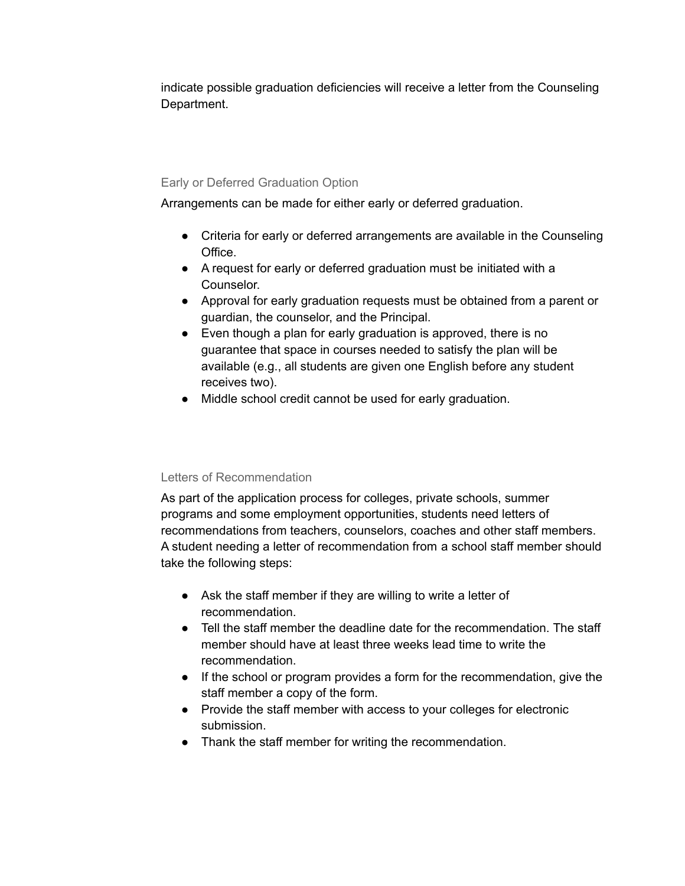indicate possible graduation deficiencies will receive a letter from the Counseling Department.

## Early or Deferred Graduation Option

Arrangements can be made for either early or deferred graduation.

- Criteria for early or deferred arrangements are available in the Counseling Office.
- A request for early or deferred graduation must be initiated with a Counselor.
- Approval for early graduation requests must be obtained from a parent or guardian, the counselor, and the Principal.
- Even though a plan for early graduation is approved, there is no guarantee that space in courses needed to satisfy the plan will be available (e.g., all students are given one English before any student receives two).
- Middle school credit cannot be used for early graduation.

## Letters of Recommendation

As part of the application process for colleges, private schools, summer programs and some employment opportunities, students need letters of recommendations from teachers, counselors, coaches and other staff members. A student needing a letter of recommendation from a school staff member should take the following steps:

- Ask the staff member if they are willing to write a letter of recommendation.
- Tell the staff member the deadline date for the recommendation. The staff member should have at least three weeks lead time to write the recommendation.
- If the school or program provides a form for the recommendation, give the staff member a copy of the form.
- Provide the staff member with access to your colleges for electronic submission.
- Thank the staff member for writing the recommendation.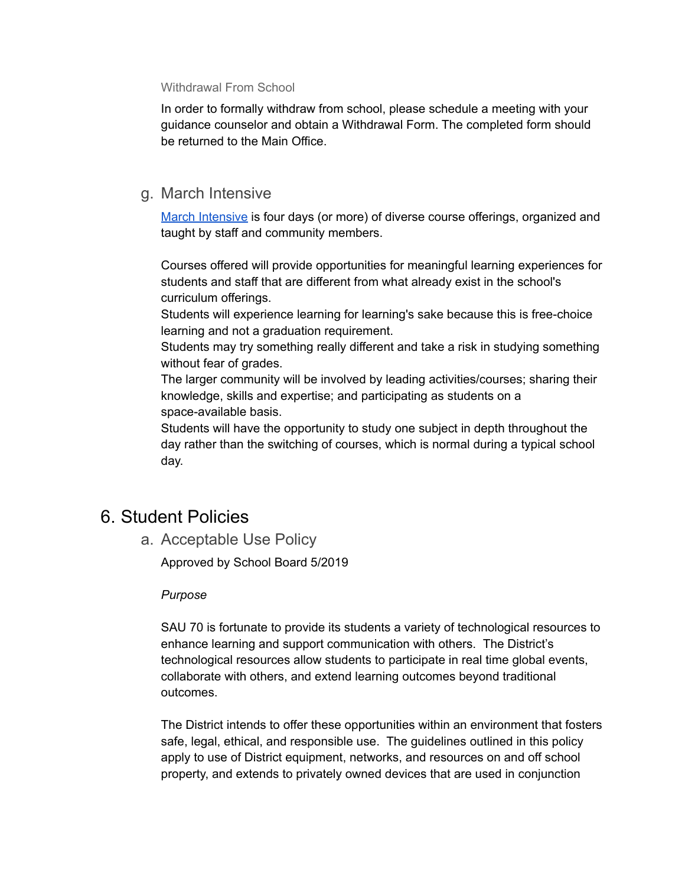#### Withdrawal From School

In order to formally withdraw from school, please schedule a meeting with your guidance counselor and obtain a Withdrawal Form. The completed form should be returned to the Main Office.

# g. March Intensive

March [Intensive](https://www.hanoverhigh.org/fs/pages/1502) is four days (or more) of diverse course offerings, organized and taught by staff and community members.

Courses offered will provide opportunities for meaningful learning experiences for students and staff that are different from what already exist in the school's curriculum offerings.

Students will experience learning for learning's sake because this is free-choice learning and not a graduation requirement.

Students may try something really different and take a risk in studying something without fear of grades.

The larger community will be involved by leading activities/courses; sharing their knowledge, skills and expertise; and participating as students on a space-available basis.

Students will have the opportunity to study one subject in depth throughout the day rather than the switching of courses, which is normal during a typical school day.

# 6. Student Policies

a. Acceptable Use Policy

Approved by School Board 5/2019

## *Purpose*

SAU 70 is fortunate to provide its students a variety of technological resources to enhance learning and support communication with others. The District's technological resources allow students to participate in real time global events, collaborate with others, and extend learning outcomes beyond traditional outcomes.

The District intends to offer these opportunities within an environment that fosters safe, legal, ethical, and responsible use. The guidelines outlined in this policy apply to use of District equipment, networks, and resources on and off school property, and extends to privately owned devices that are used in conjunction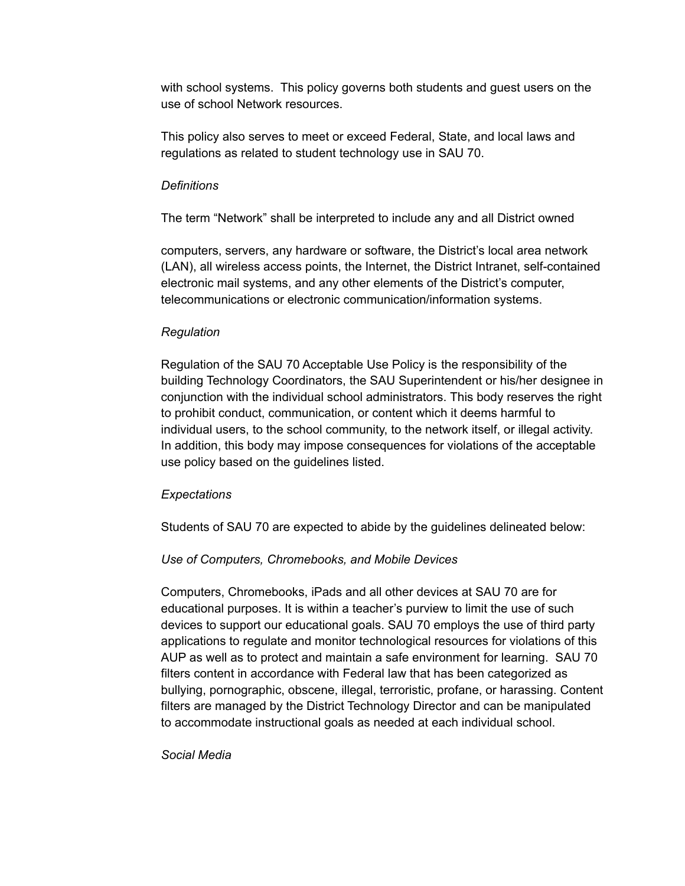with school systems. This policy governs both students and guest users on the use of school Network resources.

This policy also serves to meet or exceed Federal, State, and local laws and regulations as related to student technology use in SAU 70.

#### *Definitions*

The term "Network" shall be interpreted to include any and all District owned

computers, servers, any hardware or software, the District's local area network (LAN), all wireless access points, the Internet, the District Intranet, self-contained electronic mail systems, and any other elements of the District's computer, telecommunications or electronic communication/information systems.

#### *Regulation*

Regulation of the SAU 70 Acceptable Use Policy is the responsibility of the building Technology Coordinators, the SAU Superintendent or his/her designee in conjunction with the individual school administrators. This body reserves the right to prohibit conduct, communication, or content which it deems harmful to individual users, to the school community, to the network itself, or illegal activity. In addition, this body may impose consequences for violations of the acceptable use policy based on the guidelines listed.

## *Expectations*

Students of SAU 70 are expected to abide by the guidelines delineated below:

## *Use of Computers, Chromebooks, and Mobile Devices*

Computers, Chromebooks, iPads and all other devices at SAU 70 are for educational purposes. It is within a teacher's purview to limit the use of such devices to support our educational goals. SAU 70 employs the use of third party applications to regulate and monitor technological resources for violations of this AUP as well as to protect and maintain a safe environment for learning. SAU 70 filters content in accordance with Federal law that has been categorized as bullying, pornographic, obscene, illegal, terroristic, profane, or harassing. Content filters are managed by the District Technology Director and can be manipulated to accommodate instructional goals as needed at each individual school.

#### *Social Media*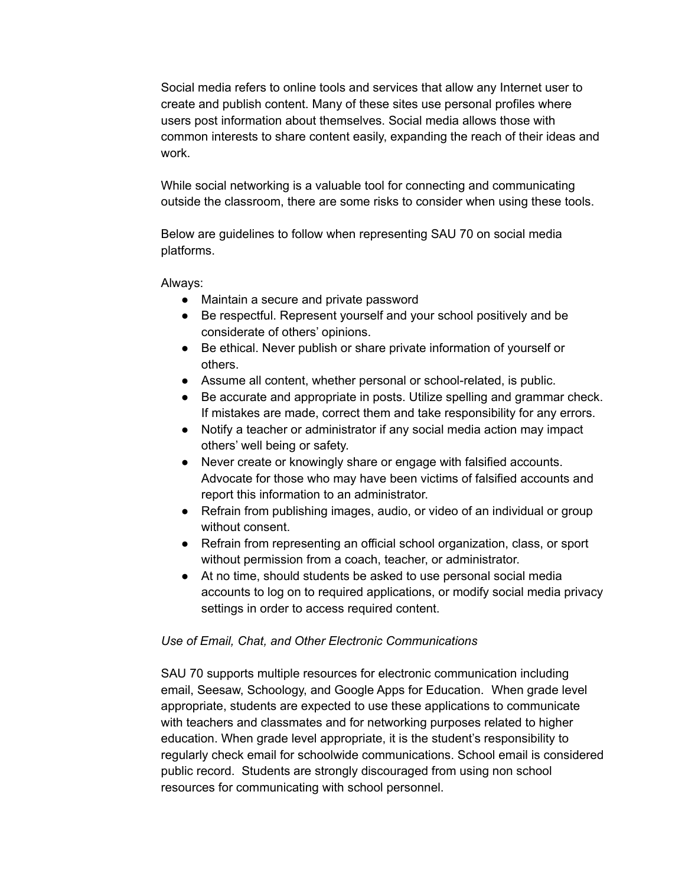Social media refers to online tools and services that allow any Internet user to create and publish content. Many of these sites use personal profiles where users post information about themselves. Social media allows those with common interests to share content easily, expanding the reach of their ideas and work.

While social networking is a valuable tool for connecting and communicating outside the classroom, there are some risks to consider when using these tools.

Below are guidelines to follow when representing SAU 70 on social media platforms.

Always:

- Maintain a secure and private password
- Be respectful. Represent yourself and your school positively and be considerate of others' opinions.
- Be ethical. Never publish or share private information of yourself or others.
- Assume all content, whether personal or school-related, is public.
- Be accurate and appropriate in posts. Utilize spelling and grammar check. If mistakes are made, correct them and take responsibility for any errors.
- Notify a teacher or administrator if any social media action may impact others' well being or safety.
- Never create or knowingly share or engage with falsified accounts. Advocate for those who may have been victims of falsified accounts and report this information to an administrator.
- Refrain from publishing images, audio, or video of an individual or group without consent.
- Refrain from representing an official school organization, class, or sport without permission from a coach, teacher, or administrator.
- At no time, should students be asked to use personal social media accounts to log on to required applications, or modify social media privacy settings in order to access required content.

## *Use of Email, Chat, and Other Electronic Communications*

SAU 70 supports multiple resources for electronic communication including email, Seesaw, Schoology, and Google Apps for Education. When grade level appropriate, students are expected to use these applications to communicate with teachers and classmates and for networking purposes related to higher education. When grade level appropriate, it is the student's responsibility to regularly check email for schoolwide communications. School email is considered public record. Students are strongly discouraged from using non school resources for communicating with school personnel.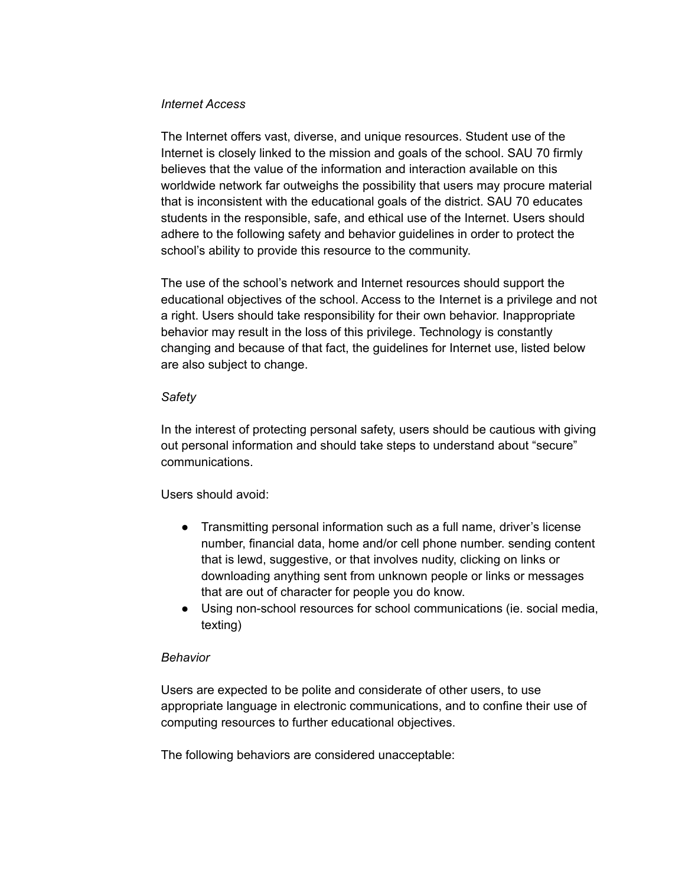## *Internet Access*

The Internet offers vast, diverse, and unique resources. Student use of the Internet is closely linked to the mission and goals of the school. SAU 70 firmly believes that the value of the information and interaction available on this worldwide network far outweighs the possibility that users may procure material that is inconsistent with the educational goals of the district. SAU 70 educates students in the responsible, safe, and ethical use of the Internet. Users should adhere to the following safety and behavior guidelines in order to protect the school's ability to provide this resource to the community.

The use of the school's network and Internet resources should support the educational objectives of the school. Access to the Internet is a privilege and not a right. Users should take responsibility for their own behavior. Inappropriate behavior may result in the loss of this privilege. Technology is constantly changing and because of that fact, the guidelines for Internet use, listed below are also subject to change.

#### *Safety*

In the interest of protecting personal safety, users should be cautious with giving out personal information and should take steps to understand about "secure" communications.

## Users should avoid:

- Transmitting personal information such as a full name, driver's license number, financial data, home and/or cell phone number. sending content that is lewd, suggestive, or that involves nudity, clicking on links or downloading anything sent from unknown people or links or messages that are out of character for people you do know.
- Using non-school resources for school communications (ie. social media, texting)

## *Behavior*

Users are expected to be polite and considerate of other users, to use appropriate language in electronic communications, and to confine their use of computing resources to further educational objectives.

The following behaviors are considered unacceptable: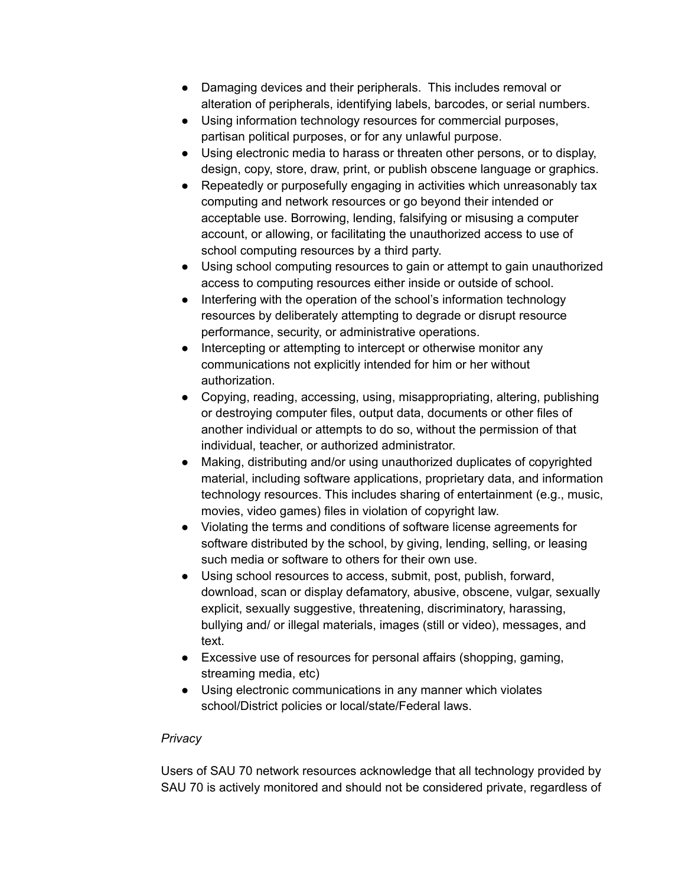- Damaging devices and their peripherals. This includes removal or alteration of peripherals, identifying labels, barcodes, or serial numbers.
- Using information technology resources for commercial purposes, partisan political purposes, or for any unlawful purpose.
- Using electronic media to harass or threaten other persons, or to display, design, copy, store, draw, print, or publish obscene language or graphics.
- Repeatedly or purposefully engaging in activities which unreasonably tax computing and network resources or go beyond their intended or acceptable use. Borrowing, lending, falsifying or misusing a computer account, or allowing, or facilitating the unauthorized access to use of school computing resources by a third party.
- Using school computing resources to gain or attempt to gain unauthorized access to computing resources either inside or outside of school.
- Interfering with the operation of the school's information technology resources by deliberately attempting to degrade or disrupt resource performance, security, or administrative operations.
- Intercepting or attempting to intercept or otherwise monitor any communications not explicitly intended for him or her without authorization.
- Copying, reading, accessing, using, misappropriating, altering, publishing or destroying computer files, output data, documents or other files of another individual or attempts to do so, without the permission of that individual, teacher, or authorized administrator.
- Making, distributing and/or using unauthorized duplicates of copyrighted material, including software applications, proprietary data, and information technology resources. This includes sharing of entertainment (e.g., music, movies, video games) files in violation of copyright law.
- Violating the terms and conditions of software license agreements for software distributed by the school, by giving, lending, selling, or leasing such media or software to others for their own use.
- Using school resources to access, submit, post, publish, forward, download, scan or display defamatory, abusive, obscene, vulgar, sexually explicit, sexually suggestive, threatening, discriminatory, harassing, bullying and/ or illegal materials, images (still or video), messages, and text.
- Excessive use of resources for personal affairs (shopping, gaming, streaming media, etc)
- Using electronic communications in any manner which violates school/District policies or local/state/Federal laws.

## *Privacy*

Users of SAU 70 network resources acknowledge that all technology provided by SAU 70 is actively monitored and should not be considered private, regardless of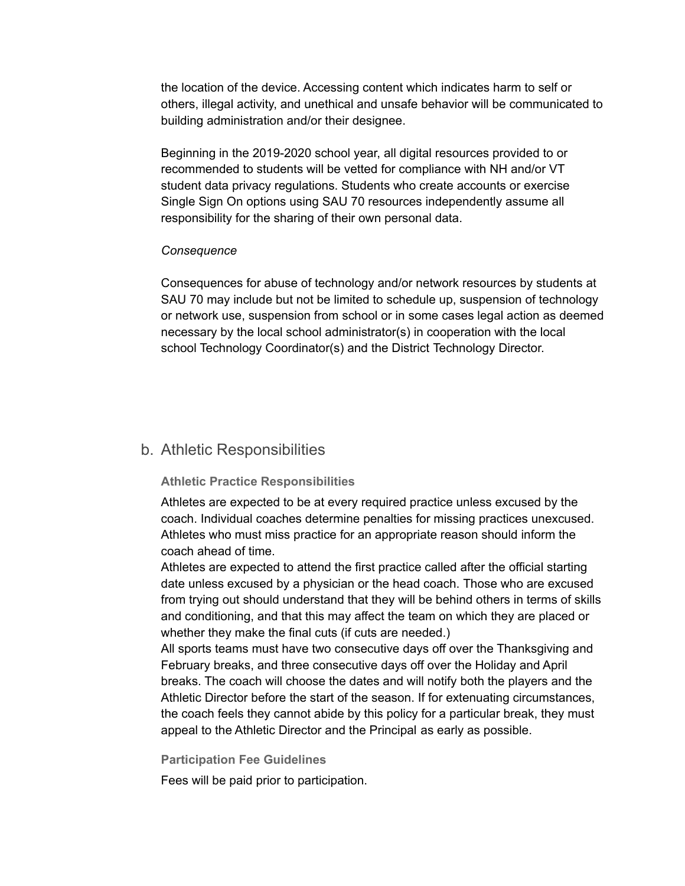the location of the device. Accessing content which indicates harm to self or others, illegal activity, and unethical and unsafe behavior will be communicated to building administration and/or their designee.

Beginning in the 2019-2020 school year, all digital resources provided to or recommended to students will be vetted for compliance with NH and/or VT student data privacy regulations. Students who create accounts or exercise Single Sign On options using SAU 70 resources independently assume all responsibility for the sharing of their own personal data.

#### *Consequence*

Consequences for abuse of technology and/or network resources by students at SAU 70 may include but not be limited to schedule up, suspension of technology or network use, suspension from school or in some cases legal action as deemed necessary by the local school administrator(s) in cooperation with the local school Technology Coordinator(s) and the District Technology Director.

## b. Athletic Responsibilities

#### **Athletic Practice Responsibilities**

Athletes are expected to be at every required practice unless excused by the coach. Individual coaches determine penalties for missing practices unexcused. Athletes who must miss practice for an appropriate reason should inform the coach ahead of time.

Athletes are expected to attend the first practice called after the official starting date unless excused by a physician or the head coach. Those who are excused from trying out should understand that they will be behind others in terms of skills and conditioning, and that this may affect the team on which they are placed or whether they make the final cuts (if cuts are needed.)

All sports teams must have two consecutive days off over the Thanksgiving and February breaks, and three consecutive days off over the Holiday and April breaks. The coach will choose the dates and will notify both the players and the Athletic Director before the start of the season. If for extenuating circumstances, the coach feels they cannot abide by this policy for a particular break, they must appeal to the Athletic Director and the Principal as early as possible.

#### **Participation Fee Guidelines**

Fees will be paid prior to participation.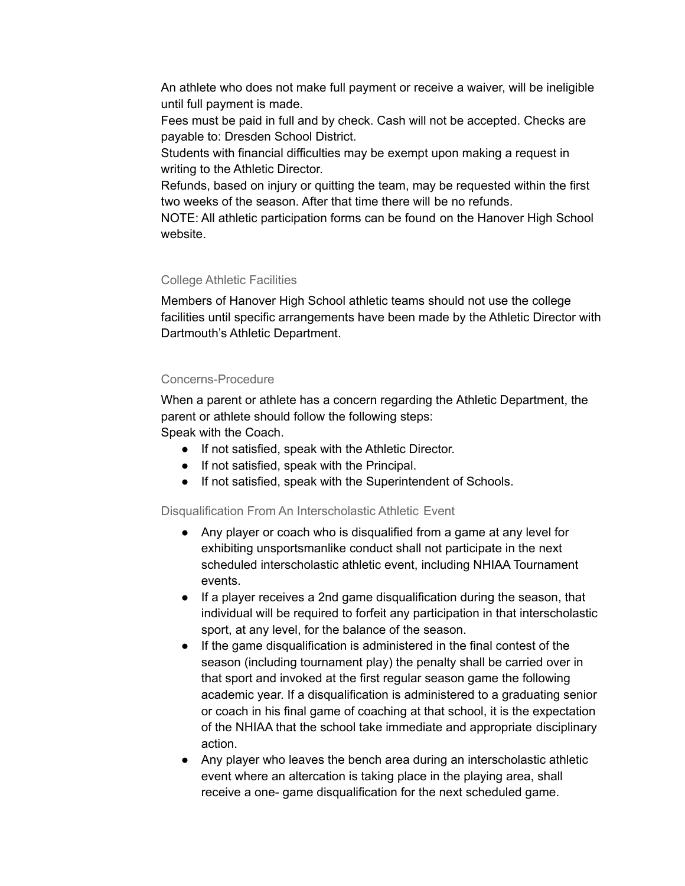An athlete who does not make full payment or receive a waiver, will be ineligible until full payment is made.

Fees must be paid in full and by check. Cash will not be accepted. Checks are payable to: Dresden School District.

Students with financial difficulties may be exempt upon making a request in writing to the Athletic Director.

Refunds, based on injury or quitting the team, may be requested within the first two weeks of the season. After that time there will be no refunds.

NOTE: All athletic participation forms can be found on the Hanover High School website.

## College Athletic Facilities

Members of Hanover High School athletic teams should not use the college facilities until specific arrangements have been made by the Athletic Director with Dartmouth's Athletic Department.

## Concerns-Procedure

When a parent or athlete has a concern regarding the Athletic Department, the parent or athlete should follow the following steps: Speak with the Coach.

- If not satisfied, speak with the Athletic Director.
- If not satisfied, speak with the Principal.
- If not satisfied, speak with the Superintendent of Schools.

## Disqualification From An Interscholastic Athletic Event

- Any player or coach who is disqualified from a game at any level for exhibiting unsportsmanlike conduct shall not participate in the next scheduled interscholastic athletic event, including NHIAA Tournament events.
- If a player receives a 2nd game disqualification during the season, that individual will be required to forfeit any participation in that interscholastic sport, at any level, for the balance of the season.
- If the game disqualification is administered in the final contest of the season (including tournament play) the penalty shall be carried over in that sport and invoked at the first regular season game the following academic year. If a disqualification is administered to a graduating senior or coach in his final game of coaching at that school, it is the expectation of the NHIAA that the school take immediate and appropriate disciplinary action.
- Any player who leaves the bench area during an interscholastic athletic event where an altercation is taking place in the playing area, shall receive a one- game disqualification for the next scheduled game.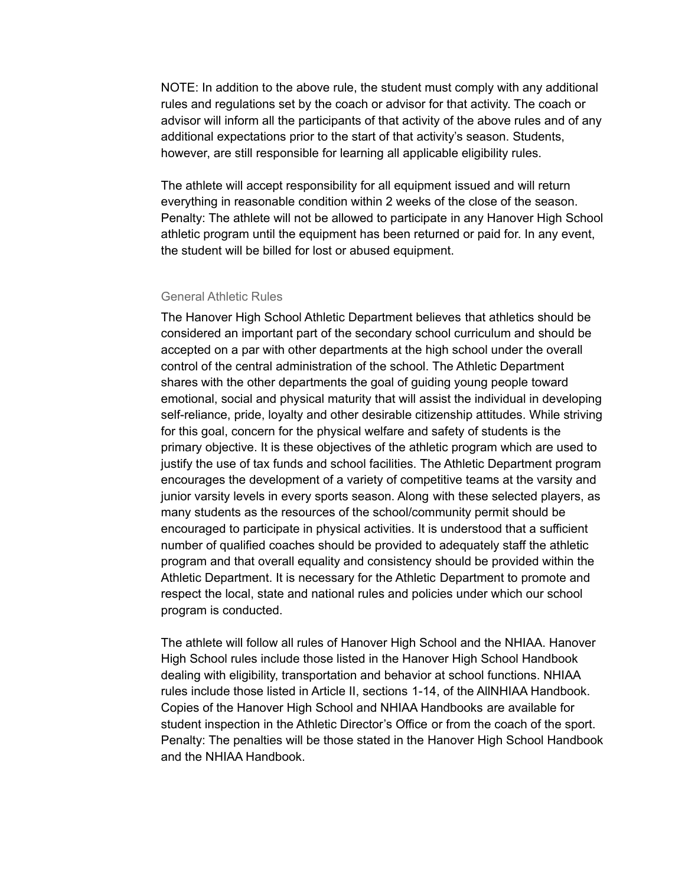NOTE: In addition to the above rule, the student must comply with any additional rules and regulations set by the coach or advisor for that activity. The coach or advisor will inform all the participants of that activity of the above rules and of any additional expectations prior to the start of that activity's season. Students, however, are still responsible for learning all applicable eligibility rules.

The athlete will accept responsibility for all equipment issued and will return everything in reasonable condition within 2 weeks of the close of the season. Penalty: The athlete will not be allowed to participate in any Hanover High School athletic program until the equipment has been returned or paid for. In any event, the student will be billed for lost or abused equipment.

#### General Athletic Rules

The Hanover High School Athletic Department believes that athletics should be considered an important part of the secondary school curriculum and should be accepted on a par with other departments at the high school under the overall control of the central administration of the school. The Athletic Department shares with the other departments the goal of guiding young people toward emotional, social and physical maturity that will assist the individual in developing self-reliance, pride, loyalty and other desirable citizenship attitudes. While striving for this goal, concern for the physical welfare and safety of students is the primary objective. It is these objectives of the athletic program which are used to justify the use of tax funds and school facilities. The Athletic Department program encourages the development of a variety of competitive teams at the varsity and junior varsity levels in every sports season. Along with these selected players, as many students as the resources of the school/community permit should be encouraged to participate in physical activities. It is understood that a sufficient number of qualified coaches should be provided to adequately staff the athletic program and that overall equality and consistency should be provided within the Athletic Department. It is necessary for the Athletic Department to promote and respect the local, state and national rules and policies under which our school program is conducted.

The athlete will follow all rules of Hanover High School and the NHIAA. Hanover High School rules include those listed in the Hanover High School Handbook dealing with eligibility, transportation and behavior at school functions. NHIAA rules include those listed in Article II, sections 1-14, of the AllNHIAA Handbook. Copies of the Hanover High School and NHIAA Handbooks are available for student inspection in the Athletic Director's Office or from the coach of the sport. Penalty: The penalties will be those stated in the Hanover High School Handbook and the NHIAA Handbook.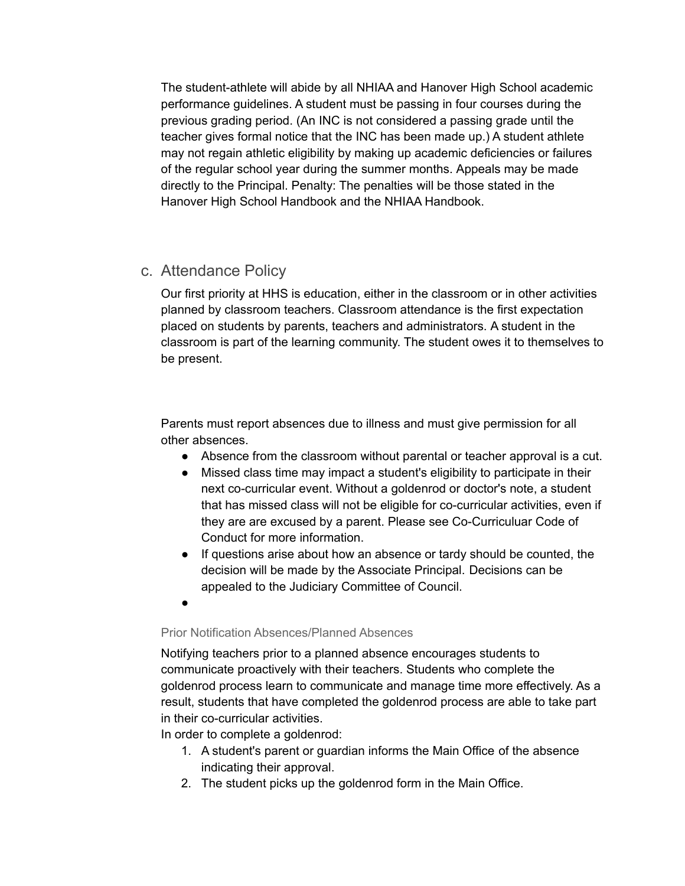The student-athlete will abide by all NHIAA and Hanover High School academic performance guidelines. A student must be passing in four courses during the previous grading period. (An INC is not considered a passing grade until the teacher gives formal notice that the INC has been made up.) A student athlete may not regain athletic eligibility by making up academic deficiencies or failures of the regular school year during the summer months. Appeals may be made directly to the Principal. Penalty: The penalties will be those stated in the Hanover High School Handbook and the NHIAA Handbook.

# c. Attendance Policy

Our first priority at HHS is education, either in the classroom or in other activities planned by classroom teachers. Classroom attendance is the first expectation placed on students by parents, teachers and administrators. A student in the classroom is part of the learning community. The student owes it to themselves to be present.

Parents must report absences due to illness and must give permission for all other absences.

- Absence from the classroom without parental or teacher approval is a cut.
- Missed class time may impact a student's eligibility to participate in their next co-curricular event. Without a goldenrod or doctor's note, a student that has missed class will not be eligible for co-curricular activities, even if they are are excused by a parent. Please see Co-Curriculuar Code of Conduct for more information.
- If questions arise about how an absence or tardy should be counted, the decision will be made by the Associate Principal. Decisions can be appealed to the Judiciary Committee of Council.
- ●

## Prior Notification Absences/Planned Absences

Notifying teachers prior to a planned absence encourages students to communicate proactively with their teachers. Students who complete the goldenrod process learn to communicate and manage time more effectively. As a result, students that have completed the goldenrod process are able to take part in their co-curricular activities.

In order to complete a goldenrod:

- 1. A student's parent or guardian informs the Main Office of the absence indicating their approval.
- 2. The student picks up the goldenrod form in the Main Office.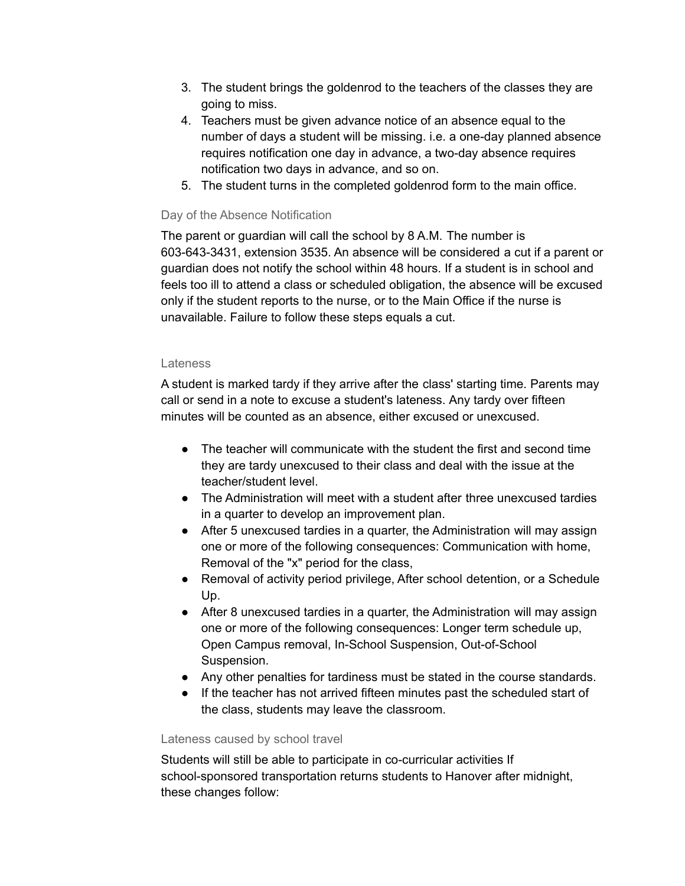- 3. The student brings the goldenrod to the teachers of the classes they are going to miss.
- 4. Teachers must be given advance notice of an absence equal to the number of days a student will be missing. i.e. a one-day planned absence requires notification one day in advance, a two-day absence requires notification two days in advance, and so on.
- 5. The student turns in the completed goldenrod form to the main office.

## Day of the Absence Notification

The parent or guardian will call the school by 8 A.M. The number is 603-643-3431, extension 3535. An absence will be considered a cut if a parent or guardian does not notify the school within 48 hours. If a student is in school and feels too ill to attend a class or scheduled obligation, the absence will be excused only if the student reports to the nurse, or to the Main Office if the nurse is unavailable. Failure to follow these steps equals a cut.

## **Lateness**

A student is marked tardy if they arrive after the class' starting time. Parents may call or send in a note to excuse a student's lateness. Any tardy over fifteen minutes will be counted as an absence, either excused or unexcused.

- The teacher will communicate with the student the first and second time they are tardy unexcused to their class and deal with the issue at the teacher/student level.
- The Administration will meet with a student after three unexcused tardies in a quarter to develop an improvement plan.
- After 5 unexcused tardies in a quarter, the Administration will may assign one or more of the following consequences: Communication with home, Removal of the "x" period for the class,
- Removal of activity period privilege, After school detention, or a Schedule Up.
- After 8 unexcused tardies in a quarter, the Administration will may assign one or more of the following consequences: Longer term schedule up, Open Campus removal, In-School Suspension, Out-of-School Suspension.
- Any other penalties for tardiness must be stated in the course standards.
- If the teacher has not arrived fifteen minutes past the scheduled start of the class, students may leave the classroom.

#### Lateness caused by school travel

Students will still be able to participate in co-curricular activities If school-sponsored transportation returns students to Hanover after midnight, these changes follow: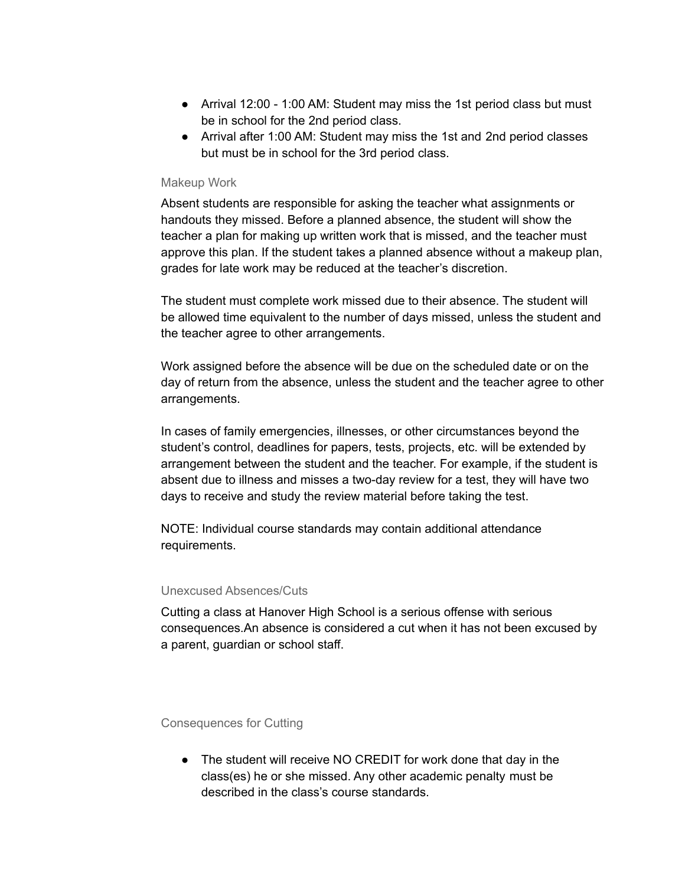- Arrival 12:00 1:00 AM: Student may miss the 1st period class but must be in school for the 2nd period class.
- Arrival after 1:00 AM: Student may miss the 1st and 2nd period classes but must be in school for the 3rd period class.

#### Makeup Work

Absent students are responsible for asking the teacher what assignments or handouts they missed. Before a planned absence, the student will show the teacher a plan for making up written work that is missed, and the teacher must approve this plan. If the student takes a planned absence without a makeup plan, grades for late work may be reduced at the teacher's discretion.

The student must complete work missed due to their absence. The student will be allowed time equivalent to the number of days missed, unless the student and the teacher agree to other arrangements.

Work assigned before the absence will be due on the scheduled date or on the day of return from the absence, unless the student and the teacher agree to other arrangements.

In cases of family emergencies, illnesses, or other circumstances beyond the student's control, deadlines for papers, tests, projects, etc. will be extended by arrangement between the student and the teacher. For example, if the student is absent due to illness and misses a two-day review for a test, they will have two days to receive and study the review material before taking the test.

NOTE: Individual course standards may contain additional attendance requirements.

#### Unexcused Absences/Cuts

Cutting a class at Hanover High School is a serious offense with serious consequences.An absence is considered a cut when it has not been excused by a parent, guardian or school staff.

Consequences for Cutting

• The student will receive NO CREDIT for work done that day in the class(es) he or she missed. Any other academic penalty must be described in the class's course standards.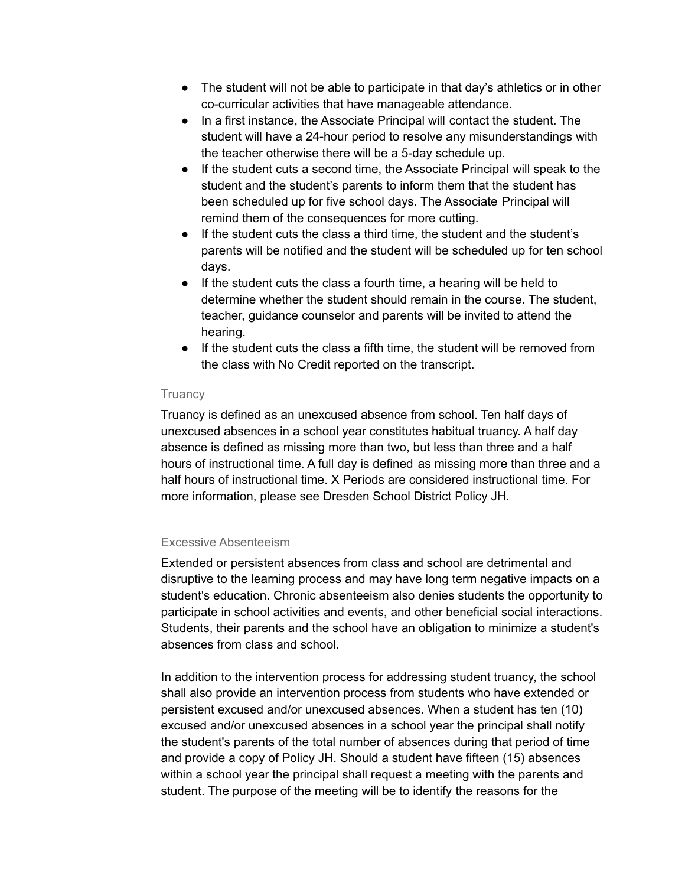- The student will not be able to participate in that day's athletics or in other co-curricular activities that have manageable attendance.
- In a first instance, the Associate Principal will contact the student. The student will have a 24-hour period to resolve any misunderstandings with the teacher otherwise there will be a 5-day schedule up.
- If the student cuts a second time, the Associate Principal will speak to the student and the student's parents to inform them that the student has been scheduled up for five school days. The Associate Principal will remind them of the consequences for more cutting.
- If the student cuts the class a third time, the student and the student's parents will be notified and the student will be scheduled up for ten school days.
- If the student cuts the class a fourth time, a hearing will be held to determine whether the student should remain in the course. The student, teacher, guidance counselor and parents will be invited to attend the hearing.
- If the student cuts the class a fifth time, the student will be removed from the class with No Credit reported on the transcript.

## **Truancy**

Truancy is defined as an unexcused absence from school. Ten half days of unexcused absences in a school year constitutes habitual truancy. A half day absence is defined as missing more than two, but less than three and a half hours of instructional time. A full day is defined as missing more than three and a half hours of instructional time. X Periods are considered instructional time. For more information, please see Dresden School District Policy JH.

## Excessive Absenteeism

Extended or persistent absences from class and school are detrimental and disruptive to the learning process and may have long term negative impacts on a student's education. Chronic absenteeism also denies students the opportunity to participate in school activities and events, and other beneficial social interactions. Students, their parents and the school have an obligation to minimize a student's absences from class and school.

In addition to the intervention process for addressing student truancy, the school shall also provide an intervention process from students who have extended or persistent excused and/or unexcused absences. When a student has ten (10) excused and/or unexcused absences in a school year the principal shall notify the student's parents of the total number of absences during that period of time and provide a copy of Policy JH. Should a student have fifteen (15) absences within a school year the principal shall request a meeting with the parents and student. The purpose of the meeting will be to identify the reasons for the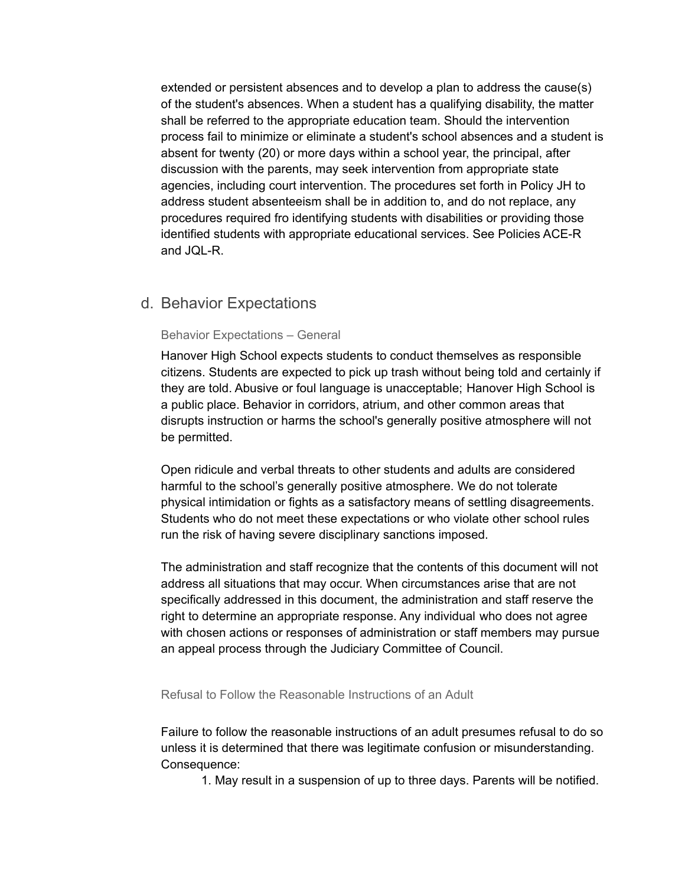extended or persistent absences and to develop a plan to address the cause(s) of the student's absences. When a student has a qualifying disability, the matter shall be referred to the appropriate education team. Should the intervention process fail to minimize or eliminate a student's school absences and a student is absent for twenty (20) or more days within a school year, the principal, after discussion with the parents, may seek intervention from appropriate state agencies, including court intervention. The procedures set forth in Policy JH to address student absenteeism shall be in addition to, and do not replace, any procedures required fro identifying students with disabilities or providing those identified students with appropriate educational services. See Policies ACE-R and JQL-R.

# d. Behavior Expectations

### Behavior Expectations – General

Hanover High School expects students to conduct themselves as responsible citizens. Students are expected to pick up trash without being told and certainly if they are told. Abusive or foul language is unacceptable; Hanover High School is a public place. Behavior in corridors, atrium, and other common areas that disrupts instruction or harms the school's generally positive atmosphere will not be permitted.

Open ridicule and verbal threats to other students and adults are considered harmful to the school's generally positive atmosphere. We do not tolerate physical intimidation or fights as a satisfactory means of settling disagreements. Students who do not meet these expectations or who violate other school rules run the risk of having severe disciplinary sanctions imposed.

The administration and staff recognize that the contents of this document will not address all situations that may occur. When circumstances arise that are not specifically addressed in this document, the administration and staff reserve the right to determine an appropriate response. Any individual who does not agree with chosen actions or responses of administration or staff members may pursue an appeal process through the Judiciary Committee of Council.

Refusal to Follow the Reasonable Instructions of an Adult

Failure to follow the reasonable instructions of an adult presumes refusal to do so unless it is determined that there was legitimate confusion or misunderstanding. Consequence:

1. May result in a suspension of up to three days. Parents will be notified.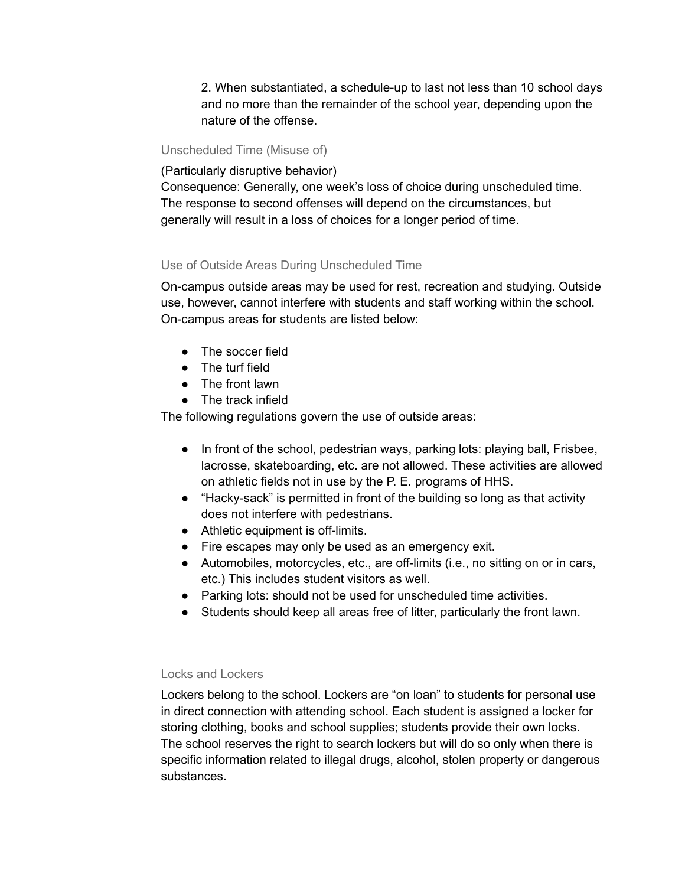2. When substantiated, a schedule-up to last not less than 10 school days and no more than the remainder of the school year, depending upon the nature of the offense.

### Unscheduled Time (Misuse of)

### (Particularly disruptive behavior)

Consequence: Generally, one week's loss of choice during unscheduled time. The response to second offenses will depend on the circumstances, but generally will result in a loss of choices for a longer period of time.

# Use of Outside Areas During Unscheduled Time

On-campus outside areas may be used for rest, recreation and studying. Outside use, however, cannot interfere with students and staff working within the school. On-campus areas for students are listed below:

- The soccer field
- The turf field
- The front lawn
- The track infield

The following regulations govern the use of outside areas:

- In front of the school, pedestrian ways, parking lots: playing ball, Frisbee, lacrosse, skateboarding, etc. are not allowed. These activities are allowed on athletic fields not in use by the P. E. programs of HHS.
- "Hacky-sack" is permitted in front of the building so long as that activity does not interfere with pedestrians.
- Athletic equipment is off-limits.
- Fire escapes may only be used as an emergency exit.
- Automobiles, motorcycles, etc., are off-limits (i.e., no sitting on or in cars, etc.) This includes student visitors as well.
- Parking lots: should not be used for unscheduled time activities.
- Students should keep all areas free of litter, particularly the front lawn.

# Locks and Lockers

Lockers belong to the school. Lockers are "on loan" to students for personal use in direct connection with attending school. Each student is assigned a locker for storing clothing, books and school supplies; students provide their own locks. The school reserves the right to search lockers but will do so only when there is specific information related to illegal drugs, alcohol, stolen property or dangerous substances.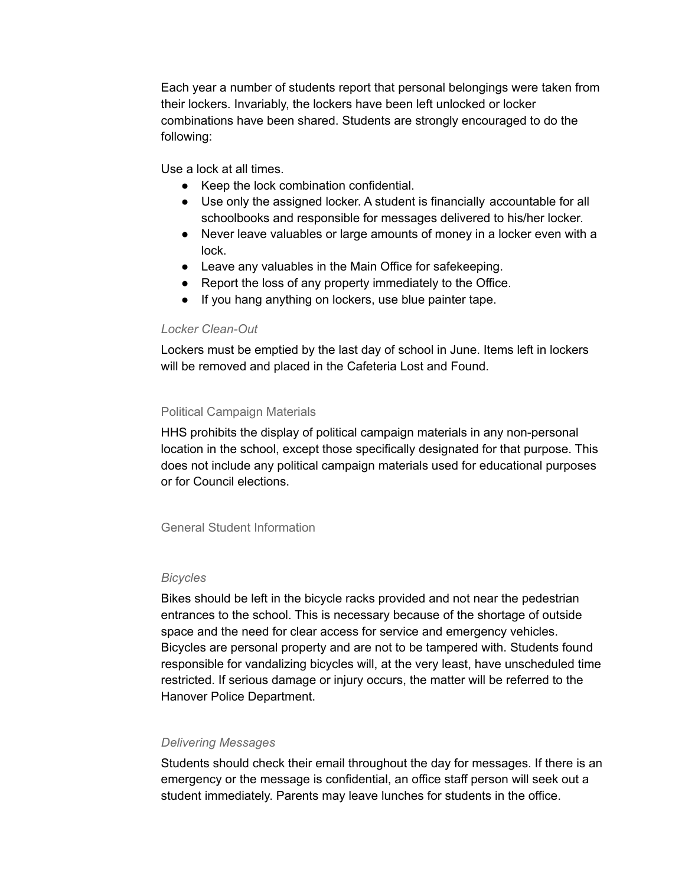Each year a number of students report that personal belongings were taken from their lockers. Invariably, the lockers have been left unlocked or locker combinations have been shared. Students are strongly encouraged to do the following:

Use a lock at all times.

- Keep the lock combination confidential.
- Use only the assigned locker. A student is financially accountable for all schoolbooks and responsible for messages delivered to his/her locker.
- Never leave valuables or large amounts of money in a locker even with a lock.
- Leave any valuables in the Main Office for safekeeping.
- Report the loss of any property immediately to the Office.
- If you hang anything on lockers, use blue painter tape.

# *Locker Clean-Out*

Lockers must be emptied by the last day of school in June. Items left in lockers will be removed and placed in the Cafeteria Lost and Found.

# Political Campaign Materials

HHS prohibits the display of political campaign materials in any non-personal location in the school, except those specifically designated for that purpose. This does not include any political campaign materials used for educational purposes or for Council elections.

General Student Information

# *Bicycles*

Bikes should be left in the bicycle racks provided and not near the pedestrian entrances to the school. This is necessary because of the shortage of outside space and the need for clear access for service and emergency vehicles. Bicycles are personal property and are not to be tampered with. Students found responsible for vandalizing bicycles will, at the very least, have unscheduled time restricted. If serious damage or injury occurs, the matter will be referred to the Hanover Police Department.

# *Delivering Messages*

Students should check their email throughout the day for messages. If there is an emergency or the message is confidential, an office staff person will seek out a student immediately. Parents may leave lunches for students in the office.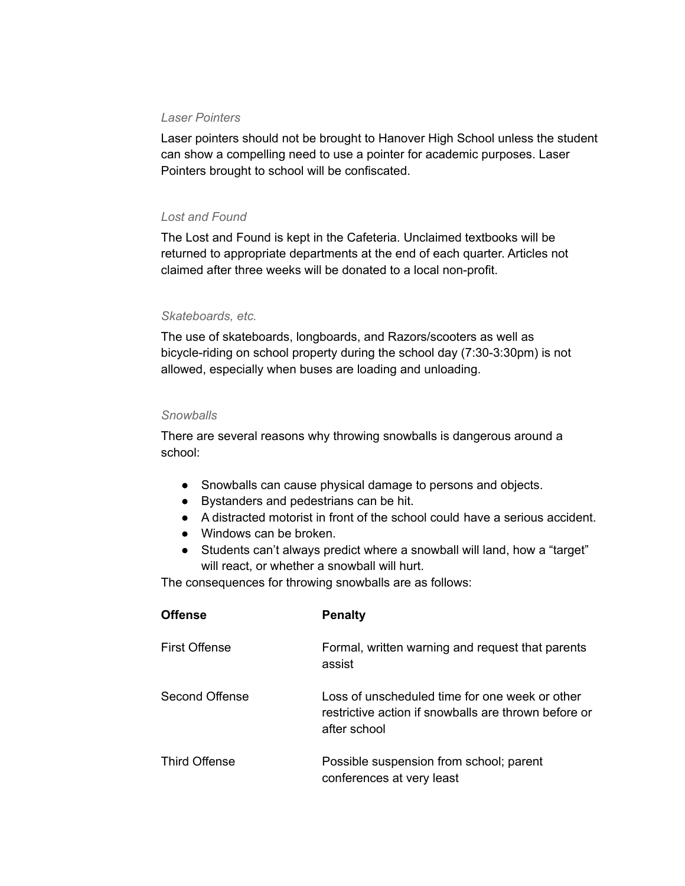### *Laser Pointers*

Laser pointers should not be brought to Hanover High School unless the student can show a compelling need to use a pointer for academic purposes. Laser Pointers brought to school will be confiscated.

# *Lost and Found*

The Lost and Found is kept in the Cafeteria. Unclaimed textbooks will be returned to appropriate departments at the end of each quarter. Articles not claimed after three weeks will be donated to a local non-profit.

# *Skateboards, etc.*

The use of skateboards, longboards, and Razors/scooters as well as bicycle-riding on school property during the school day (7:30-3:30pm) is not allowed, especially when buses are loading and unloading.

### *Snowballs*

There are several reasons why throwing snowballs is dangerous around a school:

- Snowballs can cause physical damage to persons and objects.
- Bystanders and pedestrians can be hit.
- A distracted motorist in front of the school could have a serious accident.
- Windows can be broken.
- Students can't always predict where a snowball will land, how a "target" will react, or whether a snowball will hurt.

The consequences for throwing snowballs are as follows:

| <b>Offense</b>       | <b>Penalty</b>                                                                                                         |
|----------------------|------------------------------------------------------------------------------------------------------------------------|
| <b>First Offense</b> | Formal, written warning and request that parents<br>assist                                                             |
| Second Offense       | Loss of unscheduled time for one week or other<br>restrictive action if snowballs are thrown before or<br>after school |
| <b>Third Offense</b> | Possible suspension from school; parent<br>conferences at very least                                                   |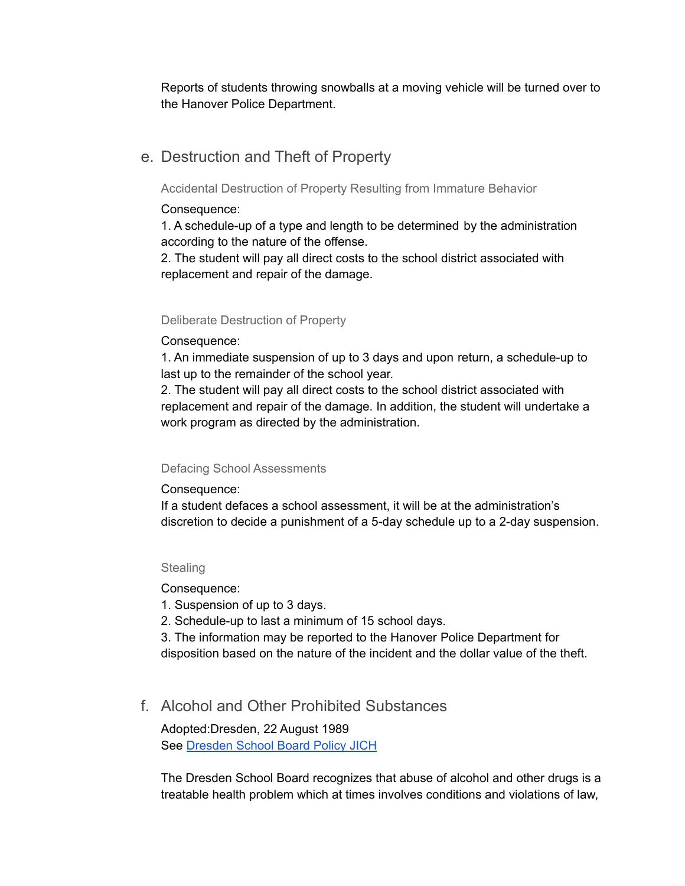Reports of students throwing snowballs at a moving vehicle will be turned over to the Hanover Police Department.

# e. Destruction and Theft of Property

Accidental Destruction of Property Resulting from Immature Behavior

# Consequence:

1. A schedule-up of a type and length to be determined by the administration according to the nature of the offense.

2. The student will pay all direct costs to the school district associated with replacement and repair of the damage.

# Deliberate Destruction of Property

# Consequence:

1. An immediate suspension of up to 3 days and upon return, a schedule-up to last up to the remainder of the school year.

2. The student will pay all direct costs to the school district associated with replacement and repair of the damage. In addition, the student will undertake a work program as directed by the administration.

# Defacing School Assessments

Consequence:

If a student defaces a school assessment, it will be at the administration's discretion to decide a punishment of a 5-day schedule up to a 2-day suspension.

# **Stealing**

Consequence:

1. Suspension of up to 3 days.

2. Schedule-up to last a minimum of 15 school days.

3. The information may be reported to the Hanover Police Department for disposition based on the nature of the incident and the dollar value of the theft.

# f. Alcohol and Other Prohibited Substances

Adopted:Dresden, 22 August 1989 See [Dresden](https://www.hanoverhigh.org/fs/pages/1621) School Board Policy JICH

The Dresden School Board recognizes that abuse of alcohol and other drugs is a treatable health problem which at times involves conditions and violations of law,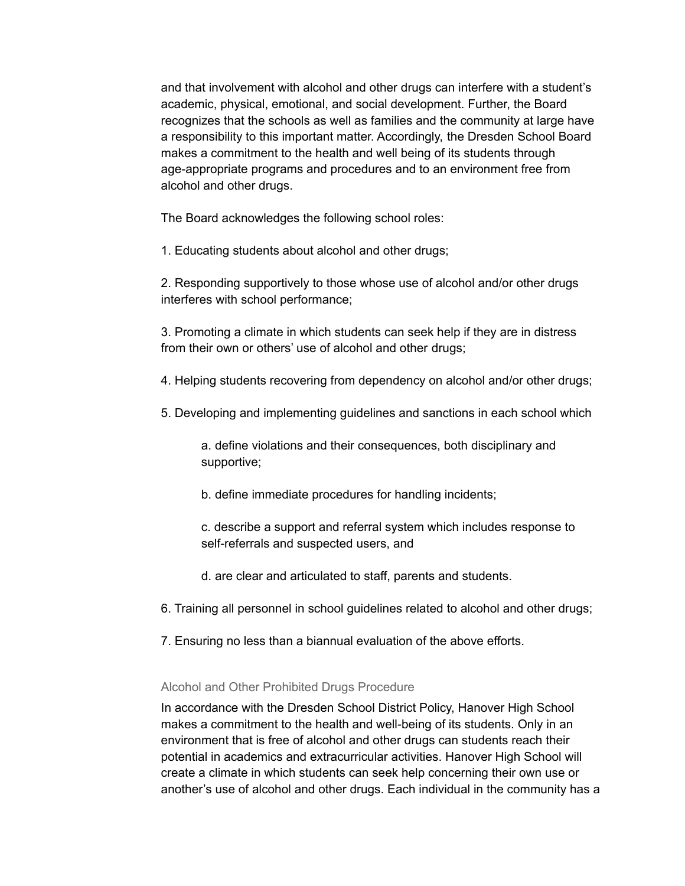and that involvement with alcohol and other drugs can interfere with a student's academic, physical, emotional, and social development. Further, the Board recognizes that the schools as well as families and the community at large have a responsibility to this important matter. Accordingly, the Dresden School Board makes a commitment to the health and well being of its students through age-appropriate programs and procedures and to an environment free from alcohol and other drugs.

The Board acknowledges the following school roles:

1. Educating students about alcohol and other drugs;

2. Responding supportively to those whose use of alcohol and/or other drugs interferes with school performance;

3. Promoting a climate in which students can seek help if they are in distress from their own or others' use of alcohol and other drugs;

4. Helping students recovering from dependency on alcohol and/or other drugs;

5. Developing and implementing guidelines and sanctions in each school which

a. define violations and their consequences, both disciplinary and supportive;

b. define immediate procedures for handling incidents;

c. describe a support and referral system which includes response to self-referrals and suspected users, and

- d. are clear and articulated to staff, parents and students.
- 6. Training all personnel in school guidelines related to alcohol and other drugs;
- 7. Ensuring no less than a biannual evaluation of the above efforts.

### Alcohol and Other Prohibited Drugs Procedure

In accordance with the Dresden School District Policy, Hanover High School makes a commitment to the health and well-being of its students. Only in an environment that is free of alcohol and other drugs can students reach their potential in academics and extracurricular activities. Hanover High School will create a climate in which students can seek help concerning their own use or another's use of alcohol and other drugs. Each individual in the community has a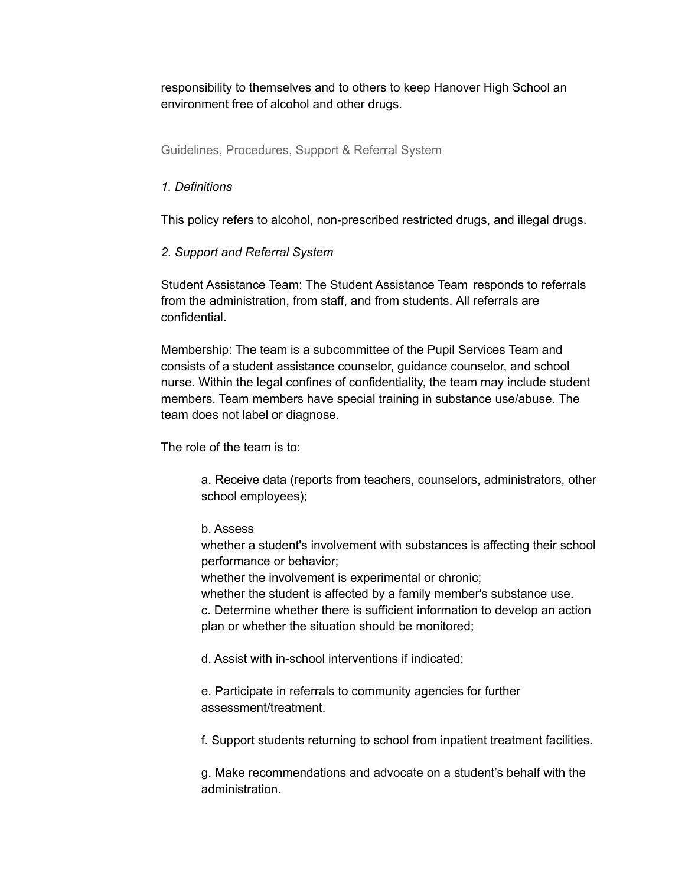responsibility to themselves and to others to keep Hanover High School an environment free of alcohol and other drugs.

Guidelines, Procedures, Support & Referral System

# *1. Definitions*

This policy refers to alcohol, non-prescribed restricted drugs, and illegal drugs.

# *2. Support and Referral System*

Student Assistance Team: The Student Assistance Team responds to referrals from the administration, from staff, and from students. All referrals are confidential.

Membership: The team is a subcommittee of the Pupil Services Team and consists of a student assistance counselor, guidance counselor, and school nurse. Within the legal confines of confidentiality, the team may include student members. Team members have special training in substance use/abuse. The team does not label or diagnose.

The role of the team is to:

a. Receive data (reports from teachers, counselors, administrators, other school employees);

# b. Assess

whether a student's involvement with substances is affecting their school performance or behavior;

whether the involvement is experimental or chronic;

whether the student is affected by a family member's substance use.

c. Determine whether there is sufficient information to develop an action plan or whether the situation should be monitored;

d. Assist with in-school interventions if indicated;

e. Participate in referrals to community agencies for further assessment/treatment.

f. Support students returning to school from inpatient treatment facilities.

g. Make recommendations and advocate on a student's behalf with the administration.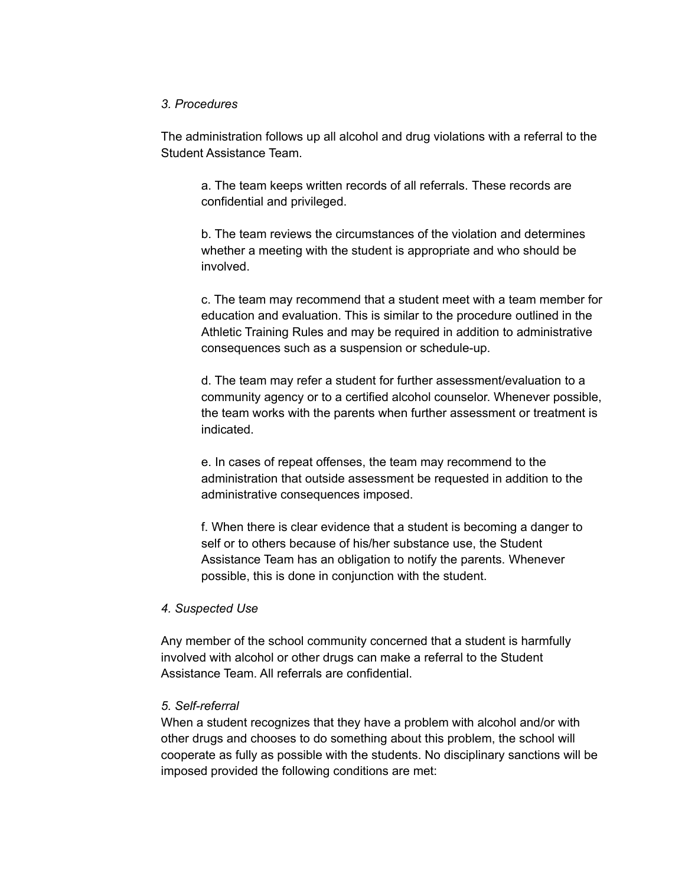### *3. Procedures*

The administration follows up all alcohol and drug violations with a referral to the Student Assistance Team.

a. The team keeps written records of all referrals. These records are confidential and privileged.

b. The team reviews the circumstances of the violation and determines whether a meeting with the student is appropriate and who should be involved.

c. The team may recommend that a student meet with a team member for education and evaluation. This is similar to the procedure outlined in the Athletic Training Rules and may be required in addition to administrative consequences such as a suspension or schedule-up.

d. The team may refer a student for further assessment/evaluation to a community agency or to a certified alcohol counselor. Whenever possible, the team works with the parents when further assessment or treatment is indicated.

e. In cases of repeat offenses, the team may recommend to the administration that outside assessment be requested in addition to the administrative consequences imposed.

f. When there is clear evidence that a student is becoming a danger to self or to others because of his/her substance use, the Student Assistance Team has an obligation to notify the parents. Whenever possible, this is done in conjunction with the student.

### *4. Suspected Use*

Any member of the school community concerned that a student is harmfully involved with alcohol or other drugs can make a referral to the Student Assistance Team. All referrals are confidential.

#### *5. Self-referral*

When a student recognizes that they have a problem with alcohol and/or with other drugs and chooses to do something about this problem, the school will cooperate as fully as possible with the students. No disciplinary sanctions will be imposed provided the following conditions are met: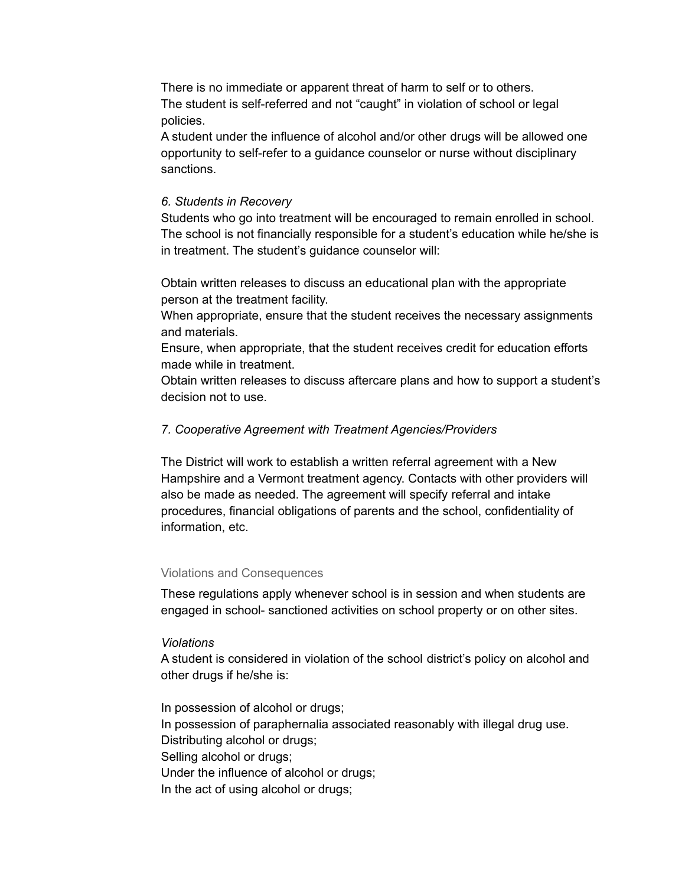There is no immediate or apparent threat of harm to self or to others. The student is self-referred and not "caught" in violation of school or legal policies.

A student under the influence of alcohol and/or other drugs will be allowed one opportunity to self-refer to a guidance counselor or nurse without disciplinary sanctions.

### *6. Students in Recovery*

Students who go into treatment will be encouraged to remain enrolled in school. The school is not financially responsible for a student's education while he/she is in treatment. The student's guidance counselor will:

Obtain written releases to discuss an educational plan with the appropriate person at the treatment facility.

When appropriate, ensure that the student receives the necessary assignments and materials.

Ensure, when appropriate, that the student receives credit for education efforts made while in treatment.

Obtain written releases to discuss aftercare plans and how to support a student's decision not to use.

### *7. Cooperative Agreement with Treatment Agencies/Providers*

The District will work to establish a written referral agreement with a New Hampshire and a Vermont treatment agency. Contacts with other providers will also be made as needed. The agreement will specify referral and intake procedures, financial obligations of parents and the school, confidentiality of information, etc.

#### Violations and Consequences

These regulations apply whenever school is in session and when students are engaged in school- sanctioned activities on school property or on other sites.

### *Violations*

A student is considered in violation of the school district's policy on alcohol and other drugs if he/she is:

In possession of alcohol or drugs; In possession of paraphernalia associated reasonably with illegal drug use. Distributing alcohol or drugs; Selling alcohol or drugs; Under the influence of alcohol or drugs; In the act of using alcohol or drugs;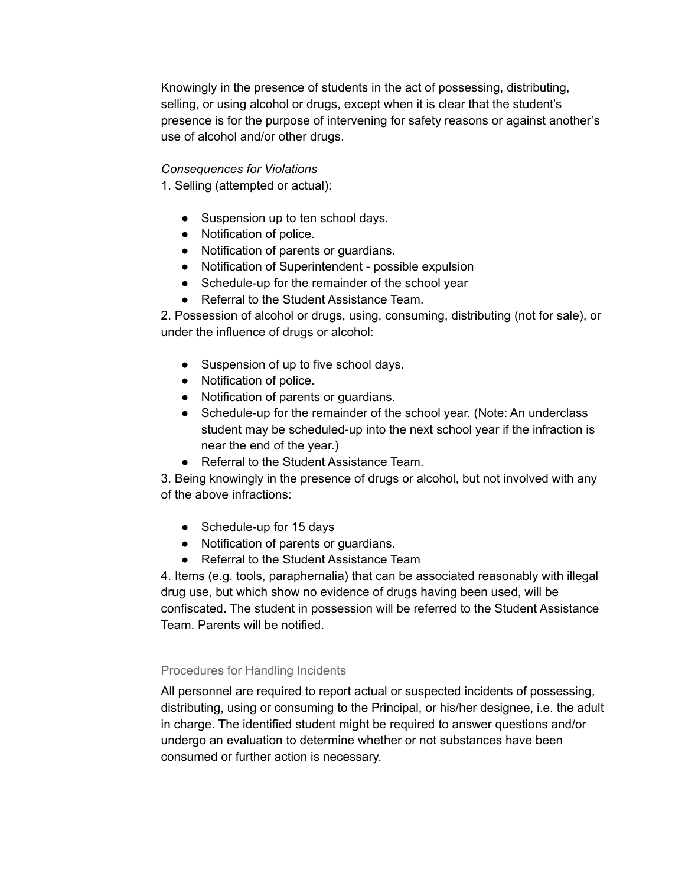Knowingly in the presence of students in the act of possessing, distributing, selling, or using alcohol or drugs, except when it is clear that the student's presence is for the purpose of intervening for safety reasons or against another's use of alcohol and/or other drugs.

### *Consequences for Violations*

1. Selling (attempted or actual):

- Suspension up to ten school days.
- Notification of police.
- Notification of parents or guardians.
- Notification of Superintendent possible expulsion
- Schedule-up for the remainder of the school year
- Referral to the Student Assistance Team.

2. Possession of alcohol or drugs, using, consuming, distributing (not for sale), or under the influence of drugs or alcohol:

- Suspension of up to five school days.
- Notification of police.
- Notification of parents or guardians.
- Schedule-up for the remainder of the school year. (Note: An underclass student may be scheduled-up into the next school year if the infraction is near the end of the year.)
- Referral to the Student Assistance Team.

3. Being knowingly in the presence of drugs or alcohol, but not involved with any of the above infractions:

- Schedule-up for 15 days
- Notification of parents or guardians.
- Referral to the Student Assistance Team

4. Items (e.g. tools, paraphernalia) that can be associated reasonably with illegal drug use, but which show no evidence of drugs having been used, will be confiscated. The student in possession will be referred to the Student Assistance Team. Parents will be notified.

# Procedures for Handling Incidents

All personnel are required to report actual or suspected incidents of possessing, distributing, using or consuming to the Principal, or his/her designee, i.e. the adult in charge. The identified student might be required to answer questions and/or undergo an evaluation to determine whether or not substances have been consumed or further action is necessary.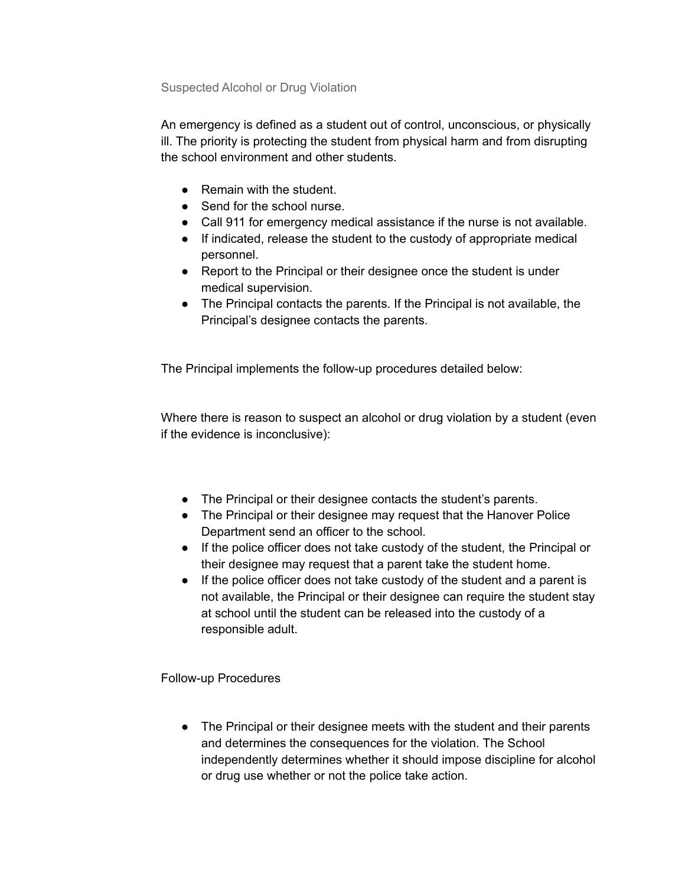Suspected Alcohol or Drug Violation

An emergency is defined as a student out of control, unconscious, or physically ill. The priority is protecting the student from physical harm and from disrupting the school environment and other students.

- Remain with the student
- Send for the school nurse.
- Call 911 for emergency medical assistance if the nurse is not available.
- If indicated, release the student to the custody of appropriate medical personnel.
- Report to the Principal or their designee once the student is under medical supervision.
- The Principal contacts the parents. If the Principal is not available, the Principal's designee contacts the parents.

The Principal implements the follow-up procedures detailed below:

Where there is reason to suspect an alcohol or drug violation by a student (even if the evidence is inconclusive):

- The Principal or their designee contacts the student's parents.
- The Principal or their designee may request that the Hanover Police Department send an officer to the school.
- If the police officer does not take custody of the student, the Principal or their designee may request that a parent take the student home.
- If the police officer does not take custody of the student and a parent is not available, the Principal or their designee can require the student stay at school until the student can be released into the custody of a responsible adult.

Follow-up Procedures

• The Principal or their designee meets with the student and their parents and determines the consequences for the violation. The School independently determines whether it should impose discipline for alcohol or drug use whether or not the police take action.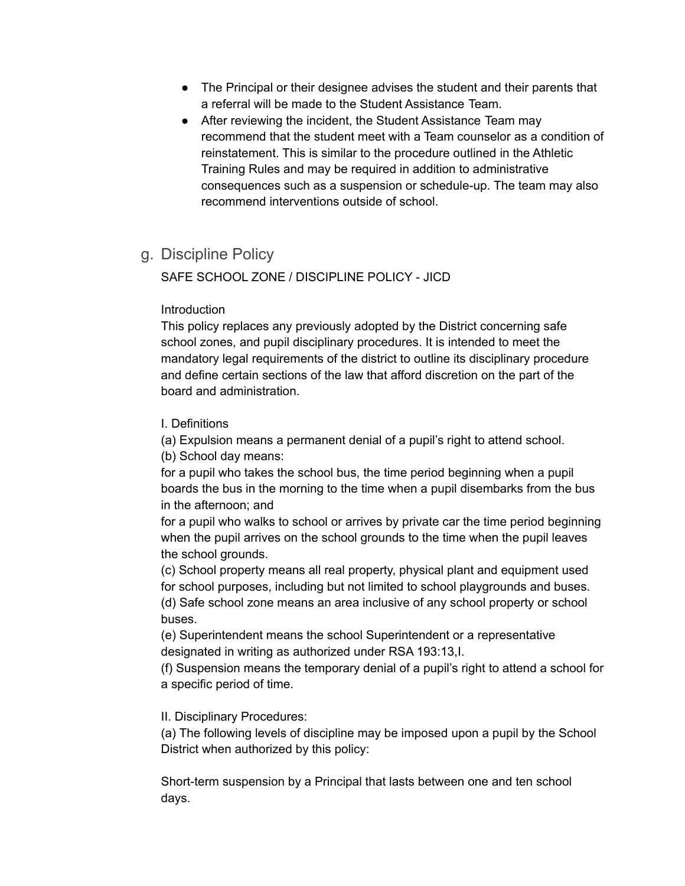- The Principal or their designee advises the student and their parents that a referral will be made to the Student Assistance Team.
- After reviewing the incident, the Student Assistance Team may recommend that the student meet with a Team counselor as a condition of reinstatement. This is similar to the procedure outlined in the Athletic Training Rules and may be required in addition to administrative consequences such as a suspension or schedule-up. The team may also recommend interventions outside of school.
- g. Discipline Policy

SAFE SCHOOL ZONE / DISCIPLINE POLICY - JICD

# Introduction

This policy replaces any previously adopted by the District concerning safe school zones, and pupil disciplinary procedures. It is intended to meet the mandatory legal requirements of the district to outline its disciplinary procedure and define certain sections of the law that afford discretion on the part of the board and administration.

# I. Definitions

(a) Expulsion means a permanent denial of a pupil's right to attend school. (b) School day means:

for a pupil who takes the school bus, the time period beginning when a pupil boards the bus in the morning to the time when a pupil disembarks from the bus in the afternoon; and

for a pupil who walks to school or arrives by private car the time period beginning when the pupil arrives on the school grounds to the time when the pupil leaves the school grounds.

(c) School property means all real property, physical plant and equipment used for school purposes, including but not limited to school playgrounds and buses.

(d) Safe school zone means an area inclusive of any school property or school buses.

(e) Superintendent means the school Superintendent or a representative designated in writing as authorized under RSA 193:13,I.

(f) Suspension means the temporary denial of a pupil's right to attend a school for a specific period of time.

# II. Disciplinary Procedures:

(a) The following levels of discipline may be imposed upon a pupil by the School District when authorized by this policy:

Short-term suspension by a Principal that lasts between one and ten school days.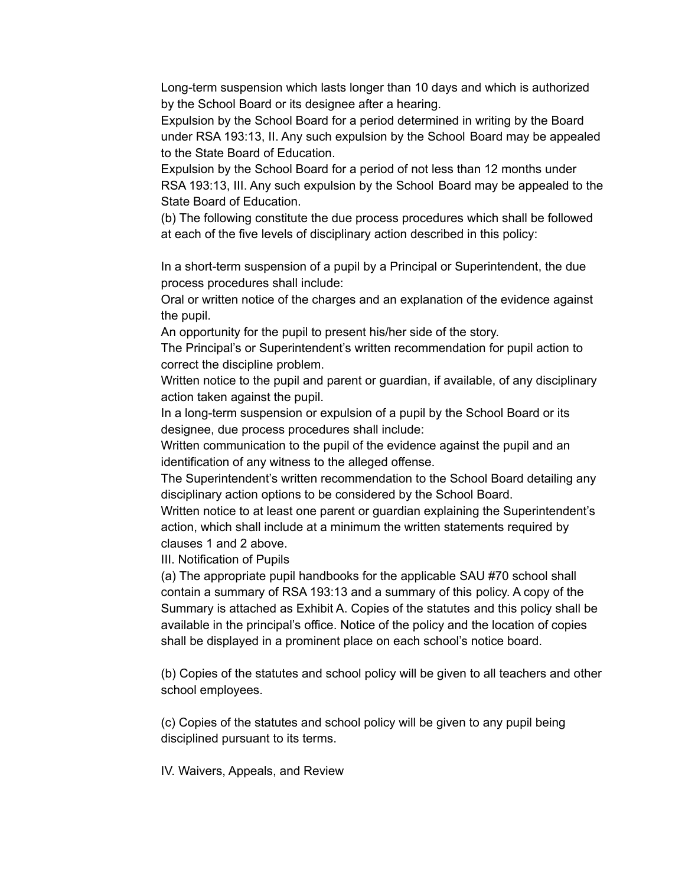Long-term suspension which lasts longer than 10 days and which is authorized by the School Board or its designee after a hearing.

Expulsion by the School Board for a period determined in writing by the Board under RSA 193:13, II. Any such expulsion by the School Board may be appealed to the State Board of Education.

Expulsion by the School Board for a period of not less than 12 months under RSA 193:13, III. Any such expulsion by the School Board may be appealed to the State Board of Education.

(b) The following constitute the due process procedures which shall be followed at each of the five levels of disciplinary action described in this policy:

In a short-term suspension of a pupil by a Principal or Superintendent, the due process procedures shall include:

Oral or written notice of the charges and an explanation of the evidence against the pupil.

An opportunity for the pupil to present his/her side of the story.

The Principal's or Superintendent's written recommendation for pupil action to correct the discipline problem.

Written notice to the pupil and parent or guardian, if available, of any disciplinary action taken against the pupil.

In a long-term suspension or expulsion of a pupil by the School Board or its designee, due process procedures shall include:

Written communication to the pupil of the evidence against the pupil and an identification of any witness to the alleged offense.

The Superintendent's written recommendation to the School Board detailing any disciplinary action options to be considered by the School Board.

Written notice to at least one parent or guardian explaining the Superintendent's action, which shall include at a minimum the written statements required by clauses 1 and 2 above.

III. Notification of Pupils

(a) The appropriate pupil handbooks for the applicable SAU #70 school shall contain a summary of RSA 193:13 and a summary of this policy. A copy of the Summary is attached as Exhibit A. Copies of the statutes and this policy shall be available in the principal's office. Notice of the policy and the location of copies shall be displayed in a prominent place on each school's notice board.

(b) Copies of the statutes and school policy will be given to all teachers and other school employees.

(c) Copies of the statutes and school policy will be given to any pupil being disciplined pursuant to its terms.

IV. Waivers, Appeals, and Review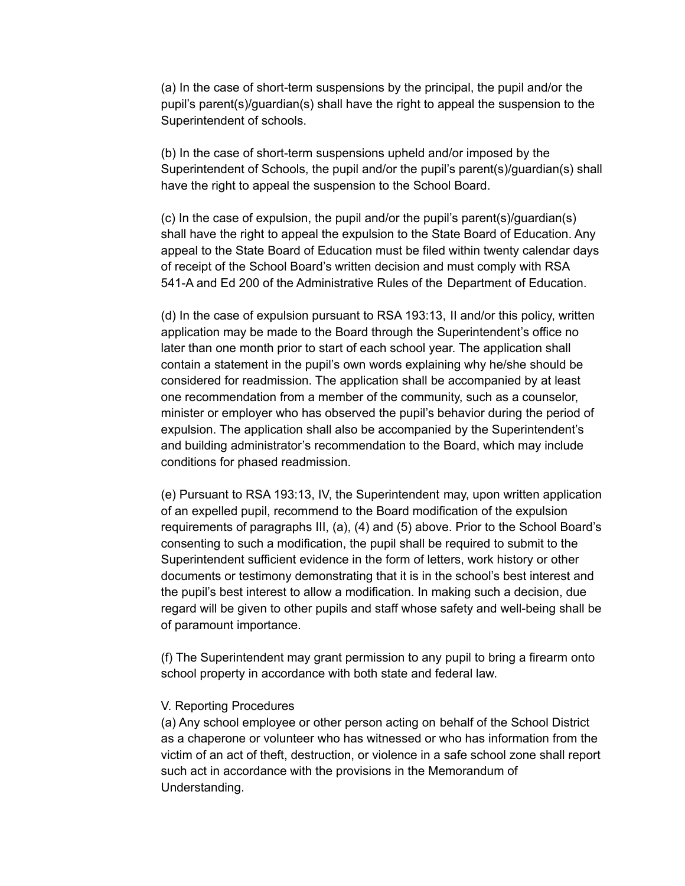(a) In the case of short-term suspensions by the principal, the pupil and/or the pupil's parent(s)/guardian(s) shall have the right to appeal the suspension to the Superintendent of schools.

(b) In the case of short-term suspensions upheld and/or imposed by the Superintendent of Schools, the pupil and/or the pupil's parent(s)/guardian(s) shall have the right to appeal the suspension to the School Board.

(c) In the case of expulsion, the pupil and/or the pupil's parent(s)/guardian(s) shall have the right to appeal the expulsion to the State Board of Education. Any appeal to the State Board of Education must be filed within twenty calendar days of receipt of the School Board's written decision and must comply with RSA 541-A and Ed 200 of the Administrative Rules of the Department of Education.

(d) In the case of expulsion pursuant to RSA 193:13, II and/or this policy, written application may be made to the Board through the Superintendent's office no later than one month prior to start of each school year. The application shall contain a statement in the pupil's own words explaining why he/she should be considered for readmission. The application shall be accompanied by at least one recommendation from a member of the community, such as a counselor, minister or employer who has observed the pupil's behavior during the period of expulsion. The application shall also be accompanied by the Superintendent's and building administrator's recommendation to the Board, which may include conditions for phased readmission.

(e) Pursuant to RSA 193:13, IV, the Superintendent may, upon written application of an expelled pupil, recommend to the Board modification of the expulsion requirements of paragraphs III, (a), (4) and (5) above. Prior to the School Board's consenting to such a modification, the pupil shall be required to submit to the Superintendent sufficient evidence in the form of letters, work history or other documents or testimony demonstrating that it is in the school's best interest and the pupil's best interest to allow a modification. In making such a decision, due regard will be given to other pupils and staff whose safety and well-being shall be of paramount importance.

(f) The Superintendent may grant permission to any pupil to bring a firearm onto school property in accordance with both state and federal law.

### V. Reporting Procedures

(a) Any school employee or other person acting on behalf of the School District as a chaperone or volunteer who has witnessed or who has information from the victim of an act of theft, destruction, or violence in a safe school zone shall report such act in accordance with the provisions in the Memorandum of Understanding.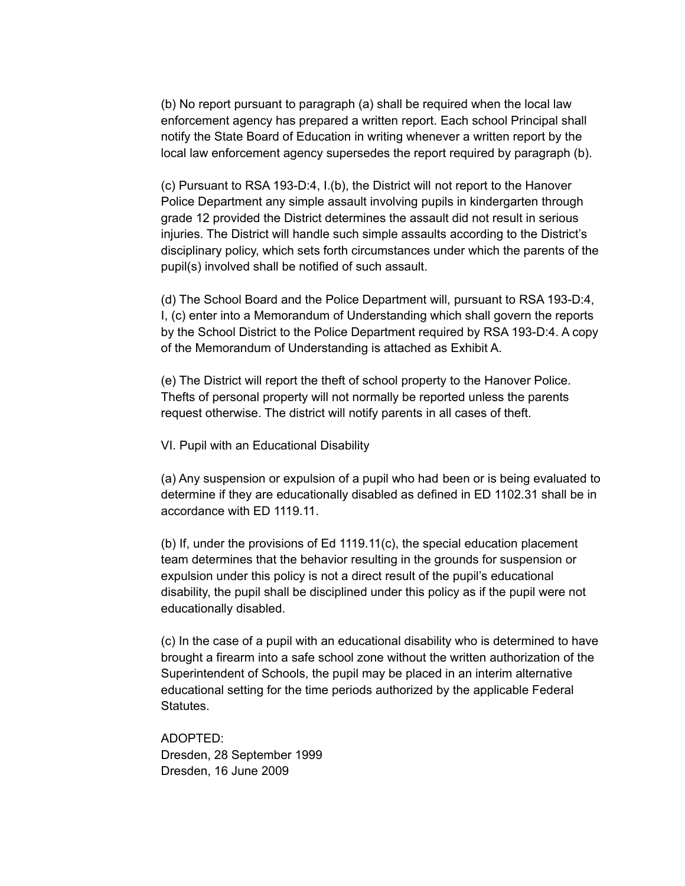(b) No report pursuant to paragraph (a) shall be required when the local law enforcement agency has prepared a written report. Each school Principal shall notify the State Board of Education in writing whenever a written report by the local law enforcement agency supersedes the report required by paragraph (b).

(c) Pursuant to RSA 193-D:4, I.(b), the District will not report to the Hanover Police Department any simple assault involving pupils in kindergarten through grade 12 provided the District determines the assault did not result in serious injuries. The District will handle such simple assaults according to the District's disciplinary policy, which sets forth circumstances under which the parents of the pupil(s) involved shall be notified of such assault.

(d) The School Board and the Police Department will, pursuant to RSA 193-D:4, I, (c) enter into a Memorandum of Understanding which shall govern the reports by the School District to the Police Department required by RSA 193-D:4. A copy of the Memorandum of Understanding is attached as Exhibit A.

(e) The District will report the theft of school property to the Hanover Police. Thefts of personal property will not normally be reported unless the parents request otherwise. The district will notify parents in all cases of theft.

VI. Pupil with an Educational Disability

(a) Any suspension or expulsion of a pupil who had been or is being evaluated to determine if they are educationally disabled as defined in ED 1102.31 shall be in accordance with ED 1119.11.

(b) If, under the provisions of Ed 1119.11(c), the special education placement team determines that the behavior resulting in the grounds for suspension or expulsion under this policy is not a direct result of the pupil's educational disability, the pupil shall be disciplined under this policy as if the pupil were not educationally disabled.

(c) In the case of a pupil with an educational disability who is determined to have brought a firearm into a safe school zone without the written authorization of the Superintendent of Schools, the pupil may be placed in an interim alternative educational setting for the time periods authorized by the applicable Federal Statutes.

ADOPTED: Dresden, 28 September 1999 Dresden, 16 June 2009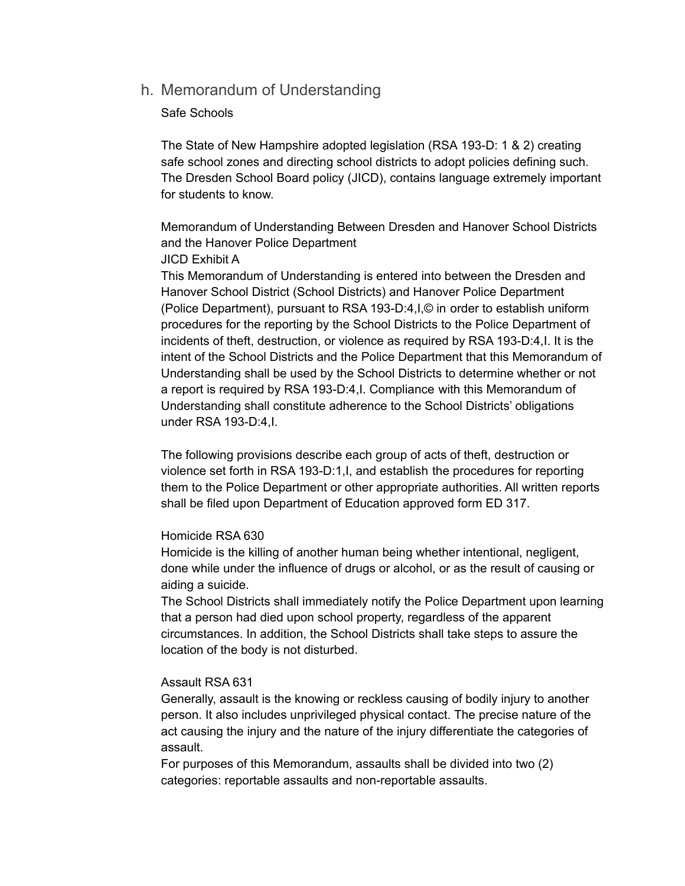# h. Memorandum of Understanding

### Safe Schools

The State of New Hampshire adopted legislation (RSA 193-D: 1 & 2) creating safe school zones and directing school districts to adopt policies defining such. The Dresden School Board policy (JICD), contains language extremely important for students to know.

Memorandum of Understanding Between Dresden and Hanover School Districts and the Hanover Police Department

### JICD Exhibit A

This Memorandum of Understanding is entered into between the Dresden and Hanover School District (School Districts) and Hanover Police Department (Police Department), pursuant to RSA 193-D:4,I,© in order to establish uniform procedures for the reporting by the School Districts to the Police Department of incidents of theft, destruction, or violence as required by RSA 193-D:4,I. It is the intent of the School Districts and the Police Department that this Memorandum of Understanding shall be used by the School Districts to determine whether or not a report is required by RSA 193-D:4,I. Compliance with this Memorandum of Understanding shall constitute adherence to the School Districts' obligations under RSA 193-D:4,I.

The following provisions describe each group of acts of theft, destruction or violence set forth in RSA 193-D:1,I, and establish the procedures for reporting them to the Police Department or other appropriate authorities. All written reports shall be filed upon Department of Education approved form ED 317.

### Homicide RSA 630

Homicide is the killing of another human being whether intentional, negligent, done while under the influence of drugs or alcohol, or as the result of causing or aiding a suicide.

The School Districts shall immediately notify the Police Department upon learning that a person had died upon school property, regardless of the apparent circumstances. In addition, the School Districts shall take steps to assure the location of the body is not disturbed.

# Assault RSA 631

Generally, assault is the knowing or reckless causing of bodily injury to another person. It also includes unprivileged physical contact. The precise nature of the act causing the injury and the nature of the injury differentiate the categories of assault.

For purposes of this Memorandum, assaults shall be divided into two (2) categories: reportable assaults and non-reportable assaults.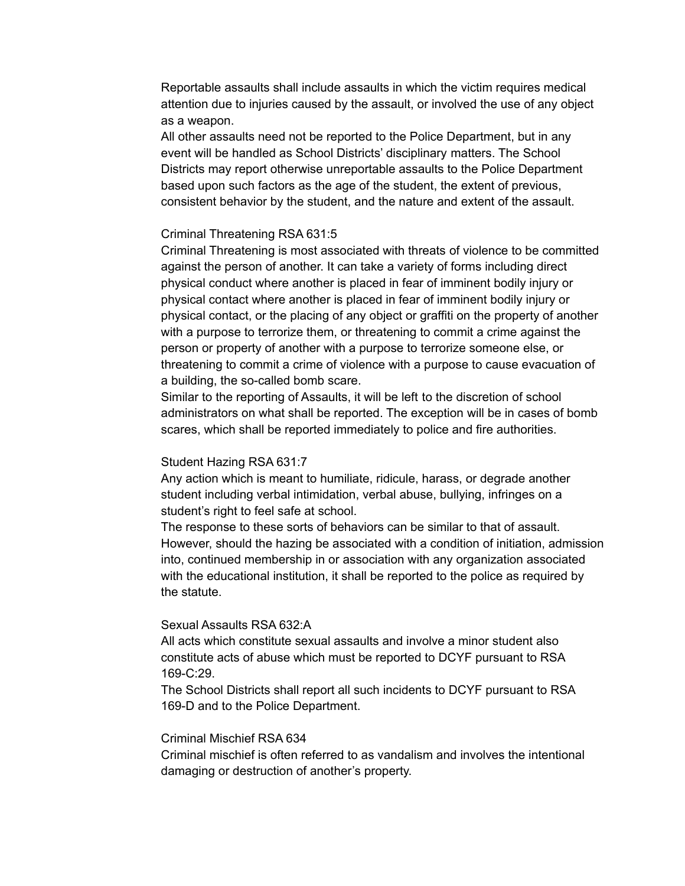Reportable assaults shall include assaults in which the victim requires medical attention due to injuries caused by the assault, or involved the use of any object as a weapon.

All other assaults need not be reported to the Police Department, but in any event will be handled as School Districts' disciplinary matters. The School Districts may report otherwise unreportable assaults to the Police Department based upon such factors as the age of the student, the extent of previous, consistent behavior by the student, and the nature and extent of the assault.

### Criminal Threatening RSA 631:5

Criminal Threatening is most associated with threats of violence to be committed against the person of another. It can take a variety of forms including direct physical conduct where another is placed in fear of imminent bodily injury or physical contact where another is placed in fear of imminent bodily injury or physical contact, or the placing of any object or graffiti on the property of another with a purpose to terrorize them, or threatening to commit a crime against the person or property of another with a purpose to terrorize someone else, or threatening to commit a crime of violence with a purpose to cause evacuation of a building, the so-called bomb scare.

Similar to the reporting of Assaults, it will be left to the discretion of school administrators on what shall be reported. The exception will be in cases of bomb scares, which shall be reported immediately to police and fire authorities.

#### Student Hazing RSA 631:7

Any action which is meant to humiliate, ridicule, harass, or degrade another student including verbal intimidation, verbal abuse, bullying, infringes on a student's right to feel safe at school.

The response to these sorts of behaviors can be similar to that of assault. However, should the hazing be associated with a condition of initiation, admission into, continued membership in or association with any organization associated with the educational institution, it shall be reported to the police as required by the statute.

#### Sexual Assaults RSA 632:A

All acts which constitute sexual assaults and involve a minor student also constitute acts of abuse which must be reported to DCYF pursuant to RSA 169-C:29.

The School Districts shall report all such incidents to DCYF pursuant to RSA 169-D and to the Police Department.

#### Criminal Mischief RSA 634

Criminal mischief is often referred to as vandalism and involves the intentional damaging or destruction of another's property.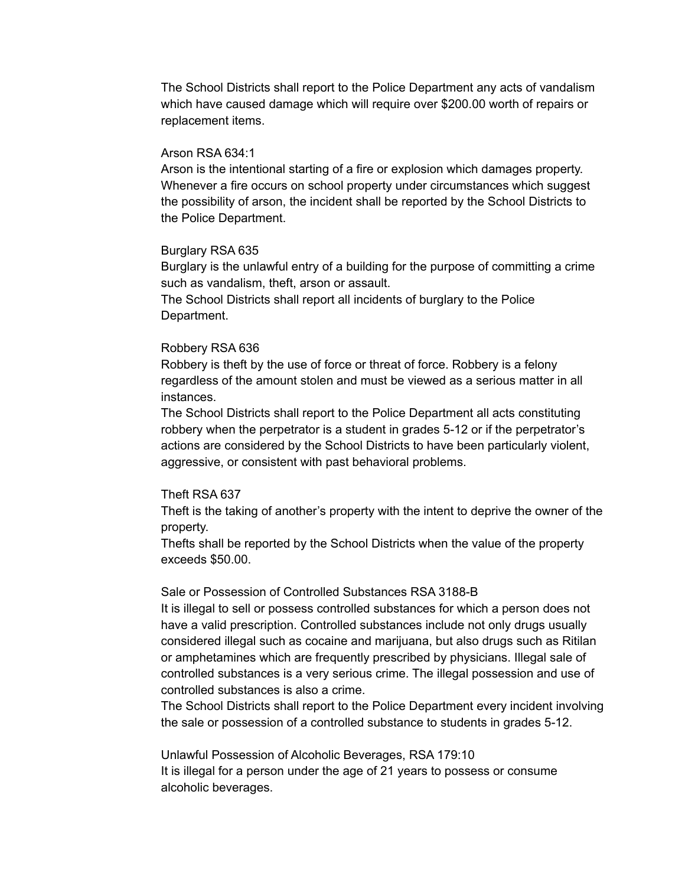The School Districts shall report to the Police Department any acts of vandalism which have caused damage which will require over \$200.00 worth of repairs or replacement items.

#### Arson RSA 634:1

Arson is the intentional starting of a fire or explosion which damages property. Whenever a fire occurs on school property under circumstances which suggest the possibility of arson, the incident shall be reported by the School Districts to the Police Department.

### Burglary RSA 635

Burglary is the unlawful entry of a building for the purpose of committing a crime such as vandalism, theft, arson or assault.

The School Districts shall report all incidents of burglary to the Police Department.

### Robbery RSA 636

Robbery is theft by the use of force or threat of force. Robbery is a felony regardless of the amount stolen and must be viewed as a serious matter in all instances.

The School Districts shall report to the Police Department all acts constituting robbery when the perpetrator is a student in grades 5-12 or if the perpetrator's actions are considered by the School Districts to have been particularly violent, aggressive, or consistent with past behavioral problems.

### Theft RSA 637

Theft is the taking of another's property with the intent to deprive the owner of the property.

Thefts shall be reported by the School Districts when the value of the property exceeds \$50.00.

#### Sale or Possession of Controlled Substances RSA 3188-B

It is illegal to sell or possess controlled substances for which a person does not have a valid prescription. Controlled substances include not only drugs usually considered illegal such as cocaine and marijuana, but also drugs such as Ritilan or amphetamines which are frequently prescribed by physicians. Illegal sale of controlled substances is a very serious crime. The illegal possession and use of controlled substances is also a crime.

The School Districts shall report to the Police Department every incident involving the sale or possession of a controlled substance to students in grades 5-12.

Unlawful Possession of Alcoholic Beverages, RSA 179:10 It is illegal for a person under the age of 21 years to possess or consume alcoholic beverages.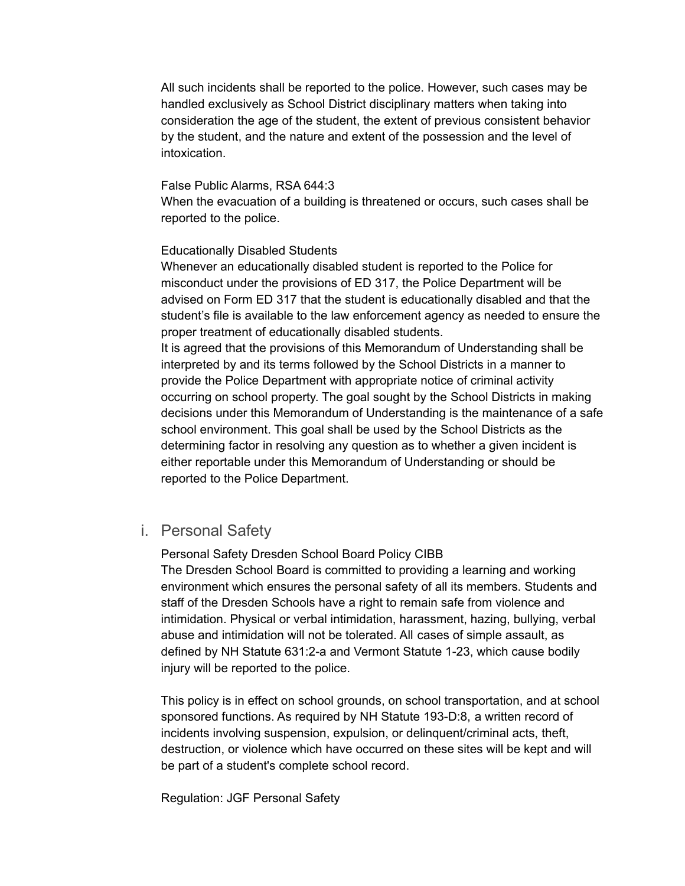All such incidents shall be reported to the police. However, such cases may be handled exclusively as School District disciplinary matters when taking into consideration the age of the student, the extent of previous consistent behavior by the student, and the nature and extent of the possession and the level of intoxication.

#### False Public Alarms, RSA 644:3

When the evacuation of a building is threatened or occurs, such cases shall be reported to the police.

### Educationally Disabled Students

Whenever an educationally disabled student is reported to the Police for misconduct under the provisions of ED 317, the Police Department will be advised on Form ED 317 that the student is educationally disabled and that the student's file is available to the law enforcement agency as needed to ensure the proper treatment of educationally disabled students.

It is agreed that the provisions of this Memorandum of Understanding shall be interpreted by and its terms followed by the School Districts in a manner to provide the Police Department with appropriate notice of criminal activity occurring on school property. The goal sought by the School Districts in making decisions under this Memorandum of Understanding is the maintenance of a safe school environment. This goal shall be used by the School Districts as the determining factor in resolving any question as to whether a given incident is either reportable under this Memorandum of Understanding or should be reported to the Police Department.

# i. Personal Safety

Personal Safety Dresden School Board Policy CIBB

The Dresden School Board is committed to providing a learning and working environment which ensures the personal safety of all its members. Students and staff of the Dresden Schools have a right to remain safe from violence and intimidation. Physical or verbal intimidation, harassment, hazing, bullying, verbal abuse and intimidation will not be tolerated. All cases of simple assault, as defined by NH Statute 631:2-a and Vermont Statute 1-23, which cause bodily injury will be reported to the police.

This policy is in effect on school grounds, on school transportation, and at school sponsored functions. As required by NH Statute 193-D:8, a written record of incidents involving suspension, expulsion, or delinquent/criminal acts, theft, destruction, or violence which have occurred on these sites will be kept and will be part of a student's complete school record.

Regulation: JGF Personal Safety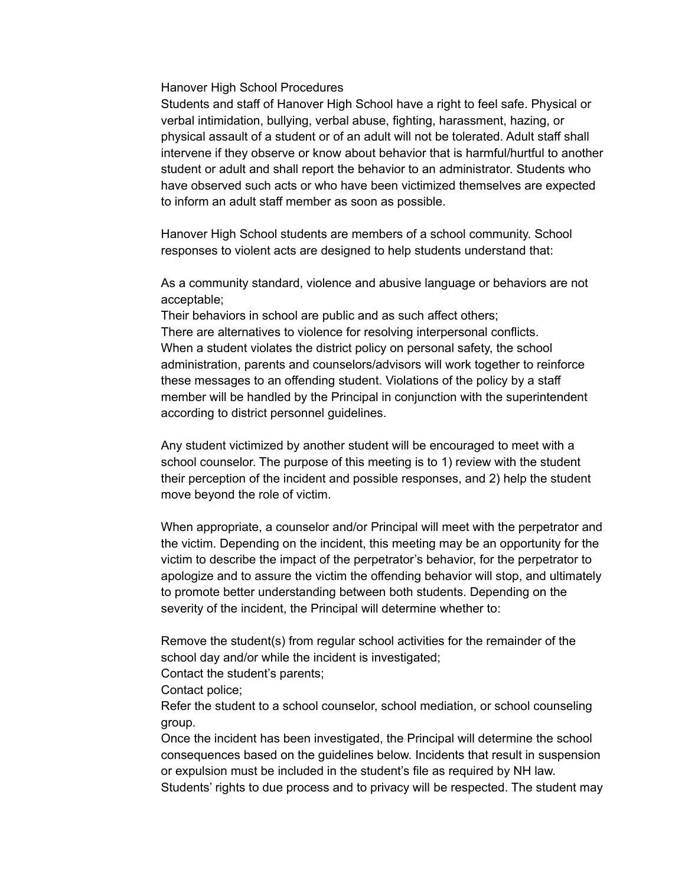Hanover High School Procedures

Students and staff of Hanover High School have a right to feel safe. Physical or verbal intimidation, bullying, verbal abuse, fighting, harassment, hazing, or physical assault of a student or of an adult will not be tolerated. Adult staff shall intervene if they observe or know about behavior that is harmful/hurtful to another student or adult and shall report the behavior to an administrator. Students who have observed such acts or who have been victimized themselves are expected to inform an adult staff member as soon as possible.

Hanover High School students are members of a school community. School responses to violent acts are designed to help students understand that:

As a community standard, violence and abusive language or behaviors are not acceptable;

Their behaviors in school are public and as such affect others; There are alternatives to violence for resolving interpersonal conflicts. When a student violates the district policy on personal safety, the school administration, parents and counselors/advisors will work together to reinforce these messages to an offending student. Violations of the policy by a staff member will be handled by the Principal in conjunction with the superintendent according to district personnel guidelines.

Any student victimized by another student will be encouraged to meet with a school counselor. The purpose of this meeting is to 1) review with the student their perception of the incident and possible responses, and 2) help the student move beyond the role of victim.

When appropriate, a counselor and/or Principal will meet with the perpetrator and the victim. Depending on the incident, this meeting may be an opportunity for the victim to describe the impact of the perpetrator's behavior, for the perpetrator to apologize and to assure the victim the offending behavior will stop, and ultimately to promote better understanding between both students. Depending on the severity of the incident, the Principal will determine whether to:

Remove the student(s) from regular school activities for the remainder of the school day and/or while the incident is investigated;

Contact the student's parents;

Contact police;

Refer the student to a school counselor, school mediation, or school counseling group.

Once the incident has been investigated, the Principal will determine the school consequences based on the guidelines below. Incidents that result in suspension or expulsion must be included in the student's file as required by NH law. Students' rights to due process and to privacy will be respected. The student may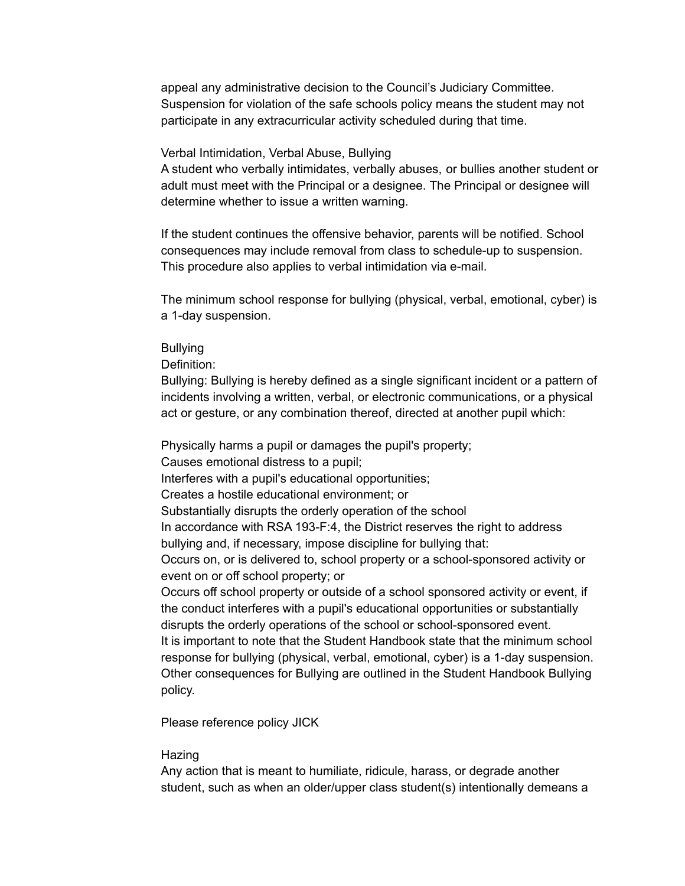appeal any administrative decision to the Council's Judiciary Committee. Suspension for violation of the safe schools policy means the student may not participate in any extracurricular activity scheduled during that time.

### Verbal Intimidation, Verbal Abuse, Bullying

A student who verbally intimidates, verbally abuses, or bullies another student or adult must meet with the Principal or a designee. The Principal or designee will determine whether to issue a written warning.

If the student continues the offensive behavior, parents will be notified. School consequences may include removal from class to schedule-up to suspension. This procedure also applies to verbal intimidation via e-mail.

The minimum school response for bullying (physical, verbal, emotional, cyber) is a 1-day suspension.

#### **Bullying**

Definition:

Bullying: Bullying is hereby defined as a single significant incident or a pattern of incidents involving a written, verbal, or electronic communications, or a physical act or gesture, or any combination thereof, directed at another pupil which:

Physically harms a pupil or damages the pupil's property; Causes emotional distress to a pupil; Interferes with a pupil's educational opportunities; Creates a hostile educational environment; or Substantially disrupts the orderly operation of the school In accordance with RSA 193-F:4, the District reserves the right to address bullying and, if necessary, impose discipline for bullying that: Occurs on, or is delivered to, school property or a school-sponsored activity or event on or off school property; or Occurs off school property or outside of a school sponsored activity or event, if the conduct interferes with a pupil's educational opportunities or substantially disrupts the orderly operations of the school or school-sponsored event. It is important to note that the Student Handbook state that the minimum school response for bullying (physical, verbal, emotional, cyber) is a 1-day suspension. Other consequences for Bullying are outlined in the Student Handbook Bullying policy.

Please reference policy JICK

#### **Hazing**

Any action that is meant to humiliate, ridicule, harass, or degrade another student, such as when an older/upper class student(s) intentionally demeans a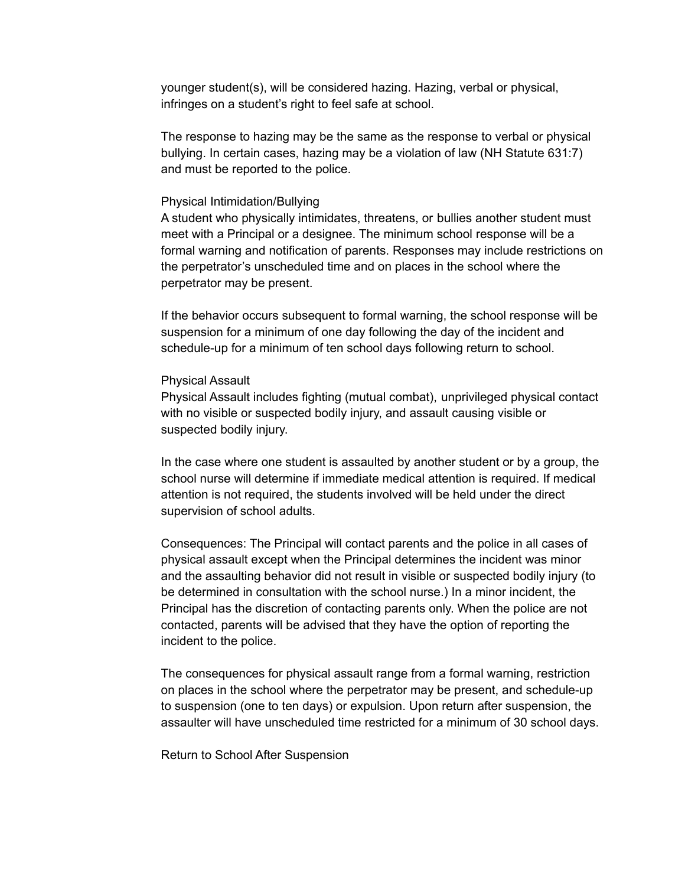younger student(s), will be considered hazing. Hazing, verbal or physical, infringes on a student's right to feel safe at school.

The response to hazing may be the same as the response to verbal or physical bullying. In certain cases, hazing may be a violation of law (NH Statute 631:7) and must be reported to the police.

#### Physical Intimidation/Bullying

A student who physically intimidates, threatens, or bullies another student must meet with a Principal or a designee. The minimum school response will be a formal warning and notification of parents. Responses may include restrictions on the perpetrator's unscheduled time and on places in the school where the perpetrator may be present.

If the behavior occurs subsequent to formal warning, the school response will be suspension for a minimum of one day following the day of the incident and schedule-up for a minimum of ten school days following return to school.

#### Physical Assault

Physical Assault includes fighting (mutual combat), unprivileged physical contact with no visible or suspected bodily injury, and assault causing visible or suspected bodily injury.

In the case where one student is assaulted by another student or by a group, the school nurse will determine if immediate medical attention is required. If medical attention is not required, the students involved will be held under the direct supervision of school adults.

Consequences: The Principal will contact parents and the police in all cases of physical assault except when the Principal determines the incident was minor and the assaulting behavior did not result in visible or suspected bodily injury (to be determined in consultation with the school nurse.) In a minor incident, the Principal has the discretion of contacting parents only. When the police are not contacted, parents will be advised that they have the option of reporting the incident to the police.

The consequences for physical assault range from a formal warning, restriction on places in the school where the perpetrator may be present, and schedule-up to suspension (one to ten days) or expulsion. Upon return after suspension, the assaulter will have unscheduled time restricted for a minimum of 30 school days.

Return to School After Suspension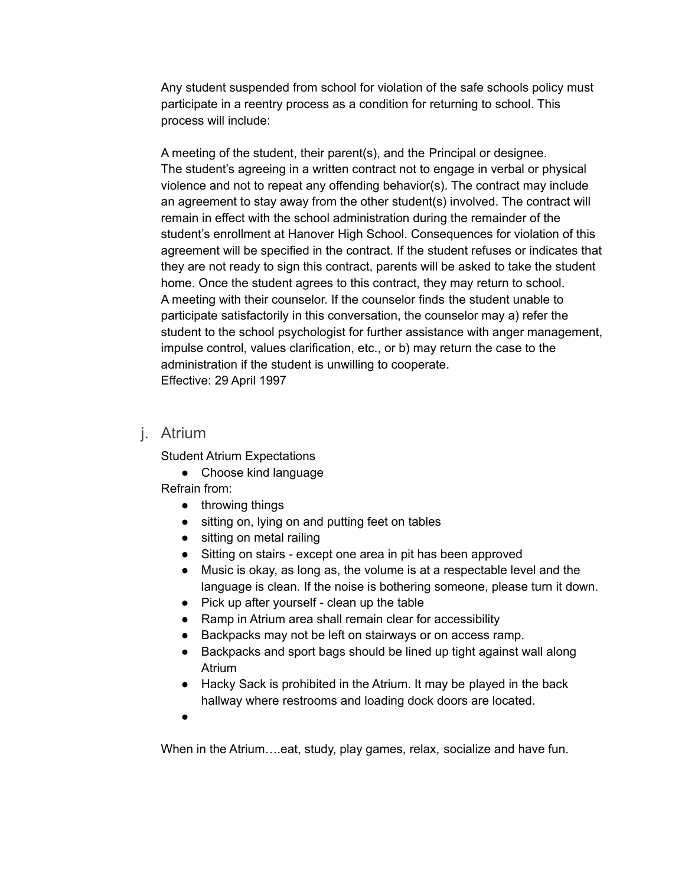Any student suspended from school for violation of the safe schools policy must participate in a reentry process as a condition for returning to school. This process will include:

A meeting of the student, their parent(s), and the Principal or designee. The student's agreeing in a written contract not to engage in verbal or physical violence and not to repeat any offending behavior(s). The contract may include an agreement to stay away from the other student(s) involved. The contract will remain in effect with the school administration during the remainder of the student's enrollment at Hanover High School. Consequences for violation of this agreement will be specified in the contract. If the student refuses or indicates that they are not ready to sign this contract, parents will be asked to take the student home. Once the student agrees to this contract, they may return to school. A meeting with their counselor. If the counselor finds the student unable to participate satisfactorily in this conversation, the counselor may a) refer the student to the school psychologist for further assistance with anger management, impulse control, values clarification, etc., or b) may return the case to the administration if the student is unwilling to cooperate. Effective: 29 April 1997

# j. Atrium

Student Atrium Expectations

● Choose kind language

Refrain from:

- throwing things
- sitting on, lying on and putting feet on tables
- sitting on metal railing
- Sitting on stairs except one area in pit has been approved
- Music is okay, as long as, the volume is at a respectable level and the language is clean. If the noise is bothering someone, please turn it down.
- Pick up after yourself clean up the table
- Ramp in Atrium area shall remain clear for accessibility
- Backpacks may not be left on stairways or on access ramp.
- Backpacks and sport bags should be lined up tight against wall along Atrium
- Hacky Sack is prohibited in the Atrium. It may be played in the back hallway where restrooms and loading dock doors are located.
- ●

When in the Atrium….eat, study, play games, relax, socialize and have fun.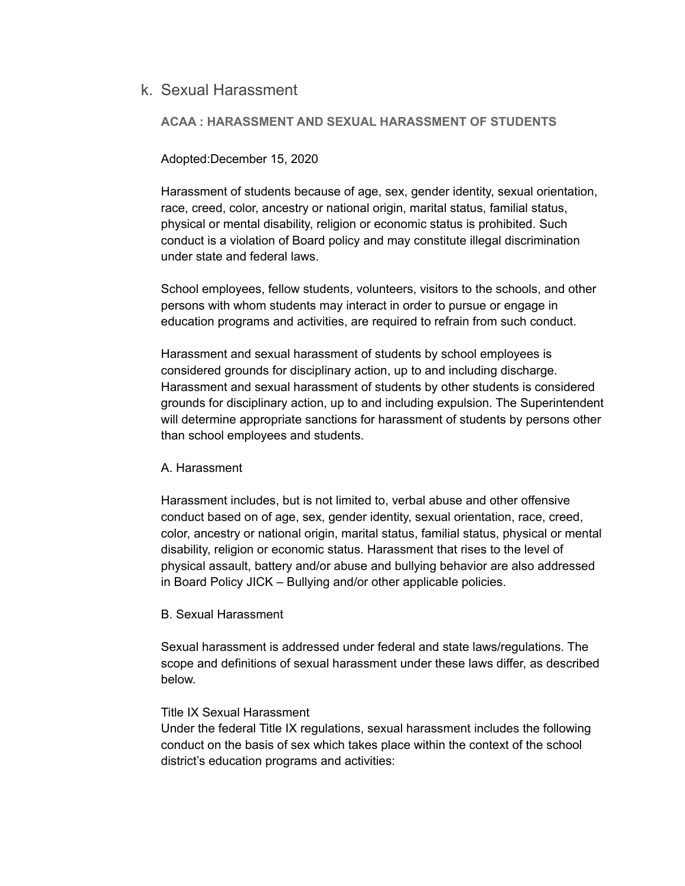# k. Sexual Harassment

### **ACAA : HARASSMENT AND SEXUAL HARASSMENT OF STUDENTS**

### Adopted:December 15, 2020

Harassment of students because of age, sex, gender identity, sexual orientation, race, creed, color, ancestry or national origin, marital status, familial status, physical or mental disability, religion or economic status is prohibited. Such conduct is a violation of Board policy and may constitute illegal discrimination under state and federal laws.

School employees, fellow students, volunteers, visitors to the schools, and other persons with whom students may interact in order to pursue or engage in education programs and activities, are required to refrain from such conduct.

Harassment and sexual harassment of students by school employees is considered grounds for disciplinary action, up to and including discharge. Harassment and sexual harassment of students by other students is considered grounds for disciplinary action, up to and including expulsion. The Superintendent will determine appropriate sanctions for harassment of students by persons other than school employees and students.

### A. Harassment

Harassment includes, but is not limited to, verbal abuse and other offensive conduct based on of age, sex, gender identity, sexual orientation, race, creed, color, ancestry or national origin, marital status, familial status, physical or mental disability, religion or economic status. Harassment that rises to the level of physical assault, battery and/or abuse and bullying behavior are also addressed in Board Policy JICK – Bullying and/or other applicable policies.

### B. Sexual Harassment

Sexual harassment is addressed under federal and state laws/regulations. The scope and definitions of sexual harassment under these laws differ, as described below.

### Title IX Sexual Harassment

Under the federal Title IX regulations, sexual harassment includes the following conduct on the basis of sex which takes place within the context of the school district's education programs and activities: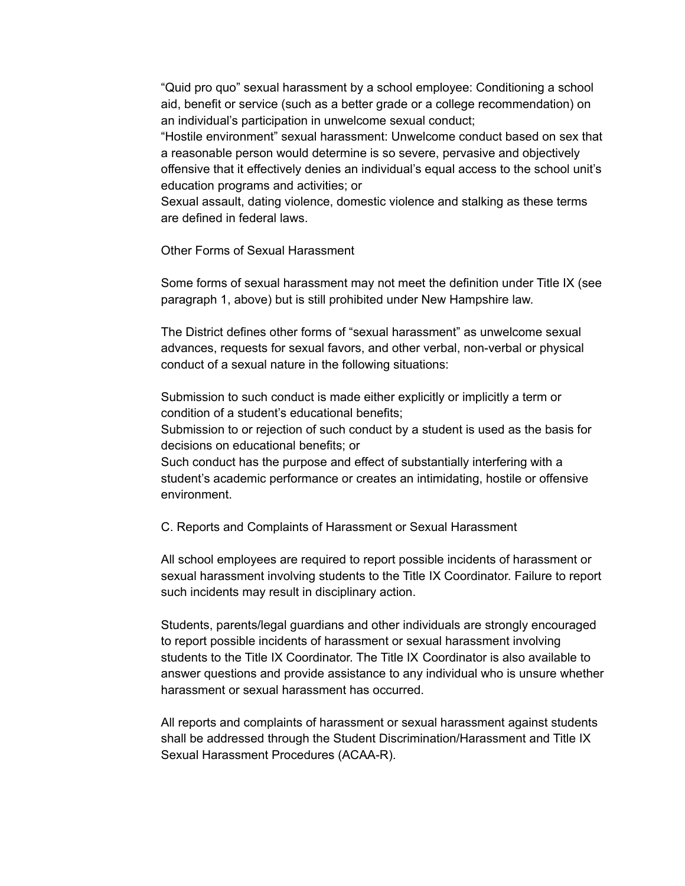"Quid pro quo" sexual harassment by a school employee: Conditioning a school aid, benefit or service (such as a better grade or a college recommendation) on an individual's participation in unwelcome sexual conduct;

"Hostile environment" sexual harassment: Unwelcome conduct based on sex that a reasonable person would determine is so severe, pervasive and objectively offensive that it effectively denies an individual's equal access to the school unit's education programs and activities; or

Sexual assault, dating violence, domestic violence and stalking as these terms are defined in federal laws.

Other Forms of Sexual Harassment

Some forms of sexual harassment may not meet the definition under Title IX (see paragraph 1, above) but is still prohibited under New Hampshire law.

The District defines other forms of "sexual harassment" as unwelcome sexual advances, requests for sexual favors, and other verbal, non-verbal or physical conduct of a sexual nature in the following situations:

Submission to such conduct is made either explicitly or implicitly a term or condition of a student's educational benefits;

Submission to or rejection of such conduct by a student is used as the basis for decisions on educational benefits; or

Such conduct has the purpose and effect of substantially interfering with a student's academic performance or creates an intimidating, hostile or offensive environment.

C. Reports and Complaints of Harassment or Sexual Harassment

All school employees are required to report possible incidents of harassment or sexual harassment involving students to the Title IX Coordinator. Failure to report such incidents may result in disciplinary action.

Students, parents/legal guardians and other individuals are strongly encouraged to report possible incidents of harassment or sexual harassment involving students to the Title IX Coordinator. The Title IX Coordinator is also available to answer questions and provide assistance to any individual who is unsure whether harassment or sexual harassment has occurred.

All reports and complaints of harassment or sexual harassment against students shall be addressed through the Student Discrimination/Harassment and Title IX Sexual Harassment Procedures (ACAA-R).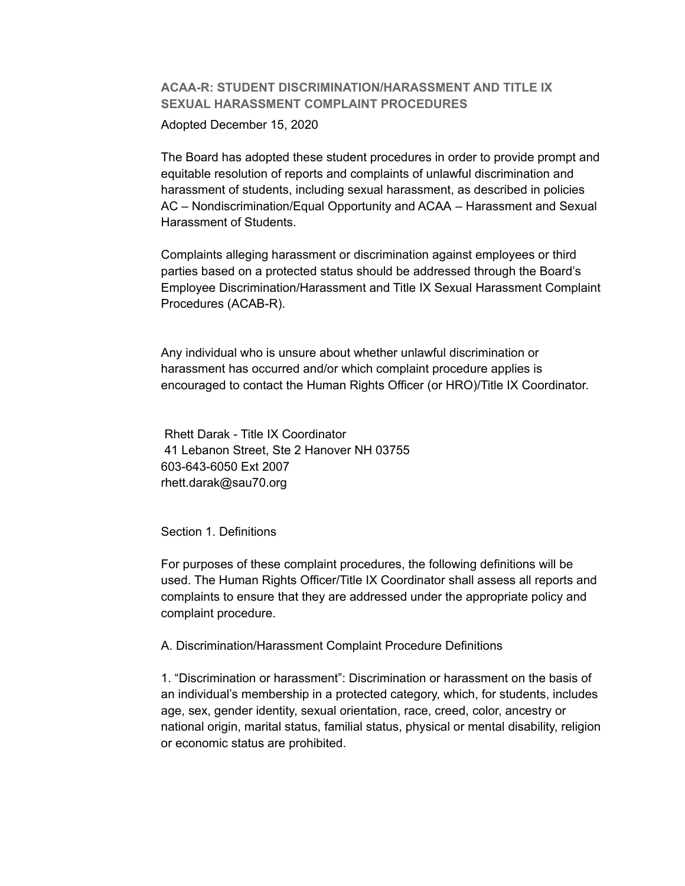# **ACAA-R: STUDENT DISCRIMINATION/HARASSMENT AND TITLE IX SEXUAL HARASSMENT COMPLAINT PROCEDURES**

Adopted December 15, 2020

The Board has adopted these student procedures in order to provide prompt and equitable resolution of reports and complaints of unlawful discrimination and harassment of students, including sexual harassment, as described in policies AC – Nondiscrimination/Equal Opportunity and ACAA – Harassment and Sexual Harassment of Students.

Complaints alleging harassment or discrimination against employees or third parties based on a protected status should be addressed through the Board's Employee Discrimination/Harassment and Title IX Sexual Harassment Complaint Procedures (ACAB-R).

Any individual who is unsure about whether unlawful discrimination or harassment has occurred and/or which complaint procedure applies is encouraged to contact the Human Rights Officer (or HRO)/Title IX Coordinator.

Rhett Darak - Title IX Coordinator 41 Lebanon Street, Ste 2 Hanover NH 03755 603-643-6050 Ext 2007 rhett.darak@sau70.org

Section 1. Definitions

For purposes of these complaint procedures, the following definitions will be used. The Human Rights Officer/Title IX Coordinator shall assess all reports and complaints to ensure that they are addressed under the appropriate policy and complaint procedure.

A. Discrimination/Harassment Complaint Procedure Definitions

1. "Discrimination or harassment": Discrimination or harassment on the basis of an individual's membership in a protected category, which, for students, includes age, sex, gender identity, sexual orientation, race, creed, color, ancestry or national origin, marital status, familial status, physical or mental disability, religion or economic status are prohibited.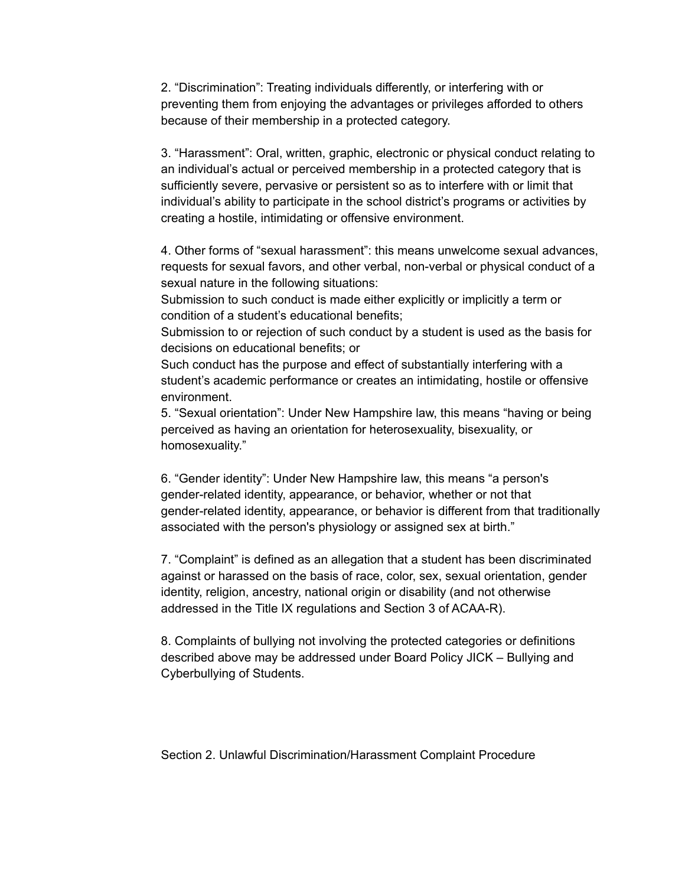2. "Discrimination": Treating individuals differently, or interfering with or preventing them from enjoying the advantages or privileges afforded to others because of their membership in a protected category.

3. "Harassment": Oral, written, graphic, electronic or physical conduct relating to an individual's actual or perceived membership in a protected category that is sufficiently severe, pervasive or persistent so as to interfere with or limit that individual's ability to participate in the school district's programs or activities by creating a hostile, intimidating or offensive environment.

4. Other forms of "sexual harassment": this means unwelcome sexual advances, requests for sexual favors, and other verbal, non-verbal or physical conduct of a sexual nature in the following situations:

Submission to such conduct is made either explicitly or implicitly a term or condition of a student's educational benefits;

Submission to or rejection of such conduct by a student is used as the basis for decisions on educational benefits; or

Such conduct has the purpose and effect of substantially interfering with a student's academic performance or creates an intimidating, hostile or offensive environment.

5. "Sexual orientation": Under New Hampshire law, this means "having or being perceived as having an orientation for heterosexuality, bisexuality, or homosexuality."

6. "Gender identity": Under New Hampshire law, this means "a person's gender-related identity, appearance, or behavior, whether or not that gender-related identity, appearance, or behavior is different from that traditionally associated with the person's physiology or assigned sex at birth."

7. "Complaint" is defined as an allegation that a student has been discriminated against or harassed on the basis of race, color, sex, sexual orientation, gender identity, religion, ancestry, national origin or disability (and not otherwise addressed in the Title IX regulations and Section 3 of ACAA-R).

8. Complaints of bullying not involving the protected categories or definitions described above may be addressed under Board Policy JICK – Bullying and Cyberbullying of Students.

Section 2. Unlawful Discrimination/Harassment Complaint Procedure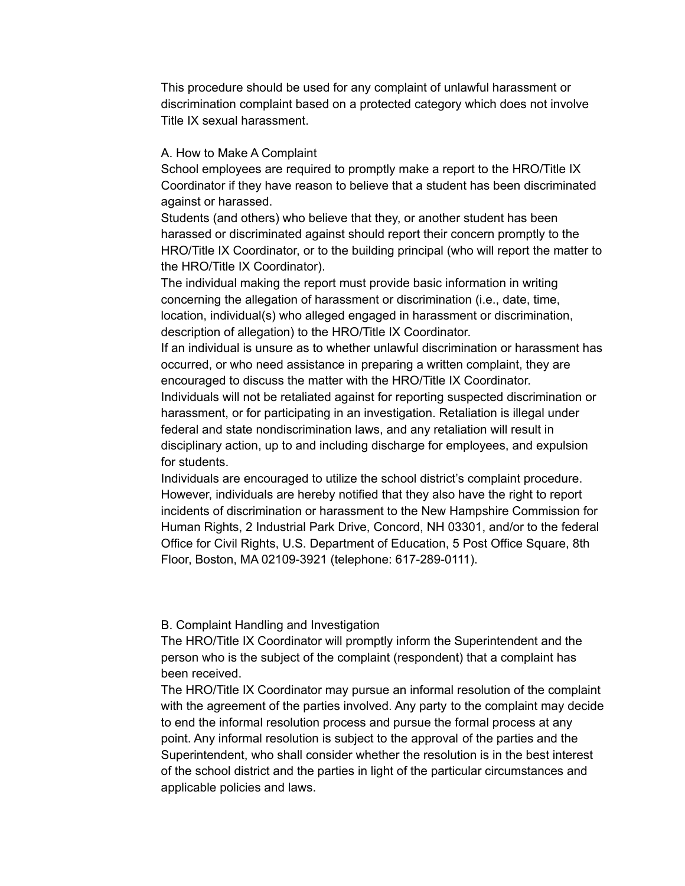This procedure should be used for any complaint of unlawful harassment or discrimination complaint based on a protected category which does not involve Title IX sexual harassment.

### A. How to Make A Complaint

School employees are required to promptly make a report to the HRO/Title IX Coordinator if they have reason to believe that a student has been discriminated against or harassed.

Students (and others) who believe that they, or another student has been harassed or discriminated against should report their concern promptly to the HRO/Title IX Coordinator, or to the building principal (who will report the matter to the HRO/Title IX Coordinator).

The individual making the report must provide basic information in writing concerning the allegation of harassment or discrimination (i.e., date, time, location, individual(s) who alleged engaged in harassment or discrimination, description of allegation) to the HRO/Title IX Coordinator.

If an individual is unsure as to whether unlawful discrimination or harassment has occurred, or who need assistance in preparing a written complaint, they are encouraged to discuss the matter with the HRO/Title IX Coordinator.

Individuals will not be retaliated against for reporting suspected discrimination or harassment, or for participating in an investigation. Retaliation is illegal under federal and state nondiscrimination laws, and any retaliation will result in disciplinary action, up to and including discharge for employees, and expulsion for students.

Individuals are encouraged to utilize the school district's complaint procedure. However, individuals are hereby notified that they also have the right to report incidents of discrimination or harassment to the New Hampshire Commission for Human Rights, 2 Industrial Park Drive, Concord, NH 03301, and/or to the federal Office for Civil Rights, U.S. Department of Education, 5 Post Office Square, 8th Floor, Boston, MA 02109-3921 (telephone: 617-289-0111).

B. Complaint Handling and Investigation

The HRO/Title IX Coordinator will promptly inform the Superintendent and the person who is the subject of the complaint (respondent) that a complaint has been received.

The HRO/Title IX Coordinator may pursue an informal resolution of the complaint with the agreement of the parties involved. Any party to the complaint may decide to end the informal resolution process and pursue the formal process at any point. Any informal resolution is subject to the approval of the parties and the Superintendent, who shall consider whether the resolution is in the best interest of the school district and the parties in light of the particular circumstances and applicable policies and laws.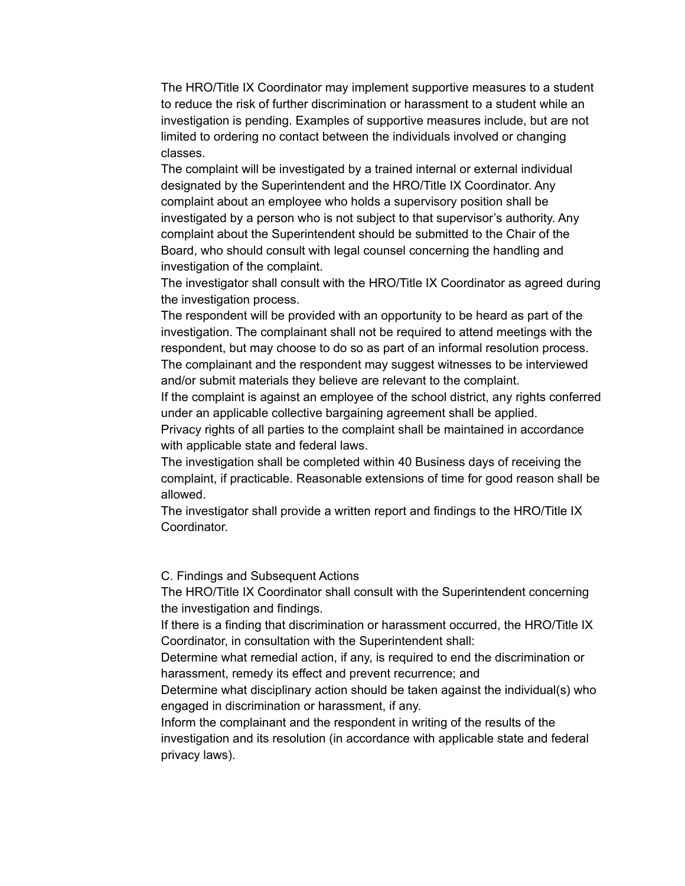The HRO/Title IX Coordinator may implement supportive measures to a student to reduce the risk of further discrimination or harassment to a student while an investigation is pending. Examples of supportive measures include, but are not limited to ordering no contact between the individuals involved or changing classes.

The complaint will be investigated by a trained internal or external individual designated by the Superintendent and the HRO/Title IX Coordinator. Any complaint about an employee who holds a supervisory position shall be investigated by a person who is not subject to that supervisor's authority. Any complaint about the Superintendent should be submitted to the Chair of the Board, who should consult with legal counsel concerning the handling and investigation of the complaint.

The investigator shall consult with the HRO/Title IX Coordinator as agreed during the investigation process.

The respondent will be provided with an opportunity to be heard as part of the investigation. The complainant shall not be required to attend meetings with the respondent, but may choose to do so as part of an informal resolution process. The complainant and the respondent may suggest witnesses to be interviewed and/or submit materials they believe are relevant to the complaint.

If the complaint is against an employee of the school district, any rights conferred under an applicable collective bargaining agreement shall be applied.

Privacy rights of all parties to the complaint shall be maintained in accordance with applicable state and federal laws.

The investigation shall be completed within 40 Business days of receiving the complaint, if practicable. Reasonable extensions of time for good reason shall be allowed.

The investigator shall provide a written report and findings to the HRO/Title IX **Coordinator** 

C. Findings and Subsequent Actions

The HRO/Title IX Coordinator shall consult with the Superintendent concerning the investigation and findings.

If there is a finding that discrimination or harassment occurred, the HRO/Title IX Coordinator, in consultation with the Superintendent shall:

Determine what remedial action, if any, is required to end the discrimination or harassment, remedy its effect and prevent recurrence; and

Determine what disciplinary action should be taken against the individual(s) who engaged in discrimination or harassment, if any.

Inform the complainant and the respondent in writing of the results of the investigation and its resolution (in accordance with applicable state and federal privacy laws).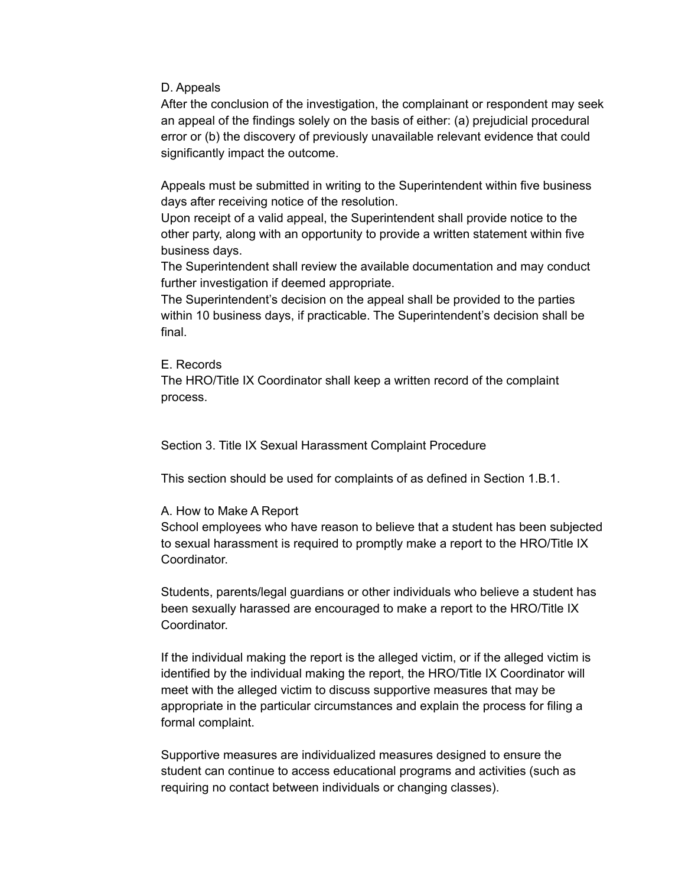D. Appeals

After the conclusion of the investigation, the complainant or respondent may seek an appeal of the findings solely on the basis of either: (a) prejudicial procedural error or (b) the discovery of previously unavailable relevant evidence that could significantly impact the outcome.

Appeals must be submitted in writing to the Superintendent within five business days after receiving notice of the resolution.

Upon receipt of a valid appeal, the Superintendent shall provide notice to the other party, along with an opportunity to provide a written statement within five business days.

The Superintendent shall review the available documentation and may conduct further investigation if deemed appropriate.

The Superintendent's decision on the appeal shall be provided to the parties within 10 business days, if practicable. The Superintendent's decision shall be final.

### E. Records

The HRO/Title IX Coordinator shall keep a written record of the complaint process.

Section 3. Title IX Sexual Harassment Complaint Procedure

This section should be used for complaints of as defined in Section 1.B.1.

### A. How to Make A Report

School employees who have reason to believe that a student has been subjected to sexual harassment is required to promptly make a report to the HRO/Title IX Coordinator.

Students, parents/legal guardians or other individuals who believe a student has been sexually harassed are encouraged to make a report to the HRO/Title IX Coordinator.

If the individual making the report is the alleged victim, or if the alleged victim is identified by the individual making the report, the HRO/Title IX Coordinator will meet with the alleged victim to discuss supportive measures that may be appropriate in the particular circumstances and explain the process for filing a formal complaint.

Supportive measures are individualized measures designed to ensure the student can continue to access educational programs and activities (such as requiring no contact between individuals or changing classes).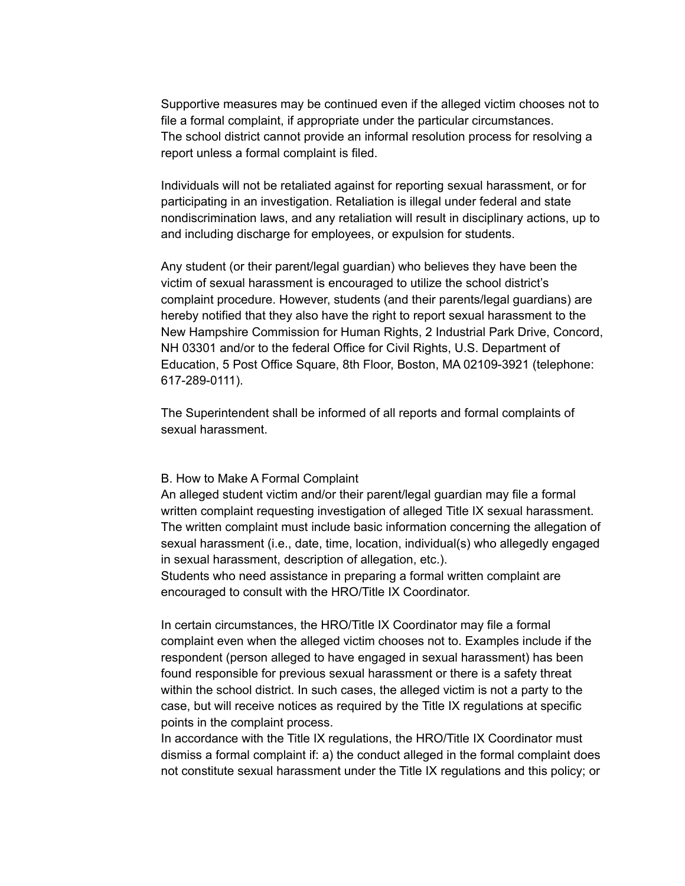Supportive measures may be continued even if the alleged victim chooses not to file a formal complaint, if appropriate under the particular circumstances. The school district cannot provide an informal resolution process for resolving a report unless a formal complaint is filed.

Individuals will not be retaliated against for reporting sexual harassment, or for participating in an investigation. Retaliation is illegal under federal and state nondiscrimination laws, and any retaliation will result in disciplinary actions, up to and including discharge for employees, or expulsion for students.

Any student (or their parent/legal guardian) who believes they have been the victim of sexual harassment is encouraged to utilize the school district's complaint procedure. However, students (and their parents/legal guardians) are hereby notified that they also have the right to report sexual harassment to the New Hampshire Commission for Human Rights, 2 Industrial Park Drive, Concord, NH 03301 and/or to the federal Office for Civil Rights, U.S. Department of Education, 5 Post Office Square, 8th Floor, Boston, MA 02109-3921 (telephone: 617-289-0111).

The Superintendent shall be informed of all reports and formal complaints of sexual harassment.

#### B. How to Make A Formal Complaint

An alleged student victim and/or their parent/legal guardian may file a formal written complaint requesting investigation of alleged Title IX sexual harassment. The written complaint must include basic information concerning the allegation of sexual harassment (i.e., date, time, location, individual(s) who allegedly engaged in sexual harassment, description of allegation, etc.).

Students who need assistance in preparing a formal written complaint are encouraged to consult with the HRO/Title IX Coordinator.

In certain circumstances, the HRO/Title IX Coordinator may file a formal complaint even when the alleged victim chooses not to. Examples include if the respondent (person alleged to have engaged in sexual harassment) has been found responsible for previous sexual harassment or there is a safety threat within the school district. In such cases, the alleged victim is not a party to the case, but will receive notices as required by the Title IX regulations at specific points in the complaint process.

In accordance with the Title IX regulations, the HRO/Title IX Coordinator must dismiss a formal complaint if: a) the conduct alleged in the formal complaint does not constitute sexual harassment under the Title IX regulations and this policy; or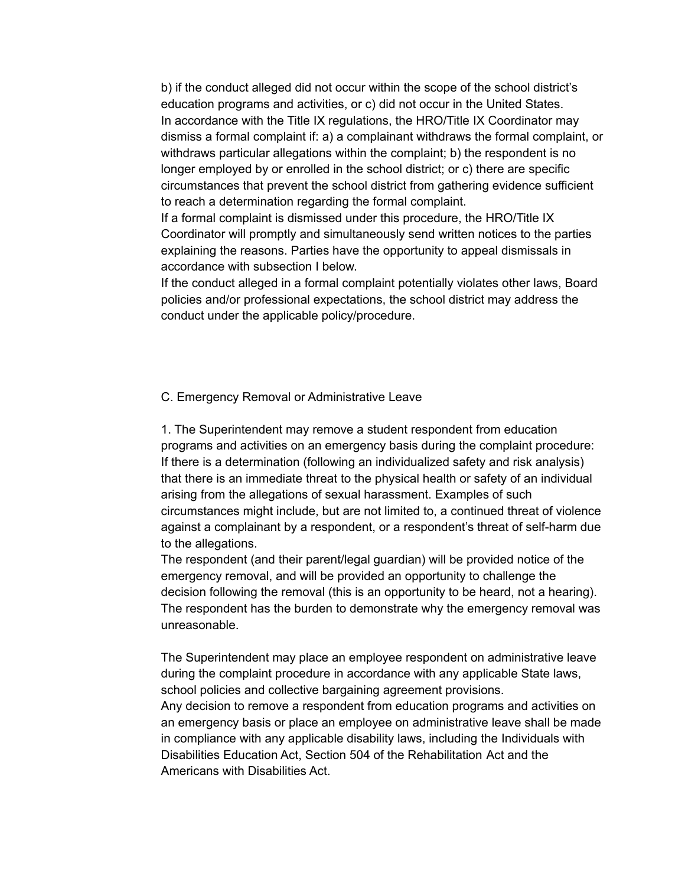b) if the conduct alleged did not occur within the scope of the school district's education programs and activities, or c) did not occur in the United States. In accordance with the Title IX regulations, the HRO/Title IX Coordinator may dismiss a formal complaint if: a) a complainant withdraws the formal complaint, or withdraws particular allegations within the complaint; b) the respondent is no longer employed by or enrolled in the school district; or c) there are specific circumstances that prevent the school district from gathering evidence sufficient to reach a determination regarding the formal complaint.

If a formal complaint is dismissed under this procedure, the HRO/Title IX Coordinator will promptly and simultaneously send written notices to the parties explaining the reasons. Parties have the opportunity to appeal dismissals in accordance with subsection I below.

If the conduct alleged in a formal complaint potentially violates other laws, Board policies and/or professional expectations, the school district may address the conduct under the applicable policy/procedure.

### C. Emergency Removal or Administrative Leave

1. The Superintendent may remove a student respondent from education programs and activities on an emergency basis during the complaint procedure: If there is a determination (following an individualized safety and risk analysis) that there is an immediate threat to the physical health or safety of an individual arising from the allegations of sexual harassment. Examples of such circumstances might include, but are not limited to, a continued threat of violence against a complainant by a respondent, or a respondent's threat of self-harm due to the allegations.

The respondent (and their parent/legal guardian) will be provided notice of the emergency removal, and will be provided an opportunity to challenge the decision following the removal (this is an opportunity to be heard, not a hearing). The respondent has the burden to demonstrate why the emergency removal was unreasonable.

The Superintendent may place an employee respondent on administrative leave during the complaint procedure in accordance with any applicable State laws, school policies and collective bargaining agreement provisions.

Any decision to remove a respondent from education programs and activities on an emergency basis or place an employee on administrative leave shall be made in compliance with any applicable disability laws, including the Individuals with Disabilities Education Act, Section 504 of the Rehabilitation Act and the Americans with Disabilities Act.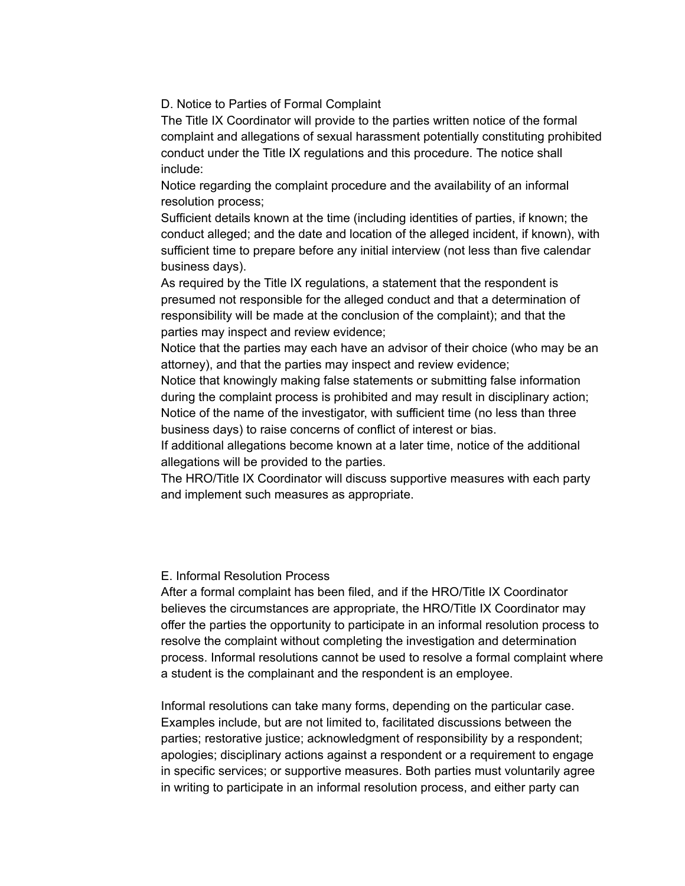D. Notice to Parties of Formal Complaint

The Title IX Coordinator will provide to the parties written notice of the formal complaint and allegations of sexual harassment potentially constituting prohibited conduct under the Title IX regulations and this procedure. The notice shall include:

Notice regarding the complaint procedure and the availability of an informal resolution process;

Sufficient details known at the time (including identities of parties, if known; the conduct alleged; and the date and location of the alleged incident, if known), with sufficient time to prepare before any initial interview (not less than five calendar business days).

As required by the Title IX regulations, a statement that the respondent is presumed not responsible for the alleged conduct and that a determination of responsibility will be made at the conclusion of the complaint); and that the parties may inspect and review evidence;

Notice that the parties may each have an advisor of their choice (who may be an attorney), and that the parties may inspect and review evidence;

Notice that knowingly making false statements or submitting false information during the complaint process is prohibited and may result in disciplinary action; Notice of the name of the investigator, with sufficient time (no less than three business days) to raise concerns of conflict of interest or bias.

If additional allegations become known at a later time, notice of the additional allegations will be provided to the parties.

The HRO/Title IX Coordinator will discuss supportive measures with each party and implement such measures as appropriate.

### E. Informal Resolution Process

After a formal complaint has been filed, and if the HRO/Title IX Coordinator believes the circumstances are appropriate, the HRO/Title IX Coordinator may offer the parties the opportunity to participate in an informal resolution process to resolve the complaint without completing the investigation and determination process. Informal resolutions cannot be used to resolve a formal complaint where a student is the complainant and the respondent is an employee.

Informal resolutions can take many forms, depending on the particular case. Examples include, but are not limited to, facilitated discussions between the parties; restorative justice; acknowledgment of responsibility by a respondent; apologies; disciplinary actions against a respondent or a requirement to engage in specific services; or supportive measures. Both parties must voluntarily agree in writing to participate in an informal resolution process, and either party can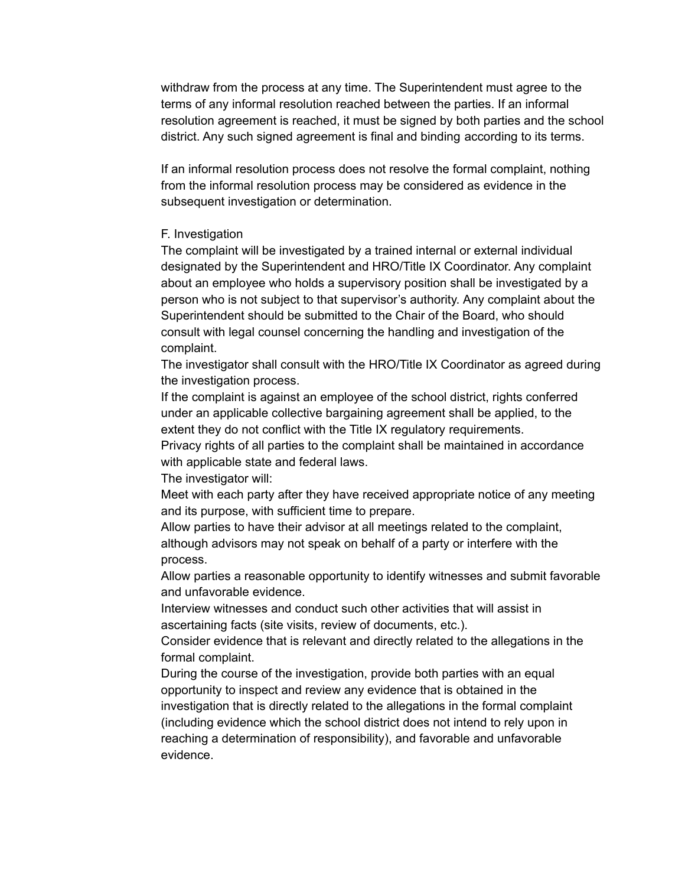withdraw from the process at any time. The Superintendent must agree to the terms of any informal resolution reached between the parties. If an informal resolution agreement is reached, it must be signed by both parties and the school district. Any such signed agreement is final and binding according to its terms.

If an informal resolution process does not resolve the formal complaint, nothing from the informal resolution process may be considered as evidence in the subsequent investigation or determination.

### F. Investigation

The complaint will be investigated by a trained internal or external individual designated by the Superintendent and HRO/Title IX Coordinator. Any complaint about an employee who holds a supervisory position shall be investigated by a person who is not subject to that supervisor's authority. Any complaint about the Superintendent should be submitted to the Chair of the Board, who should consult with legal counsel concerning the handling and investigation of the complaint.

The investigator shall consult with the HRO/Title IX Coordinator as agreed during the investigation process.

If the complaint is against an employee of the school district, rights conferred under an applicable collective bargaining agreement shall be applied, to the extent they do not conflict with the Title IX regulatory requirements.

Privacy rights of all parties to the complaint shall be maintained in accordance with applicable state and federal laws.

The investigator will:

Meet with each party after they have received appropriate notice of any meeting and its purpose, with sufficient time to prepare.

Allow parties to have their advisor at all meetings related to the complaint, although advisors may not speak on behalf of a party or interfere with the process.

Allow parties a reasonable opportunity to identify witnesses and submit favorable and unfavorable evidence.

Interview witnesses and conduct such other activities that will assist in ascertaining facts (site visits, review of documents, etc.).

Consider evidence that is relevant and directly related to the allegations in the formal complaint.

During the course of the investigation, provide both parties with an equal opportunity to inspect and review any evidence that is obtained in the investigation that is directly related to the allegations in the formal complaint (including evidence which the school district does not intend to rely upon in reaching a determination of responsibility), and favorable and unfavorable evidence.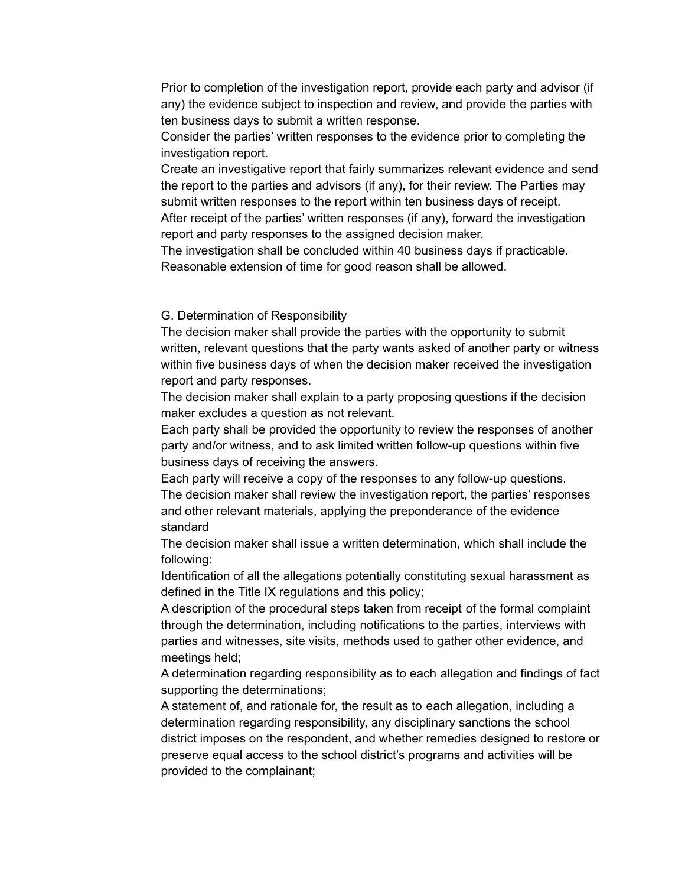Prior to completion of the investigation report, provide each party and advisor (if any) the evidence subject to inspection and review, and provide the parties with ten business days to submit a written response.

Consider the parties' written responses to the evidence prior to completing the investigation report.

Create an investigative report that fairly summarizes relevant evidence and send the report to the parties and advisors (if any), for their review. The Parties may submit written responses to the report within ten business days of receipt. After receipt of the parties' written responses (if any), forward the investigation report and party responses to the assigned decision maker.

The investigation shall be concluded within 40 business days if practicable. Reasonable extension of time for good reason shall be allowed.

#### G. Determination of Responsibility

The decision maker shall provide the parties with the opportunity to submit written, relevant questions that the party wants asked of another party or witness within five business days of when the decision maker received the investigation report and party responses.

The decision maker shall explain to a party proposing questions if the decision maker excludes a question as not relevant.

Each party shall be provided the opportunity to review the responses of another party and/or witness, and to ask limited written follow-up questions within five business days of receiving the answers.

Each party will receive a copy of the responses to any follow-up questions. The decision maker shall review the investigation report, the parties' responses and other relevant materials, applying the preponderance of the evidence standard

The decision maker shall issue a written determination, which shall include the following:

Identification of all the allegations potentially constituting sexual harassment as defined in the Title IX regulations and this policy;

A description of the procedural steps taken from receipt of the formal complaint through the determination, including notifications to the parties, interviews with parties and witnesses, site visits, methods used to gather other evidence, and meetings held;

A determination regarding responsibility as to each allegation and findings of fact supporting the determinations;

A statement of, and rationale for, the result as to each allegation, including a determination regarding responsibility, any disciplinary sanctions the school district imposes on the respondent, and whether remedies designed to restore or preserve equal access to the school district's programs and activities will be provided to the complainant;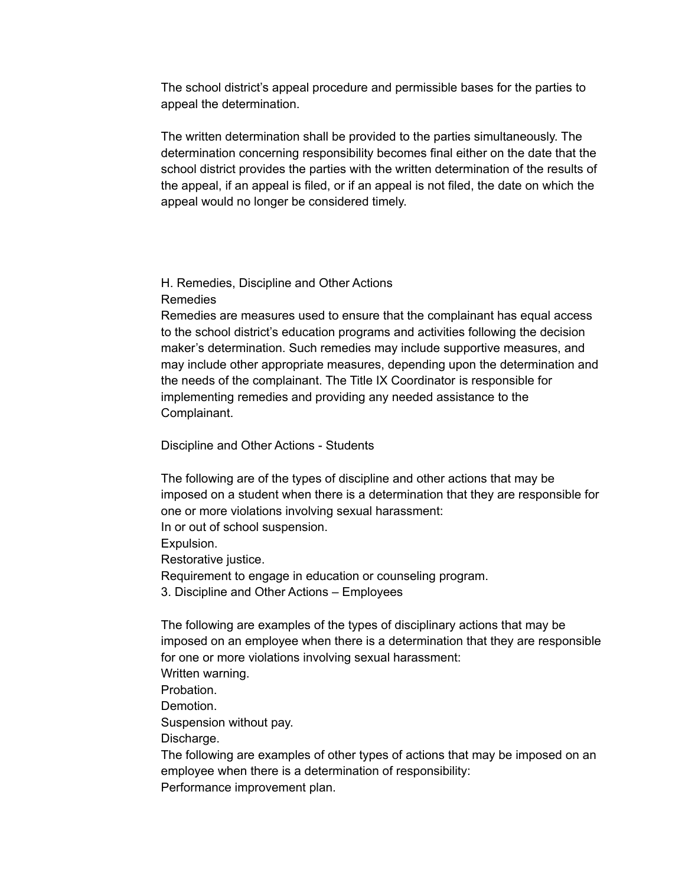The school district's appeal procedure and permissible bases for the parties to appeal the determination.

The written determination shall be provided to the parties simultaneously. The determination concerning responsibility becomes final either on the date that the school district provides the parties with the written determination of the results of the appeal, if an appeal is filed, or if an appeal is not filed, the date on which the appeal would no longer be considered timely.

H. Remedies, Discipline and Other Actions Remedies

Remedies are measures used to ensure that the complainant has equal access to the school district's education programs and activities following the decision maker's determination. Such remedies may include supportive measures, and may include other appropriate measures, depending upon the determination and the needs of the complainant. The Title IX Coordinator is responsible for implementing remedies and providing any needed assistance to the Complainant.

Discipline and Other Actions - Students

The following are of the types of discipline and other actions that may be imposed on a student when there is a determination that they are responsible for one or more violations involving sexual harassment:

In or out of school suspension.

Expulsion.

Restorative justice.

Requirement to engage in education or counseling program.

3. Discipline and Other Actions – Employees

The following are examples of the types of disciplinary actions that may be imposed on an employee when there is a determination that they are responsible for one or more violations involving sexual harassment:

Written warning.

Probation.

Demotion.

Suspension without pay.

Discharge.

The following are examples of other types of actions that may be imposed on an employee when there is a determination of responsibility: Performance improvement plan.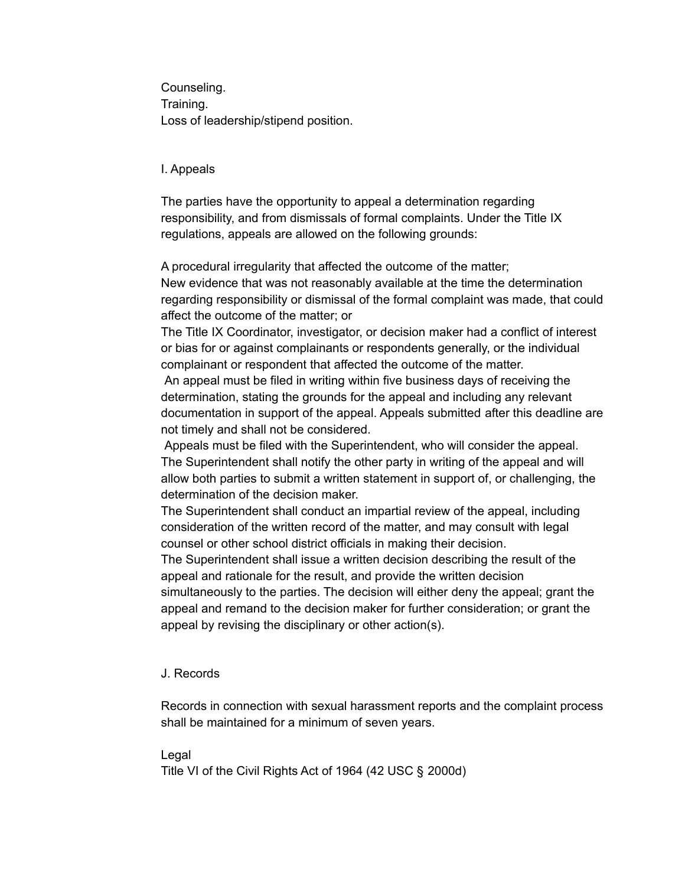Counseling. Training. Loss of leadership/stipend position.

## I. Appeals

The parties have the opportunity to appeal a determination regarding responsibility, and from dismissals of formal complaints. Under the Title IX regulations, appeals are allowed on the following grounds:

A procedural irregularity that affected the outcome of the matter;

New evidence that was not reasonably available at the time the determination regarding responsibility or dismissal of the formal complaint was made, that could affect the outcome of the matter; or

The Title IX Coordinator, investigator, or decision maker had a conflict of interest or bias for or against complainants or respondents generally, or the individual complainant or respondent that affected the outcome of the matter.

An appeal must be filed in writing within five business days of receiving the determination, stating the grounds for the appeal and including any relevant documentation in support of the appeal. Appeals submitted after this deadline are not timely and shall not be considered.

Appeals must be filed with the Superintendent, who will consider the appeal. The Superintendent shall notify the other party in writing of the appeal and will allow both parties to submit a written statement in support of, or challenging, the determination of the decision maker.

The Superintendent shall conduct an impartial review of the appeal, including consideration of the written record of the matter, and may consult with legal counsel or other school district officials in making their decision.

The Superintendent shall issue a written decision describing the result of the appeal and rationale for the result, and provide the written decision simultaneously to the parties. The decision will either deny the appeal; grant the appeal and remand to the decision maker for further consideration; or grant the appeal by revising the disciplinary or other action(s).

## J. Records

Records in connection with sexual harassment reports and the complaint process shall be maintained for a minimum of seven years.

Legal

Title VI of the Civil Rights Act of 1964 (42 USC § 2000d)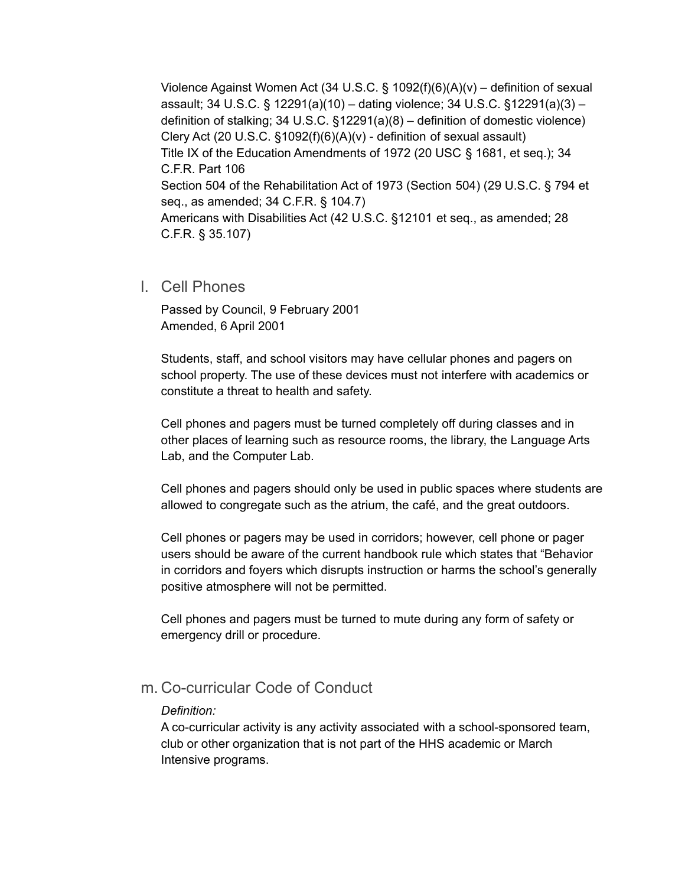Violence Against Women Act (34 U.S.C. § 1092(f)(6)(A)(v) – definition of sexual assault; 34 U.S.C. § 12291(a)(10) – dating violence; 34 U.S.C. §12291(a)(3) – definition of stalking; 34 U.S.C. §12291(a)(8) – definition of domestic violence) Clery Act (20 U.S.C.  $\S1092(f)(6)(A)(v)$  - definition of sexual assault) Title IX of the Education Amendments of 1972 (20 USC § 1681, et seq.); 34 C.F.R. Part 106 Section 504 of the Rehabilitation Act of 1973 (Section 504) (29 U.S.C. § 794 et seq., as amended; 34 C.F.R. § 104.7) Americans with Disabilities Act (42 U.S.C. §12101 et seq., as amended; 28 C.F.R. § 35.107)

l. Cell Phones

Passed by Council, 9 February 2001 Amended, 6 April 2001

Students, staff, and school visitors may have cellular phones and pagers on school property. The use of these devices must not interfere with academics or constitute a threat to health and safety.

Cell phones and pagers must be turned completely off during classes and in other places of learning such as resource rooms, the library, the Language Arts Lab, and the Computer Lab.

Cell phones and pagers should only be used in public spaces where students are allowed to congregate such as the atrium, the café, and the great outdoors.

Cell phones or pagers may be used in corridors; however, cell phone or pager users should be aware of the current handbook rule which states that "Behavior in corridors and foyers which disrupts instruction or harms the school's generally positive atmosphere will not be permitted.

Cell phones and pagers must be turned to mute during any form of safety or emergency drill or procedure.

# m. Co-curricular Code of Conduct

### *Definition:*

A co-curricular activity is any activity associated with a school-sponsored team, club or other organization that is not part of the HHS academic or March Intensive programs.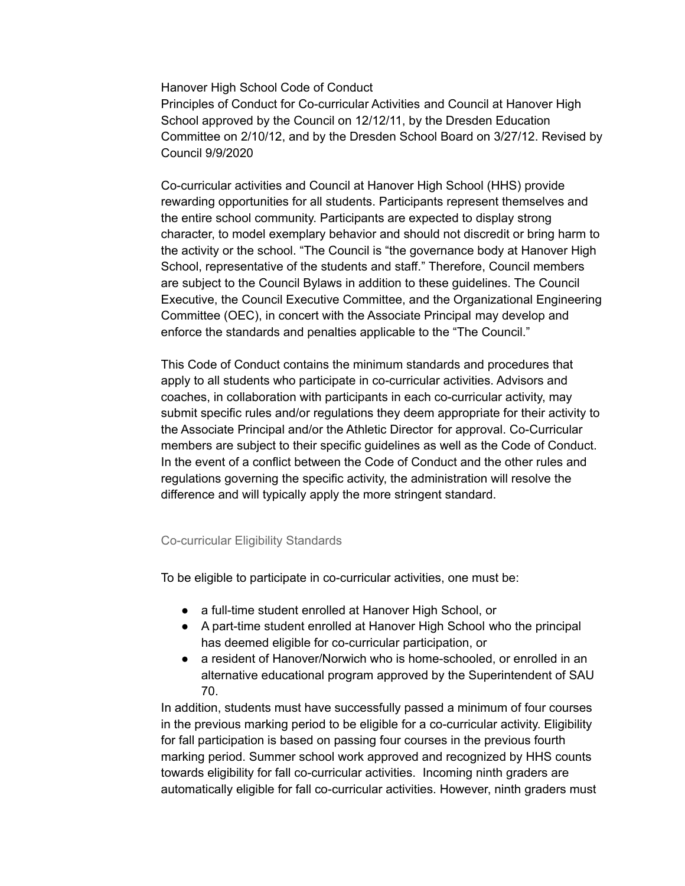Hanover High School Code of Conduct

Principles of Conduct for Co-curricular Activities and Council at Hanover High School approved by the Council on 12/12/11, by the Dresden Education Committee on 2/10/12, and by the Dresden School Board on 3/27/12. Revised by Council 9/9/2020

Co-curricular activities and Council at Hanover High School (HHS) provide rewarding opportunities for all students. Participants represent themselves and the entire school community. Participants are expected to display strong character, to model exemplary behavior and should not discredit or bring harm to the activity or the school. "The Council is "the governance body at Hanover High School, representative of the students and staff." Therefore, Council members are subject to the Council Bylaws in addition to these guidelines. The Council Executive, the Council Executive Committee, and the Organizational Engineering Committee (OEC), in concert with the Associate Principal may develop and enforce the standards and penalties applicable to the "The Council."

This Code of Conduct contains the minimum standards and procedures that apply to all students who participate in co-curricular activities. Advisors and coaches, in collaboration with participants in each co-curricular activity, may submit specific rules and/or regulations they deem appropriate for their activity to the Associate Principal and/or the Athletic Director for approval. Co-Curricular members are subject to their specific guidelines as well as the Code of Conduct. In the event of a conflict between the Code of Conduct and the other rules and regulations governing the specific activity, the administration will resolve the difference and will typically apply the more stringent standard.

### Co-curricular Eligibility Standards

To be eligible to participate in co-curricular activities, one must be:

- a full-time student enrolled at Hanover High School, or
- A part-time student enrolled at Hanover High School who the principal has deemed eligible for co-curricular participation, or
- a resident of Hanover/Norwich who is home-schooled, or enrolled in an alternative educational program approved by the Superintendent of SAU 70.

In addition, students must have successfully passed a minimum of four courses in the previous marking period to be eligible for a co-curricular activity. Eligibility for fall participation is based on passing four courses in the previous fourth marking period. Summer school work approved and recognized by HHS counts towards eligibility for fall co-curricular activities. Incoming ninth graders are automatically eligible for fall co-curricular activities. However, ninth graders must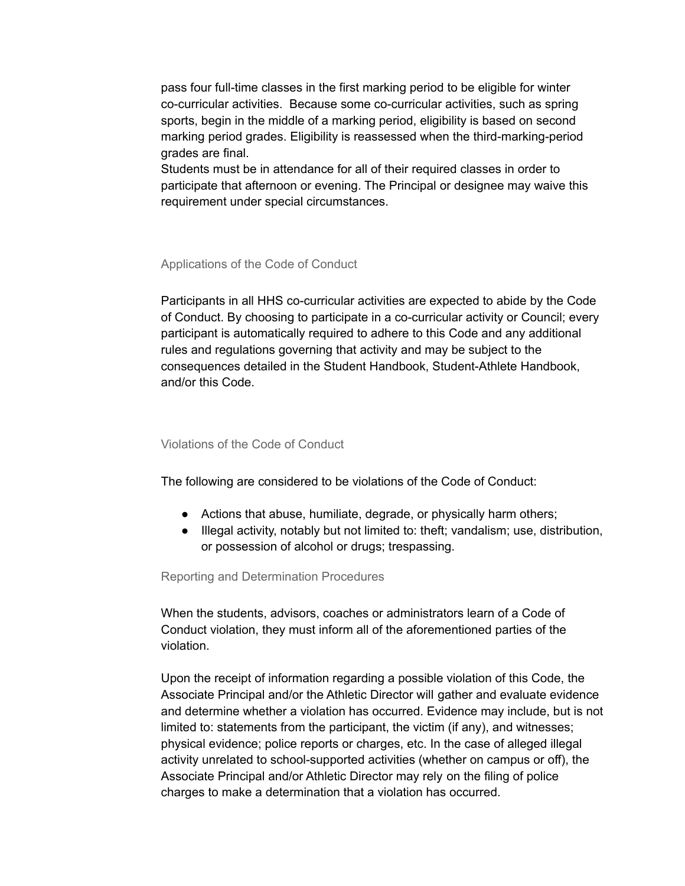pass four full-time classes in the first marking period to be eligible for winter co-curricular activities. Because some co-curricular activities, such as spring sports, begin in the middle of a marking period, eligibility is based on second marking period grades. Eligibility is reassessed when the third-marking-period grades are final.

Students must be in attendance for all of their required classes in order to participate that afternoon or evening. The Principal or designee may waive this requirement under special circumstances.

## Applications of the Code of Conduct

Participants in all HHS co-curricular activities are expected to abide by the Code of Conduct. By choosing to participate in a co-curricular activity or Council; every participant is automatically required to adhere to this Code and any additional rules and regulations governing that activity and may be subject to the consequences detailed in the Student Handbook, Student-Athlete Handbook, and/or this Code.

### Violations of the Code of Conduct

The following are considered to be violations of the Code of Conduct:

- Actions that abuse, humiliate, degrade, or physically harm others;
- Illegal activity, notably but not limited to: theft; vandalism; use, distribution, or possession of alcohol or drugs; trespassing.

### Reporting and Determination Procedures

When the students, advisors, coaches or administrators learn of a Code of Conduct violation, they must inform all of the aforementioned parties of the violation.

Upon the receipt of information regarding a possible violation of this Code, the Associate Principal and/or the Athletic Director will gather and evaluate evidence and determine whether a violation has occurred. Evidence may include, but is not limited to: statements from the participant, the victim (if any), and witnesses; physical evidence; police reports or charges, etc. In the case of alleged illegal activity unrelated to school-supported activities (whether on campus or off), the Associate Principal and/or Athletic Director may rely on the filing of police charges to make a determination that a violation has occurred.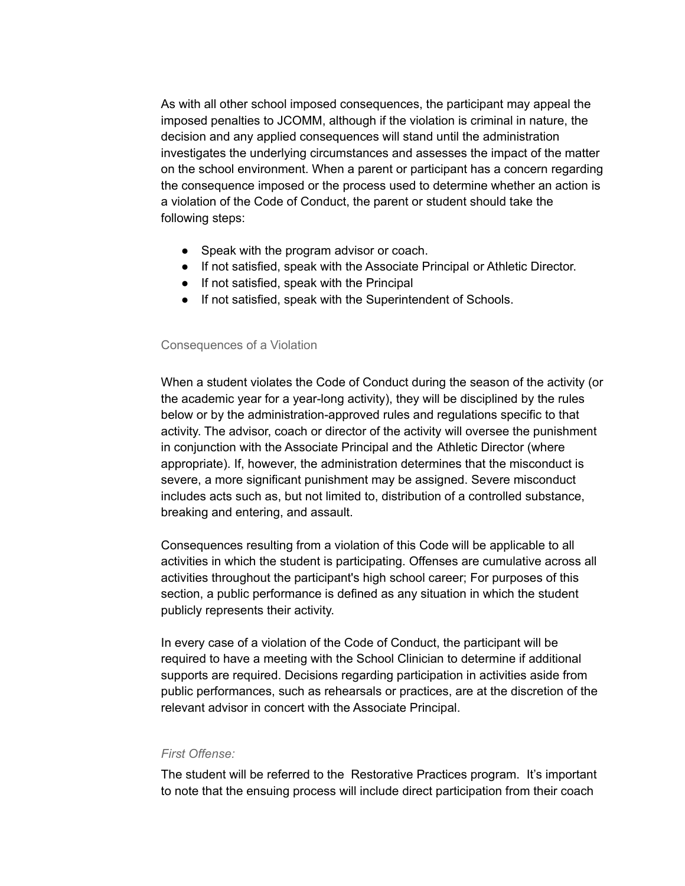As with all other school imposed consequences, the participant may appeal the imposed penalties to JCOMM, although if the violation is criminal in nature, the decision and any applied consequences will stand until the administration investigates the underlying circumstances and assesses the impact of the matter on the school environment. When a parent or participant has a concern regarding the consequence imposed or the process used to determine whether an action is a violation of the Code of Conduct, the parent or student should take the following steps:

- Speak with the program advisor or coach.
- If not satisfied, speak with the Associate Principal or Athletic Director.
- If not satisfied, speak with the Principal
- If not satisfied, speak with the Superintendent of Schools.

### Consequences of a Violation

When a student violates the Code of Conduct during the season of the activity (or the academic year for a year-long activity), they will be disciplined by the rules below or by the administration-approved rules and regulations specific to that activity. The advisor, coach or director of the activity will oversee the punishment in conjunction with the Associate Principal and the Athletic Director (where appropriate). If, however, the administration determines that the misconduct is severe, a more significant punishment may be assigned. Severe misconduct includes acts such as, but not limited to, distribution of a controlled substance, breaking and entering, and assault.

Consequences resulting from a violation of this Code will be applicable to all activities in which the student is participating. Offenses are cumulative across all activities throughout the participant's high school career; For purposes of this section, a public performance is defined as any situation in which the student publicly represents their activity.

In every case of a violation of the Code of Conduct, the participant will be required to have a meeting with the School Clinician to determine if additional supports are required. Decisions regarding participation in activities aside from public performances, such as rehearsals or practices, are at the discretion of the relevant advisor in concert with the Associate Principal.

### *First Offense:*

The student will be referred to the Restorative Practices program. It's important to note that the ensuing process will include direct participation from their coach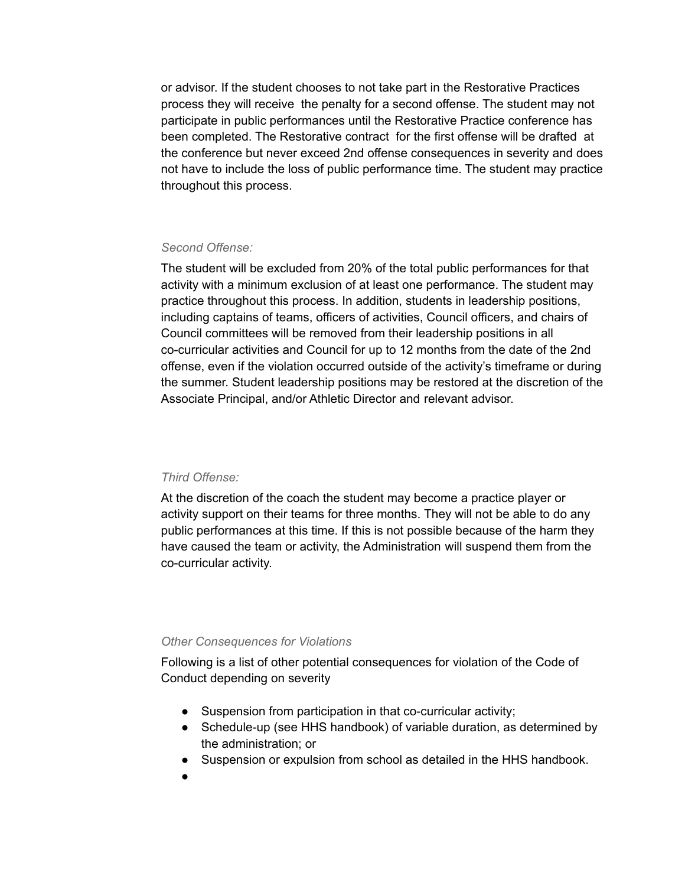or advisor. If the student chooses to not take part in the Restorative Practices process they will receive the penalty for a second offense. The student may not participate in public performances until the Restorative Practice conference has been completed. The Restorative contract for the first offense will be drafted at the conference but never exceed 2nd offense consequences in severity and does not have to include the loss of public performance time. The student may practice throughout this process.

### *Second Offense:*

The student will be excluded from 20% of the total public performances for that activity with a minimum exclusion of at least one performance. The student may practice throughout this process. In addition, students in leadership positions, including captains of teams, officers of activities, Council officers, and chairs of Council committees will be removed from their leadership positions in all co-curricular activities and Council for up to 12 months from the date of the 2nd offense, even if the violation occurred outside of the activity's timeframe or during the summer. Student leadership positions may be restored at the discretion of the Associate Principal, and/or Athletic Director and relevant advisor.

### *Third Offense:*

At the discretion of the coach the student may become a practice player or activity support on their teams for three months. They will not be able to do any public performances at this time. If this is not possible because of the harm they have caused the team or activity, the Administration will suspend them from the co-curricular activity.

### *Other Consequences for Violations*

Following is a list of other potential consequences for violation of the Code of Conduct depending on severity

- Suspension from participation in that co-curricular activity;
- Schedule-up (see HHS handbook) of variable duration, as determined by the administration; or
- Suspension or expulsion from school as detailed in the HHS handbook.
- ●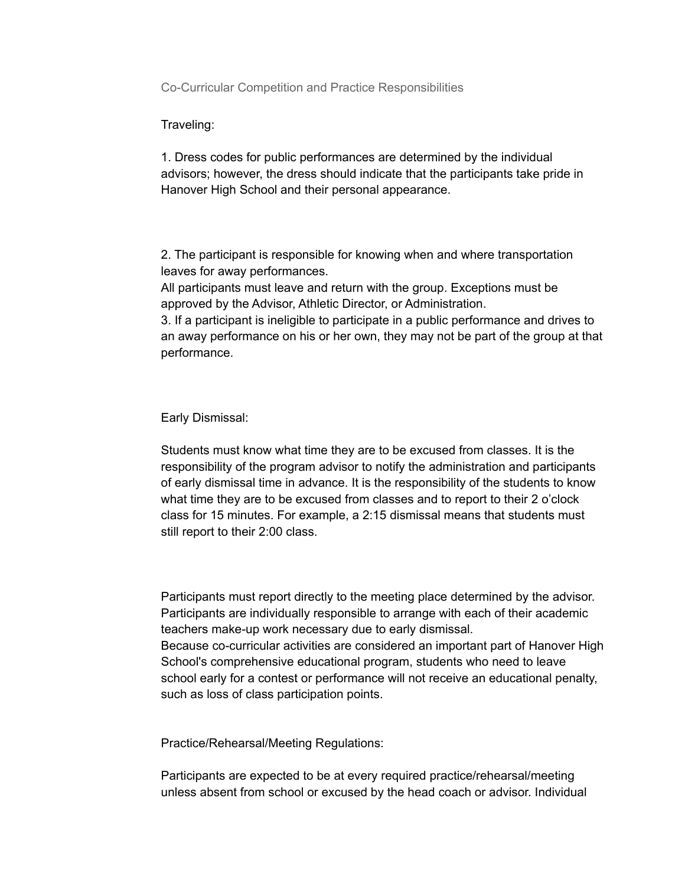Co-Curricular Competition and Practice Responsibilities

Traveling:

1. Dress codes for public performances are determined by the individual advisors; however, the dress should indicate that the participants take pride in Hanover High School and their personal appearance.

2. The participant is responsible for knowing when and where transportation leaves for away performances.

All participants must leave and return with the group. Exceptions must be approved by the Advisor, Athletic Director, or Administration.

3. If a participant is ineligible to participate in a public performance and drives to an away performance on his or her own, they may not be part of the group at that performance.

Early Dismissal:

Students must know what time they are to be excused from classes. It is the responsibility of the program advisor to notify the administration and participants of early dismissal time in advance. It is the responsibility of the students to know what time they are to be excused from classes and to report to their 2 o'clock class for 15 minutes. For example, a 2:15 dismissal means that students must still report to their 2:00 class.

Participants must report directly to the meeting place determined by the advisor. Participants are individually responsible to arrange with each of their academic teachers make-up work necessary due to early dismissal. Because co-curricular activities are considered an important part of Hanover High School's comprehensive educational program, students who need to leave school early for a contest or performance will not receive an educational penalty, such as loss of class participation points.

Practice/Rehearsal/Meeting Regulations:

Participants are expected to be at every required practice/rehearsal/meeting unless absent from school or excused by the head coach or advisor. Individual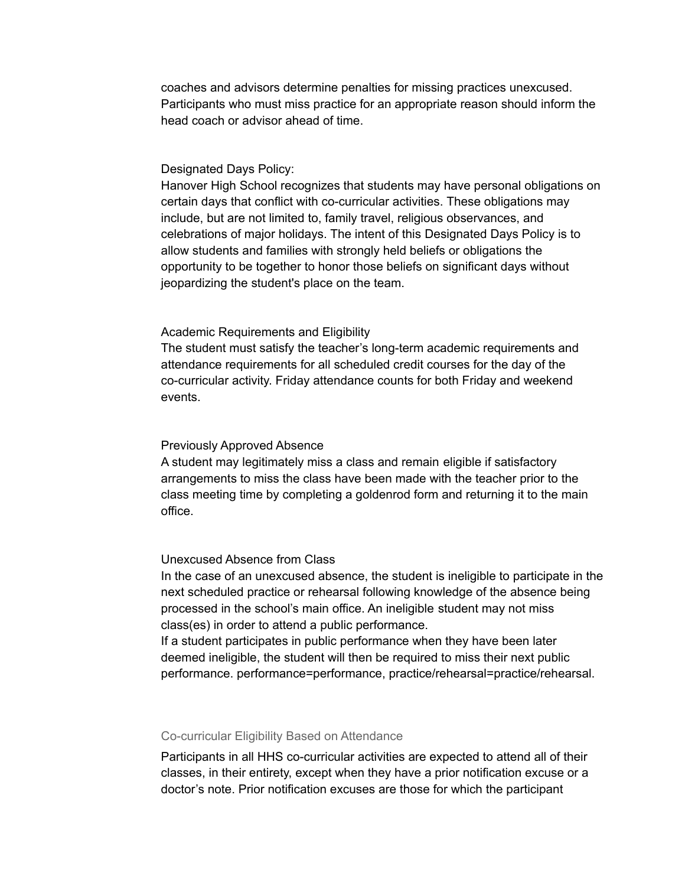coaches and advisors determine penalties for missing practices unexcused. Participants who must miss practice for an appropriate reason should inform the head coach or advisor ahead of time.

### Designated Days Policy:

Hanover High School recognizes that students may have personal obligations on certain days that conflict with co-curricular activities. These obligations may include, but are not limited to, family travel, religious observances, and celebrations of major holidays. The intent of this Designated Days Policy is to allow students and families with strongly held beliefs or obligations the opportunity to be together to honor those beliefs on significant days without jeopardizing the student's place on the team.

### Academic Requirements and Eligibility

The student must satisfy the teacher's long-term academic requirements and attendance requirements for all scheduled credit courses for the day of the co-curricular activity. Friday attendance counts for both Friday and weekend events.

### Previously Approved Absence

A student may legitimately miss a class and remain eligible if satisfactory arrangements to miss the class have been made with the teacher prior to the class meeting time by completing a goldenrod form and returning it to the main office.

## Unexcused Absence from Class

In the case of an unexcused absence, the student is ineligible to participate in the next scheduled practice or rehearsal following knowledge of the absence being processed in the school's main office. An ineligible student may not miss class(es) in order to attend a public performance.

If a student participates in public performance when they have been later deemed ineligible, the student will then be required to miss their next public performance. performance=performance, practice/rehearsal=practice/rehearsal.

### Co-curricular Eligibility Based on Attendance

Participants in all HHS co-curricular activities are expected to attend all of their classes, in their entirety, except when they have a prior notification excuse or a doctor's note. Prior notification excuses are those for which the participant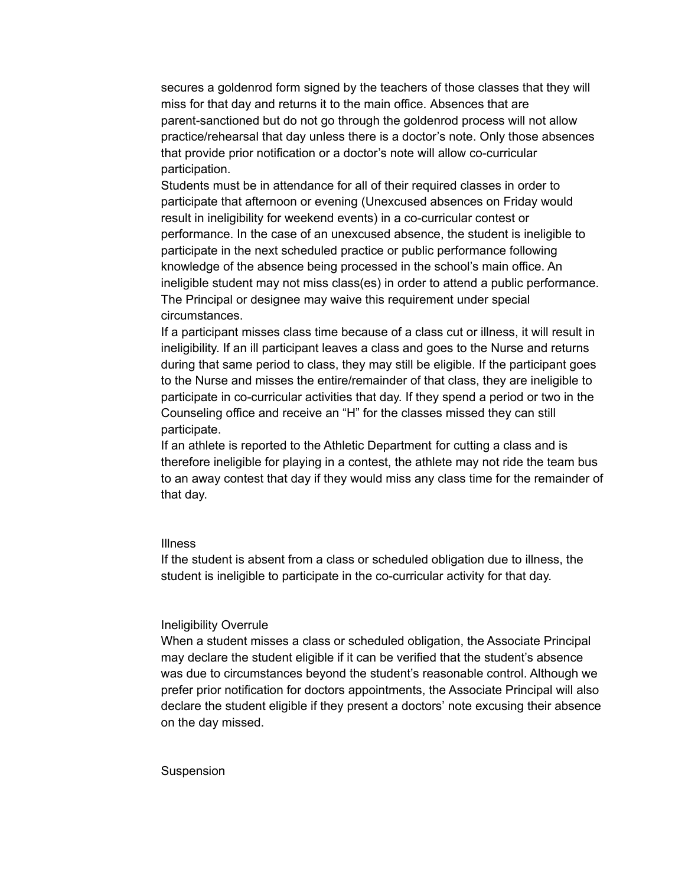secures a goldenrod form signed by the teachers of those classes that they will miss for that day and returns it to the main office. Absences that are parent-sanctioned but do not go through the goldenrod process will not allow practice/rehearsal that day unless there is a doctor's note. Only those absences that provide prior notification or a doctor's note will allow co-curricular participation.

Students must be in attendance for all of their required classes in order to participate that afternoon or evening (Unexcused absences on Friday would result in ineligibility for weekend events) in a co-curricular contest or performance. In the case of an unexcused absence, the student is ineligible to participate in the next scheduled practice or public performance following knowledge of the absence being processed in the school's main office. An ineligible student may not miss class(es) in order to attend a public performance. The Principal or designee may waive this requirement under special circumstances.

If a participant misses class time because of a class cut or illness, it will result in ineligibility. If an ill participant leaves a class and goes to the Nurse and returns during that same period to class, they may still be eligible. If the participant goes to the Nurse and misses the entire/remainder of that class, they are ineligible to participate in co-curricular activities that day. If they spend a period or two in the Counseling office and receive an "H" for the classes missed they can still participate.

If an athlete is reported to the Athletic Department for cutting a class and is therefore ineligible for playing in a contest, the athlete may not ride the team bus to an away contest that day if they would miss any class time for the remainder of that day.

### Illness

If the student is absent from a class or scheduled obligation due to illness, the student is ineligible to participate in the co-curricular activity for that day.

#### Ineligibility Overrule

When a student misses a class or scheduled obligation, the Associate Principal may declare the student eligible if it can be verified that the student's absence was due to circumstances beyond the student's reasonable control. Although we prefer prior notification for doctors appointments, the Associate Principal will also declare the student eligible if they present a doctors' note excusing their absence on the day missed.

#### **Suspension**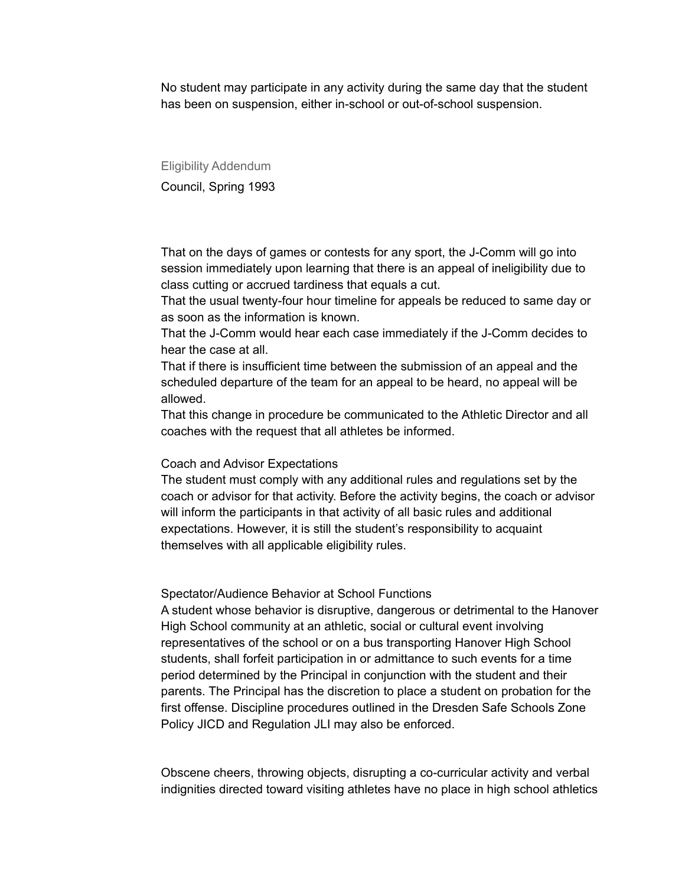No student may participate in any activity during the same day that the student has been on suspension, either in-school or out-of-school suspension.

Eligibility Addendum Council, Spring 1993

That on the days of games or contests for any sport, the J-Comm will go into session immediately upon learning that there is an appeal of ineligibility due to class cutting or accrued tardiness that equals a cut.

That the usual twenty-four hour timeline for appeals be reduced to same day or as soon as the information is known.

That the J-Comm would hear each case immediately if the J-Comm decides to hear the case at all.

That if there is insufficient time between the submission of an appeal and the scheduled departure of the team for an appeal to be heard, no appeal will be allowed.

That this change in procedure be communicated to the Athletic Director and all coaches with the request that all athletes be informed.

### Coach and Advisor Expectations

The student must comply with any additional rules and regulations set by the coach or advisor for that activity. Before the activity begins, the coach or advisor will inform the participants in that activity of all basic rules and additional expectations. However, it is still the student's responsibility to acquaint themselves with all applicable eligibility rules.

Spectator/Audience Behavior at School Functions

A student whose behavior is disruptive, dangerous or detrimental to the Hanover High School community at an athletic, social or cultural event involving representatives of the school or on a bus transporting Hanover High School students, shall forfeit participation in or admittance to such events for a time period determined by the Principal in conjunction with the student and their parents. The Principal has the discretion to place a student on probation for the first offense. Discipline procedures outlined in the Dresden Safe Schools Zone Policy JICD and Regulation JLI may also be enforced.

Obscene cheers, throwing objects, disrupting a co-curricular activity and verbal indignities directed toward visiting athletes have no place in high school athletics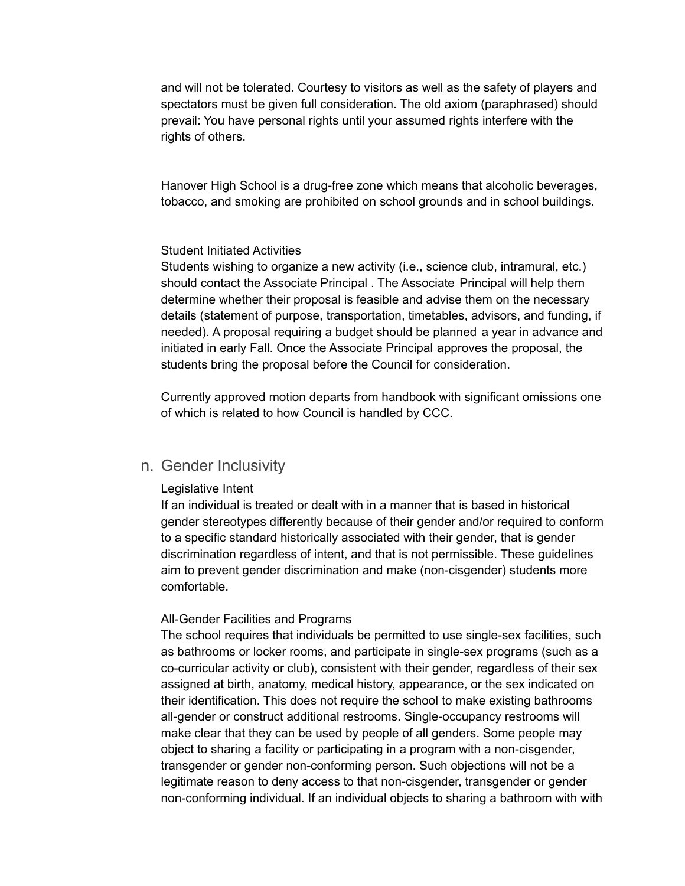and will not be tolerated. Courtesy to visitors as well as the safety of players and spectators must be given full consideration. The old axiom (paraphrased) should prevail: You have personal rights until your assumed rights interfere with the rights of others.

Hanover High School is a drug-free zone which means that alcoholic beverages, tobacco, and smoking are prohibited on school grounds and in school buildings.

### Student Initiated Activities

Students wishing to organize a new activity (i.e., science club, intramural, etc.) should contact the Associate Principal . The Associate Principal will help them determine whether their proposal is feasible and advise them on the necessary details (statement of purpose, transportation, timetables, advisors, and funding, if needed). A proposal requiring a budget should be planned a year in advance and initiated in early Fall. Once the Associate Principal approves the proposal, the students bring the proposal before the Council for consideration.

Currently approved motion departs from handbook with significant omissions one of which is related to how Council is handled by CCC.

## n. Gender Inclusivity

### Legislative Intent

If an individual is treated or dealt with in a manner that is based in historical gender stereotypes differently because of their gender and/or required to conform to a specific standard historically associated with their gender, that is gender discrimination regardless of intent, and that is not permissible. These guidelines aim to prevent gender discrimination and make (non-cisgender) students more comfortable.

### All-Gender Facilities and Programs

The school requires that individuals be permitted to use single-sex facilities, such as bathrooms or locker rooms, and participate in single-sex programs (such as a co-curricular activity or club), consistent with their gender, regardless of their sex assigned at birth, anatomy, medical history, appearance, or the sex indicated on their identification. This does not require the school to make existing bathrooms all-gender or construct additional restrooms. Single-occupancy restrooms will make clear that they can be used by people of all genders. Some people may object to sharing a facility or participating in a program with a non-cisgender, transgender or gender non-conforming person. Such objections will not be a legitimate reason to deny access to that non-cisgender, transgender or gender non-conforming individual. If an individual objects to sharing a bathroom with with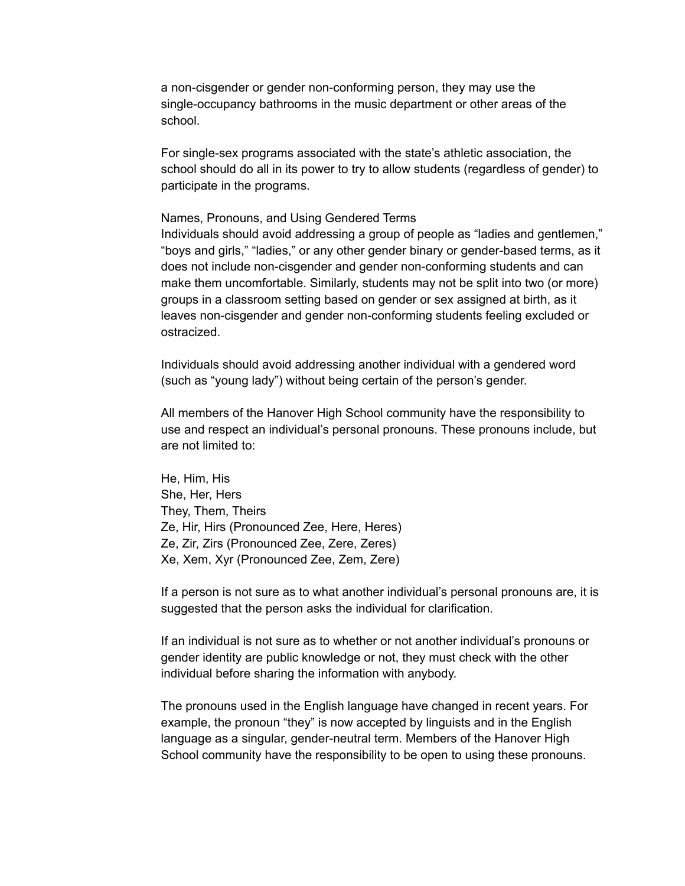a non-cisgender or gender non-conforming person, they may use the single-occupancy bathrooms in the music department or other areas of the school.

For single-sex programs associated with the state's athletic association, the school should do all in its power to try to allow students (regardless of gender) to participate in the programs.

#### Names, Pronouns, and Using Gendered Terms

Individuals should avoid addressing a group of people as "ladies and gentlemen," "boys and girls," "ladies," or any other gender binary or gender-based terms, as it does not include non-cisgender and gender non-conforming students and can make them uncomfortable. Similarly, students may not be split into two (or more) groups in a classroom setting based on gender or sex assigned at birth, as it leaves non-cisgender and gender non-conforming students feeling excluded or ostracized.

Individuals should avoid addressing another individual with a gendered word (such as "young lady") without being certain of the person's gender.

All members of the Hanover High School community have the responsibility to use and respect an individual's personal pronouns. These pronouns include, but are not limited to:

He, Him, His She, Her, Hers They, Them, Theirs Ze, Hir, Hirs (Pronounced Zee, Here, Heres) Ze, Zir, Zirs (Pronounced Zee, Zere, Zeres) Xe, Xem, Xyr (Pronounced Zee, Zem, Zere)

If a person is not sure as to what another individual's personal pronouns are, it is suggested that the person asks the individual for clarification.

If an individual is not sure as to whether or not another individual's pronouns or gender identity are public knowledge or not, they must check with the other individual before sharing the information with anybody.

The pronouns used in the English language have changed in recent years. For example, the pronoun "they" is now accepted by linguists and in the English language as a singular, gender-neutral term. Members of the Hanover High School community have the responsibility to be open to using these pronouns.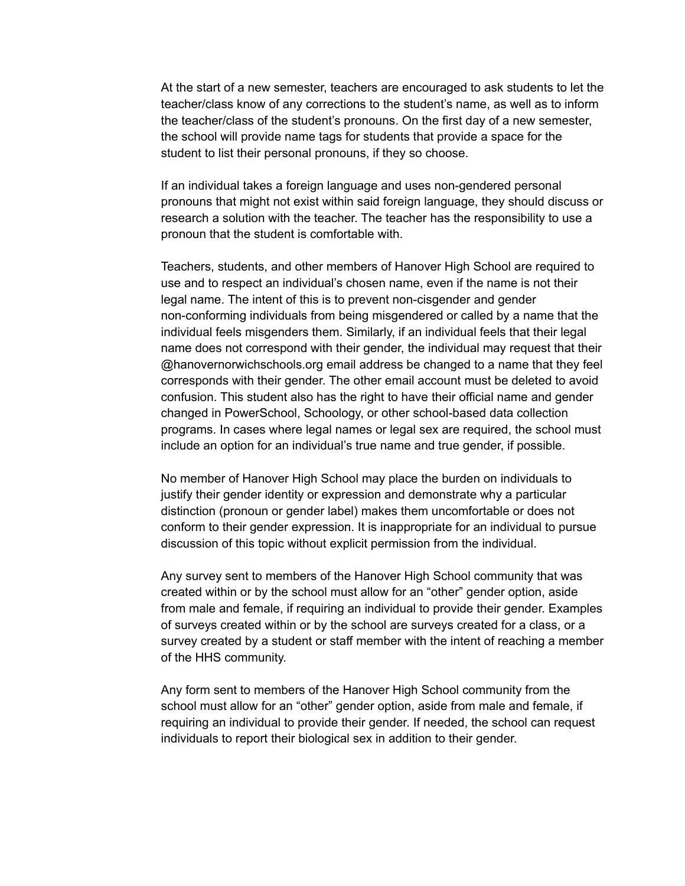At the start of a new semester, teachers are encouraged to ask students to let the teacher/class know of any corrections to the student's name, as well as to inform the teacher/class of the student's pronouns. On the first day of a new semester, the school will provide name tags for students that provide a space for the student to list their personal pronouns, if they so choose.

If an individual takes a foreign language and uses non-gendered personal pronouns that might not exist within said foreign language, they should discuss or research a solution with the teacher. The teacher has the responsibility to use a pronoun that the student is comfortable with.

Teachers, students, and other members of Hanover High School are required to use and to respect an individual's chosen name, even if the name is not their legal name. The intent of this is to prevent non-cisgender and gender non-conforming individuals from being misgendered or called by a name that the individual feels misgenders them. Similarly, if an individual feels that their legal name does not correspond with their gender, the individual may request that their @hanovernorwichschools.org email address be changed to a name that they feel corresponds with their gender. The other email account must be deleted to avoid confusion. This student also has the right to have their official name and gender changed in PowerSchool, Schoology, or other school-based data collection programs. In cases where legal names or legal sex are required, the school must include an option for an individual's true name and true gender, if possible.

No member of Hanover High School may place the burden on individuals to justify their gender identity or expression and demonstrate why a particular distinction (pronoun or gender label) makes them uncomfortable or does not conform to their gender expression. It is inappropriate for an individual to pursue discussion of this topic without explicit permission from the individual.

Any survey sent to members of the Hanover High School community that was created within or by the school must allow for an "other" gender option, aside from male and female, if requiring an individual to provide their gender. Examples of surveys created within or by the school are surveys created for a class, or a survey created by a student or staff member with the intent of reaching a member of the HHS community.

Any form sent to members of the Hanover High School community from the school must allow for an "other" gender option, aside from male and female, if requiring an individual to provide their gender. If needed, the school can request individuals to report their biological sex in addition to their gender.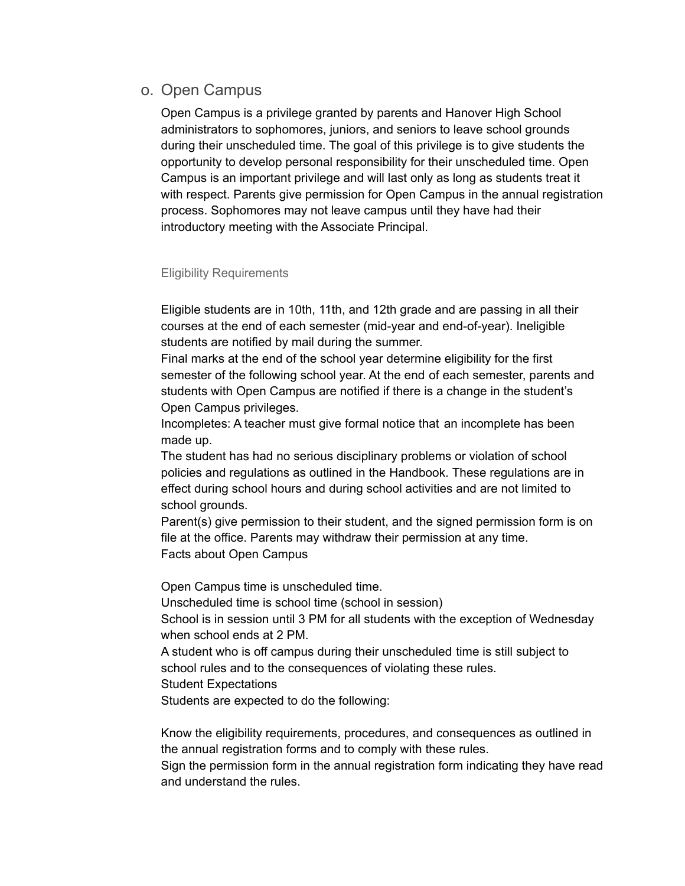# o. Open Campus

Open Campus is a privilege granted by parents and Hanover High School administrators to sophomores, juniors, and seniors to leave school grounds during their unscheduled time. The goal of this privilege is to give students the opportunity to develop personal responsibility for their unscheduled time. Open Campus is an important privilege and will last only as long as students treat it with respect. Parents give permission for Open Campus in the annual registration process. Sophomores may not leave campus until they have had their introductory meeting with the Associate Principal.

## Eligibility Requirements

Eligible students are in 10th, 11th, and 12th grade and are passing in all their courses at the end of each semester (mid-year and end-of-year). Ineligible students are notified by mail during the summer.

Final marks at the end of the school year determine eligibility for the first semester of the following school year. At the end of each semester, parents and students with Open Campus are notified if there is a change in the student's Open Campus privileges.

Incompletes: A teacher must give formal notice that an incomplete has been made up.

The student has had no serious disciplinary problems or violation of school policies and regulations as outlined in the Handbook. These regulations are in effect during school hours and during school activities and are not limited to school grounds.

Parent(s) give permission to their student, and the signed permission form is on file at the office. Parents may withdraw their permission at any time. Facts about Open Campus

Open Campus time is unscheduled time.

Unscheduled time is school time (school in session)

School is in session until 3 PM for all students with the exception of Wednesday when school ends at 2 PM.

A student who is off campus during their unscheduled time is still subject to school rules and to the consequences of violating these rules.

Student Expectations

Students are expected to do the following:

Know the eligibility requirements, procedures, and consequences as outlined in the annual registration forms and to comply with these rules.

Sign the permission form in the annual registration form indicating they have read and understand the rules.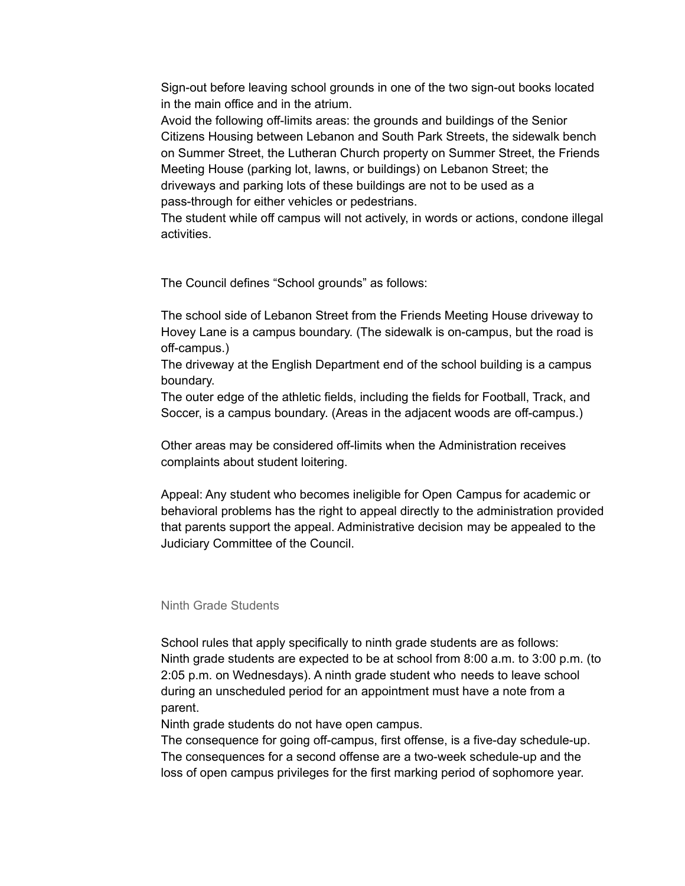Sign-out before leaving school grounds in one of the two sign-out books located in the main office and in the atrium.

Avoid the following off-limits areas: the grounds and buildings of the Senior Citizens Housing between Lebanon and South Park Streets, the sidewalk bench on Summer Street, the Lutheran Church property on Summer Street, the Friends Meeting House (parking lot, lawns, or buildings) on Lebanon Street; the driveways and parking lots of these buildings are not to be used as a pass-through for either vehicles or pedestrians.

The student while off campus will not actively, in words or actions, condone illegal activities.

The Council defines "School grounds" as follows:

The school side of Lebanon Street from the Friends Meeting House driveway to Hovey Lane is a campus boundary. (The sidewalk is on-campus, but the road is off-campus.)

The driveway at the English Department end of the school building is a campus boundary.

The outer edge of the athletic fields, including the fields for Football, Track, and Soccer, is a campus boundary. (Areas in the adjacent woods are off-campus.)

Other areas may be considered off-limits when the Administration receives complaints about student loitering.

Appeal: Any student who becomes ineligible for Open Campus for academic or behavioral problems has the right to appeal directly to the administration provided that parents support the appeal. Administrative decision may be appealed to the Judiciary Committee of the Council.

### Ninth Grade Students

School rules that apply specifically to ninth grade students are as follows: Ninth grade students are expected to be at school from 8:00 a.m. to 3:00 p.m. (to 2:05 p.m. on Wednesdays). A ninth grade student who needs to leave school during an unscheduled period for an appointment must have a note from a parent.

Ninth grade students do not have open campus.

The consequence for going off-campus, first offense, is a five-day schedule-up. The consequences for a second offense are a two-week schedule-up and the loss of open campus privileges for the first marking period of sophomore year.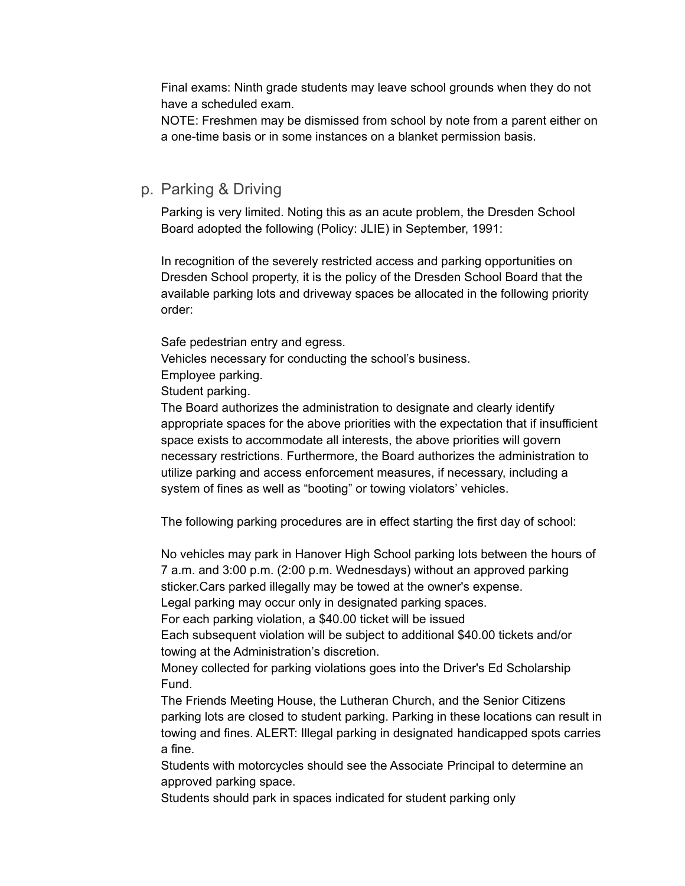Final exams: Ninth grade students may leave school grounds when they do not have a scheduled exam.

NOTE: Freshmen may be dismissed from school by note from a parent either on a one-time basis or in some instances on a blanket permission basis.

# p. Parking & Driving

Parking is very limited. Noting this as an acute problem, the Dresden School Board adopted the following (Policy: JLIE) in September, 1991:

In recognition of the severely restricted access and parking opportunities on Dresden School property, it is the policy of the Dresden School Board that the available parking lots and driveway spaces be allocated in the following priority order:

Safe pedestrian entry and egress.

Vehicles necessary for conducting the school's business.

Employee parking.

Student parking.

The Board authorizes the administration to designate and clearly identify appropriate spaces for the above priorities with the expectation that if insufficient space exists to accommodate all interests, the above priorities will govern necessary restrictions. Furthermore, the Board authorizes the administration to utilize parking and access enforcement measures, if necessary, including a system of fines as well as "booting" or towing violators' vehicles.

The following parking procedures are in effect starting the first day of school:

No vehicles may park in Hanover High School parking lots between the hours of 7 a.m. and 3:00 p.m. (2:00 p.m. Wednesdays) without an approved parking sticker.Cars parked illegally may be towed at the owner's expense.

Legal parking may occur only in designated parking spaces.

For each parking violation, a \$40.00 ticket will be issued

Each subsequent violation will be subject to additional \$40.00 tickets and/or towing at the Administration's discretion.

Money collected for parking violations goes into the Driver's Ed Scholarship Fund.

The Friends Meeting House, the Lutheran Church, and the Senior Citizens parking lots are closed to student parking. Parking in these locations can result in towing and fines. ALERT: Illegal parking in designated handicapped spots carries a fine.

Students with motorcycles should see the Associate Principal to determine an approved parking space.

Students should park in spaces indicated for student parking only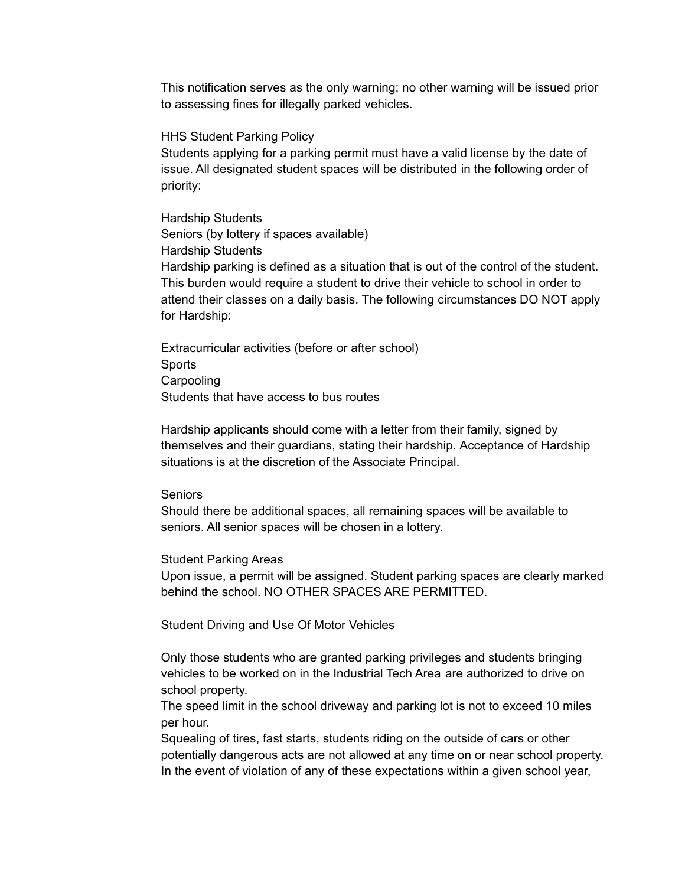This notification serves as the only warning; no other warning will be issued prior to assessing fines for illegally parked vehicles.

HHS Student Parking Policy

Students applying for a parking permit must have a valid license by the date of issue. All designated student spaces will be distributed in the following order of priority:

Hardship Students Seniors (by lottery if spaces available) Hardship Students Hardship parking is defined as a situation that is out of the control of the student. This burden would require a student to drive their vehicle to school in order to attend their classes on a daily basis. The following circumstances DO NOT apply for Hardship:

Extracurricular activities (before or after school) **Sports Carpooling** Students that have access to bus routes

Hardship applicants should come with a letter from their family, signed by themselves and their guardians, stating their hardship. Acceptance of Hardship situations is at the discretion of the Associate Principal.

**Seniors** 

Should there be additional spaces, all remaining spaces will be available to seniors. All senior spaces will be chosen in a lottery.

#### Student Parking Areas

Upon issue, a permit will be assigned. Student parking spaces are clearly marked behind the school. NO OTHER SPACES ARE PERMITTED.

Student Driving and Use Of Motor Vehicles

Only those students who are granted parking privileges and students bringing vehicles to be worked on in the Industrial Tech Area are authorized to drive on school property.

The speed limit in the school driveway and parking lot is not to exceed 10 miles per hour.

Squealing of tires, fast starts, students riding on the outside of cars or other potentially dangerous acts are not allowed at any time on or near school property. In the event of violation of any of these expectations within a given school year,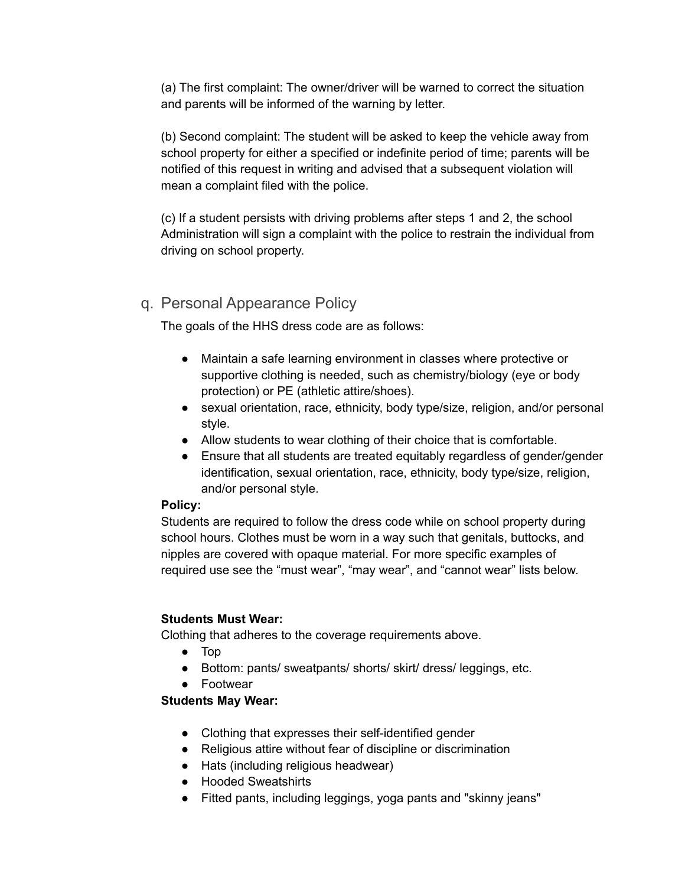(a) The first complaint: The owner/driver will be warned to correct the situation and parents will be informed of the warning by letter.

(b) Second complaint: The student will be asked to keep the vehicle away from school property for either a specified or indefinite period of time; parents will be notified of this request in writing and advised that a subsequent violation will mean a complaint filed with the police.

(c) If a student persists with driving problems after steps 1 and 2, the school Administration will sign a complaint with the police to restrain the individual from driving on school property.

# q. Personal Appearance Policy

The goals of the HHS dress code are as follows:

- Maintain a safe learning environment in classes where protective or supportive clothing is needed, such as chemistry/biology (eye or body protection) or PE (athletic attire/shoes).
- sexual orientation, race, ethnicity, body type/size, religion, and/or personal style.
- Allow students to wear clothing of their choice that is comfortable.
- Ensure that all students are treated equitably regardless of gender/gender identification, sexual orientation, race, ethnicity, body type/size, religion, and/or personal style.

## **Policy:**

Students are required to follow the dress code while on school property during school hours. Clothes must be worn in a way such that genitals, buttocks, and nipples are covered with opaque material. For more specific examples of required use see the "must wear", "may wear", and "cannot wear" lists below.

## **Students Must Wear:**

Clothing that adheres to the coverage requirements above.

- Top
- Bottom: pants/ sweatpants/ shorts/ skirt/ dress/ leggings, etc.
- Footwear

## **Students May Wear:**

- Clothing that expresses their self-identified gender
- Religious attire without fear of discipline or discrimination
- Hats (including religious headwear)
- Hooded Sweatshirts
- Fitted pants, including leggings, yoga pants and "skinny jeans"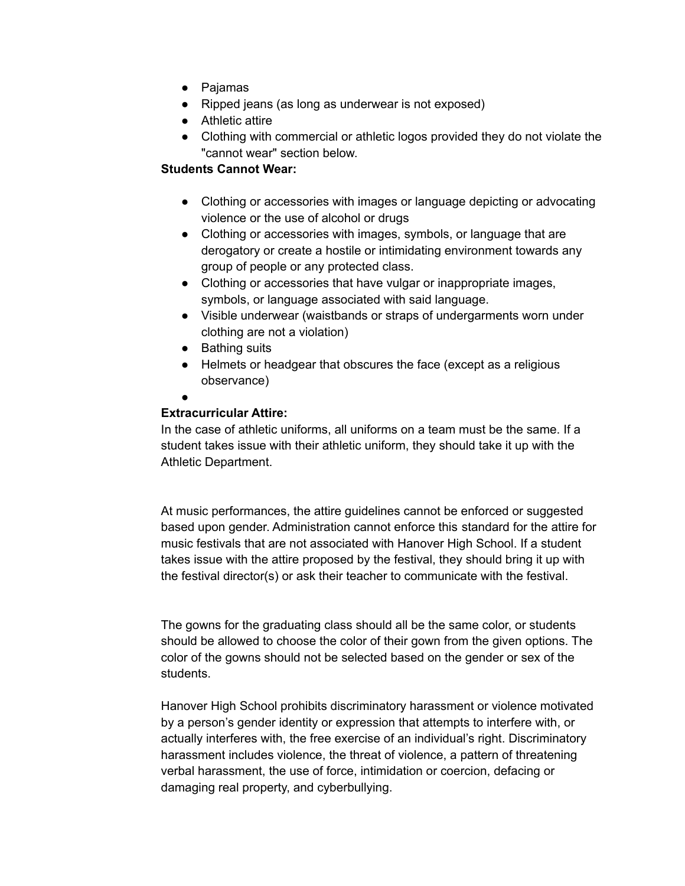- Pajamas
- Ripped jeans (as long as underwear is not exposed)
- Athletic attire
- Clothing with commercial or athletic logos provided they do not violate the "cannot wear" section below.

## **Students Cannot Wear:**

- Clothing or accessories with images or language depicting or advocating violence or the use of alcohol or drugs
- Clothing or accessories with images, symbols, or language that are derogatory or create a hostile or intimidating environment towards any group of people or any protected class.
- Clothing or accessories that have vulgar or inappropriate images, symbols, or language associated with said language.
- Visible underwear (waistbands or straps of undergarments worn under clothing are not a violation)
- Bathing suits
- Helmets or headgear that obscures the face (except as a religious observance)
- ●

## **Extracurricular Attire:**

In the case of athletic uniforms, all uniforms on a team must be the same. If a student takes issue with their athletic uniform, they should take it up with the Athletic Department.

At music performances, the attire guidelines cannot be enforced or suggested based upon gender. Administration cannot enforce this standard for the attire for music festivals that are not associated with Hanover High School. If a student takes issue with the attire proposed by the festival, they should bring it up with the festival director(s) or ask their teacher to communicate with the festival.

The gowns for the graduating class should all be the same color, or students should be allowed to choose the color of their gown from the given options. The color of the gowns should not be selected based on the gender or sex of the students.

Hanover High School prohibits discriminatory harassment or violence motivated by a person's gender identity or expression that attempts to interfere with, or actually interferes with, the free exercise of an individual's right. Discriminatory harassment includes violence, the threat of violence, a pattern of threatening verbal harassment, the use of force, intimidation or coercion, defacing or damaging real property, and cyberbullying.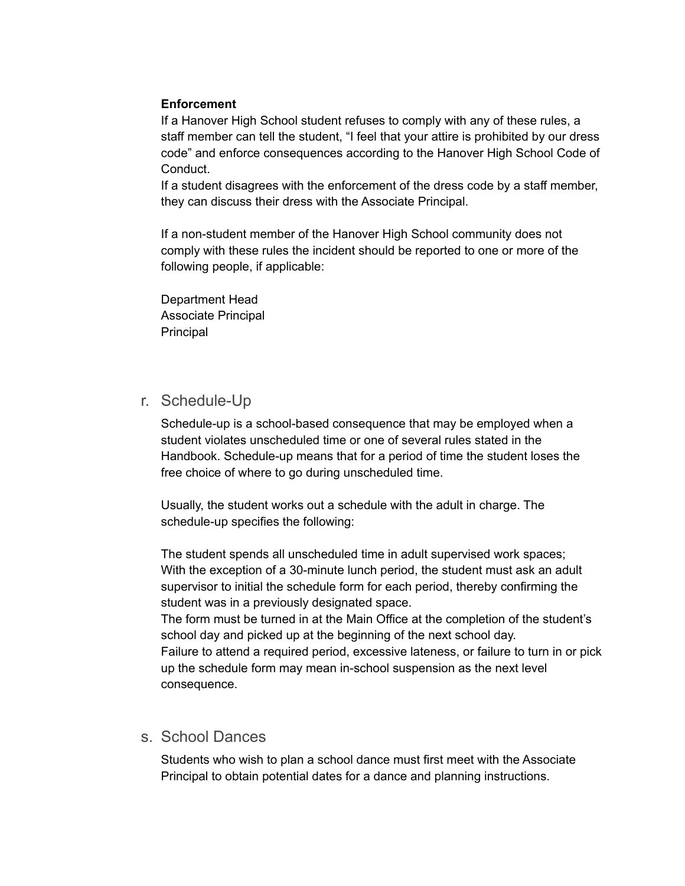## **Enforcement**

If a Hanover High School student refuses to comply with any of these rules, a staff member can tell the student, "I feel that your attire is prohibited by our dress code" and enforce consequences according to the Hanover High School Code of Conduct.

If a student disagrees with the enforcement of the dress code by a staff member, they can discuss their dress with the Associate Principal.

If a non-student member of the Hanover High School community does not comply with these rules the incident should be reported to one or more of the following people, if applicable:

Department Head Associate Principal Principal

# r. Schedule-Up

Schedule-up is a school-based consequence that may be employed when a student violates unscheduled time or one of several rules stated in the Handbook. Schedule-up means that for a period of time the student loses the free choice of where to go during unscheduled time.

Usually, the student works out a schedule with the adult in charge. The schedule-up specifies the following:

The student spends all unscheduled time in adult supervised work spaces; With the exception of a 30-minute lunch period, the student must ask an adult supervisor to initial the schedule form for each period, thereby confirming the student was in a previously designated space.

The form must be turned in at the Main Office at the completion of the student's school day and picked up at the beginning of the next school day.

Failure to attend a required period, excessive lateness, or failure to turn in or pick up the schedule form may mean in-school suspension as the next level consequence.

# s. School Dances

Students who wish to plan a school dance must first meet with the Associate Principal to obtain potential dates for a dance and planning instructions.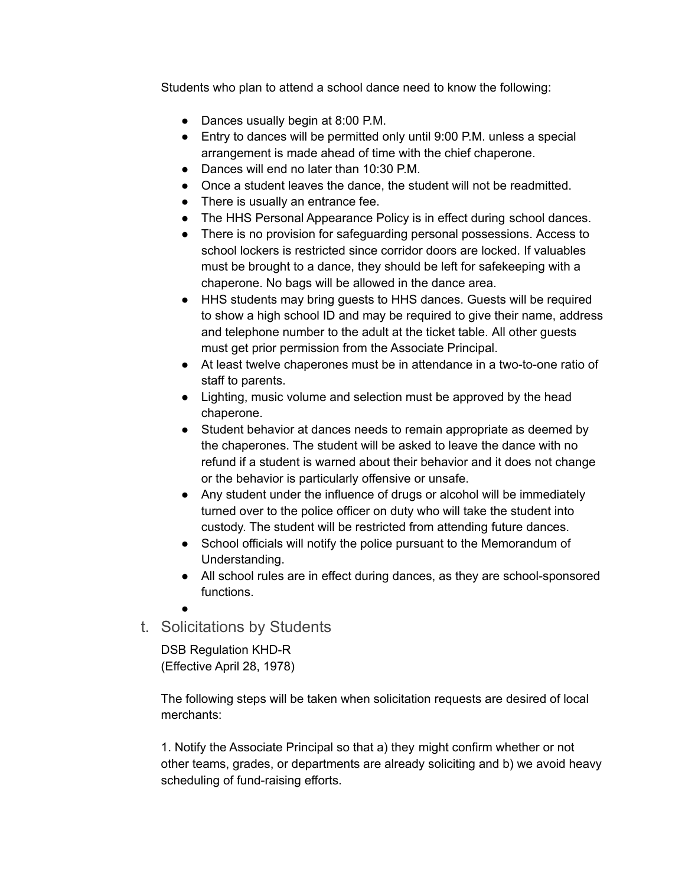Students who plan to attend a school dance need to know the following:

- Dances usually begin at 8:00 P.M.
- Entry to dances will be permitted only until 9:00 P.M. unless a special arrangement is made ahead of time with the chief chaperone.
- Dances will end no later than 10:30 P.M.
- Once a student leaves the dance, the student will not be readmitted.
- There is usually an entrance fee.
- The HHS Personal Appearance Policy is in effect during school dances.
- There is no provision for safeguarding personal possessions. Access to school lockers is restricted since corridor doors are locked. If valuables must be brought to a dance, they should be left for safekeeping with a chaperone. No bags will be allowed in the dance area.
- HHS students may bring guests to HHS dances. Guests will be required to show a high school ID and may be required to give their name, address and telephone number to the adult at the ticket table. All other guests must get prior permission from the Associate Principal.
- At least twelve chaperones must be in attendance in a two-to-one ratio of staff to parents.
- Lighting, music volume and selection must be approved by the head chaperone.
- Student behavior at dances needs to remain appropriate as deemed by the chaperones. The student will be asked to leave the dance with no refund if a student is warned about their behavior and it does not change or the behavior is particularly offensive or unsafe.
- Any student under the influence of drugs or alcohol will be immediately turned over to the police officer on duty who will take the student into custody. The student will be restricted from attending future dances.
- School officials will notify the police pursuant to the Memorandum of Understanding.
- All school rules are in effect during dances, as they are school-sponsored functions.

●

t. Solicitations by Students

DSB Regulation KHD-R (Effective April 28, 1978)

The following steps will be taken when solicitation requests are desired of local merchants:

1. Notify the Associate Principal so that a) they might confirm whether or not other teams, grades, or departments are already soliciting and b) we avoid heavy scheduling of fund-raising efforts.